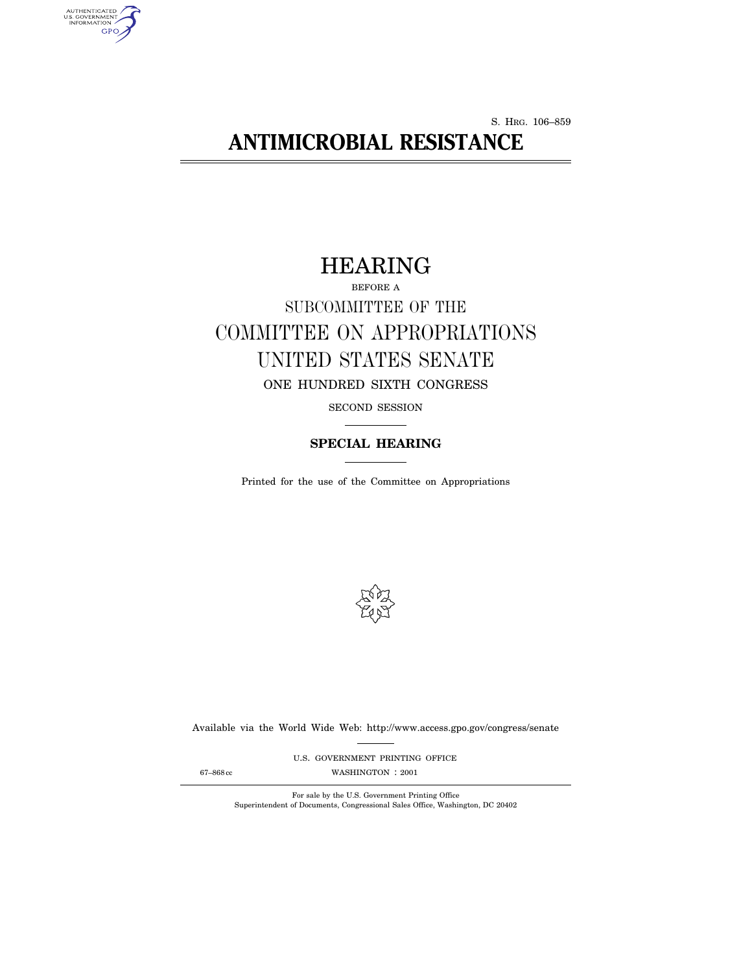S. HRG. 106–859

# **ANTIMICROBIAL RESISTANCE**

# HEARING

# BEFORE A SUBCOMMITTEE OF THE COMMITTEE ON APPROPRIATIONS UNITED STATES SENATE ONE HUNDRED SIXTH CONGRESS

# SECOND SESSION

# **SPECIAL HEARING**

Printed for the use of the Committee on Appropriations



Available via the World Wide Web: http://www.access.gpo.gov/congress/senate

U.S. GOVERNMENT PRINTING OFFICE

AUTHENTICATED<br>U.S. GOVERNMENT<br>INFORMATION **GPO** 

67–868 cc WASHINGTON : 2001

For sale by the U.S. Government Printing Office Superintendent of Documents, Congressional Sales Office, Washington, DC 20402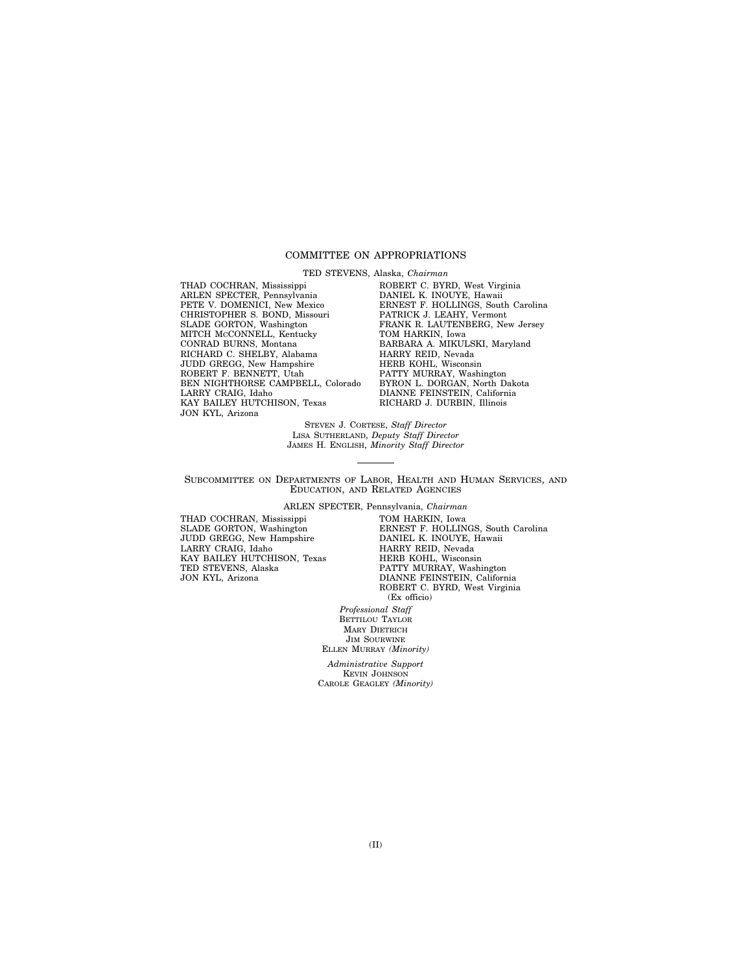# COMMITTEE ON APPROPRIATIONS

TED STEVENS, Alaska, *Chairman*

THAD COCHRAN, Mississippi ARLEN SPECTER, Pennsylvania PETE V. DOMENICI, New Mexico CHRISTOPHER S. BOND, Missouri SLADE GORTON, Washington MITCH MCCONNELL, Kentucky CONRAD BURNS, Montana RICHARD C. SHELBY, Alabama JUDD GREGG, New Hampshire ROBERT F. BENNETT, Utah BEN NIGHTHORSE CAMPBELL, Colorado LARRY CRAIG, Idaho KAY BAILEY HUTCHISON, Texas JON KYL, Arizona

ROBERT C. BYRD, West Virginia DANIEL K. INOUYE, Hawaii ERNEST F. HOLLINGS, South Carolina PATRICK J. LEAHY, Vermont FRANK R. LAUTENBERG, New Jersey TOM HARKIN, Iowa BARBARA A. MIKULSKI, Maryland HARRY REID, Nevada HERB KOHL, Wisconsin PATTY MURRAY, Washington BYRON L. DORGAN, North Dakota DIANNE FEINSTEIN, California RICHARD J. DURBIN, Illinois

STEVEN J. CORTESE, *Staff Director* LISA SUTHERLAND, *Deputy Staff Director* JAMES H. ENGLISH, *Minority Staff Director*

SUBCOMMITTEE ON DEPARTMENTS OF LABOR, HEALTH AND HUMAN SERVICES, AND EDUCATION, AND RELATED AGENCIES

ARLEN SPECTER, Pennsylvania, *Chairman*

THAD COCHRAN, Mississippi SLADE GORTON, Washington JUDD GREGG, New Hampshire LARRY CRAIG, Idaho KAY BAILEY HUTCHISON, Texas TED STEVENS, Alaska JON KYL, Arizona

TOM HARKIN, Iowa ERNEST F. HOLLINGS, South Carolina DANIEL K. INOUYE, Hawaii HARRY REID, Nevada HERB KOHL, Wisconsin PATTY MURRAY, Washington DIANNE FEINSTEIN, California ROBERT C. BYRD, West Virginia (Ex officio)

*Professional Staff* BETTILOU TAYLOR MARY DIETRICH JIM SOURWINE

ELLEN MURRAY *(Minority)*

*Administrative Support* KEVIN JOHNSON CAROLE GEAGLEY *(Minority)*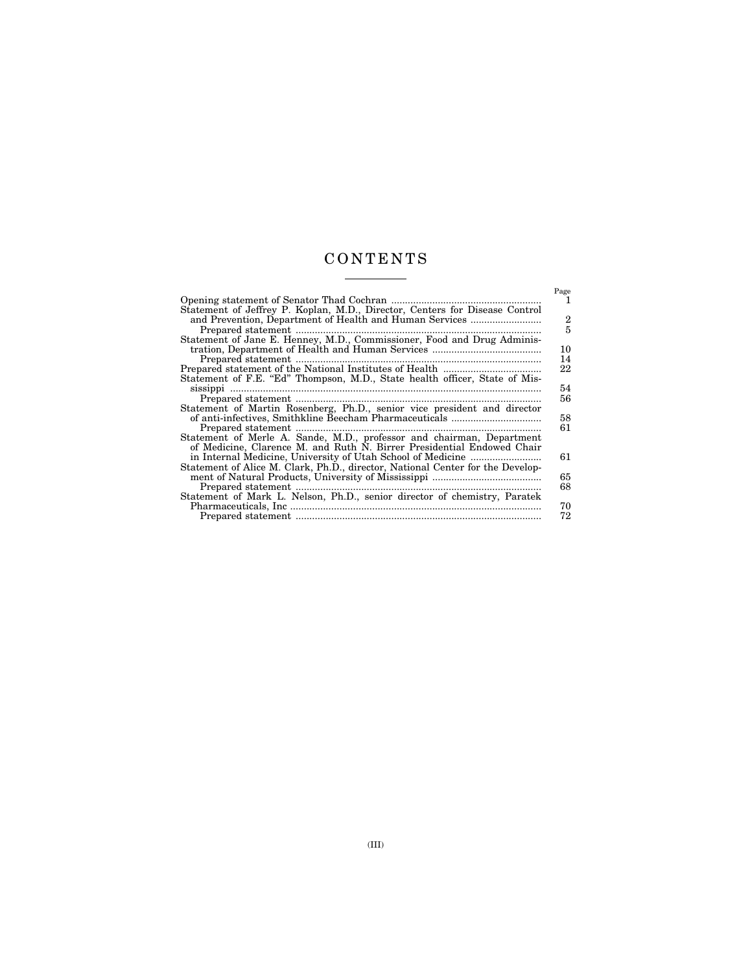# CONTENTS  $\begin{tabular}{lcccccc} \multicolumn{2}{c|}{\textbf{1} & \textbf{1} & \textbf{1} & \textbf{1} & \textbf{1} & \textbf{1} & \textbf{1} & \textbf{1} & \textbf{1} & \textbf{1} & \textbf{1} & \textbf{1} & \textbf{1} & \textbf{1} & \textbf{1} & \textbf{1} & \textbf{1} & \textbf{1} & \textbf{1} & \textbf{1} & \textbf{1} & \textbf{1} & \textbf{1} & \textbf{1} & \textbf{1} & \textbf{1} & \textbf{1} & \textbf{1} & \textbf{$

|                                                                                | Page           |
|--------------------------------------------------------------------------------|----------------|
|                                                                                |                |
| Statement of Jeffrey P. Koplan, M.D., Director, Centers for Disease Control    |                |
|                                                                                | $\overline{2}$ |
|                                                                                | 5              |
|                                                                                |                |
|                                                                                | 10             |
|                                                                                | 14             |
|                                                                                |                |
|                                                                                | 22             |
| Statement of F.E. "Ed" Thompson, M.D., State health officer, State of Mis-     |                |
|                                                                                | 54             |
|                                                                                | 56             |
| Statement of Martin Rosenberg, Ph.D., senior vice president and director       |                |
|                                                                                | 58             |
|                                                                                | 61             |
| Statement of Merle A. Sande, M.D., professor and chairman, Department          |                |
| of Medicine, Clarence M. and Ruth N. Birrer Presidential Endowed Chair         |                |
|                                                                                | 61             |
| Statement of Alice M. Clark, Ph.D., director, National Center for the Develop- |                |
|                                                                                | 65             |
|                                                                                | 68             |
| Statement of Mark L. Nelson, Ph.D., senior director of chemistry, Paratek      |                |
|                                                                                |                |
|                                                                                | 70             |
|                                                                                | 72             |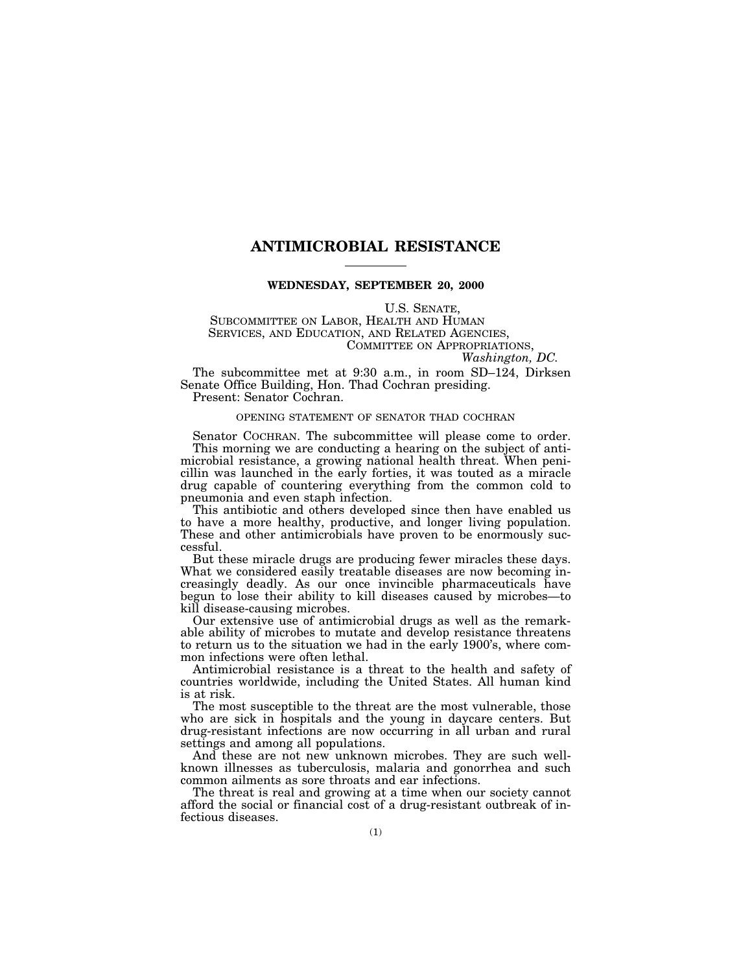# **ANTIMICROBIAL RESISTANCE**

# **WEDNESDAY, SEPTEMBER 20, 2000**

U.S. SENATE,

SUBCOMMITTEE ON LABOR, HEALTH AND HUMAN SERVICES, AND EDUCATION, AND RELATED AGENCIES, COMMITTEE ON APPROPRIATIONS,

*Washington, DC.*

The subcommittee met at 9:30 a.m., in room SD–124, Dirksen Senate Office Building, Hon. Thad Cochran presiding.

Present: Senator Cochran.

# OPENING STATEMENT OF SENATOR THAD COCHRAN

Senator COCHRAN. The subcommittee will please come to order. This morning we are conducting a hearing on the subject of antimicrobial resistance, a growing national health threat. When penicillin was launched in the early forties, it was touted as a miracle drug capable of countering everything from the common cold to pneumonia and even staph infection.

This antibiotic and others developed since then have enabled us to have a more healthy, productive, and longer living population. These and other antimicrobials have proven to be enormously successful.

But these miracle drugs are producing fewer miracles these days. What we considered easily treatable diseases are now becoming increasingly deadly. As our once invincible pharmaceuticals have begun to lose their ability to kill diseases caused by microbes—to kill disease-causing microbes.

Our extensive use of antimicrobial drugs as well as the remarkable ability of microbes to mutate and develop resistance threatens to return us to the situation we had in the early 1900's, where common infections were often lethal.

Antimicrobial resistance is a threat to the health and safety of countries worldwide, including the United States. All human kind is at risk.

The most susceptible to the threat are the most vulnerable, those who are sick in hospitals and the young in daycare centers. But drug-resistant infections are now occurring in all urban and rural settings and among all populations.

And these are not new unknown microbes. They are such wellknown illnesses as tuberculosis, malaria and gonorrhea and such common ailments as sore throats and ear infections.

The threat is real and growing at a time when our society cannot afford the social or financial cost of a drug-resistant outbreak of infectious diseases.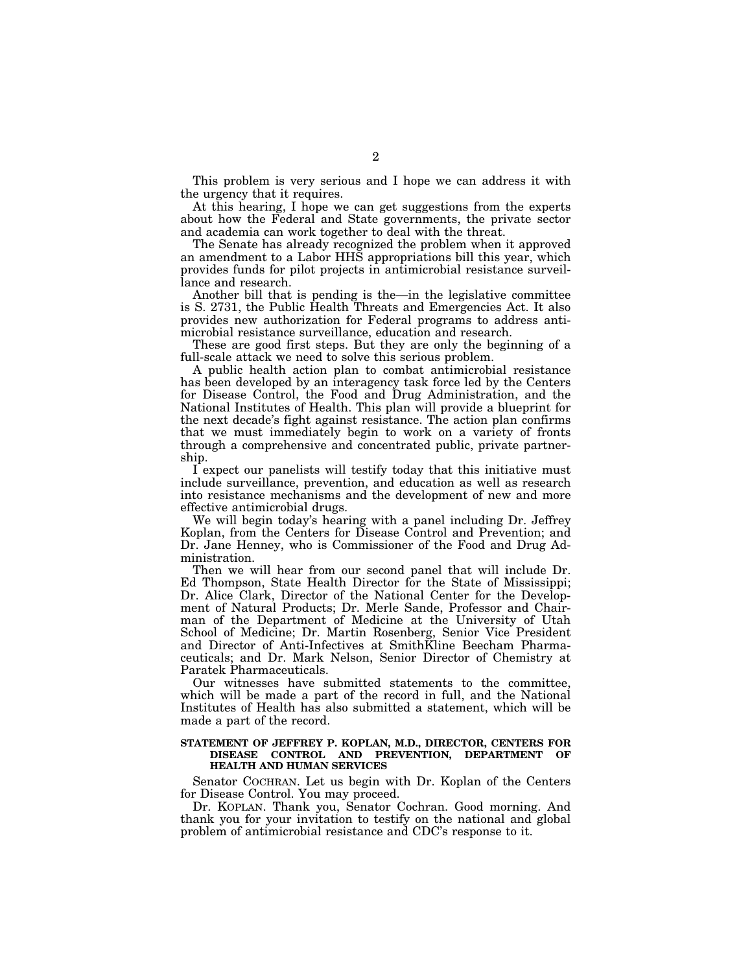This problem is very serious and I hope we can address it with the urgency that it requires.

At this hearing, I hope we can get suggestions from the experts about how the Federal and State governments, the private sector and academia can work together to deal with the threat.

The Senate has already recognized the problem when it approved an amendment to a Labor HHS appropriations bill this year, which provides funds for pilot projects in antimicrobial resistance surveillance and research.

Another bill that is pending is the—in the legislative committee is S. 2731, the Public Health Threats and Emergencies Act. It also provides new authorization for Federal programs to address antimicrobial resistance surveillance, education and research.

These are good first steps. But they are only the beginning of a full-scale attack we need to solve this serious problem.

A public health action plan to combat antimicrobial resistance has been developed by an interagency task force led by the Centers for Disease Control, the Food and Drug Administration, and the National Institutes of Health. This plan will provide a blueprint for the next decade's fight against resistance. The action plan confirms that we must immediately begin to work on a variety of fronts through a comprehensive and concentrated public, private partnership.

I expect our panelists will testify today that this initiative must include surveillance, prevention, and education as well as research into resistance mechanisms and the development of new and more effective antimicrobial drugs.

We will begin today's hearing with a panel including Dr. Jeffrey Koplan, from the Centers for Disease Control and Prevention; and Dr. Jane Henney, who is Commissioner of the Food and Drug Administration.

Then we will hear from our second panel that will include Dr. Ed Thompson, State Health Director for the State of Mississippi; Dr. Alice Clark, Director of the National Center for the Development of Natural Products; Dr. Merle Sande, Professor and Chairman of the Department of Medicine at the University of Utah School of Medicine; Dr. Martin Rosenberg, Senior Vice President and Director of Anti-Infectives at SmithKline Beecham Pharmaceuticals; and Dr. Mark Nelson, Senior Director of Chemistry at Paratek Pharmaceuticals.

Our witnesses have submitted statements to the committee, which will be made a part of the record in full, and the National Institutes of Health has also submitted a statement, which will be made a part of the record.

# **STATEMENT OF JEFFREY P. KOPLAN, M.D., DIRECTOR, CENTERS FOR DISEASE CONTROL AND PREVENTION, DEPARTMENT OF HEALTH AND HUMAN SERVICES**

Senator COCHRAN. Let us begin with Dr. Koplan of the Centers for Disease Control. You may proceed.

Dr. KOPLAN. Thank you, Senator Cochran. Good morning. And thank you for your invitation to testify on the national and global problem of antimicrobial resistance and CDC's response to it.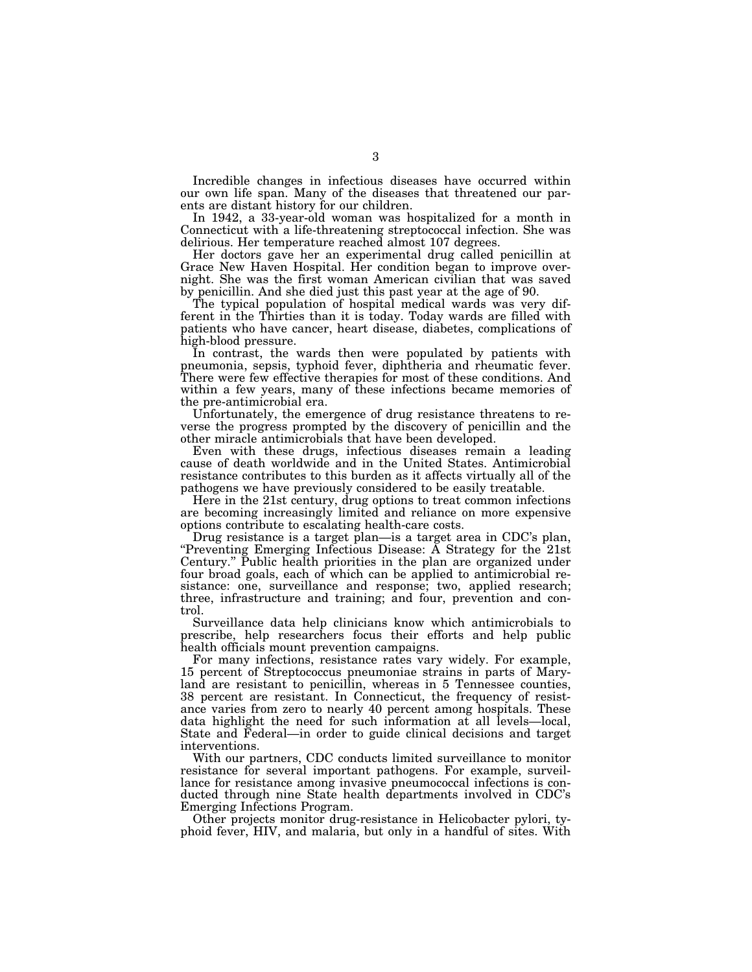Incredible changes in infectious diseases have occurred within our own life span. Many of the diseases that threatened our parents are distant history for our children.

In 1942, a 33-year-old woman was hospitalized for a month in Connecticut with a life-threatening streptococcal infection. She was delirious. Her temperature reached almost 107 degrees.

Her doctors gave her an experimental drug called penicillin at Grace New Haven Hospital. Her condition began to improve overnight. She was the first woman American civilian that was saved by penicillin. And she died just this past year at the age of 90.

The typical population of hospital medical wards was very different in the Thirties than it is today. Today wards are filled with patients who have cancer, heart disease, diabetes, complications of high-blood pressure.

In contrast, the wards then were populated by patients with pneumonia, sepsis, typhoid fever, diphtheria and rheumatic fever. There were few effective therapies for most of these conditions. And within a few years, many of these infections became memories of the pre-antimicrobial era.

Unfortunately, the emergence of drug resistance threatens to reverse the progress prompted by the discovery of penicillin and the other miracle antimicrobials that have been developed.

Even with these drugs, infectious diseases remain a leading cause of death worldwide and in the United States. Antimicrobial resistance contributes to this burden as it affects virtually all of the pathogens we have previously considered to be easily treatable.

Here in the 21st century, drug options to treat common infections are becoming increasingly limited and reliance on more expensive options contribute to escalating health-care costs.

Drug resistance is a target plan—is a target area in CDC's plan, ''Preventing Emerging Infectious Disease: A Strategy for the 21st Century.'' Public health priorities in the plan are organized under four broad goals, each of which can be applied to antimicrobial resistance: one, surveillance and response; two, applied research; three, infrastructure and training; and four, prevention and control.

Surveillance data help clinicians know which antimicrobials to prescribe, help researchers focus their efforts and help public health officials mount prevention campaigns.

For many infections, resistance rates vary widely. For example, 15 percent of Streptococcus pneumoniae strains in parts of Maryland are resistant to penicillin, whereas in 5 Tennessee counties, 38 percent are resistant. In Connecticut, the frequency of resistance varies from zero to nearly 40 percent among hospitals. These data highlight the need for such information at all levels—local, State and Federal—in order to guide clinical decisions and target interventions.

With our partners, CDC conducts limited surveillance to monitor resistance for several important pathogens. For example, surveillance for resistance among invasive pneumococcal infections is conducted through nine State health departments involved in CDC's Emerging Infections Program.

Other projects monitor drug-resistance in Helicobacter pylori, typhoid fever, HIV, and malaria, but only in a handful of sites. With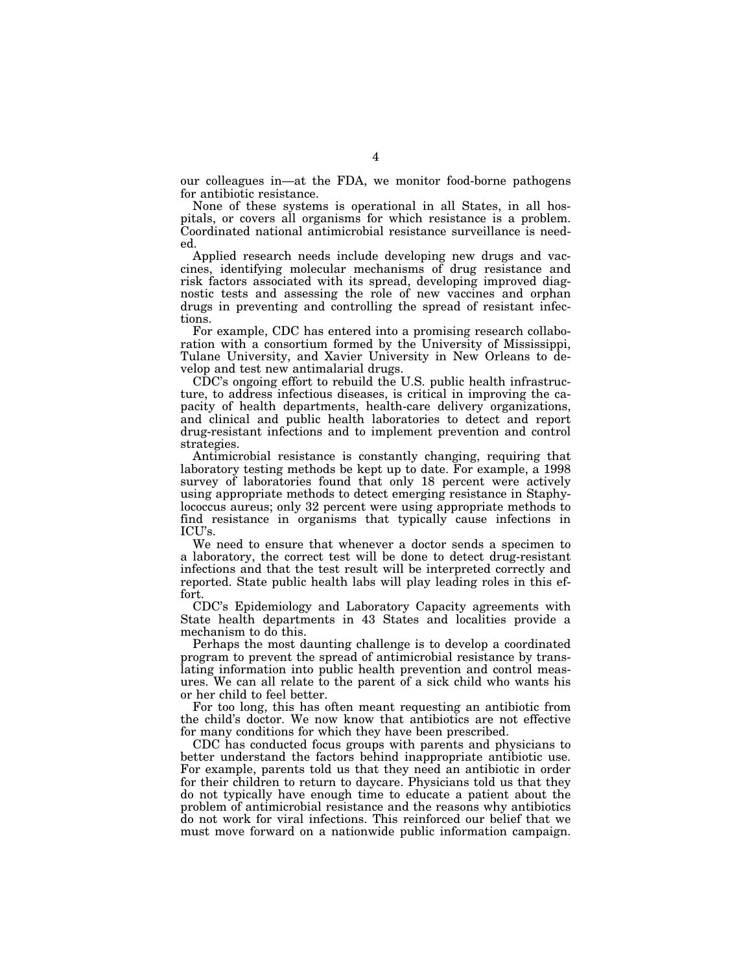our colleagues in—at the FDA, we monitor food-borne pathogens for antibiotic resistance.

None of these systems is operational in all States, in all hospitals, or covers all organisms for which resistance is a problem. Coordinated national antimicrobial resistance surveillance is needed.

Applied research needs include developing new drugs and vaccines, identifying molecular mechanisms of drug resistance and risk factors associated with its spread, developing improved diagnostic tests and assessing the role of new vaccines and orphan drugs in preventing and controlling the spread of resistant infections.

For example, CDC has entered into a promising research collaboration with a consortium formed by the University of Mississippi, Tulane University, and Xavier University in New Orleans to develop and test new antimalarial drugs.

CDC's ongoing effort to rebuild the U.S. public health infrastructure, to address infectious diseases, is critical in improving the capacity of health departments, health-care delivery organizations, and clinical and public health laboratories to detect and report drug-resistant infections and to implement prevention and control strategies.

Antimicrobial resistance is constantly changing, requiring that laboratory testing methods be kept up to date. For example, a 1998 survey of laboratories found that only 18 percent were actively using appropriate methods to detect emerging resistance in Staphylococcus aureus; only 32 percent were using appropriate methods to find resistance in organisms that typically cause infections in ICU's.

We need to ensure that whenever a doctor sends a specimen to a laboratory, the correct test will be done to detect drug-resistant infections and that the test result will be interpreted correctly and reported. State public health labs will play leading roles in this effort.

CDC's Epidemiology and Laboratory Capacity agreements with State health departments in 43 States and localities provide a mechanism to do this.

Perhaps the most daunting challenge is to develop a coordinated program to prevent the spread of antimicrobial resistance by translating information into public health prevention and control measures. We can all relate to the parent of a sick child who wants his or her child to feel better.

For too long, this has often meant requesting an antibiotic from the child's doctor. We now know that antibiotics are not effective for many conditions for which they have been prescribed.

CDC has conducted focus groups with parents and physicians to better understand the factors behind inappropriate antibiotic use. For example, parents told us that they need an antibiotic in order for their children to return to daycare. Physicians told us that they do not typically have enough time to educate a patient about the problem of antimicrobial resistance and the reasons why antibiotics do not work for viral infections. This reinforced our belief that we must move forward on a nationwide public information campaign.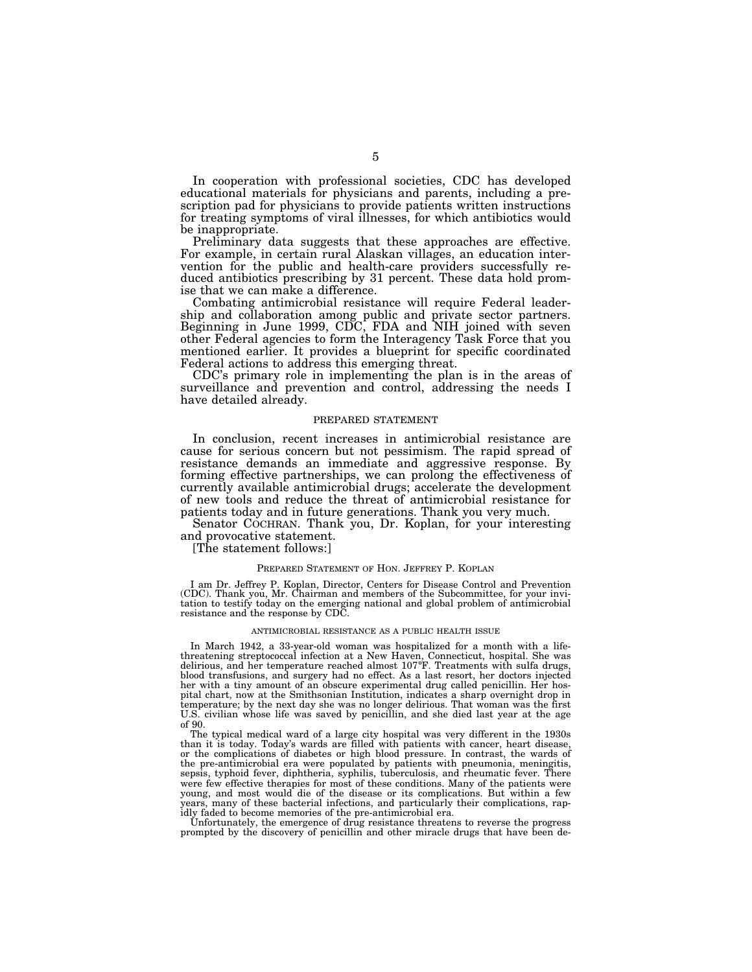In cooperation with professional societies, CDC has developed educational materials for physicians and parents, including a prescription pad for physicians to provide patients written instructions for treating symptoms of viral illnesses, for which antibiotics would be inappropriate.

Preliminary data suggests that these approaches are effective. For example, in certain rural Alaskan villages, an education intervention for the public and health-care providers successfully reduced antibiotics prescribing by 31 percent. These data hold promise that we can make a difference.

Combating antimicrobial resistance will require Federal leadership and collaboration among public and private sector partners. Beginning in June 1999, CDC, FDA and NIH joined with seven other Federal agencies to form the Interagency Task Force that you mentioned earlier. It provides a blueprint for specific coordinated Federal actions to address this emerging threat.

CDC's primary role in implementing the plan is in the areas of surveillance and prevention and control, addressing the needs I have detailed already.

## PREPARED STATEMENT

In conclusion, recent increases in antimicrobial resistance are cause for serious concern but not pessimism. The rapid spread of resistance demands an immediate and aggressive response. By forming effective partnerships, we can prolong the effectiveness of currently available antimicrobial drugs; accelerate the development of new tools and reduce the threat of antimicrobial resistance for patients today and in future generations. Thank you very much.

Senator COCHRAN. Thank you, Dr. Koplan, for your interesting and provocative statement.

[The statement follows:]

#### PREPARED STATEMENT OF HON. JEFFREY P. KOPLAN

I am Dr. Jeffrey P. Koplan, Director, Centers for Disease Control and Prevention (CDC). Thank you, Mr. Chairman and members of the Subcommittee, for your invitation to testify today on the emerging national and global problem of antimicrobial resistance and the response by CDC.

#### ANTIMICROBIAL RESISTANCE AS A PUBLIC HEALTH ISSUE

In March 1942, a 33-year-old woman was hospitalized for a month with a lifethreatening streptococcal infection at a New Haven, Connecticut, hospital. She was delirious, and her temperature reached almost 107°F. Treatments with sulfa drugs, blood transfusions, and surgery had no effect. As a last resort, her doctors injected her with a tiny amount of an obscure experimental drug called penicillin. Her hospital chart, now at the Smithsonian Institution, indicates a sharp overnight drop in temperature; by the next day she was no longer delirious. That woman was the first U.S. civilian whose life was saved by penicillin, and she died last year at the age of 90.

The typical medical ward of a large city hospital was very different in the 1930s than it is today. Today's wards are filled with patients with cancer, heart disease, or the complications of diabetes or high blood pressure. In contrast, the wards of the pre-antimicrobial era were populated by patients with pneumonia, meningitis, sepsis, typhoid fever, diphtheria, syphilis, tuberculosis, and rheumatic fever. There were few effective therapies for most of these conditions. Many of the patients were young, and most would die of the disease or its complications. But within a few years, many of these bacterial infections, and particularly their complications, rapidly faded to become memories of the pre-antimicrobial era.

Unfortunately, the emergence of drug resistance threatens to reverse the progress prompted by the discovery of penicillin and other miracle drugs that have been de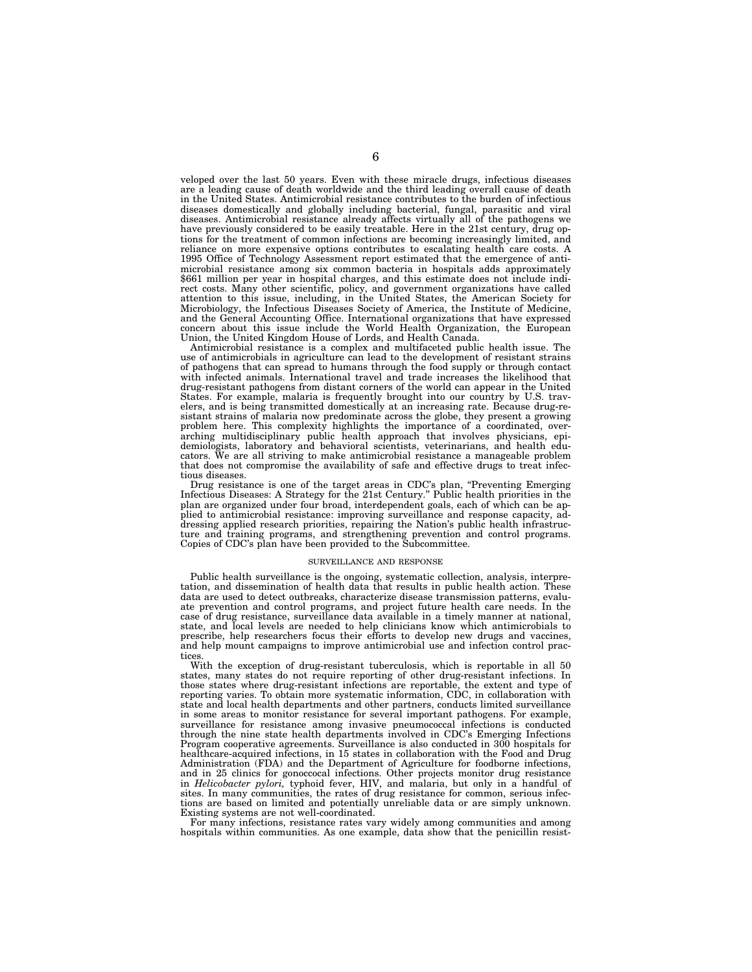veloped over the last 50 years. Even with these miracle drugs, infectious diseases are a leading cause of death worldwide and the third leading overall cause of death in the United States. Antimicrobial resistance contributes to the burden of infectious diseases domestically and globally including bacterial, fungal, parasitic and viral diseases. Antimicrobial resistance already affects virtually all of the pathogens we have previously considered to be easily treatable. Here in the 21st century, drug options for the treatment of common infections are becoming increasingly limited, and reliance on more expensive options contributes to escalating health care costs. A 1995 Office of Technology Assessment report estimated that the emergence of antimicrobial resistance among six common bacteria in hospitals adds approximately \$661 million per year in hospital charges, and this estimate does not include indirect costs. Many other scientific, policy, and government organizations have called attention to this issue, including, in the United States, the American Society for Microbiology, the Infectious Diseases Society of America, the Institute of Medicine, and the General Accounting Office. International organizations that have expressed concern about this issue include the World Health Organization, the European Union, the United Kingdom House of Lords, and Health Canada.

Antimicrobial resistance is a complex and multifaceted public health issue. The use of antimicrobials in agriculture can lead to the development of resistant strains of pathogens that can spread to humans through the food supply or through contact with infected animals. International travel and trade increases the likelihood that drug-resistant pathogens from distant corners of the world can appear in the United States. For example, malaria is frequently brought into our country by U.S. travelers, and is being transmitted domestically at an increasing rate. Because drug-resistant strains of malaria now predominate across the globe, they present a growing problem here. This complexity highlights the importance of a coordinated, overarching multidisciplinary public health approach that involves physicians, epidemiologists, laboratory and behavioral scientists, veterinarians, and health educators. We are all striving to make antimicrobial resistance a manageable problem that does not compromise the availability of safe and effective drugs to treat infectious diseases.

Drug resistance is one of the target areas in CDC's plan, ''Preventing Emerging Infectious Diseases: A Strategy for the 21st Century.'' Public health priorities in the plan are organized under four broad, interdependent goals, each of which can be applied to antimicrobial resistance: improving surveillance and response capacity, addressing applied research priorities, repairing the Nation's public health infrastructure and training programs, and strengthening prevention and control programs. Copies of CDC's plan have been provided to the Subcommittee.

#### SURVEILLANCE AND RESPONSE

Public health surveillance is the ongoing, systematic collection, analysis, interpretation, and dissemination of health data that results in public health action. These data are used to detect outbreaks, characterize disease transmission patterns, evaluate prevention and control programs, and project future health care needs. In the case of drug resistance, surveillance data available in a timely manner at national, state, and local levels are needed to help clinicians know which antimicrobials to prescribe, help researchers focus their efforts to develop new drugs and vaccines, and help mount campaigns to improve antimicrobial use and infection control practices.

With the exception of drug-resistant tuberculosis, which is reportable in all 50 states, many states do not require reporting of other drug-resistant infections. In those states where drug-resistant infections are reportable, the extent and type of reporting varies. To obtain more systematic information, CDC, in collaboration with state and local health departments and other partners, conducts limited surveillance in some areas to monitor resistance for several important pathogens. For example, surveillance for resistance among invasive pneumococcal infections is conducted through the nine state health departments involved in CDC's Emerging Infections Program cooperative agreements. Surveillance is also conducted in 300 hospitals for healthcare-acquired infections, in 15 states in collaboration with the Food and Drug Administration (FDA) and the Department of Agriculture for foodborne infections, and in 25 clinics for gonoccocal infections. Other projects monitor drug resistance in *Helicobacter pylori,* typhoid fever, HIV, and malaria, but only in a handful of sites. In many communities, the rates of drug resistance for common, serious infections are based on limited and potentially unreliable data or are simply unknown. Existing systems are not well-coordinated.

For many infections, resistance rates vary widely among communities and among hospitals within communities. As one example, data show that the penicillin resist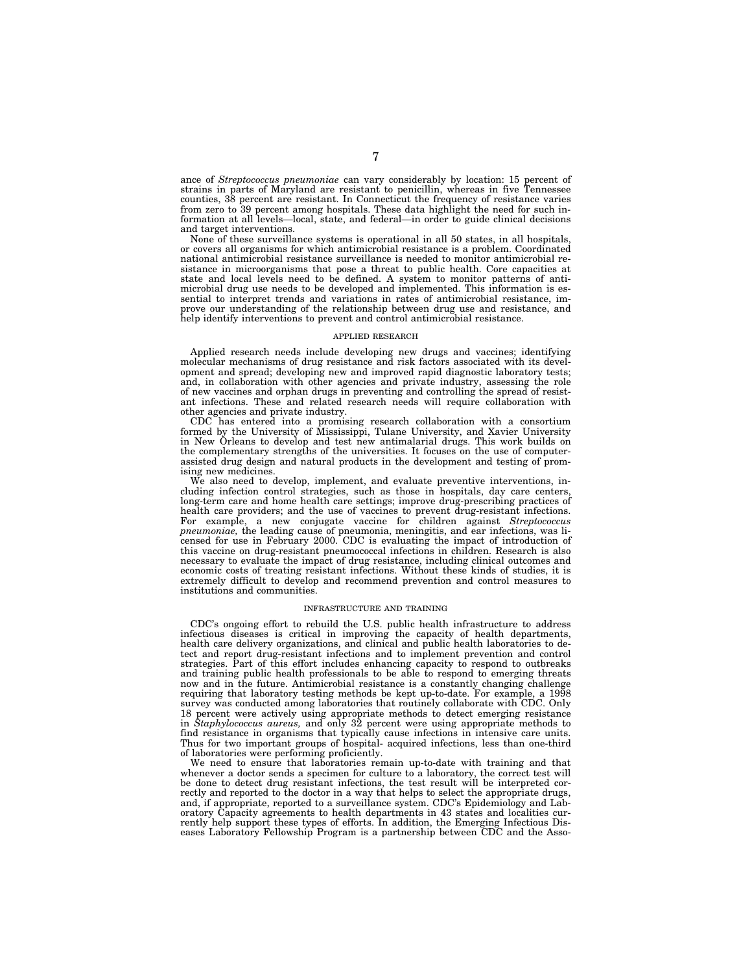ance of *Streptococcus pneumoniae* can vary considerably by location: 15 percent of strains in parts of Maryland are resistant to penicillin, whereas in five Tennessee counties, 38 percent are resistant. In Connecticut the frequency of resistance varies from zero to 39 percent among hospitals. These data highlight the need for such information at all levels—local, state, and federal—in order to guide clinical decisions and target interventions.

None of these surveillance systems is operational in all 50 states, in all hospitals, or covers all organisms for which antimicrobial resistance is a problem. Coordinated national antimicrobial resistance surveillance is needed to monitor antimicrobial resistance in microorganisms that pose a threat to public health. Core capacities at state and local levels need to be defined. A system to monitor patterns of antimicrobial drug use needs to be developed and implemented. This information is essential to interpret trends and variations in rates of antimicrobial resistance, improve our understanding of the relationship between drug use and resistance, and help identify interventions to prevent and control antimicrobial resistance.

## APPLIED RESEARCH

Applied research needs include developing new drugs and vaccines; identifying molecular mechanisms of drug resistance and risk factors associated with its development and spread; developing new and improved rapid diagnostic laboratory tests; and, in collaboration with other agencies and private industry, assessing the role of new vaccines and orphan drugs in preventing and controlling the spread of resistant infections. These and related research needs will require collaboration with other agencies and private industry.

CDC has entered into a promising research collaboration with a consortium formed by the University of Mississippi, Tulane University, and Xavier University in New Orleans to develop and test new antimalarial drugs. This work builds on the complementary strengths of the universities. It focuses on the use of computerassisted drug design and natural products in the development and testing of promising new medicines.

We also need to develop, implement, and evaluate preventive interventions, including infection control strategies, such as those in hospitals, day care centers, long-term care and home health care settings; improve drug-prescribing practices of health care providers; and the use of vaccines to prevent drug-resistant infections. For example, a new conjugate vaccine for children against *Streptococcus pneumoniae,* the leading cause of pneumonia, meningitis, and ear infections, was licensed for use in February 2000. CDC is evaluating the impact of introduction of this vaccine on drug-resistant pneumococcal infections in children. Research is also necessary to evaluate the impact of drug resistance, including clinical outcomes and economic costs of treating resistant infections. Without these kinds of studies, it is extremely difficult to develop and recommend prevention and control measures to institutions and communities.

#### INFRASTRUCTURE AND TRAINING

CDC's ongoing effort to rebuild the U.S. public health infrastructure to address infectious diseases is critical in improving the capacity of health departments, health care delivery organizations, and clinical and public health laboratories to detect and report drug-resistant infections and to implement prevention and control strategies. Part of this effort includes enhancing capacity to respond to outbreaks and training public health professionals to be able to respond to emerging threats now and in the future. Antimicrobial resistance is a constantly changing challenge requiring that laboratory testing methods be kept up-to-date. For example, a 1998 survey was conducted among laboratories that routinely collaborate with CDC. Only 18 percent were actively using appropriate methods to detect emerging resistance in *Staphylococcus aureus,* and only 32 percent were using appropriate methods to find resistance in organisms that typically cause infections in intensive care units. Thus for two important groups of hospital- acquired infections, less than one-third of laboratories were performing proficiently.

We need to ensure that laboratories remain up-to-date with training and that whenever a doctor sends a specimen for culture to a laboratory, the correct test will be done to detect drug resistant infections, the test result will be interpreted correctly and reported to the doctor in a way that helps to select the appropriate drugs, and, if appropriate, reported to a surveillance system. CDC's Epidemiology and Laboratory Capacity agreements to health departments in 43 states and localities currently help support these types of efforts. In addition, the Emerging Infectious Diseases Laboratory Fellowship Program is a partnership between CDC and the Asso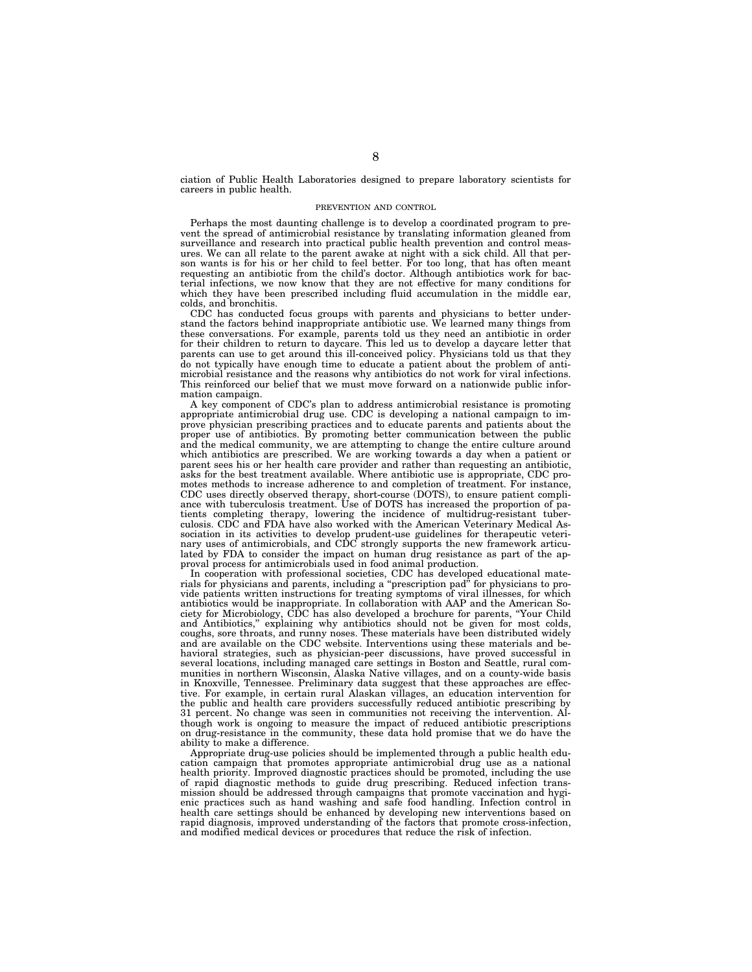ciation of Public Health Laboratories designed to prepare laboratory scientists for careers in public health.

# PREVENTION AND CONTROL

Perhaps the most daunting challenge is to develop a coordinated program to prevent the spread of antimicrobial resistance by translating information gleaned from surveillance and research into practical public health prevention and control measures. We can all relate to the parent awake at night with a sick child. All that person wants is for his or her child to feel better. For too long, that has often meant requesting an antibiotic from the child's doctor. Although antibiotics work for bacterial infections, we now know that they are not effective for many conditions for which they have been prescribed including fluid accumulation in the middle ear, colds, and bronchitis.

CDC has conducted focus groups with parents and physicians to better understand the factors behind inappropriate antibiotic use. We learned many things from these conversations. For example, parents told us they need an antibiotic in order for their children to return to daycare. This led us to develop a daycare letter that parents can use to get around this ill-conceived policy. Physicians told us that they do not typically have enough time to educate a patient about the problem of antimicrobial resistance and the reasons why antibiotics do not work for viral infections. This reinforced our belief that we must move forward on a nationwide public information campaign.

A key component of CDC's plan to address antimicrobial resistance is promoting appropriate antimicrobial drug use. CDC is developing a national campaign to improve physician prescribing practices and to educate parents and patients about the proper use of antibiotics. By promoting better communication between the public and the medical community, we are attempting to change the entire culture around which antibiotics are prescribed. We are working towards a day when a patient or parent sees his or her health care provider and rather than requesting an antibiotic, asks for the best treatment available. Where antibiotic use is appropriate, CDC promotes methods to increase adherence to and completion of treatment. For instance, CDC uses directly observed therapy, short-course (DOTS), to ensure patient compliance with tuberculosis treatment. Use of DOTS has increased the proportion of patients completing therapy, lowering the incidence of multidrug-resistant tuberculosis. CDC and FDA have also worked with the American Veterinary Medical Association in its activities to develop prudent-use guidelines for therapeutic veterinary uses of antimicrobials, and CDC strongly supports the new framework articulated by FDA to consider the impact on human drug resistance as part of the approval process for antimicrobials used in food animal production.

In cooperation with professional societies, CDC has developed educational materials for physicians and parents, including a ''prescription pad'' for physicians to provide patients written instructions for treating symptoms of viral illnesses, for which antibiotics would be inappropriate. In collaboration with AAP and the American Society for Microbiology, CDC has also developed a brochure for parents, ''Your Child and Antibiotics,'' explaining why antibiotics should not be given for most colds, coughs, sore throats, and runny noses. These materials have been distributed widely and are available on the CDC website. Interventions using these materials and behavioral strategies, such as physician-peer discussions, have proved successful in several locations, including managed care settings in Boston and Seattle, rural communities in northern Wisconsin, Alaska Native villages, and on a county-wide basis in Knoxville, Tennessee. Preliminary data suggest that these approaches are effective. For example, in certain rural Alaskan villages, an education intervention for the public and health care providers successfully reduced antibiotic prescribing by 31 percent. No change was seen in communities not receiving the intervention. Although work is ongoing to measure the impact of reduced antibiotic prescriptions on drug-resistance in the community, these data hold promise that we do have the ability to make a difference.

Appropriate drug-use policies should be implemented through a public health education campaign that promotes appropriate antimicrobial drug use as a national health priority. Improved diagnostic practices should be promoted, including the use of rapid diagnostic methods to guide drug prescribing. Reduced infection transmission should be addressed through campaigns that promote vaccination and hygienic practices such as hand washing and safe food handling. Infection control in health care settings should be enhanced by developing new interventions based on rapid diagnosis, improved understanding of the factors that promote cross-infection, and modified medical devices or procedures that reduce the risk of infection.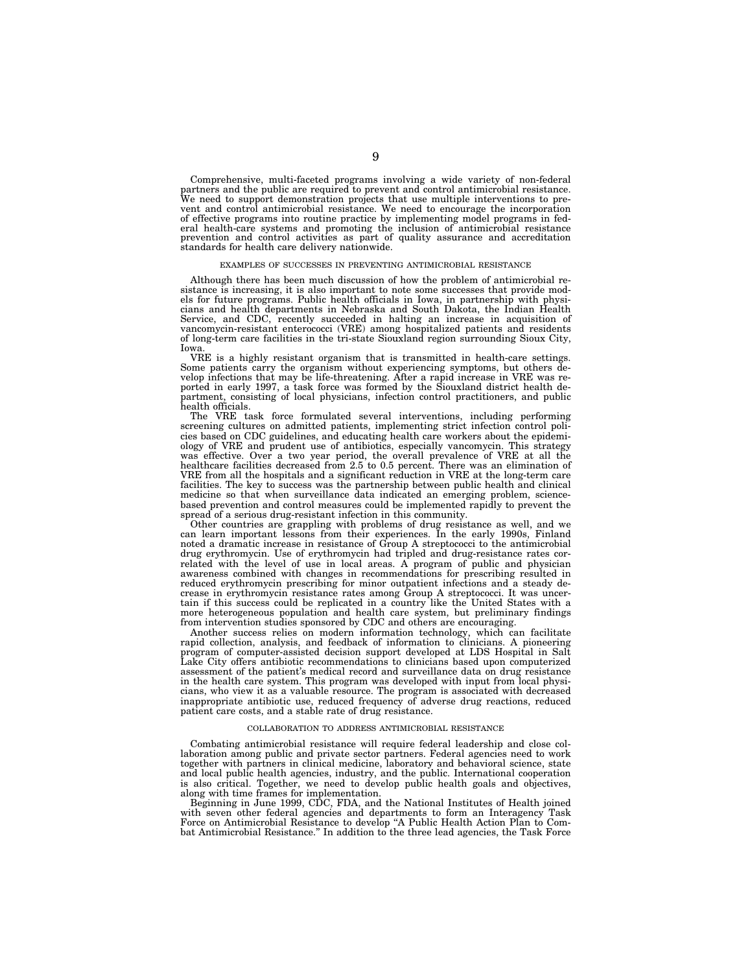Comprehensive, multi-faceted programs involving a wide variety of non-federal partners and the public are required to prevent and control antimicrobial resistance. We need to support demonstration projects that use multiple interventions to prevent and control antimicrobial resistance. We need to encourage the incorporation of effective programs into routine practice by implementing model programs in federal health-care systems and promoting the inclusion of antimicrobial resistance prevention and control activities as part of quality assurance and accreditation standards for health care delivery nationwide.

#### EXAMPLES OF SUCCESSES IN PREVENTING ANTIMICROBIAL RESISTANCE

Although there has been much discussion of how the problem of antimicrobial resistance is increasing, it is also important to note some successes that provide models for future programs. Public health officials in Iowa, in partnership with physicians and health departments in Nebraska and South Dakota, the Indian Health Service, and CDC, recently succeeded in halting an increase in acquisition of vancomycin-resistant enterococci (VRE) among hospitalized patients and residents of long-term care facilities in the tri-state Siouxland region surrounding Sioux City, Iowa.

VRE is a highly resistant organism that is transmitted in health-care settings. Some patients carry the organism without experiencing symptoms, but others develop infections that may be life-threatening. After a rapid increase in VRE was reported in early 1997, a task force was formed by the Siouxland district health department, consisting of local physicians, infection control practitioners, and public health officials.

The VRE task force formulated several interventions, including performing screening cultures on admitted patients, implementing strict infection control policies based on CDC guidelines, and educating health care workers about the epidemiology of VRE and prudent use of antibiotics, especially vancomycin. This strategy was effective. Over a two year period, the overall prevalence of VRE at all the healthcare facilities decreased from 2.5 to 0.5 percent. There was an elimination of VRE from all the hospitals and a significant reduction in VRE at the long-term care facilities. The key to success was the partnership between public health and clinical medicine so that when surveillance data indicated an emerging problem, sciencebased prevention and control measures could be implemented rapidly to prevent the spread of a serious drug-resistant infection in this community.

Other countries are grappling with problems of drug resistance as well, and we can learn important lessons from their experiences. In the early 1990s, Finland noted a dramatic increase in resistance of Group A streptococci to the antimicrobial drug erythromycin. Use of erythromycin had tripled and drug-resistance rates correlated with the level of use in local areas. A program of public and physician awareness combined with changes in recommendations for prescribing resulted in reduced erythromycin prescribing for minor outpatient infections and a steady decrease in erythromycin resistance rates among Group A streptococci. It was uncertain if this success could be replicated in a country like the United States with a more heterogeneous population and health care system, but preliminary findings from intervention studies sponsored by CDC and others are encouraging.

Another success relies on modern information technology, which can facilitate rapid collection, analysis, and feedback of information to clinicians. A pioneering program of computer-assisted decision support developed at LDS Hospital in Salt Lake City offers antibiotic recommendations to clinicians based upon computerized assessment of the patient's medical record and surveillance data on drug resistance in the health care system. This program was developed with input from local physicians, who view it as a valuable resource. The program is associated with decreased inappropriate antibiotic use, reduced frequency of adverse drug reactions, reduced patient care costs, and a stable rate of drug resistance.

#### COLLABORATION TO ADDRESS ANTIMICROBIAL RESISTANCE

Combating antimicrobial resistance will require federal leadership and close collaboration among public and private sector partners. Federal agencies need to work together with partners in clinical medicine, laboratory and behavioral science, state and local public health agencies, industry, and the public. International cooperation is also critical. Together, we need to develop public health goals and objectives, along with time frames for implementation.

Beginning in June 1999, CDC, FDA, and the National Institutes of Health joined with seven other federal agencies and departments to form an Interagency Task Force on Antimicrobial Resistance to develop ''A Public Health Action Plan to Combat Antimicrobial Resistance.'' In addition to the three lead agencies, the Task Force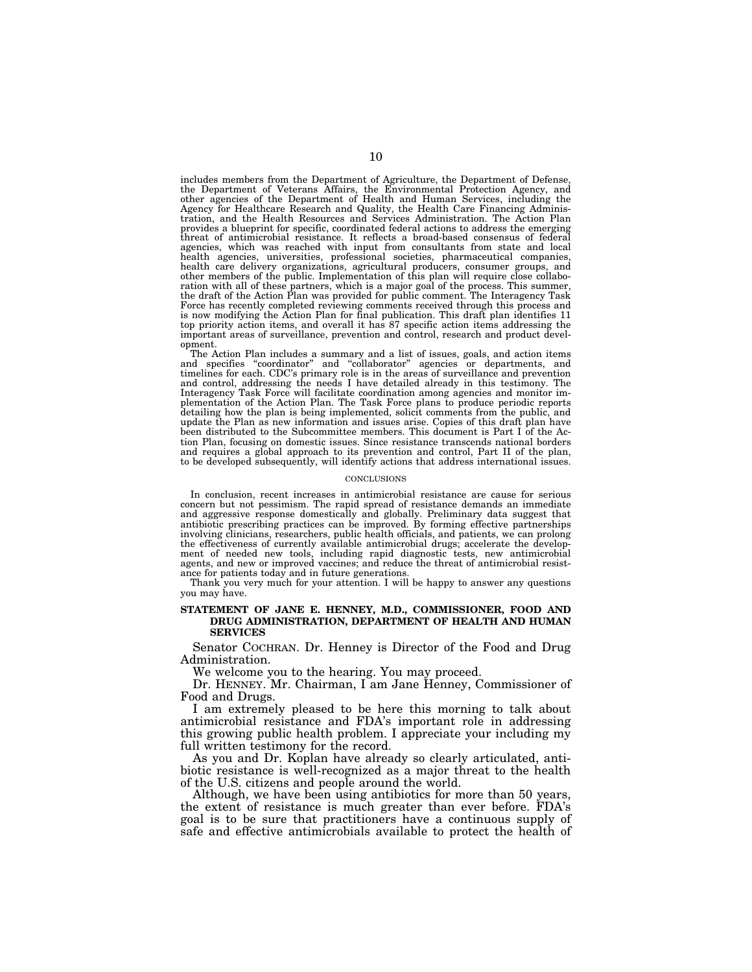includes members from the Department of Agriculture, the Department of Defense, the Department of Veterans Affairs, the Environmental Protection Agency, and other agencies of the Department of Health and Human Services, including the Agency for Healthcare Research and Quality, the Health Care Financing Administration, and the Health Resources and Services Administration. The Action Plan provides a blueprint for specific, coordinated federal actions to address the emerging threat of antimicrobial resistance. It reflects a broad-based consensus of federal agencies, which was reached with input from consultants from state and local<br>health agencies, universities, professional societies, pharmaceutical companies,<br>health care delivery organizations, agricultural producers, cons ration with all of these partners, which is a major goal of the process. This summer, the draft of the Action Plan was provided for public comment. The Interagency Task Force has recently completed reviewing comments received through this process and is now modifying the Action Plan for final publication. This draft plan identifies 11 top priority action items, and overall it has 87 specific action items addressing the important areas of surveillance, prevention and control, research and product development. The Action Plan includes a summary and a list of issues, goals, and action items

and specifies ''coordinator'' and ''collaborator'' agencies or departments, and timelines for each. CDC's primary role is in the areas of surveillance and prevention and control, addressing the needs I have detailed already in this testimony. The Interagency Task Force will facilitate coordination among agencies and monitor implementation of the Action Plan. The Task Force plans to produce periodic reports detailing how the plan is being implemented, solicit comments from the public, and update the Plan as new information and issues arise. Copies of this draft plan have been distributed to the Subcommittee members. This document is Part I of the Action Plan, focusing on domestic issues. Since resistance transcends national borders and requires a global approach to its prevention and control, Part II of the plan, to be developed subsequently, will identify actions that address international issues.

#### **CONCLUSIONS**

In conclusion, recent increases in antimicrobial resistance are cause for serious concern but not pessimism. The rapid spread of resistance demands an immediate and aggressive response domestically and globally. Preliminary data suggest that antibiotic prescribing practices can be improved. By forming effective partnerships involving clinicians, researchers, public health officials, and patients, we can prolong the effectiveness of currently available antimicrobial drugs; accelerate the development of needed new tools, including rapid diagnostic tests, new antimicrobial agents, and new or improved vaccines; and reduce the threat of antimicrobial resistance for patients today and in future generations.

Thank you very much for your attention. I will be happy to answer any questions you may have.

## **STATEMENT OF JANE E. HENNEY, M.D., COMMISSIONER, FOOD AND DRUG ADMINISTRATION, DEPARTMENT OF HEALTH AND HUMAN SERVICES**

Senator COCHRAN. Dr. Henney is Director of the Food and Drug Administration.

We welcome you to the hearing. You may proceed.

Dr. HENNEY. Mr. Chairman, I am Jane Henney, Commissioner of Food and Drugs.

I am extremely pleased to be here this morning to talk about antimicrobial resistance and FDA's important role in addressing this growing public health problem. I appreciate your including my full written testimony for the record.

As you and Dr. Koplan have already so clearly articulated, antibiotic resistance is well-recognized as a major threat to the health of the U.S. citizens and people around the world.

Although, we have been using antibiotics for more than 50 years, the extent of resistance is much greater than ever before. FDA's goal is to be sure that practitioners have a continuous supply of safe and effective antimicrobials available to protect the health of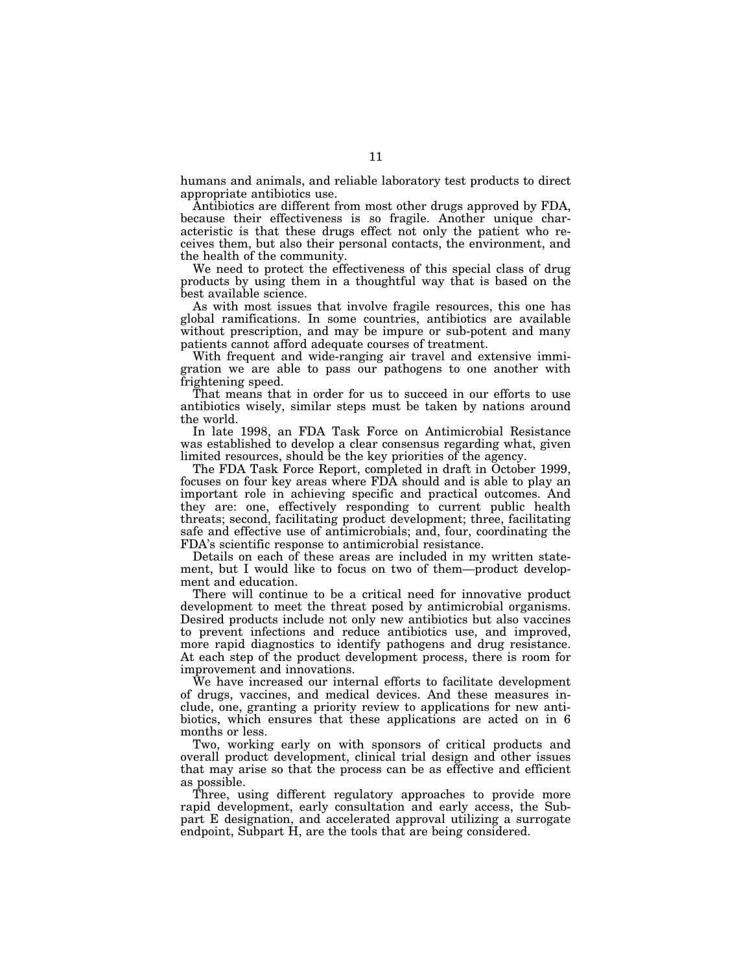humans and animals, and reliable laboratory test products to direct appropriate antibiotics use.

Antibiotics are different from most other drugs approved by FDA, because their effectiveness is so fragile. Another unique characteristic is that these drugs effect not only the patient who receives them, but also their personal contacts, the environment, and the health of the community.

We need to protect the effectiveness of this special class of drug products by using them in a thoughtful way that is based on the best available science.

As with most issues that involve fragile resources, this one has global ramifications. In some countries, antibiotics are available without prescription, and may be impure or sub-potent and many patients cannot afford adequate courses of treatment.

With frequent and wide-ranging air travel and extensive immigration we are able to pass our pathogens to one another with frightening speed.

That means that in order for us to succeed in our efforts to use antibiotics wisely, similar steps must be taken by nations around the world.

In late 1998, an FDA Task Force on Antimicrobial Resistance was established to develop a clear consensus regarding what, given limited resources, should be the key priorities of the agency.

The FDA Task Force Report, completed in draft in October 1999, focuses on four key areas where FDA should and is able to play an important role in achieving specific and practical outcomes. And they are: one, effectively responding to current public health threats; second, facilitating product development; three, facilitating safe and effective use of antimicrobials; and, four, coordinating the FDA's scientific response to antimicrobial resistance.

Details on each of these areas are included in my written statement, but I would like to focus on two of them—product development and education.

There will continue to be a critical need for innovative product development to meet the threat posed by antimicrobial organisms. Desired products include not only new antibiotics but also vaccines to prevent infections and reduce antibiotics use, and improved, more rapid diagnostics to identify pathogens and drug resistance. At each step of the product development process, there is room for improvement and innovations.

We have increased our internal efforts to facilitate development of drugs, vaccines, and medical devices. And these measures include, one, granting a priority review to applications for new antibiotics, which ensures that these applications are acted on in 6 months or less.

Two, working early on with sponsors of critical products and overall product development, clinical trial design and other issues that may arise so that the process can be as effective and efficient as possible.

Three, using different regulatory approaches to provide more rapid development, early consultation and early access, the Subpart E designation, and accelerated approval utilizing a surrogate endpoint, Subpart H, are the tools that are being considered.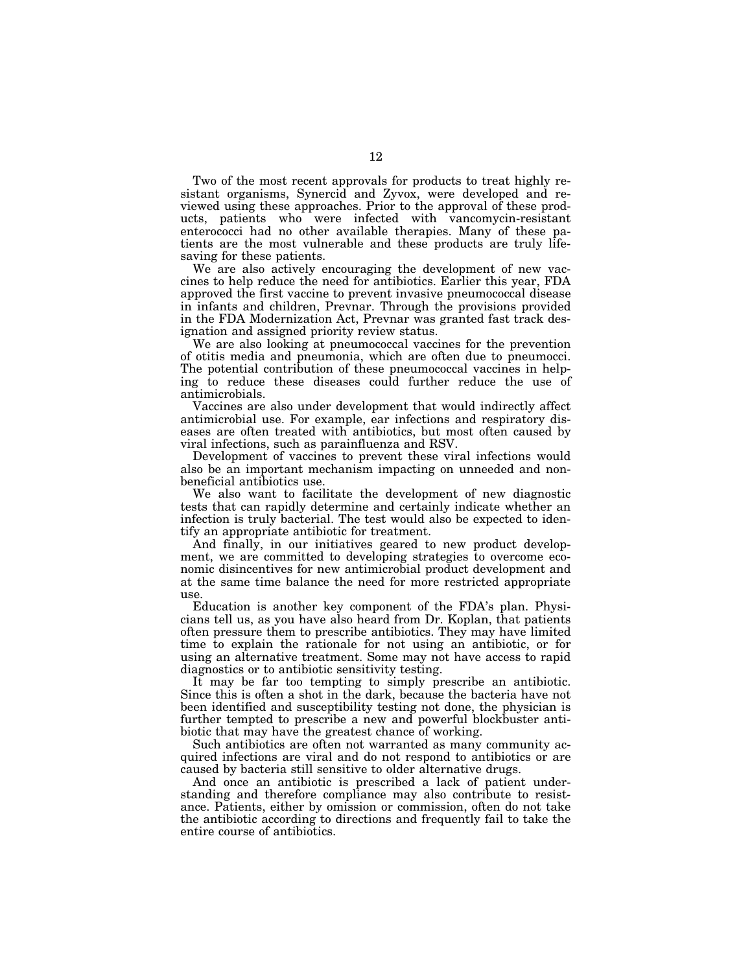Two of the most recent approvals for products to treat highly resistant organisms, Synercid and Zyvox, were developed and reviewed using these approaches. Prior to the approval of these products, patients who were infected with vancomycin-resistant enterococci had no other available therapies. Many of these patients are the most vulnerable and these products are truly lifesaving for these patients.

We are also actively encouraging the development of new vaccines to help reduce the need for antibiotics. Earlier this year, FDA approved the first vaccine to prevent invasive pneumococcal disease in infants and children, Prevnar. Through the provisions provided in the FDA Modernization Act, Prevnar was granted fast track designation and assigned priority review status.

We are also looking at pneumococcal vaccines for the prevention of otitis media and pneumonia, which are often due to pneumocci. The potential contribution of these pneumococcal vaccines in helping to reduce these diseases could further reduce the use of antimicrobials.

Vaccines are also under development that would indirectly affect antimicrobial use. For example, ear infections and respiratory diseases are often treated with antibiotics, but most often caused by viral infections, such as parainfluenza and RSV.

Development of vaccines to prevent these viral infections would also be an important mechanism impacting on unneeded and nonbeneficial antibiotics use.

We also want to facilitate the development of new diagnostic tests that can rapidly determine and certainly indicate whether an infection is truly bacterial. The test would also be expected to identify an appropriate antibiotic for treatment.

And finally, in our initiatives geared to new product development, we are committed to developing strategies to overcome economic disincentives for new antimicrobial product development and at the same time balance the need for more restricted appropriate use.

Education is another key component of the FDA's plan. Physicians tell us, as you have also heard from Dr. Koplan, that patients often pressure them to prescribe antibiotics. They may have limited time to explain the rationale for not using an antibiotic, or for using an alternative treatment. Some may not have access to rapid diagnostics or to antibiotic sensitivity testing.

It may be far too tempting to simply prescribe an antibiotic. Since this is often a shot in the dark, because the bacteria have not been identified and susceptibility testing not done, the physician is further tempted to prescribe a new and powerful blockbuster antibiotic that may have the greatest chance of working.

Such antibiotics are often not warranted as many community acquired infections are viral and do not respond to antibiotics or are caused by bacteria still sensitive to older alternative drugs.

And once an antibiotic is prescribed a lack of patient understanding and therefore compliance may also contribute to resistance. Patients, either by omission or commission, often do not take the antibiotic according to directions and frequently fail to take the entire course of antibiotics.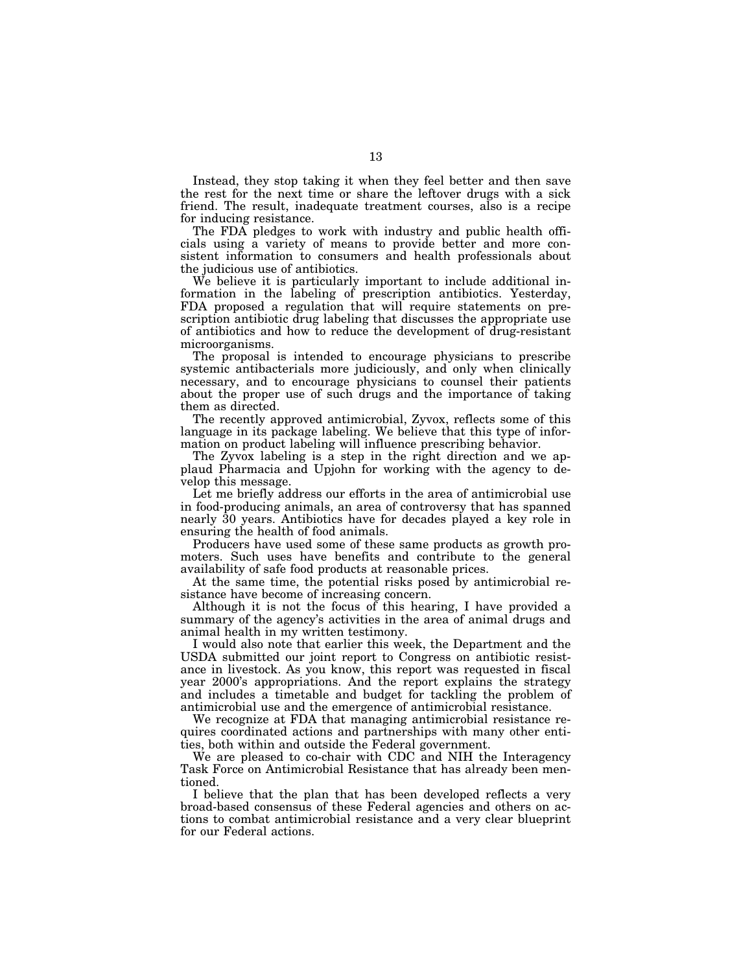Instead, they stop taking it when they feel better and then save the rest for the next time or share the leftover drugs with a sick friend. The result, inadequate treatment courses, also is a recipe for inducing resistance.

The FDA pledges to work with industry and public health officials using a variety of means to provide better and more consistent information to consumers and health professionals about the judicious use of antibiotics.

We believe it is particularly important to include additional information in the labeling of prescription antibiotics. Yesterday, FDA proposed a regulation that will require statements on prescription antibiotic drug labeling that discusses the appropriate use of antibiotics and how to reduce the development of drug-resistant microorganisms.

The proposal is intended to encourage physicians to prescribe systemic antibacterials more judiciously, and only when clinically necessary, and to encourage physicians to counsel their patients about the proper use of such drugs and the importance of taking them as directed.

The recently approved antimicrobial, Zyvox, reflects some of this language in its package labeling. We believe that this type of information on product labeling will influence prescribing behavior.

The Zyvox labeling is a step in the right direction and we applaud Pharmacia and Upjohn for working with the agency to develop this message.

Let me briefly address our efforts in the area of antimicrobial use in food-producing animals, an area of controversy that has spanned nearly 30 years. Antibiotics have for decades played a key role in ensuring the health of food animals.

Producers have used some of these same products as growth promoters. Such uses have benefits and contribute to the general availability of safe food products at reasonable prices.

At the same time, the potential risks posed by antimicrobial resistance have become of increasing concern.

Although it is not the focus of this hearing, I have provided a summary of the agency's activities in the area of animal drugs and animal health in my written testimony.

I would also note that earlier this week, the Department and the USDA submitted our joint report to Congress on antibiotic resistance in livestock. As you know, this report was requested in fiscal year 2000's appropriations. And the report explains the strategy and includes a timetable and budget for tackling the problem of antimicrobial use and the emergence of antimicrobial resistance.

We recognize at FDA that managing antimicrobial resistance requires coordinated actions and partnerships with many other entities, both within and outside the Federal government.

We are pleased to co-chair with CDC and NIH the Interagency Task Force on Antimicrobial Resistance that has already been mentioned.

I believe that the plan that has been developed reflects a very broad-based consensus of these Federal agencies and others on actions to combat antimicrobial resistance and a very clear blueprint for our Federal actions.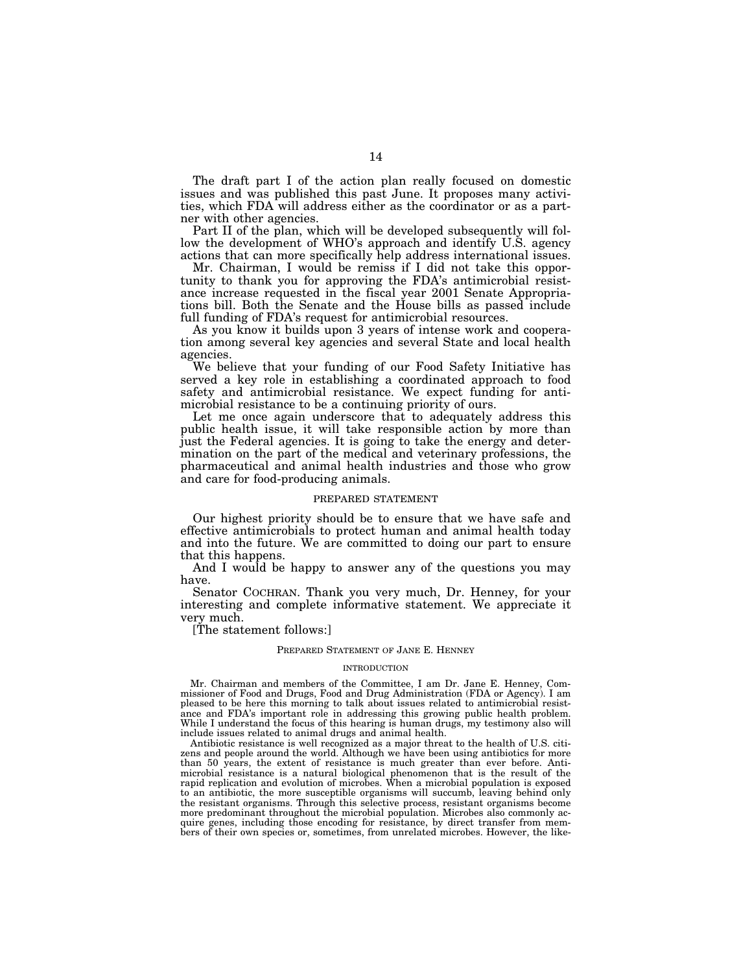The draft part I of the action plan really focused on domestic issues and was published this past June. It proposes many activities, which FDA will address either as the coordinator or as a partner with other agencies.

Part II of the plan, which will be developed subsequently will follow the development of WHO's approach and identify U.S. agency actions that can more specifically help address international issues.

Mr. Chairman, I would be remiss if I did not take this opportunity to thank you for approving the FDA's antimicrobial resistance increase requested in the fiscal year 2001 Senate Appropriations bill. Both the Senate and the House bills as passed include full funding of FDA's request for antimicrobial resources.

As you know it builds upon 3 years of intense work and cooperation among several key agencies and several State and local health agencies.

We believe that your funding of our Food Safety Initiative has served a key role in establishing a coordinated approach to food safety and antimicrobial resistance. We expect funding for antimicrobial resistance to be a continuing priority of ours.

Let me once again underscore that to adequately address this public health issue, it will take responsible action by more than just the Federal agencies. It is going to take the energy and determination on the part of the medical and veterinary professions, the pharmaceutical and animal health industries and those who grow and care for food-producing animals.

# PREPARED STATEMENT

Our highest priority should be to ensure that we have safe and effective antimicrobials to protect human and animal health today and into the future. We are committed to doing our part to ensure that this happens.

And I would be happy to answer any of the questions you may have.

Senator COCHRAN. Thank you very much, Dr. Henney, for your interesting and complete informative statement. We appreciate it very much.

[The statement follows:]

#### PREPARED STATEMENT OF JANE E. HENNEY

# INTRODUCTION

Mr. Chairman and members of the Committee, I am Dr. Jane E. Henney, Commissioner of Food and Drugs, Food and Drug Administration (FDA or Agency). I am pleased to be here this morning to talk about issues related to antimicrobial resistance and FDA's important role in addressing this growing public health problem. While I understand the focus of this hearing is human drugs, my testimony also will include issues related to animal drugs and animal health.

Antibiotic resistance is well recognized as a major threat to the health of U.S. citizens and people around the world. Although we have been using antibiotics for more than 50 years, the extent of resistance is much greater than ever before. Antimicrobial resistance is a natural biological phenomenon that is the result of the rapid replication and evolution of microbes. When a microbial population is exposed to an antibiotic, the more susceptible organisms will succumb, leaving behind only the resistant organisms. Through this selective process, resistant organisms become more predominant throughout the microbial population. Microbes also commonly acquire genes, including those encoding for resistance, by direct transfer from members of their own species or, sometimes, from unrelated microbes. However, the like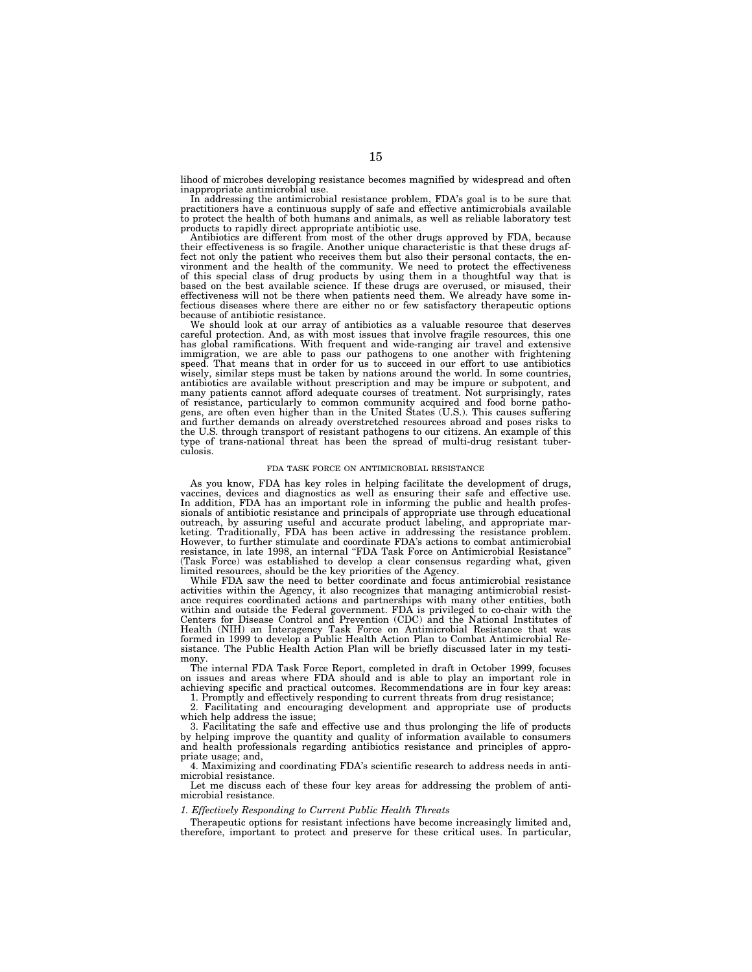lihood of microbes developing resistance becomes magnified by widespread and often inappropriate antimicrobial use.

In addressing the antimicrobial resistance problem, FDA's goal is to be sure that practitioners have a continuous supply of safe and effective antimicrobials available to protect the health of both humans and animals, as well as reliable laboratory test products to rapidly direct appropriate antibiotic use.

Antibiotics are different from most of the other drugs approved by FDA, because their effectiveness is so fragile. Another unique characteristic is that these drugs affect not only the patient who receives them but also their personal contacts, the environment and the health of the community. We need to protect the effectiveness of this special class of drug products by using them in a thoughtful way that is based on the best available science. If these drugs are overused, or misused, their effectiveness will not be there when patients need them. We already have some infectious diseases where there are either no or few satisfactory therapeutic options because of antibiotic resistance.

We should look at our array of antibiotics as a valuable resource that deserves careful protection. And, as with most issues that involve fragile resources, this one has global ramifications. With frequent and wide-ranging air travel and extensive immigration, we are able to pass our pathogens to one another with frightening speed. That means that in order for us to succeed in our effort to use antibiotics wisely, similar steps must be taken by nations around the world. In some countries, antibiotics are available without prescription and may be impure or subpotent, and many patients cannot afford adequate courses of treatment. Not surprisingly, rates of resistance, particularly to common community acquired and food borne patho-gens, are often even higher than in the United States (U.S.). This causes suffering and further demands on already overstretched resources abroad and poses risks to the U.S. through transport of resistant pathogens to our citizens. An example of this type of trans-national threat has been the spread of multi-drug resistant tuberculosis.

#### FDA TASK FORCE ON ANTIMICROBIAL RESISTANCE

As you know, FDA has key roles in helping facilitate the development of drugs, vaccines, devices and diagnostics as well as ensuring their safe and effective use. In addition, FDA has an important role in informing the public and health professionals of antibiotic resistance and principals of appropriate use through educational outreach, by assuring useful and accurate product labeling, and appropriate marketing. Traditionally, FDA has been active in addressing the resistance problem. However, to further stimulate and coordinate FDA's actions to combat antimicrobial resistance, in late 1998, an internal ''FDA Task Force on Antimicrobial Resistance'' (Task Force) was established to develop a clear consensus regarding what, given limited resources, should be the key priorities of the Agency.

While FDA saw the need to better coordinate and focus antimicrobial resistance activities within the Agency, it also recognizes that managing antimicrobial resistance requires coordinated actions and partnerships with many other entities, both within and outside the Federal government. FDA is privileged to co-chair with the Centers for Disease Control and Prevention (CDC) and the National Institutes of Health (NIH) an Interagency Task Force on Antimicrobial Resistance that was<br>formed in 1999 to develop a Public Health Action Plan to Combat Antimicrobial Re-<br>sistance. The Public Health Action Plan will be briefly discusse mony.

The internal FDA Task Force Report, completed in draft in October 1999, focuses on issues and areas where FDA should and is able to play an important role in achieving specific and practical outcomes. Recommendations are in four key areas:

1. Promptly and effectively responding to current threats from drug resistance;

2. Facilitating and encouraging development and appropriate use of products which help address the issue;

3. Facilitating the safe and effective use and thus prolonging the life of products by helping improve the quantity and quality of information available to consumers and health professionals regarding antibiotics resistance and principles of appropriate usage; and,

4. Maximizing and coordinating FDA's scientific research to address needs in antimicrobial resistance.

Let me discuss each of these four key areas for addressing the problem of antimicrobial resistance.

*1. Effectively Responding to Current Public Health Threats*

Therapeutic options for resistant infections have become increasingly limited and, therefore, important to protect and preserve for these critical uses. In particular,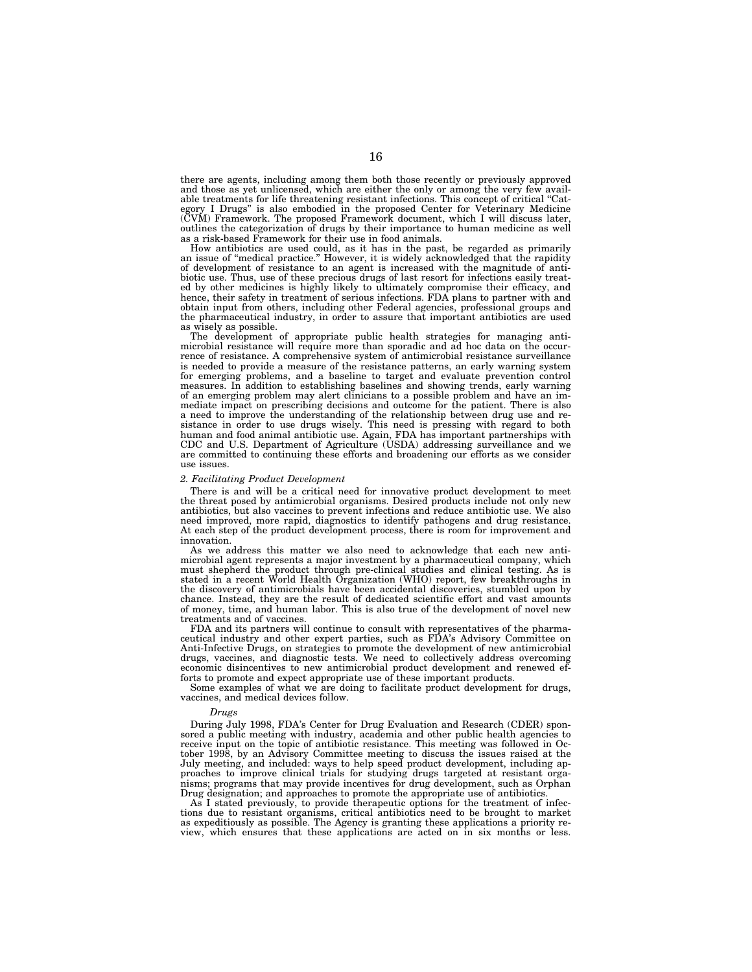there are agents, including among them both those recently or previously approved and those as yet unlicensed, which are either the only or among the very few available treatments for life threatening resistant infections. This concept of critical "Category I Drugs'' is also embodied in the proposed Center for Veterinary Medicine (CVM) Framework. The proposed Framework document, which I will discuss later, outlines the categorization of drugs by their importance to human medicine as well as a risk-based Framework for their use in food animals.

How antibiotics are used could, as it has in the past, be regarded as primarily an issue of ''medical practice.'' However, it is widely acknowledged that the rapidity of development of resistance to an agent is increased with the magnitude of antibiotic use. Thus, use of these precious drugs of last resort for infections easily treated by other medicines is highly likely to ultimately compromise their efficacy, and hence, their safety in treatment of serious infections. FDA plans to partner with and obtain input from others, including other Federal agencies, professional groups and the pharmaceutical industry, in order to assure that important antibiotics are used as wisely as possible.

The development of appropriate public health strategies for managing antimicrobial resistance will require more than sporadic and ad hoc data on the occurrence of resistance. A comprehensive system of antimicrobial resistance surveillance is needed to provide a measure of the resistance patterns, an early warning system for emerging problems, and a baseline to target and evaluate prevention control measures. In addition to establishing baselines and showing trends, early warning of an emerging problem may alert clinicians to a possible problem and have an immediate impact on prescribing decisions and outcome for the patient. There is also a need to improve the understanding of the relationship between drug use and resistance in order to use drugs wisely. This need is pressing with regard to both human and food animal antibiotic use. Again, FDA has important partnerships with CDC and U.S. Department of Agriculture (USDA) addressing surveillance and we are committed to continuing these efforts and broadening our efforts as we consider use issues.

## *2. Facilitating Product Development*

There is and will be a critical need for innovative product development to meet the threat posed by antimicrobial organisms. Desired products include not only new antibiotics, but also vaccines to prevent infections and reduce antibiotic use. We also need improved, more rapid, diagnostics to identify pathogens and drug resistance. At each step of the product development process, there is room for improvement and innovation.

As we address this matter we also need to acknowledge that each new antimicrobial agent represents a major investment by a pharmaceutical company, which must shepherd the product through pre-clinical studies and clinical testing. As is stated in a recent World Health Organization (WHO) report, few breakthroughs in the discovery of antimicrobials have been accidental discoveries, stumbled upon by chance. Instead, they are the result of dedicated scientific effort and vast amounts of money, time, and human labor. This is also true of the development of novel new treatments and of vaccines.

FDA and its partners will continue to consult with representatives of the pharmaceutical industry and other expert parties, such as FDA's Advisory Committee on Anti-Infective Drugs, on strategies to promote the development of new antimicrobial drugs, vaccines, and diagnostic tests. We need to collectively address overcoming economic disincentives to new antimicrobial product development and renewed efforts to promote and expect appropriate use of these important products.

Some examples of what we are doing to facilitate product development for drugs, vaccines, and medical devices follow.

#### *Drugs*

During July 1998, FDA's Center for Drug Evaluation and Research (CDER) sponsored a public meeting with industry, academia and other public health agencies to receive input on the topic of antibiotic resistance. This meeting was followed in October 1998, by an Advisory Committee meeting to discuss the issues raised at the July meeting, and included: ways to help speed product development, including approaches to improve clinical trials for studying drugs targeted at resistant organisms; programs that may provide incentives for drug development, such as Orphan Drug designation; and approaches to promote the appropriate use of antibiotics.

As I stated previously, to provide therapeutic options for the treatment of infections due to resistant organisms, critical antibiotics need to be brought to market as expeditiously as possible. The Agency is granting these applications a priority review, which ensures that these applications are acted on in six months or less.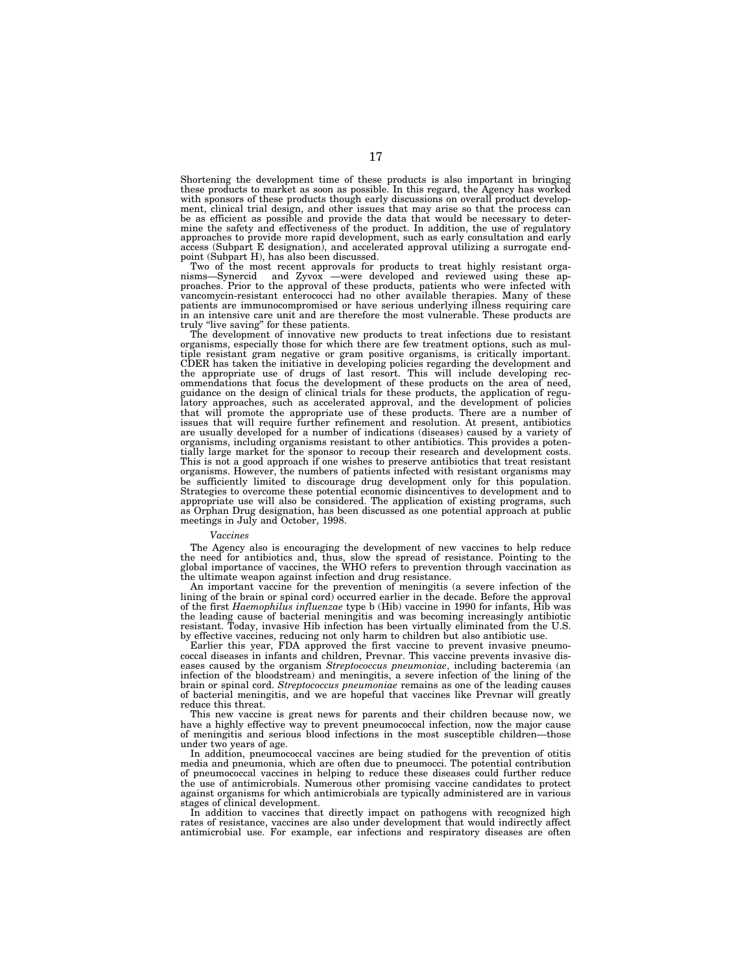Shortening the development time of these products is also important in bringing these products to market as soon as possible. In this regard, the Agency has worked with sponsors of these products though early discussions on overall product development, clinical trial design, and other issues that may arise so that the process can be as efficient as possible and provide the data that would be necessary to determine the safety and effectiveness of the product. In addition, the use of regulatory approaches to provide more rapid development, such as early consultation and early access (Subpart E designation), and accelerated approval utilizing a surrogate endpoint (Subpart H), has also been discussed.

Two of the most recent approvals for products to treat highly resistant orga-<br>nisms—Synercid® and Zyvox®—were developed and reviewed using these approaches. Prior to the approval of these products, patients who were infected with vancomycin-resistant enterococci had no other available therapies. Many of these patients are immunocompromised or have serious underlying illness requiring care in an intensive care unit and are therefore the most vulnerable. These products are

truly ''live saving'' for these patients. The development of innovative new products to treat infections due to resistant organisms, especially those for which there are few treatment options, such as mul-tiple resistant gram negative or gram positive organisms, is critically important. CDER has taken the initiative in developing policies regarding the development and the appropriate use of drugs of last resort. This will include developing recommendations that focus the development of these products on the area of need, guidance on the design of clinical trials for these products, the application of regulatory approaches, such as accelerated approval, and the development of policies that will promote the appropriate use of these products. There are a number of issues that will require further refinement and resolution. At present, antibiotics are usually developed for a number of indications (diseases) caused by a variety of organisms, including organisms resistant to other antibiotics. This provides a potentially large market for the sponsor to recoup their research and development costs. This is not a good approach if one wishes to preserve antibiotics that treat resistant organisms. However, the numbers of patients infected with resistant organisms may be sufficiently limited to discourage drug development only for this population. Strategies to overcome these potential economic disincentives to development and to appropriate use will also be considered. The application of existing programs, such as Orphan Drug designation, has been discussed as one potential approach at public meetings in July and October, 1998.

#### *Vaccines*

The Agency also is encouraging the development of new vaccines to help reduce the need for antibiotics and, thus, slow the spread of resistance. Pointing to the global importance of vaccines, the WHO refers to prevention through vaccination as the ultimate weapon against infection and drug resistance.

An important vaccine for the prevention of meningitis (a severe infection of the lining of the brain or spinal cord) occurred earlier in the decade. Before the approval of the first *Haemophilus influenzae* type b (Hib) vaccine in 1990 for infants, Hib was the leading cause of bacterial meningitis and was becoming increasingly antibiotic resistant. Today, invasive Hib infection has been virtually eliminated from the U.S. by effective vaccines, reducing not only harm to children but also antibiotic use.

Earlier this year, FDA approved the first vaccine to prevent invasive pneumococcal diseases in infants and children, Prevnar. This vaccine prevents invasive diseases caused by the organism *Streptococcus pneumoniae*, including bacteremia (an infection of the bloodstream) and meningitis, a severe infection of the lining of the brain or spinal cord. *Streptococcus pneumoniae* remains as one of the leading causes of bacterial meningitis, and we are hopeful that vaccines like Prevnar will greatly reduce this threat.

This new vaccine is great news for parents and their children because now, we have a highly effective way to prevent pneumococcal infection, now the major cause of meningitis and serious blood infections in the most susceptible children—those under two years of age.

In addition, pneumococcal vaccines are being studied for the prevention of otitis media and pneumonia, which are often due to pneumocci. The potential contribution of pneumococcal vaccines in helping to reduce these diseases could further reduce the use of antimicrobials. Numerous other promising vaccine candidates to protect against organisms for which antimicrobials are typically administered are in various stages of clinical development.

In addition to vaccines that directly impact on pathogens with recognized high rates of resistance, vaccines are also under development that would indirectly affect antimicrobial use. For example, ear infections and respiratory diseases are often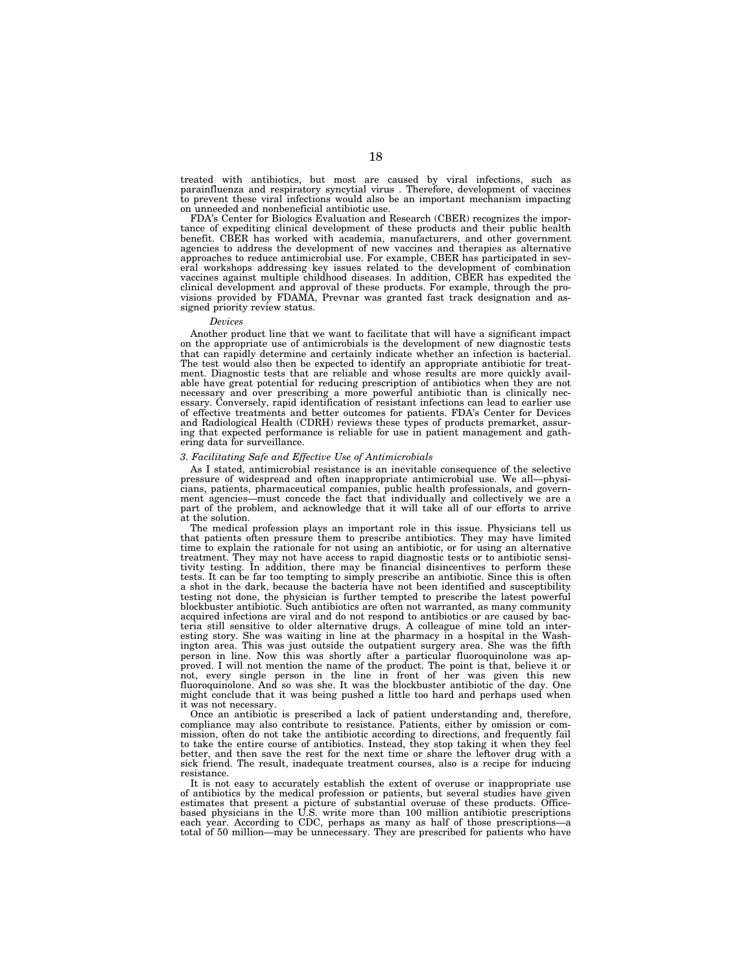treated with antibiotics, but most are caused by viral infections, such as parainfluenza and respiratory syncytial virus . Therefore, development of vaccines to prevent these viral infections would also be an important mechanism impacting on unneeded and nonbeneficial antibiotic use.

FDA's Center for Biologics Evaluation and Research (CBER) recognizes the importance of expediting clinical development of these products and their public health benefit. CBER has worked with academia, manufacturers, and other government agencies to address the development of new vaccines and therapies as alternative approaches to reduce antimicrobial use. For example, CBER has participated in several workshops addressing key issues related to the development of combination vaccines against multiple childhood diseases. In addition, CBER has expedited the clinical development and approval of these products. For example, through the provisions provided by FDAMA, Prevnar was granted fast track designation and assigned priority review status.

#### *Devices*

Another product line that we want to facilitate that will have a significant impact on the appropriate use of antimicrobials is the development of new diagnostic tests that can rapidly determine and certainly indicate whether an infection is bacterial. The test would also then be expected to identify an appropriate antibiotic for treatment. Diagnostic tests that are reliable and whose results are more quickly available have great potential for reducing prescription of antibiotics when they are not necessary and over prescribing a more powerful antibiotic than is clinically necessary. Conversely, rapid identification of resistant infections can lead to earlier use of effective treatments and better outcomes for patients. FDA's Center for Devices and Radiological Health (CDRH) reviews these types of products premarket, assuring that expected performance is reliable for use in patient management and gathering data for surveillance.

#### *3. Facilitating Safe and Effective Use of Antimicrobials*

As I stated, antimicrobial resistance is an inevitable consequence of the selective pressure of widespread and often inappropriate antimicrobial use. We all—physicians, patients, pharmaceutical companies, public health professionals, and government agencies—must concede the fact that individually and collectively we are a ment agencies—must concede the fact that individually and collectively we are a<br>part of the problem, and acknowledge that it will take all of our efforts to arrive at the solution.

The medical profession plays an important role in this issue. Physicians tell us that patients often pressure them to prescribe antibiotics. They may have limited time to explain the rationale for not using an antibiotic, or for using an alternative treatment. They may not have access to rapid diagnostic tests or to antibiotic sensitivity testing. In addition, there may be financial disincentives to perform these tests. It can be far too tempting to simply prescribe an antibiotic. Since this is often a shot in the dark, because the bacteria have not been identified and susceptibility testing not done, the physician is further tempted to prescribe the latest powerful blockbuster antibiotic. Such antibiotics are often not warranted, as many community acquired infections are viral and do not respond to antibiotics or are caused by bacteria still sensitive to older alternative drugs. A colleague of mine told an interesting story. She was waiting in line at the pharmacy in a hospital in the Washington area. This was just outside the outpatient surgery area. She was the fifth person in line. Now this was shortly after a particular fluoroquinolone was approved. I will not mention the name of the product. The point is that, believe it or not, every single person in the line in front of her was given this new fluoroquinolone. And so was she. It was the blockbuster antibiotic of the day. One might conclude that it was being pushed a little too hard and perhaps used when it was not necessary.

Once an antibiotic is prescribed a lack of patient understanding and, therefore, compliance may also contribute to resistance. Patients, either by omission or commission, often do not take the antibiotic according to directions, and frequently fail to take the entire course of antibiotics. Instead, they stop taking it when they feel better, and then save the rest for the next time or share the leftover drug with a sick friend. The result, inadequate treatment courses, also is a recipe for inducing resistance.

It is not easy to accurately establish the extent of overuse or inappropriate use of antibiotics by the medical profession or patients, but several studies have given estimates that present a picture of substantial overuse of these products. Office-<br>based physicians in the U.S. write more than 100 million antibiotic prescriptions<br>each year. According to CDC, perhaps as many as half of t total of 50 million—may be unnecessary. They are prescribed for patients who have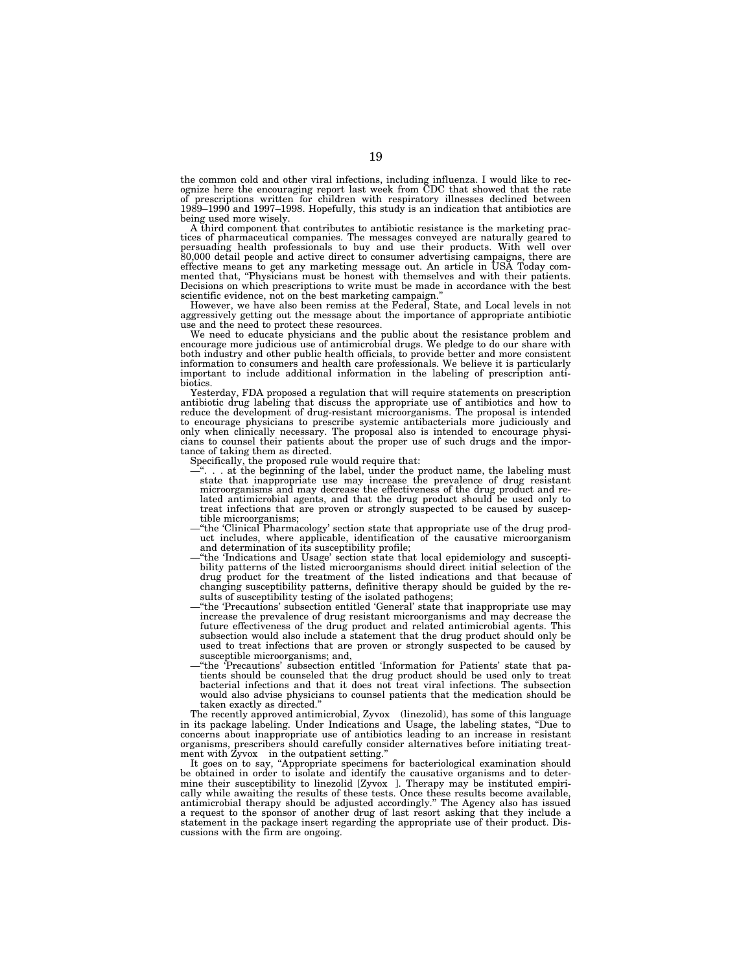the common cold and other viral infections, including influenza. I would like to recognize here the encouraging report last week from CDC that showed that the rate of prescriptions written for children with respiratory ill being used more wisely.

A third component that contributes to antibiotic resistance is the marketing practices of pharmaceutical companies. The messages conveyed are naturally geared to persuading health professionals to buy and use their products. With well over 80,000 detail people and active direct to consumer advertising campaigns, there are effective means to get any marketing message out. An article in USA Today commented that, "Physicians must be honest with themselves and with their patients. Decisions on which prescriptions to write must be made in accordance with the best scientific evidence, not on the best marketing campaign."

However, we have also been remiss at the Federal, State, and Local levels in not aggressively getting out the message about the importance of appropriate antibiotic use and the need to protect these resources.

We need to educate physicians and the public about the resistance problem and encourage more judicious use of antimicrobial drugs. We pledge to do our share with both industry and other public health officials, to provide better and more consistent information to consumers and health care professionals. We believe it is particularly important to include additional information in the labeling of prescription antibiotics.

Yesterday, FDA proposed a regulation that will require statements on prescription antibiotic drug labeling that discuss the appropriate use of antibiotics and how to reduce the development of drug-resistant microorganisms. The proposal is intended to encourage physicians to prescribe systemic antibacterials more judiciously and only when clinically necessary. The proposal also is intended to encourage physi-cians to counsel their patients about the proper use of such drugs and the importance of taking them as directed.

Specifically, the proposed rule would require that:

- ... at the beginning of the label, under the product name, the labeling must state that inappropriate use may increase the prevalence of drug resistant microorganisms and may decrease the effectiveness of the drug product and re-lated antimicrobial agents, and that the drug product should be used only to treat infections that are proven or strongly suspected to be caused by suscep-
- tible microorganisms;<br>
 "the 'Clinical Pharmacology' section state that appropriate use of the drug product includes, where applicable, identification of the causative microorganism<br>
and determination of its susceptibilit
- bility patterns of the listed microorganisms should direct initial selection of the drug product for the treatment of the listed indications and that because of changing susceptibility patterns, definitive therapy should be guided by the results of susceptibility testing of the isolated pathogens;
- —''the 'Precautions' subsection entitled 'General' state that inappropriate use may increase the prevalence of drug resistant microorganisms and may decrease the future effectiveness of the drug product and related antimicrobial agents. This subsection would also include a statement that the drug product should only be used to treat infections that are proven or strongly suspected to be caused by susceptible microorganisms; and,
- —''the 'Precautions' subsection entitled 'Information for Patients' state that patients should be counseled that the drug product should be used only to treat bacterial infections and that it does not treat viral infections. The subsection would also advise physicians to counsel patients that the medication should be taken exactly as directed.

The recently approved antimicrobial, Zyvox® (linezolid), has some of this language in its package labeling. Under Indications and Usage, the labeling states, ''Due to concerns about inappropriate use of antibiotics leading to an increase in resistant organisms, prescribers should carefully consider alternatives before initiating treat-

ment with Zyvox® in the outpatient setting."<br>It goes on to say, "Appropriate specimens for bacteriological examination should be obtained in order to isolate and identify the causative organisms and to determine their susceptibility to linezolid [Zyvox®]. Therapy may be instituted empiri-<br>cally while awaiting the results of these tests. Once these results become available, antimicrobial therapy should be adjusted accordingly.'' The Agency also has issued a request to the sponsor of another drug of last resort asking that they include a statement in the package insert regarding the appropriate use of their product. Discussions with the firm are ongoing.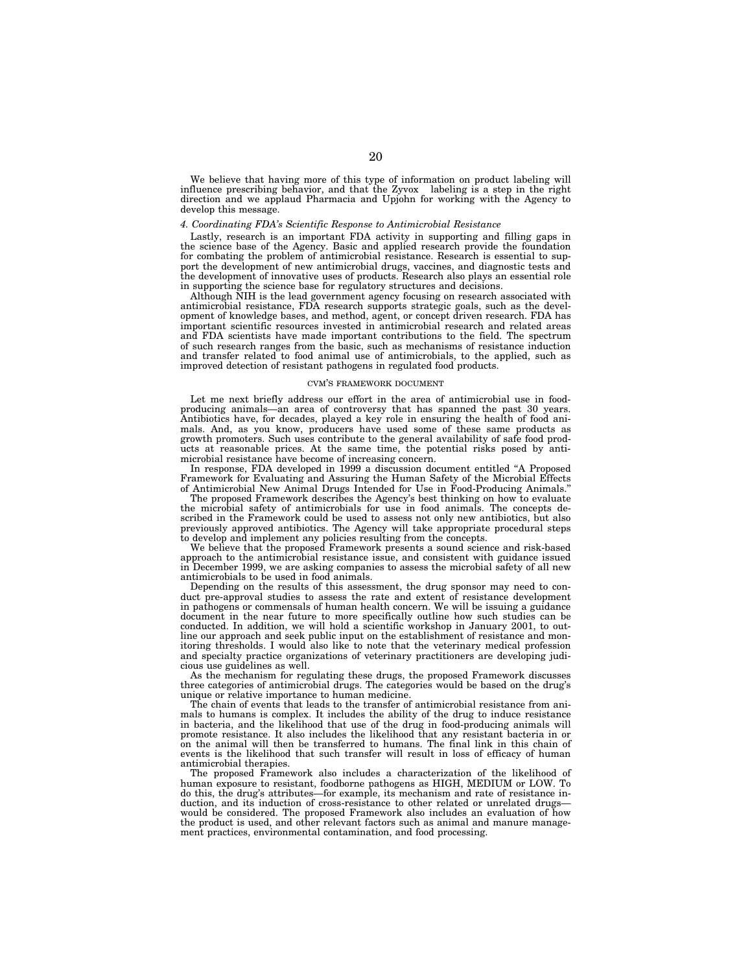We believe that having more of this type of information on product labeling will influence prescribing behavior, and that the Zyvox® labeling is a step in the right direction and we applaud Pharmacia and Upjohn for working with the Agency to develop this message.

## *4. Coordinating FDA's Scientific Response to Antimicrobial Resistance*

Lastly, research is an important FDA activity in supporting and filling gaps in the science base of the Agency. Basic and applied research provide the foundation for combating the problem of antimicrobial resistance. Research is essential to support the development of new antimicrobial drugs, vaccines, and diagnostic tests and the development of innovative uses of products. Research also plays an essential role in supporting the science base for regulatory structures and decisions.

Although NIH is the lead government agency focusing on research associated with antimicrobial resistance, FDA research supports strategic goals, such as the development of knowledge bases, and method, agent, or concept driven research. FDA has important scientific resources invested in antimicrobial research and related areas and FDA scientists have made important contributions to the field. The spectrum of such research ranges from the basic, such as mechanisms of resistance induction and transfer related to food animal use of antimicrobials, to the applied, such as improved detection of resistant pathogens in regulated food products.

#### CVM'S FRAMEWORK DOCUMENT

Let me next briefly address our effort in the area of antimicrobial use in foodproducing animals—an area of controversy that has spanned the past 30 years. Antibiotics have, for decades, played a key role in ensuring the health of food animals. And, as you know, producers have used some of these same products as growth promoters. Such uses contribute to the general availability of safe food products at reasonable prices. At the same time, the potential risks posed by antimicrobial resistance have become of increasing concern.

In response, FDA developed in 1999 a discussion document entitled ''A Proposed Framework for Evaluating and Assuring the Human Safety of the Microbial Effects of Antimicrobial New Animal Drugs Intended for Use in Food-Producing Animals.''

The proposed Framework describes the Agency's best thinking on how to evaluate the microbial safety of antimicrobials for use in food animals. The concepts described in the Framework could be used to assess not only new antibiotics, but also previously approved antibiotics. The Agency will take appropriate procedural steps to develop and implement any policies resulting from the concepts.

We believe that the proposed Framework presents a sound science and risk-based approach to the antimicrobial resistance issue, and consistent with guidance issued in December 1999, we are asking companies to assess the microbial safety of all new antimicrobials to be used in food animals.

Depending on the results of this assessment, the drug sponsor may need to conduct pre-approval studies to assess the rate and extent of resistance development in pathogens or commensals of human health concern. We will be issuing a guidance document in the near future to more specifically outline how such studies can be conducted. In addition, we will hold a scientific workshop in January 2001, to outline our approach and seek public input on the establishment of resistance and monitoring thresholds. I would also like to note that the veterinary medical profession and specialty practice organizations of veterinary practitioners are developing judicious use guidelines as well.

As the mechanism for regulating these drugs, the proposed Framework discusses three categories of antimicrobial drugs. The categories would be based on the drug's unique or relative importance to human medicine.

The chain of events that leads to the transfer of antimicrobial resistance from animals to humans is complex. It includes the ability of the drug to induce resistance in bacteria, and the likelihood that use of the drug in food-producing animals will promote resistance. It also includes the likelihood that any resistant bacteria in or on the animal will then be transferred to humans. The final link in this chain of events is the likelihood that such transfer will result in loss of efficacy of human antimicrobial therapies.

The proposed Framework also includes a characterization of the likelihood of human exposure to resistant, foodborne pathogens as HIGH, MEDIUM or LOW. To do this, the drug's attributes—for example, its mechanism and rate of resistance induction, and its induction of cross-resistance to other related or unrelated drugs would be considered. The proposed Framework also includes an evaluation of how the product is used, and other relevant factors such as animal and manure management practices, environmental contamination, and food processing.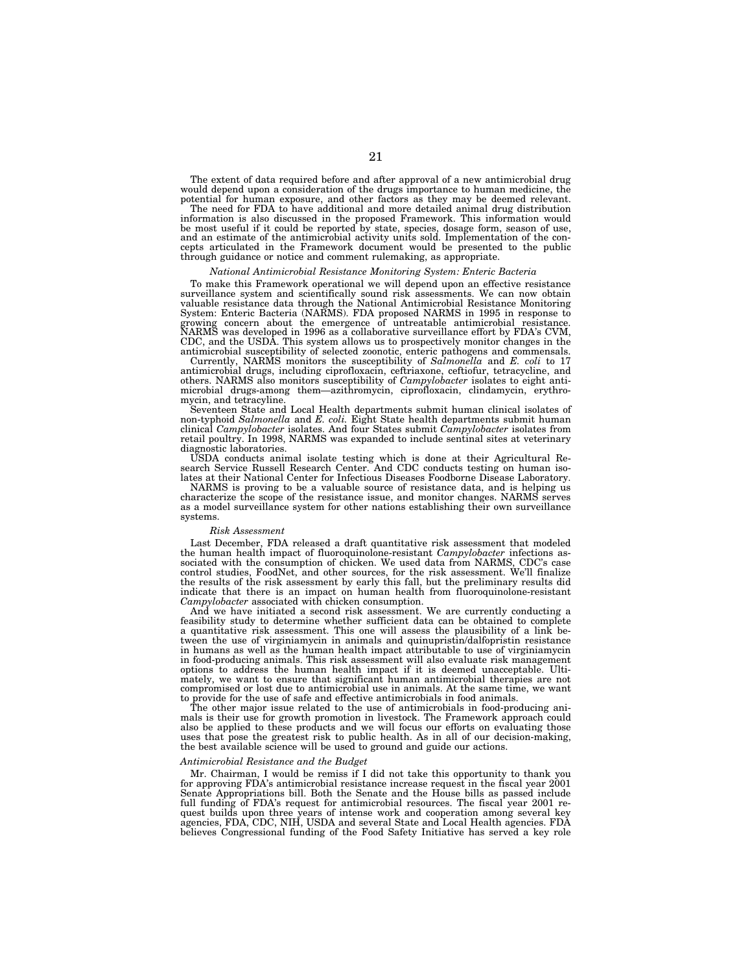The extent of data required before and after approval of a new antimicrobial drug would depend upon a consideration of the drugs importance to human medicine, the potential for human exposure, and other factors as they may be deemed relevant.

The need for FDA to have additional and more detailed animal drug distribution information is also discussed in the proposed Framework. This information would<br>be most useful if it could be reported by state, species, dosage form, season of use,<br>and an estimate of the antimicrobial activity units sold cepts articulated in the Framework document would be presented to the public through guidance or notice and comment rulemaking, as appropriate.

#### *National Antimicrobial Resistance Monitoring System: Enteric Bacteria*

To make this Framework operational we will depend upon an effective resistance surveillance system and scientifically sound risk assessments. We can now obtain valuable resistance data through the National Antimicrobial Resistance Monitoring System: Enteric Bacteria (NARMS). FDA proposed NARMS in 1995 in response to growing concern about the emergence of untreatable antimicrobial resistance.<br>NARMS was developed in 1996 as a collaborative surveillance effort by FDA's CVM,<br>CDC, and the USDA. This system allows us to prospectively monito

antimicrobial susceptibility of selected zoonotic, enteric pathogens and commensals. Currently, NARMS monitors the susceptibility of *Salmonella* and *E. coli* to 17 antimicrobial drugs, including ciprofloxacin, ceftriaxone, ceftiofur, tetracycline, and others. NARMS also monitors susceptibility of *Campylobacter* isolates to eight antimicrobial drugs-among them—azithromycin, ciprofloxacin, clindamycin, erythromycin, and tetracyline.

Seventeen State and Local Health departments submit human clinical isolates of non-typhoid *Salmonella* and *E. coli.* Eight State health departments submit human clinical *Campylobacter* isolates. And four States submit *Campylobacter* isolates from retail poultry. In 1998, NARMS was expanded to include sentinal sites at veterinary diagnostic laboratories.

USDA conducts animal isolate testing which is done at their Agricultural Re-search Service Russell Research Center. And CDC conducts testing on human isolates at their National Center for Infectious Diseases Foodborne Disease Laboratory.

NARMS is proving to be a valuable source of resistance data, and is helping us characterize the scope of the resistance issue, and monitor changes. NARMS serves as a model surveillance system for other nations establishing their own surveillance systems.

#### *Risk Assessment*

Last December, FDA released a draft quantitative risk assessment that modeled the human health impact of fluoroquinolone-resistant *Campylobacter* infections associated with the consumption of chicken. We used data from NARMS, CDC's case control studies, FoodNet, and other sources, for the risk assessment. We'll finalize the results of the risk assessment by early this fall, but the preliminary results did indicate that there is an impact on human health from fluoroquinolone-resistant *Campylobacter* associated with chicken consumption.

And we have initiated a second risk assessment. We are currently conducting a feasibility study to determine whether sufficient data can be obtained to complete a quantitative risk assessment. This one will assess the plausibility of a link between the use of virginiamycin in animals and quinupristin/dalfopristin resistance in humans as well as the human health impact attributable to use of virginiamycin in food-producing animals. This risk assessment will also evaluate risk management options to address the human health impact if it is deemed unacceptable. Ultimately, we want to ensure that significant human antimicrobial therapies are not compromised or lost due to antimicrobial use in animals. At the same time, we want to provide for the use of safe and effective antimicrobials in food animals.

The other major issue related to the use of antimicrobials in food-producing ani-mals is their use for growth promotion in livestock. The Framework approach could also be applied to these products and we will focus our efforts on evaluating those uses that pose the greatest risk to public health. As in all of our decision-making, the best available science will be used to ground and guide our actions.

#### *Antimicrobial Resistance and the Budget*

Mr. Chairman, I would be remiss if I did not take this opportunity to thank you for approving FDA's antimicrobial resistance increase request in the fiscal year 2001 Senate Appropriations bill. Both the Senate and the House bills as passed include full funding of FDA's request for antimicrobial resources. The fiscal year 2001 request builds upon three years of intense work and cooperation among several key agencies, FDA, CDC, NIH, USDA and several State and Local Health agencies. FDA believes Congressional funding of the Food Safety Initiative has served a key role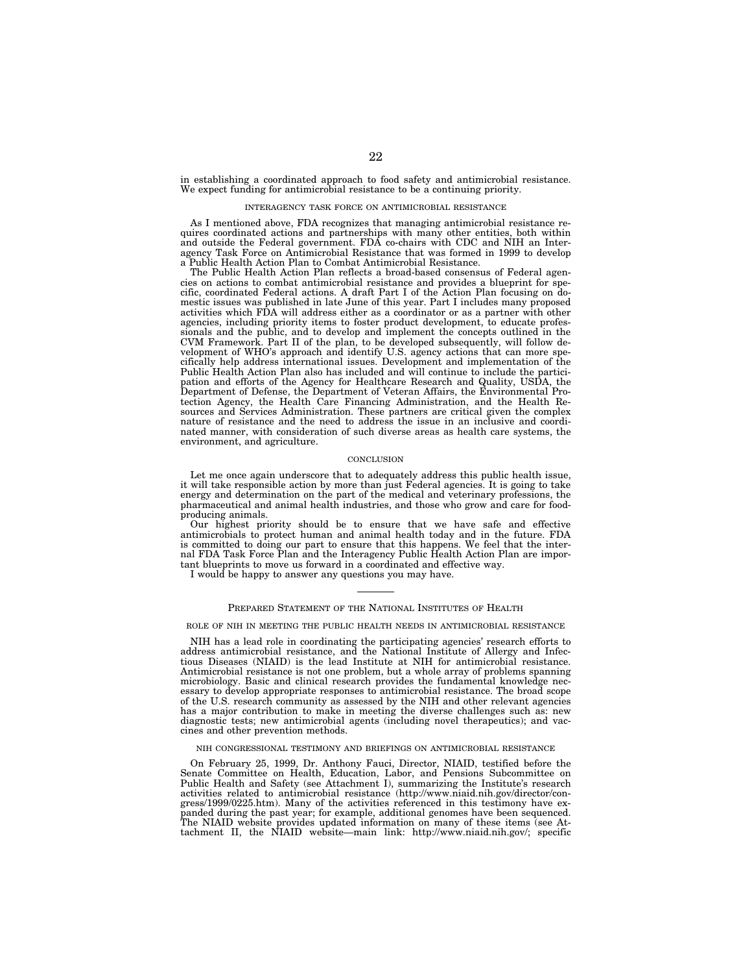in establishing a coordinated approach to food safety and antimicrobial resistance. We expect funding for antimicrobial resistance to be a continuing priority.

#### INTERAGENCY TASK FORCE ON ANTIMICROBIAL RESISTANCE

As I mentioned above, FDA recognizes that managing antimicrobial resistance requires coordinated actions and partnerships with many other entities, both within and outside the Federal government. FDA co-chairs with CDC and NIH an Interagency Task Force on Antimicrobial Resistance that was formed in 1999 to develop a Public Health Action Plan to Combat Antimicrobial Resistance.

The Public Health Action Plan reflects a broad-based consensus of Federal agencies on actions to combat antimicrobial resistance and provides a blueprint for specific, coordinated Federal actions. A draft Part I of the Action Plan focusing on domestic issues was published in late June of this year. Part I includes many proposed activities which FDA will address either as a coordinator or as a partner with other agencies, including priority items to foster product development, to educate professionals and the public, and to develop and implement the concepts outlined in the CVM Framework. Part II of the plan, to be developed subsequently, will follow development of WHO's approach and identify U.S. agency actions that can more specifically help address international issues. Development and implementation of the Public Health Action Plan also has included and will continue to include the participation and efforts of the Agency for Healthcare Research and Quality, USDA, the Department of Defense, the Department of Veteran Affairs, the Environmental Protection Agency, the Health Care Financing Administration, and the Health Resources and Services Administration. These partners are critical given the complex nature of resistance and the need to address the issue in an inclusive and coordinated manner, with consideration of such diverse areas as health care systems, the environment, and agriculture.

#### **CONCLUSION**

Let me once again underscore that to adequately address this public health issue, it will take responsible action by more than just Federal agencies. It is going to take energy and determination on the part of the medical and veterinary professions, the pharmaceutical and animal health industries, and those who grow and care for foodproducing animals.

Our highest priority should be to ensure that we have safe and effective antimicrobials to protect human and animal health today and in the future. FDA is committed to doing our part to ensure that this happens. We feel that the internal FDA Task Force Plan and the Interagency Public Health Action Plan are important blueprints to move us forward in a coordinated and effective way.

I would be happy to answer any questions you may have.

# PREPARED STATEMENT OF THE NATIONAL INSTITUTES OF HEALTH

### ROLE OF NIH IN MEETING THE PUBLIC HEALTH NEEDS IN ANTIMICROBIAL RESISTANCE

NIH has a lead role in coordinating the participating agencies' research efforts to address antimicrobial resistance, and the National Institute of Allergy and Infectious Diseases (NIAID) is the lead Institute at NIH for antimicrobial resistance. Antimicrobial resistance is not one problem, but a whole array of problems spanning microbiology. Basic and clinical research provides the fundamental knowledge necessary to develop appropriate responses to antimicrobial resistance. The broad scope of the U.S. research community as assessed by the NIH and other relevant agencies has a major contribution to make in meeting the diverse challenges such as: new diagnostic tests; new antimicrobial agents (including novel therapeutics); and vaccines and other prevention methods.

### NIH CONGRESSIONAL TESTIMONY AND BRIEFINGS ON ANTIMICROBIAL RESISTANCE

On February 25, 1999, Dr. Anthony Fauci, Director, NIAID, testified before the Senate Committee on Health, Education, Labor, and Pensions Subcommittee on Public Health and Safety (see Attachment I), summarizing the Institute's research activities related to antimicrobial resistance (http://www.niaid.nih.gov/director/congress/1999/0225.htm). Many of the activities referenced in this testimony have expanded during the past year; for example, additional genomes have been sequenced. The NIAID website provides updated information on many of these items (see Attachment II, the NIAID website—main link: http://www.niaid.nih.gov/; specific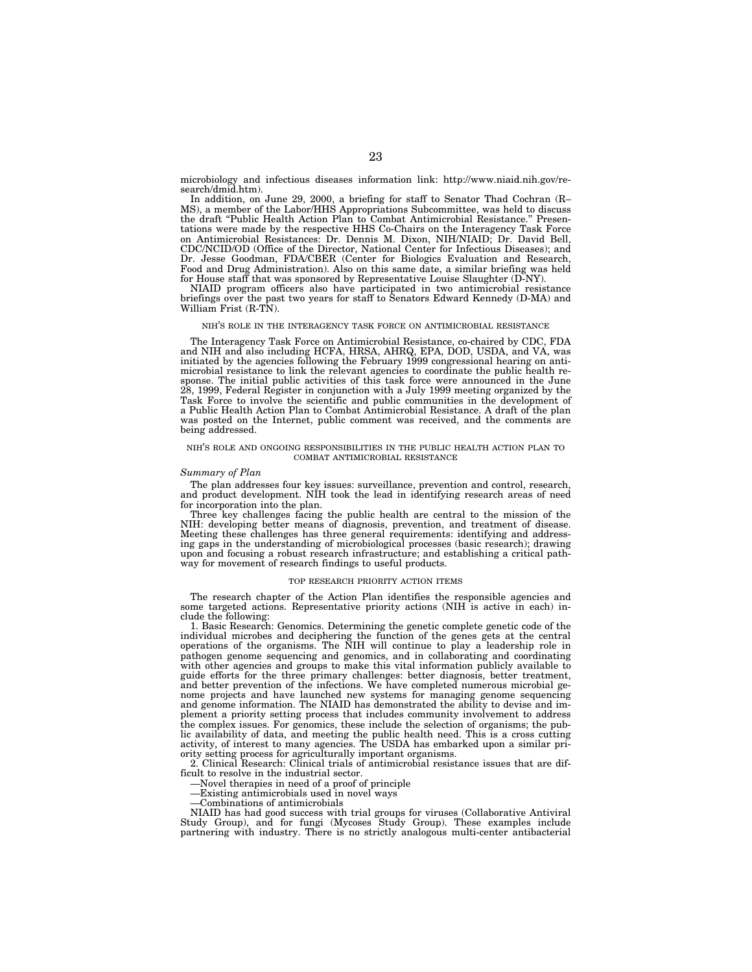microbiology and infectious diseases information link: http://www.niaid.nih.gov/research/dmid.htm).

In addition, on June 29, 2000, a briefing for staff to Senator Thad Cochran (R– MS), a member of the Labor/HHS Appropriations Subcommittee, was held to discuss the draft ''Public Health Action Plan to Combat Antimicrobial Resistance.'' Presentations were made by the respective HHS Co-Chairs on the Interagency Task Force on Antimicrobial Resistances: Dr. Dennis M. Dixon, NIH/NIAID; Dr. David Bell, CDC/NCID/OD (Office of the Director, National Center for Infectious Diseases); and Dr. Jesse Goodman, FDA/CBER (Center for Biologics Evaluation and Research, Food and Drug Administration). Also on this same date, a similar briefing was held for House staff that was sponsored by Representative Louise Slaughter (D-NY).

NIAID program officers also have participated in two antimicrobial resistance briefings over the past two years for staff to Senators Edward Kennedy (D-MA) and William Frist (R-TN).

#### NIH'S ROLE IN THE INTERAGENCY TASK FORCE ON ANTIMICROBIAL RESISTANCE

The Interagency Task Force on Antimicrobial Resistance, co-chaired by CDC, FDA and NIH and also including HCFA, HRSA, AHRQ, EPA, DOD, USDA, and VA, was initiated by the agencies following the February 1999 congressional hearing on antimicrobial resistance to link the relevant agencies to coordinate the public health response. The initial public activities of this task force were announced in the June 28, 1999, Federal Register in conjunction with a July 1999 meeting organized by the Task Force to involve the scientific and public communities in the development of a Public Health Action Plan to Combat Antimicrobial Resistance. A draft of the plan was posted on the Internet, public comment was received, and the comments are being addressed.

#### NIH'S ROLE AND ONGOING RESPONSIBILITIES IN THE PUBLIC HEALTH ACTION PLAN TO COMBAT ANTIMICROBIAL RESISTANCE

#### *Summary of Plan*

The plan addresses four key issues: surveillance, prevention and control, research, and product development. NIH took the lead in identifying research areas of need for incorporation into the plan.

Three key challenges facing the public health are central to the mission of the NIH: developing better means of diagnosis, prevention, and treatment of disease. Meeting these challenges has three general requirements: identifying and addressing gaps in the understanding of microbiological processes (basic research); drawing upon and focusing a robust research infrastructure; and establishing a critical pathway for movement of research findings to useful products.

#### TOP RESEARCH PRIORITY ACTION ITEMS

The research chapter of the Action Plan identifies the responsible agencies and some targeted actions. Representative priority actions (NIH is active in each) include the following:

1. Basic Research: Genomics. Determining the genetic complete genetic code of the individual microbes and deciphering the function of the genes gets at the central operations of the organisms. The NIH will continue to play a leadership role in pathogen genome sequencing and genomics, and in collaborating and coordinating with other agencies and groups to make this vital information publicly available to guide efforts for the three primary challenges: better diagnosis, better treatment, and better prevention of the infections. We have completed numerous microbial genome projects and have launched new systems for managing genome sequencing and genome information. The NIAID has demonstrated the ability to devise and implement a priority setting process that includes community involvement to address the complex issues. For genomics, these include the selection of organisms; the public availability of data, and meeting the public health need. This is a cross cutting activity, of interest to many agencies. The USDA has embarked upon a similar priority setting process for agriculturally important organisms.

2. Clinical Research: Clinical trials of antimicrobial resistance issues that are difficult to resolve in the industrial sector.

—Novel therapies in need of a proof of principle

—Existing antimicrobials used in novel ways

—Combinations of antimicrobials

NIAID has had good success with trial groups for viruses (Collaborative Antiviral Study Group), and for fungi (Mycoses Study Group). These examples include partnering with industry. There is no strictly analogous multi-center antibacterial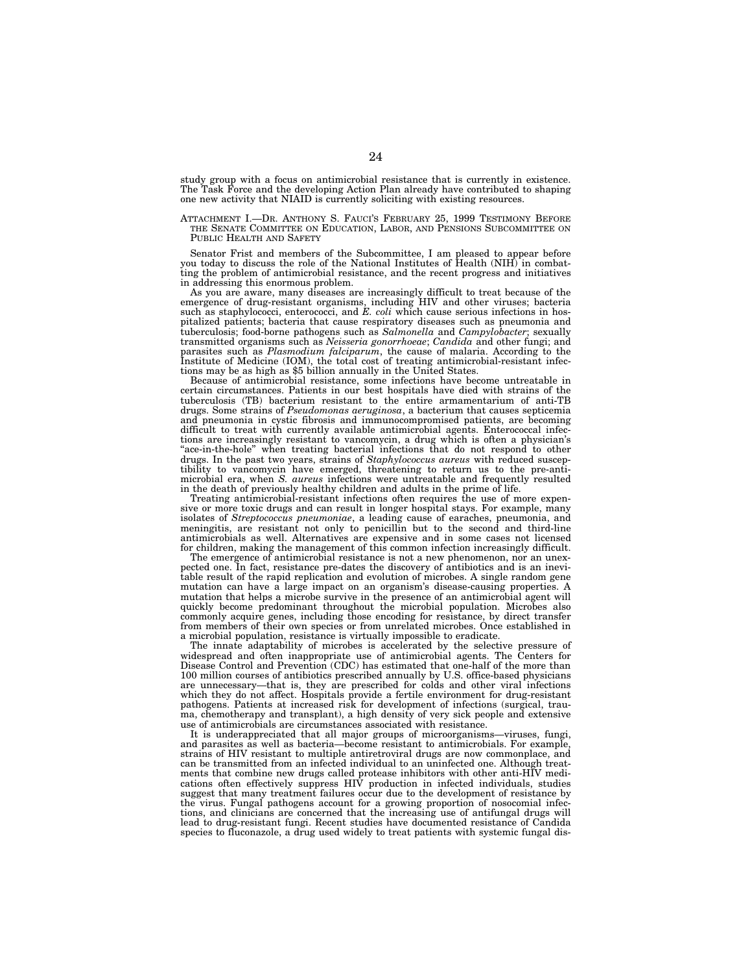study group with a focus on antimicrobial resistance that is currently in existence. The Task Force and the developing Action Plan already have contributed to shaping one new activity that NIAID is currently soliciting with existing resources.

ATTACHMENT I.—DR. ANTHONY S. FAUCI'S FEBRUARY 25, 1999 TESTIMONY BEFORE THE SENATE COMMITTEE ON EDUCATION, LABOR, AND PENSIONS SUBCOMMITTEE ON PUBLIC HEALTH AND SAFETY

Senator Frist and members of the Subcommittee, I am pleased to appear before you today to discuss the role of the National Institutes of Health (NIH) in combatting the problem of antimicrobial resistance, and the recent progress and initiatives in addressing this enormous problem.

As you are aware, many diseases are increasingly difficult to treat because of the emergence of drug-resistant organisms, including HIV and other viruses; bacteria such as staphylococci, enterococci, and *E. coli* which cause serious infections in hospitalized patients; bacteria that cause respiratory diseases such as pneumonia and tuberculosis; food-borne pathogens such as *Salmonella* and *Campylobacter*; sexually transmitted organisms such as *Neisseria gonorrhoeae*; *Candida* and other fungi; and parasites such as *Plasmodium falciparum*, the cause of malaria. According to the Institute of Medicine (IOM), the total cost of treating antimicrobial-resistant infections may be as high as \$5 billion annually in the United States.

Because of antimicrobial resistance, some infections have become untreatable in certain circumstances. Patients in our best hospitals have died with strains of the tuberculosis (TB) bacterium resistant to the entire armamentarium of anti-TB drugs. Some strains of *Pseudomonas aeruginosa*, a bacterium that causes septicemia and pneumonia in cystic fibrosis and immunocompromised patients, are becoming difficult to treat with currently available antimicrobial agents. Enterococcal infections are increasingly resistant to vancomycin, a drug which is often a physician's ''ace-in-the-hole'' when treating bacterial infections that do not respond to other drugs. In the past two years, strains of *Staphylococcus aureus* with reduced susceptibility to vancomycin have emerged, threatening to return us to the pre-antimicrobial era, when *S. aureus* infections were untreatable and frequently resulted in the death of previously healthy children and adults in the prime of life.

Treating antimicrobial-resistant infections often requires the use of more expensive or more toxic drugs and can result in longer hospital stays. For example, many isolates of *Streptococcus pneumoniae*, a leading cause of earaches, pneumonia, and meningitis, are resistant not only to penicillin but to the second and third-line antimicrobials as well. Alternatives are expensive and in some cases not licensed for children, making the management of this common infection increasingly difficult.

The emergence of antimicrobial resistance is not a new phenomenon, nor an unexpected one. In fact, resistance pre-dates the discovery of antibiotics and is an inevitable result of the rapid replication and evolution of microbes. A single random gene mutation can have a large impact on an organism's disease-causing properties. A mutation that helps a microbe survive in the presence of an antimicrobial agent will quickly become predominant throughout the microbial population. Microbes also commonly acquire genes, including those encoding for resistance, by direct transfer from members of their own species or from unrelated microbes. Once established in a microbial population, resistance is virtually impossible to eradicate.

The innate adaptability of microbes is accelerated by the selective pressure of widespread and often inappropriate use of antimicrobial agents. The Centers for Disease Control and Prevention (CDC) has estimated that one-half of the more than 100 million courses of antibiotics prescribed annually by U.S. office-based physicians are unnecessary—that is, they are prescribed for colds and other viral infections which they do not affect. Hospitals provide a fertile environment for drug-resistant pathogens. Patients at increased risk for development of infections (surgical, trauma, chemotherapy and transplant), a high density of very sick people and extensive use of antimicrobials are circumstances associated with resistance.

It is underappreciated that all major groups of microorganisms—viruses, fungi, and parasites as well as bacteria—become resistant to antimicrobials. For example, strains of HIV resistant to multiple antiretroviral drugs are now commonplace, and can be transmitted from an infected individual to an uninfected one. Although treatments that combine new drugs called protease inhibitors with other anti-HIV medications often effectively suppress HIV production in infected individuals, studies suggest that many treatment failures occur due to the development of resistance by the virus. Fungal pathogens account for a growing proportion of nosocomial infections, and clinicians are concerned that the increasing use of antifungal drugs will lead to drug-resistant fungi. Recent studies have documented resistance of Candida species to fluconazole, a drug used widely to treat patients with systemic fungal dis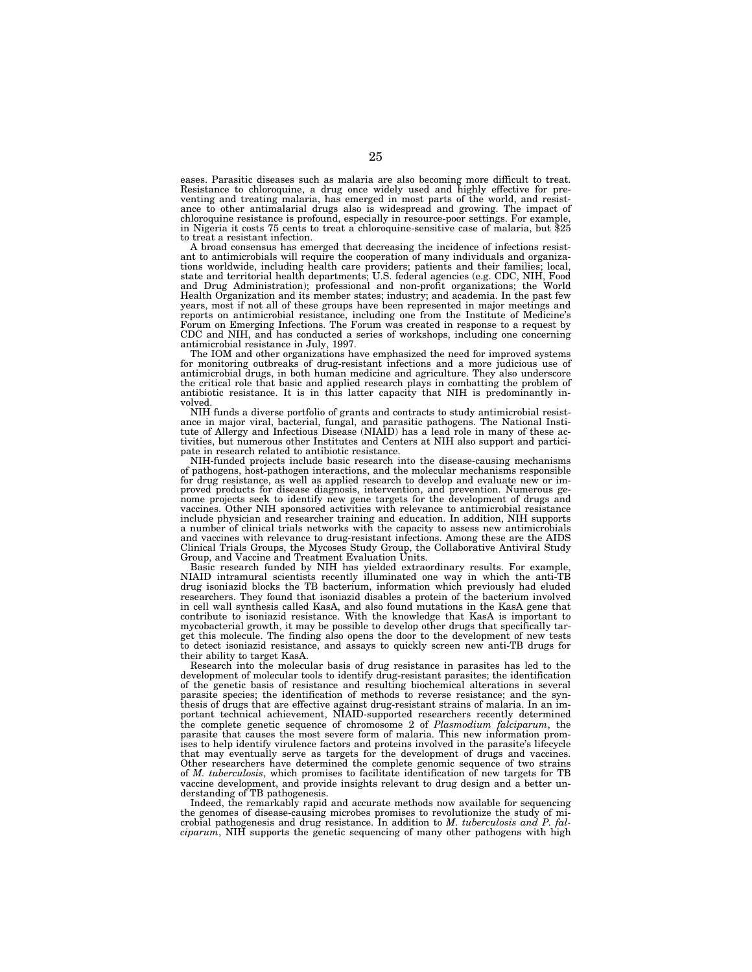eases. Parasitic diseases such as malaria are also becoming more difficult to treat. Resistance to chloroquine, a drug once widely used and highly effective for preventing and treating malaria, has emerged in most parts of the world, and resistance to other antimalarial drugs also is widespread and growing. The impact of chloroquine resistance is profound, especially in resource-poor settings. For example, in Nigeria it costs 75 cents to treat a chloroquine-sensitive case of malaria, but \$25 to treat a resistant infection.

A broad consensus has emerged that decreasing the incidence of infections resistant to antimicrobials will require the cooperation of many individuals and organizations worldwide, including health care providers; patients and their families; local, state and territorial health departments; U.S. federal agencies (e.g. CDC, NIH, Food and Drug Administration); professional and non-profit organizations; the World Health Organization and its member states; industry; and academia. In the past few years, most if not all of these groups have been represented in major meetings and<br>reports on antimicrobial resistance, including one from the Institute of Medicine's reports on antimicrobial resistance, including one from the Institute of Medicine's<br>Forum on Emerging Infections. The Forum was created in response to a request by<br>CDC and NIH, and has conducted a series of workshops, incl

antimicrobial resistance in July, 1997. The IOM and other organizations have emphasized the need for improved systems for monitoring outbreaks of drug-resistant infections and a more judicious use of antimicrobial drugs, in both human medicine and agriculture. They also underscore the critical role that basic and applied research plays in combatting the problem of antibiotic resistance. It is in this latter capacity that NIH is predominantly involved.

NIH funds a diverse portfolio of grants and contracts to study antimicrobial resistance in major viral, bacterial, fungal, and parasitic pathogens. The National Insti-tute of Allergy and Infectious Disease (NIAID) has a lead role in many of these activities, but numerous other Institutes and Centers at NIH also support and participate in research related to antibiotic resistance. NIH-funded projects include basic research into the disease-causing mechanisms

of pathogens, host-pathogen interactions, and the molecular mechanisms responsible for drug resistance, as well as applied research to develop and evaluate new or im-<br>proved products for disease diagnosis, intervention, and prevention. Numerous ge-<br>nome projects seek to identify new gene targets for the vaccines. Other NIH sponsored activities with relevance to antimicrobial resistance include physician and researcher training and education. In addition, NIH supports a number of clinical trials networks with the capacity to assess new antimicrobials and vaccines with relevance to drug-resistant infections. Among these are the AIDS Clinical Trials Groups, the Mycoses Study Group, the Collaborative Antiviral Study Group, and Vaccine and Treatment Evaluation Units.

Basic research funded by NIH has yielded extraordinary results. For example, NIAID intramural scientists recently illuminated one way in which the anti-TB drug isoniazid blocks the TB bacterium, information which previously had eluded researchers. They found that isoniazid disables a protein of the bacterium involved in cell wall synthesis called KasA, and also found mutations in the KasA gene that contribute to isoniazid resistance. With the knowledge that KasA is important to mycobacterial growth, it may be possible to develop other drugs that specifically target this molecule. The finding also opens the door to the development of new tests to detect isoniazid resistance, and assays to quickly screen new anti-TB drugs for their ability to target KasA.

Research into the molecular basis of drug resistance in parasites has led to the development of molecular tools to identify drug-resistant parasites; the identification of the genetic basis of resistance and resulting biochemical alterations in several parasite species; the identification of methods to reverse resistance; and the synthesis of drugs that are effective against drug-resistant strains of malaria. In an important technical achievement, NIAID-supported researchers recently determined the complete genetic sequence of chromosome 2 of *Plasmodium falciparum*, the parasite that causes the most severe form of malaria. This new information promises to help identify virulence factors and proteins involved in the parasite's lifecycle that may eventually serve as targets for the development of drugs and vaccines. Other researchers have determined the complete genomic sequence of two strains of *M. tuberculosis*, which promises to facilitate identification of new targets for TB vaccine development, and provide insights relevant to drug design and a better understanding of TB pathogenesis.

Indeed, the remarkably rapid and accurate methods now available for sequencing the genomes of disease-causing microbes promises to revolutionize the study of mi-crobial pathogenesis and drug resistance. In addition to *M. tuberculosis and P. falciparum*, NIH supports the genetic sequencing of many other pathogens with high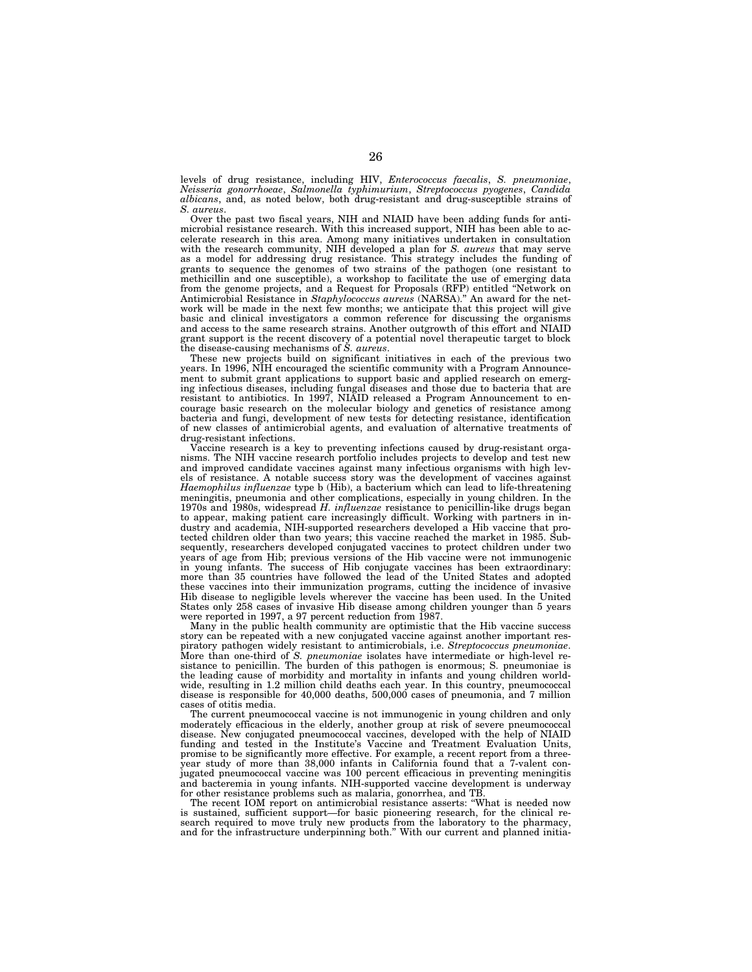levels of drug resistance, including HIV, *Enterococcus faecalis*, *S. pneumoniae*, *Neisseria gonorrhoeae*, *Salmonella typhimurium*, *Streptococcus pyogenes*, *Candida albicans*, and, as noted below, both drug-resistant and drug-susceptible strains of *S. aureus*.

Over the past two fiscal years, NIH and NIAID have been adding funds for antimicrobial resistance research. With this increased support, NIH has been able to accelerate research in this area. Among many initiatives undertaken in consultation with the research community, NIH developed a plan for *S. aureus* that may serve as a model for addressing drug resistance. This strategy includes the funding of grants to sequence the genomes of two strains of the pathogen (one resistant to methicillin and one susceptible), a workshop to facilitate the use of emerging data from the genome projects, and a Request for Proposals (RFP) entitled ''Network on Antimicrobial Resistance in *Staphylococcus aureus* (NARSA).'' An award for the network will be made in the next few months; we anticipate that this project will give basic and clinical investigators a common reference for discussing the organisms and access to the same research strains. Another outgrowth of this effort and NIAID grant support is the recent discovery of a potential novel therapeutic target to block the disease-causing mechanisms of *S. aureus*.

These new projects build on significant initiatives in each of the previous two years. In 1996, NIH encouraged the scientific community with a Program Announcement to submit grant applications to support basic and applied research on emerging infectious diseases, including fungal diseases and those due to bacteria that are resistant to antibiotics. In 1997, NIAID released a Program Announcement to encourage basic research on the molecular biology and genetics of resistance among bacteria and fungi, development of new tests for detecting resistance, identification of new classes of antimicrobial agents, and evaluation of alternative treatments of drug-resistant infections.

Vaccine research is a key to preventing infections caused by drug-resistant organisms. The NIH vaccine research portfolio includes projects to develop and test new and improved candidate vaccines against many infectious organisms with high levels of resistance. A notable success story was the development of vaccines against *Haemophilus influenzae* type b (Hib), a bacterium which can lead to life-threatening meningitis, pneumonia and other complications, especially in young children. In the 1970s and 1980s, widespread *H. influenzae* resistance to penicillin-like drugs began to appear, making patient care increasingly difficult. Working with partners in industry and academia, NIH-supported researchers developed a Hib vaccine that protected children older than two years; this vaccine reached the market in 1985. Subsequently, researchers developed conjugated vaccines to protect children under two years of age from Hib; previous versions of the Hib vaccine were not immunogenic in young infants. The success of Hib conjugate vaccines has been extraordinary: more than 35 countries have followed the lead of the United States and adopted these vaccines into their immunization programs, cutting the incidence of invasive Hib disease to negligible levels wherever the vaccine has been used. In the United States only 258 cases of invasive Hib disease among children younger than 5 years were reported in 1997, a 97 percent reduction from 1987.

Many in the public health community are optimistic that the Hib vaccine success story can be repeated with a new conjugated vaccine against another important respiratory pathogen widely resistant to antimicrobials, i.e. *Streptococcus pneumoniae*. More than one-third of *S. pneumoniae* isolates have intermediate or high-level resistance to penicillin. The burden of this pathogen is enormous; S. pneumoniae is the leading cause of morbidity and mortality in infants and young children worldwide, resulting in 1.2 million child deaths each year. In this country, pneumococcal disease is responsible for 40,000 deaths, 500,000 cases of pneumonia, and 7 million cases of otitis media.

The current pneumococcal vaccine is not immunogenic in young children and only moderately efficacious in the elderly, another group at risk of severe pneumococcal disease. New conjugated pneumococcal vaccines, developed with the help of NIAID funding and tested in the Institute's Vaccine and Treatment Evaluation Units, promise to be significantly more effective. For example, a recent report from a threeyear study of more than 38,000 infants in California found that a 7-valent conjugated pneumococcal vaccine was 100 percent efficacious in preventing meningitis and bacteremia in young infants. NIH-supported vaccine development is underway for other resistance problems such as malaria, gonorrhea, and TB.

The recent IOM report on antimicrobial resistance asserts: ''What is needed now is sustained, sufficient support—for basic pioneering research, for the clinical research required to move truly new products from the laboratory to the pharmacy, and for the infrastructure underpinning both.'' With our current and planned initia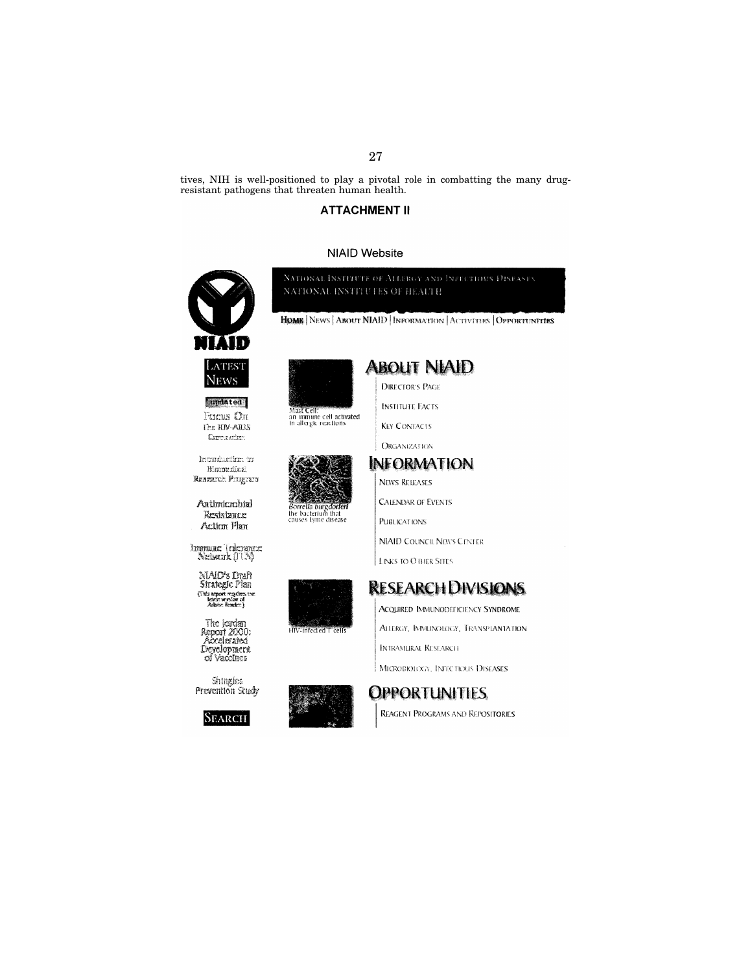tives, NIH is well-positioned to play a pivotal role in combatting the many drugresistant pathogens that threaten human health.

# **ATTACHMENT II**

# **NIAID Website**





Focus On The  $\mathbf{H}\mathbf{B}'\text{-}\mathbf{A}\mathbf{I}\mathbf{D}\mathbf{S}$ Carnacian

updated

**NEWS** 

 $\mathbf{m}$ mathanais an Biomedical Research Program

Antimicrobial Resistance Action Plan

Immuue Tolerance<br>Netsenk (FUV)

NIAID's Draft<br>Strategic Plan<br>mis regims to:<br>kine version of<br>Adoc Resden)

The jordan<br>Report 2000: Accelerated<br>Development<br>of Vaccines

Shingles Prevention Study







# **ABOUT NIAID**

**DIRECTOR'S PAGE** 

**KEY CONTACTS** 



# **ORGANIZATION INFORMATION**

**NEWS RELEASES** 

**CALENDAR OF EVENTS** 

**PUBLICATIONS** 

NIAID COUNCIL NEWS CENTER

**LINKS TO OTHER SITES** 



# **RESEARCH DIVISIONS**

ACQUIRED IMMUNODEFICIENCY SYNDROME

ALLERGY, IMMUNOLOGY, TRANSPLANTATION

**INTRAMURAL RESEARCH** 

MICROBIOLOGY, INFECTIOUS DISEASES



# **OPPORTUNITIES**

**REAGENT PROGRAMS AND REPOSITORES** 

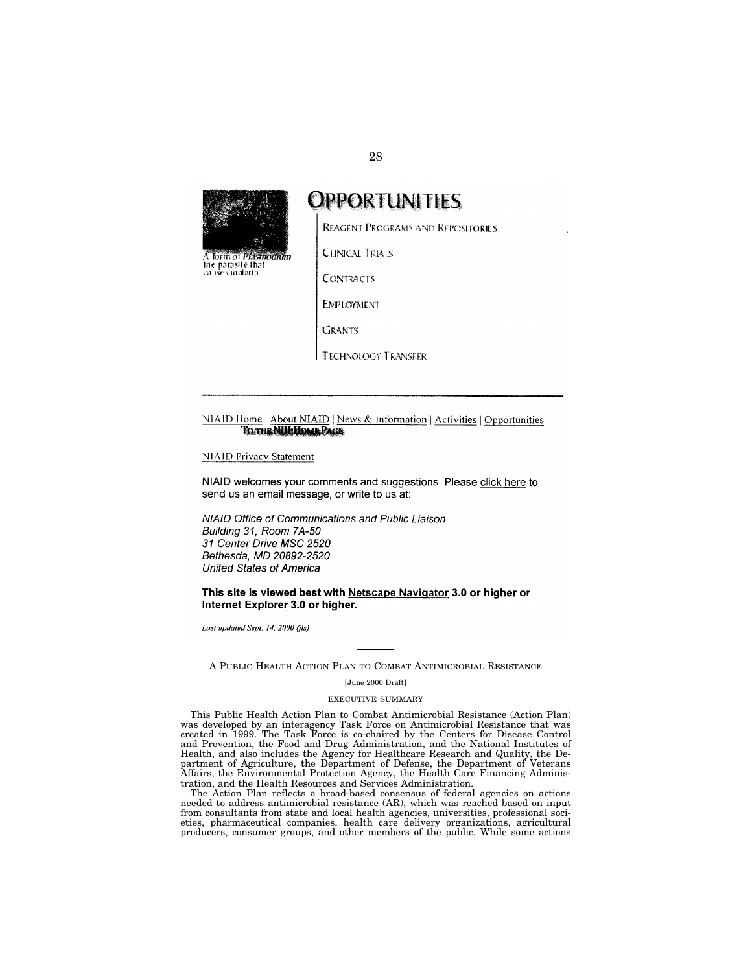

# **OPPORTUNITIES**

**REAGENT PROGRAMS AND REPOSITORIES** 

**CLINICAL TRIALS** 

**CONTRACTS** 

**EMPLOYMENT** 

**GRANTS** 

**TECHNOLOGY TRANSFER** 

# NIAID Home | About NIAID | News & Information | Activities | Opportunities **TO THE NITE HOME PAGE**

**NIAID Privacy Statement** 

NIAID welcomes your comments and suggestions. Please click here to send us an email message, or write to us at:

NIAID Office of Communications and Public Liaison Building 31, Room 7A-50 31 Center Drive MSC 2520 Bethesda, MD 20892-2520 **United States of America** 

This site is viewed best with Netscape Navigator 3.0 or higher or Internet Explorer 3.0 or higher.

Last updated Sept. 14, 2000 (jls)

A PUBLIC HEALTH ACTION PLAN TO COMBAT ANTIMICROBIAL RESISTANCE

# [June 2000 Draft]

#### EXECUTIVE SUMMARY

This Public Health Action Plan to Combat Antimicrobial Resistance (Action Plan) was developed by an interagency Task Force on Antimicrobial Resistance that was created in 1999. The Task Force is co-chaired by the Centers for Disease Control and Prevention, the Food and Drug Administration, and the National Institutes of Health, and also includes the Agency for Healthcare Research and Quality, the Department of Agriculture, the Department of Defense, the Department of Veterans Affairs, the Environmental Protection Agency, the Health Care Financing Administration, and the Health Resources and Services Administration.

The Action Plan reflects a broad-based consensus of federal agencies on actions needed to address antimicrobial resistance (AR), which was reached based on input from consultants from state and local health agencies, universities, professional soci-eties, pharmaceutical companies, health care delivery organizations, agricultural producers, consumer groups, and other members of the public. While some actions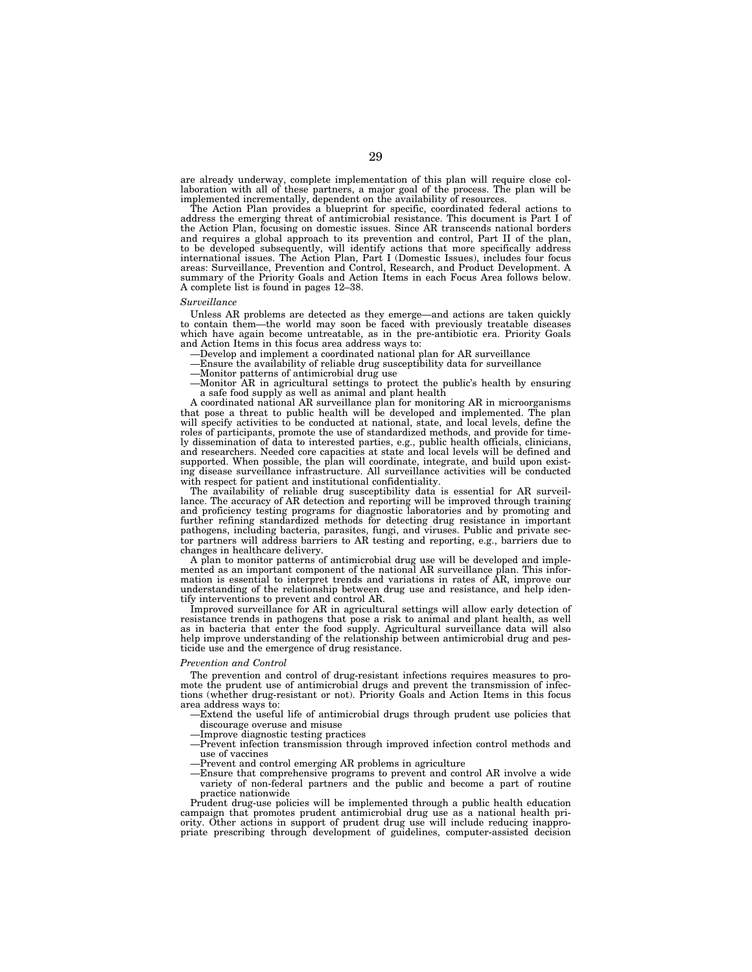are already underway, complete implementation of this plan will require close collaboration with all of these partners, a major goal of the process. The plan will be implemented incrementally, dependent on the availability of resources.

The Action Plan provides a blueprint for specific, coordinated federal actions to address the emerging threat of antimicrobial resistance. This document is Part I of the Action Plan, focusing on domestic issues. Since AR transcends national borders and requires a global approach to its prevention and control, Part II of the plan, to be developed subsequently, will identify actions that more specifically address international issues. The Action Plan, Part I (Domestic Issues), includes four focus areas: Surveillance, Prevention and Control, Research, and Product Development. A summary of the Priority Goals and Action Items in each Focus Area follows below. A complete list is found in pages 12–38.

#### *Surveillance*

Unless AR problems are detected as they emerge—and actions are taken quickly to contain them—the world may soon be faced with previously treatable diseases which have again become untreatable, as in the pre-antibiotic era. Priority Goals and Action Items in this focus area address ways to:

—Develop and implement a coordinated national plan for AR surveillance

—Ensure the availability of reliable drug susceptibility data for surveillance

—Monitor patterns of antimicrobial drug use

—Monitor AR in agricultural settings to protect the public's health by ensuring a safe food supply as well as animal and plant health

A coordinated national AR surveillance plan for monitoring AR in microorganisms that pose a threat to public health will be developed and implemented. The plan will specify activities to be conducted at national, state, and local levels, define the roles of participants, promote the use of standardized methods, and provide for timely dissemination of data to interested parties, e.g., public health officials, clinicians, and researchers. Needed core capacities at state and local levels will be defined and supported. When possible, the plan will coordinate, integrate, and build upon existing disease surveillance infrastructure. All surveillance activities will be conducted with respect for patient and institutional confidentiality.

The availability of reliable drug susceptibility data is essential for AR surveillance. The accuracy of AR detection and reporting will be improved through training and proficiency testing programs for diagnostic laboratories and by promoting and further refining standardized methods for detecting drug resistance in important pathogens, including bacteria, parasites, fungi, and viruses. Public and private sector partners will address barriers to AR testing and reporting, e.g., barriers due to changes in healthcare delivery.

A plan to monitor patterns of antimicrobial drug use will be developed and implemented as an important component of the national AR surveillance plan. This information is essential to interpret trends and variations in rates of AR, improve our understanding of the relationship between drug use and resistance, and help identify interventions to prevent and control AR.

Improved surveillance for AR in agricultural settings will allow early detection of resistance trends in pathogens that pose a risk to animal and plant health, as well as in bacteria that enter the food supply. Agricultural surveillance data will also help improve understanding of the relationship between antimicrobial drug and pesticide use and the emergence of drug resistance.

#### *Prevention and Control*

The prevention and control of drug-resistant infections requires measures to promote the prudent use of antimicrobial drugs and prevent the transmission of infections (whether drug-resistant or not). Priority Goals and Action Items in this focus area address ways to:

—Extend the useful life of antimicrobial drugs through prudent use policies that discourage overuse and misuse

—Improve diagnostic testing practices

—Prevent infection transmission through improved infection control methods and use of vaccines

- —Prevent and control emerging AR problems in agriculture
- —Ensure that comprehensive programs to prevent and control AR involve a wide variety of non-federal partners and the public and become a part of routine practice nationwide

Prudent drug-use policies will be implemented through a public health education campaign that promotes prudent antimicrobial drug use as a national health priority. Other actions in support of prudent drug use will include reducing inappropriate prescribing through development of guidelines, computer-assisted decision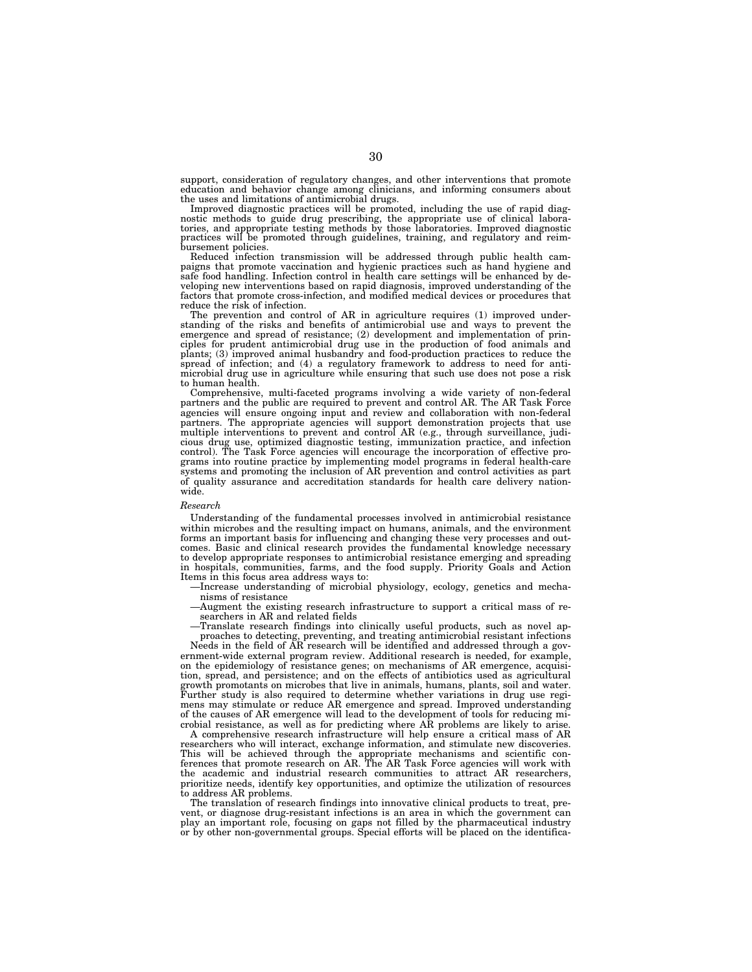support, consideration of regulatory changes, and other interventions that promote education and behavior change among clinicians, and informing consumers about the uses and limitations of antimicrobial drugs.

Improved diagnostic practices will be promoted, including the use of rapid diagnostic methods to guide drug prescribing, the appropriate use of clinical labora-tories, and appropriate testing methods by those laboratories. Improved diagnostic practices will be promoted through guidelines, training, and regulatory and reimbursement policies.

Reduced infection transmission will be addressed through public health campaigns that promote vaccination and hygienic practices such as hand hygiene and safe food handling. Infection control in health care settings will be enhanced by developing new interventions based on rapid diagnosis, improved understanding of the factors that promote cross-infection, and modified medical devices or procedures that reduce the risk of infection.

The prevention and control of AR in agriculture requires (1) improved understanding of the risks and benefits of antimicrobial use and ways to prevent the emergence and spread of resistance; (2) development and implementation of principles for prudent antimicrobial drug use in the production of food animals and plants; (3) improved animal husbandry and food-production practices to reduce the spread of infection; and (4) a regulatory framework to address to need for anti-microbial drug use in agriculture while ensuring that such use does not pose a risk to human health.

Comprehensive, multi-faceted programs involving a wide variety of non-federal partners and the public are required to prevent and control AR. The AR Task Force agencies will ensure ongoing input and review and collaboration with non-federal partners. The appropriate agencies will support demonstration projects that use multiple interventions to prevent and control AR (e.g., through surveillance, judicious drug use, optimized diagnostic testing, immunization practice, and infection control). The Task Force agencies will encourage the incorporation of effective programs into routine practice by implementing model programs in federal health-care systems and promoting the inclusion of AR prevention and control activities as part of quality assurance and accreditation standards for health care delivery nationwide.

### *Research*

Understanding of the fundamental processes involved in antimicrobial resistance within microbes and the resulting impact on humans, animals, and the environment forms an important basis for influencing and changing these very processes and outcomes. Basic and clinical research provides the fundamental knowledge necessary to develop appropriate responses to antimicrobial resistance emerging and spreading in hospitals, communities, farms, and the food supply. Priority Goals and Action Items in this focus area address ways to:

—Increase understanding of microbial physiology, ecology, genetics and mechanisms of resistance

—Augment the existing research infrastructure to support a critical mass of researchers in AR and related fields

—Translate research findings into clinically useful products, such as novel approaches to detecting, preventing, and treating antimicrobial resistant infections

Needs in the field of AR research will be identified and addressed through a government-wide external program review. Additional research is needed, for example, on the epidemiology of resistance genes; on mechanisms of AR emergence, acquisition, spread, and persistence; and on the effects of antibiotics used as agricultural growth promotants on microbes that live in animals, humans, plants, soil and water. Further study is also required to determine whether variations in drug use regimens may stimulate or reduce AR emergence and spread. Improved understanding of the causes of AR emergence will lead to the development of tools for reducing microbial resistance, as well as for predicting where AR problems are likely to arise.

A comprehensive research infrastructure will help ensure a critical mass of AR researchers who will interact, exchange information, and stimulate new discoveries. This will be achieved through the appropriate mechanisms and scientific conferences that promote research on AR. The AR Task Force agencies will work with the academic and industrial research communities to attract AR researchers, prioritize needs, identify key opportunities, and optimize the utilization of resources to address AR problems.

The translation of research findings into innovative clinical products to treat, prevent, or diagnose drug-resistant infections is an area in which the government can play an important role, focusing on gaps not filled by the pharmaceutical industry or by other non-governmental groups. Special efforts will be placed on the identifica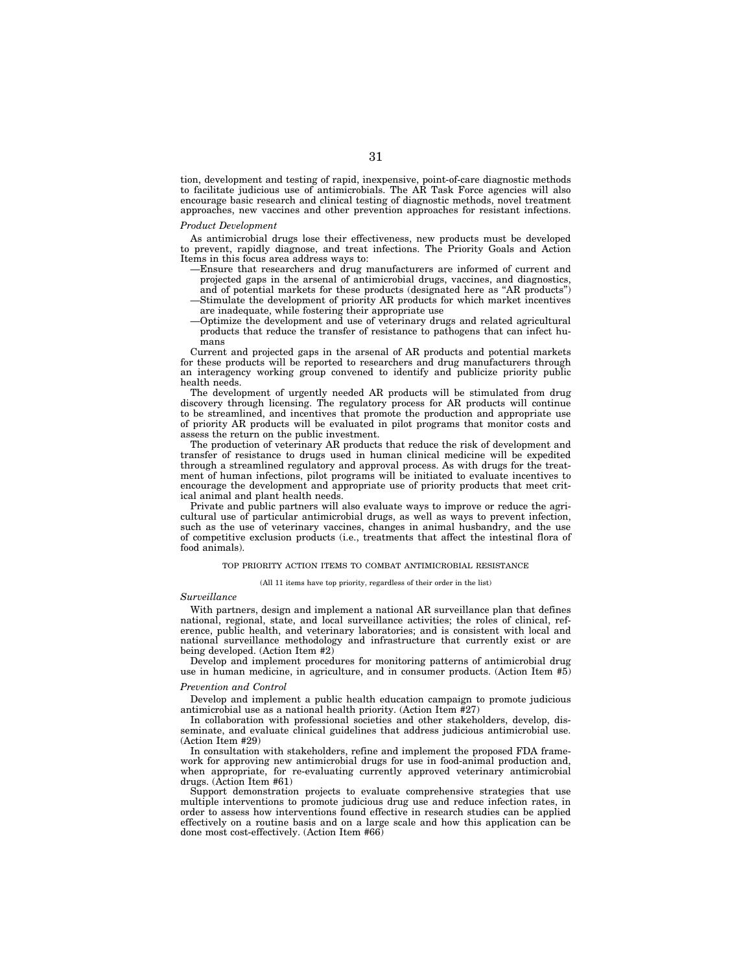tion, development and testing of rapid, inexpensive, point-of-care diagnostic methods to facilitate judicious use of antimicrobials. The AR Task Force agencies will also encourage basic research and clinical testing of diagnostic methods, novel treatment approaches, new vaccines and other prevention approaches for resistant infections.

#### *Product Development*

As antimicrobial drugs lose their effectiveness, new products must be developed to prevent, rapidly diagnose, and treat infections. The Priority Goals and Action Items in this focus area address ways to:

- —Ensure that researchers and drug manufacturers are informed of current and projected gaps in the arsenal of antimicrobial drugs, vaccines, and diagnostics, and of potential markets for these products (designated here as "AR products")
- —Stimulate the development of priority AR products for which market incentives are inadequate, while fostering their appropriate use —Optimize the development and use of veterinary drugs and related agricultural
- products that reduce the transfer of resistance to pathogens that can infect humans

Current and projected gaps in the arsenal of AR products and potential markets for these products will be reported to researchers and drug manufacturers through an interagency working group convened to identify and publicize priority public health needs.

The development of urgently needed AR products will be stimulated from drug discovery through licensing. The regulatory process for AR products will continue to be streamlined, and incentives that promote the production and appropriate use of priority AR products will be evaluated in pilot programs that monitor costs and assess the return on the public investment.

The production of veterinary AR products that reduce the risk of development and transfer of resistance to drugs used in human clinical medicine will be expedited through a streamlined regulatory and approval process. As with drugs for the treatment of human infections, pilot programs will be initiated to evaluate incentives to encourage the development and appropriate use of priority products that meet critical animal and plant health needs.

Private and public partners will also evaluate ways to improve or reduce the agricultural use of particular antimicrobial drugs, as well as ways to prevent infection, such as the use of veterinary vaccines, changes in animal husbandry, and the use of competitive exclusion products (i.e., treatments that affect the intestinal flora of food animals).

#### TOP PRIORITY ACTION ITEMS TO COMBAT ANTIMICROBIAL RESISTANCE

#### (All 11 items have top priority, regardless of their order in the list)

# *Surveillance*

With partners, design and implement a national AR surveillance plan that defines national, regional, state, and local surveillance activities; the roles of clinical, reference, public health, and veterinary laboratories; and is consistent with local and national surveillance methodology and infrastructure that currently exist or are being developed. (Action Item #2)

Develop and implement procedures for monitoring patterns of antimicrobial drug use in human medicine, in agriculture, and in consumer products. (Action Item #5)

# *Prevention and Control*

Develop and implement a public health education campaign to promote judicious antimicrobial use as a national health priority. (Action Item #27)

In collaboration with professional societies and other stakeholders, develop, disseminate, and evaluate clinical guidelines that address judicious antimicrobial use. (Action Item #29)

In consultation with stakeholders, refine and implement the proposed FDA framework for approving new antimicrobial drugs for use in food-animal production and, when appropriate, for re-evaluating currently approved veterinary antimicrobial drugs. (Action Item #61)

Support demonstration projects to evaluate comprehensive strategies that use multiple interventions to promote judicious drug use and reduce infection rates, in order to assess how interventions found effective in research studies can be applied effectively on a routine basis and on a large scale and how this application  $\hat{can}$  be done most cost-effectively. (Action Item #66)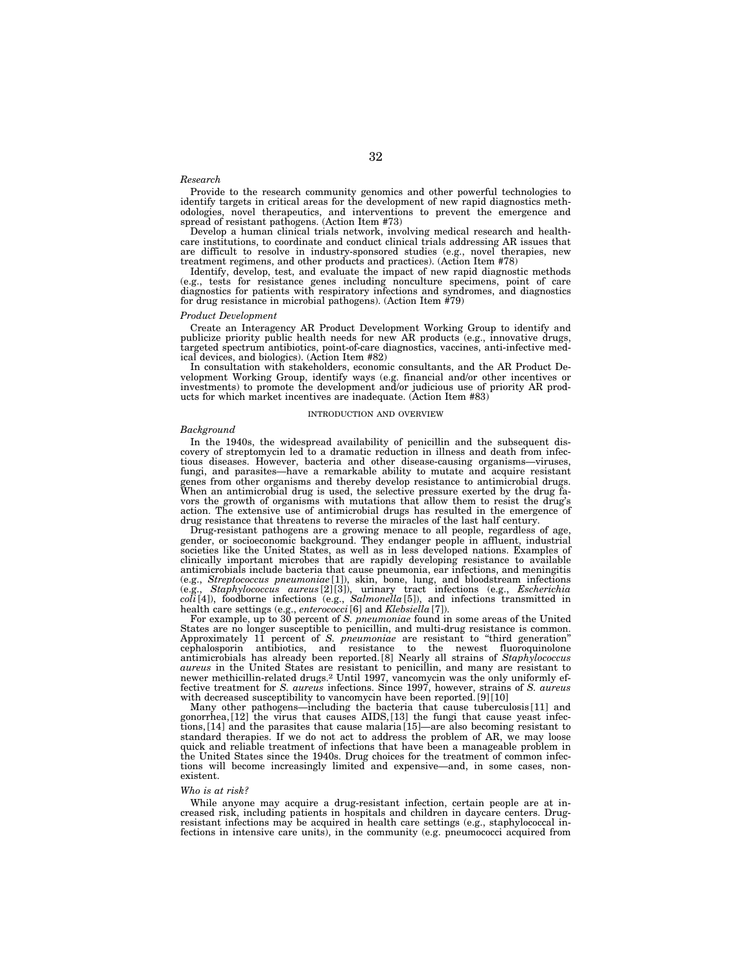#### *Research*

Provide to the research community genomics and other powerful technologies to identify targets in critical areas for the development of new rapid diagnostics methodologies, novel therapeutics, and interventions to prevent the emergence and spread of resistant pathogens. (Action Item #73)

Develop a human clinical trials network, involving medical research and healthcare institutions, to coordinate and conduct clinical trials addressing AR issues that are difficult to resolve in industry-sponsored studies (e.g., novel therapies, new treatment regimens, and other products and practices). (Action Item #78)

Identify, develop, test, and evaluate the impact of new rapid diagnostic methods (e.g., tests for resistance genes including nonculture specimens, point of care diagnostics for patients with respiratory infections and syndromes, and diagnostics for drug resistance in microbial pathogens). (Action Item #79)

#### *Product Development*

Create an Interagency AR Product Development Working Group to identify and publicize priority public health needs for new AR products (e.g., innovative drugs, targeted spectrum antibiotics, point-of-care diagnostics, vaccines, anti-infective medical devices, and biologics). (Action Item #82)

In consultation with stakeholders, economic consultants, and the AR Product Development Working Group, identify ways (e.g. financial and/or other incentives or investments) to promote the development and/or judicious use of priority AR products for which market incentives are inadequate. (Action Item #83)

#### INTRODUCTION AND OVERVIEW

#### *Background*

In the 1940s, the widespread availability of penicillin and the subsequent discovery of streptomycin led to a dramatic reduction in illness and death from infectious diseases. However, bacteria and other disease-causing organisms—viruses, fungi, and parasites—have a remarkable ability to mutate and acquire resistant genes from other organisms and thereby develop resistance to antimicrobial drugs. When an antimicrobial drug is used, the selective pressure exerted by the drug favors the growth of organisms with mutations that allow them to resist the drug's action. The extensive use of antimicrobial drugs has resulted in the emergence of drug resistance that threatens to reverse the miracles of the last half century.

Drug-resistant pathogens are a growing menace to all people, regardless of age, gender, or socioeconomic background. They endanger people in affluent, industrial societies like the United States, as well as in less developed nations. Examples of clinically important microbes that are rapidly developing resistance to available antimicrobials include bacteria that cause pneumonia, ear infections, and meningitis (e.g., *Streptococcus pneumoniae* [1]), skin, bone, lung, and bloodstream infections (e.g., *Staphylococcus aureus* [2] [3]), urinary tract infections (e.g., *Escherichia coli*[4]), foodborne infections (e.g., *Salmonella* [5]), and infections transmitted in health care settings (e.g., *enterococci*[6] and *Klebsiella* [7]).

For example, up to 30 percent of *S. pneumoniae* found in some areas of the United States are no longer susceptible to penicillin, and multi-drug resistance is common. Approximately 11 percent of *S. pneumoniae* are resistant to ''third generation'' cephalosporin antibiotics, and resistance to the newest fluoroquinolone antimicrobials has already been reported. [8] Nearly all strains of *Staphylococcus aureus* in the United States are resistant to penicillin, and many are resistant to newer methicillin-related drugs.<sup>2</sup> Until 1997, vancomycin was the only uniformly effective treatment for *S. aureus* infections. Since 1997, however, strains of *S. aureus* with decreased susceptibility to vancomycin have been reported. [9] [10]

Many other pathogens—including the bacteria that cause tuberculosis [11] and gonorrhea, [12] the virus that causes AIDS, [13] the fungi that cause yeast infections, [14] and the parasites that cause malaria [15]—are also becoming resistant to standard therapies. If we do not act to address the problem of AR, we may loose quick and reliable treatment of infections that have been a manageable problem in the United States since the 1940s. Drug choices for the treatment of common infections will become increasingly limited and expensive—and, in some cases, nonexistent.

## *Who is at risk?*

While anyone may acquire a drug-resistant infection, certain people are at increased risk, including patients in hospitals and children in daycare centers. Drugresistant infections may be acquired in health care settings (e.g., staphylococcal infections in intensive care units), in the community (e.g. pneumococci acquired from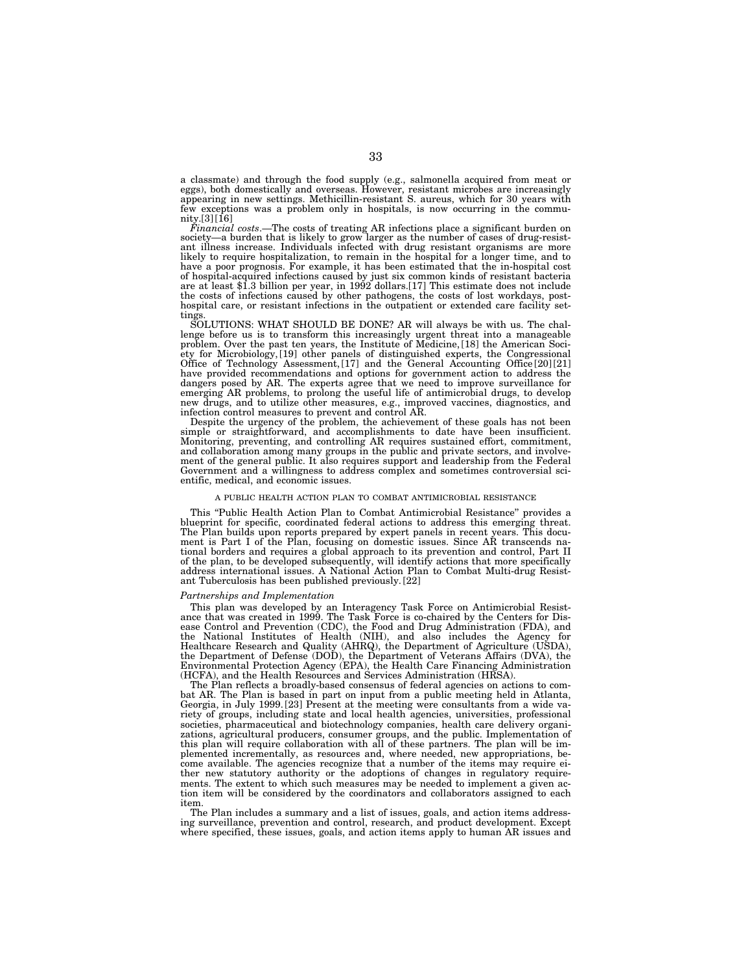a classmate) and through the food supply (e.g., salmonella acquired from meat or eggs), both domestically and overseas. However, resistant microbes are increasingly appearing in new settings. Methicillin-resistant S. aureus, which for 30 years with few exceptions was a problem only in hospitals, is now occurring in the community.[3] [16]

*Financial costs*.—The costs of treating AR infections place a significant burden on society—a burden that is likely to grow larger as the number of cases of drug-resistant illness increase. Individuals infected with drug resistant organisms are more likely to require hospitalization, to remain in the hospital for a longer time, and to have a poor prognosis. For example, it has been estimated that the in-hospital cost of hospital-acquired infections caused by just six common kinds of resistant bacteria are at least \$1.3 billion per year, in 1992 dollars.[17] This estimate does not include the costs of infections caused by other pathogens, the costs of lost workdays, posthospital care, or resistant infections in the outpatient or extended care facility settings.

SOLUTIONS: WHAT SHOULD BE DONE? AR will always be with us. The challenge before us is to transform this increasingly urgent threat into a manageable problem. Over the past ten years, the Institute of Medicine, [18] the American Soci-ety for Microbiology, [19] other panels of distinguished experts, the Congressional Office of Technology Assessment, [17] and the General Accounting Office [20] [21] have provided recommendations and options for government action to address the dangers posed by AR. The experts agree that we need to improve surveillance for emerging AR problems, to prolong the useful life of antimicrobial drugs, to develop new drugs, and to utilize other measures, e.g., improved vaccines, diagnostics, and infection control measures to prevent and control AR.

Despite the urgency of the problem, the achievement of these goals has not been simple or straightforward, and accomplishments to date have been insufficient. Monitoring, preventing, and controlling AR requires sustained effort, commitment, and collaboration among many groups in the public and private sectors, and involve-<br>ment of the general public. It also requires support and leadership from the Federal<br>Government and a willingness to address complex and s entific, medical, and economic issues.

### A PUBLIC HEALTH ACTION PLAN TO COMBAT ANTIMICROBIAL RESISTANCE

This ''Public Health Action Plan to Combat Antimicrobial Resistance'' provides a blueprint for specific, coordinated federal actions to address this emerging threat. The Plan builds upon reports prepared by expert panels in recent years. This document is Part I of the Plan, focusing on domestic issues. Since AR transcends national borders and requires a global approach to its prevention and control, Part II of the plan, to be developed subsequently, will identify actions that more specifically address international issues. A National Action Plan to Combat Multi-drug Resistant Tuberculosis has been published previously. [22]

#### *Partnerships and Implementation*

This plan was developed by an Interagency Task Force on Antimicrobial Resistance that was created in 1999. The Task Force is co-chaired by the Centers for Disease Control and Prevention (CDC), the Food and Drug Administrat Healthcare Research and Quality (AHRQ), the Department of Agriculture (USDA), the Department of Defense (DOD), the Department of Veterans Affairs (DVA), the Environmental Protection Agency (EPA), the Health Care Financing Administration (HCFA), and the Health Resources and Services Administration (HRSA).

The Plan reflects a broadly-based consensus of federal agencies on actions to combat AR. The Plan is based in part on input from a public meeting held in Atlanta, Georgia, in July 1999. [23] Present at the meeting were consultants from a wide variety of groups, including state and local health agencies, universities, professional societies, pharmaceutical and biotechnology companies, health care delivery organizations, agricultural producers, consumer groups, and the public. Implementation of this plan will require collaboration with all of these partners. The plan will be implemented incrementally, as resources and, where needed, new appropriations, become available. The agencies recognize that a number of the items may require either new statutory authority or the adoptions of changes in regulatory requirements. The extent to which such measures may be needed to implement a given action item will be considered by the coordinators and collaborators assigned to each item.

The Plan includes a summary and a list of issues, goals, and action items addressing surveillance, prevention and control, research, and product development. Except where specified, these issues, goals, and action items apply to human AR issues and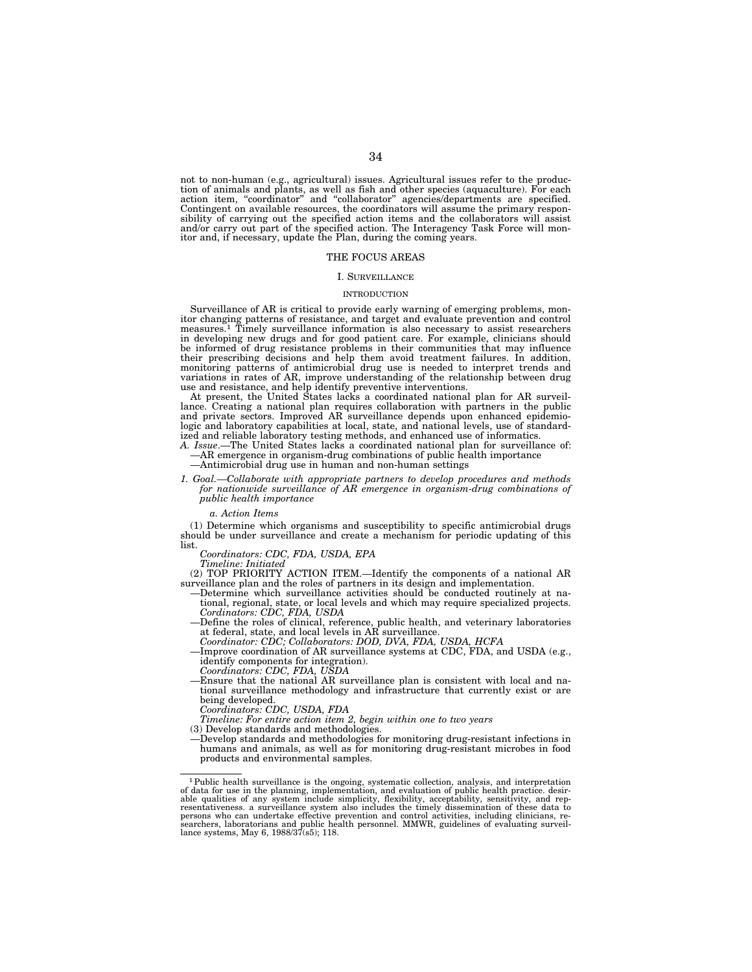not to non-human (e.g., agricultural) issues. Agricultural issues refer to the production of animals and plants, as well as fish and other species (aquaculture). For each action item, ''coordinator'' and ''collaborator'' agencies/departments are specified. Contingent on available resources, the coordinators will assume the primary responsibility of carrying out the specified action items and the collaborators will assist and/or carry out part of the specified action. The Interagency Task Force will monitor and, if necessary, update the Plan, during the coming years.

# THE FOCUS AREAS

# I. SURVEILLANCE

#### INTRODUCTION

Surveillance of AR is critical to provide early warning of emerging problems, monitor changing patterns of resistance, and target and evaluate prevention and control measures.1 Timely surveillance information is also necessary to assist researchers in developing new drugs and for good patient care. For example, clinicians should be informed of drug resistance problems in their communities that may influence their prescribing decisions and help them avoid treatment failures. In addition, monitoring patterns of antimicrobial drug use is needed to interpret trends and variations in rates of AR, improve understanding of the relationship between drug use and resistance, and help identify preventive interventions.

At present, the United States lacks a coordinated national plan for AR surveillance. Creating a national plan requires collaboration with partners in the public and private sectors. Improved AR surveillance depends upon enhanced epidemiologic and laboratory capabilities at local, state, and national levels, use of standardized and reliable laboratory testing methods, and enhanced use of informatics.<br>A. Issue.—The United States lacks a coordinated national plan for surveillance of:

-AR emergence in organism-drug combinations of public health importance<br>-Antimicrobial drug use in human and non-human settings

*1. Goal.—Collaborate with appropriate partners to develop procedures and methods for nationwide surveillance of AR emergence in organism-drug combinations of public health importance*

*a. Action Items*

(1) Determine which organisms and susceptibility to specific antimicrobial drugs should be under surveillance and create a mechanism for periodic updating of this list.

*Coordinators: CDC, FDA, USDA, EPA*

*Timeline: Initiated*

(2) TOP PRIORITY ACTION ITEM.—Identify the components of a national AR

- surveillance plan and the roles of partners in its design and implementation. —Determine which surveillance activities should be conducted routinely at national, regional, state, or local levels and which may require specialized projects. Cordinators: CDC, FDA, USDA
- *Cordinators: CDC, FDA, USDA* —Define the roles of clinical, reference, public health, and veterinary laboratories at federal, state, and local levels in AR surveillance.
- *Coordinator: CDC; Collaborators: DOD, DVA, FDA, USDA, HCFA* —<br>—Improve coordination of AR surveillance systems at CDC, FDA, and USDA (e.g.,
- identify components for integration).<br>Coordinators: CDC, FDA, USDA
- 
- *Coordinators: CDC, FDA, Ensure that the national AR surveillance plan is consistent with local and na*tional surveillance methodology and infrastructure that currently exist or are being developed.

*Coordinators: CDC, USDA, FDA*

*Timeline: For entire action item 2, begin within one to two years*

(3) Develop standards and methodologies.

—Develop standards and methodologies for monitoring drug-resistant infections in humans and animals, as well as for monitoring drug-resistant microbes in food products and environmental samples.

 $^1$  Public health surveillance is the ongoing, systematic collection, analysis, and interpretation of data for use in the planning, implementation, and evaluation of public health practice. desirable qualities of any sys persons who can undertake effective prevention and control activities, including clinicians, researchers, laboratorians and public health personnel. MMWR, guidelines of evaluating surveil-lance systems, May 6, 1988/37(s5); 118.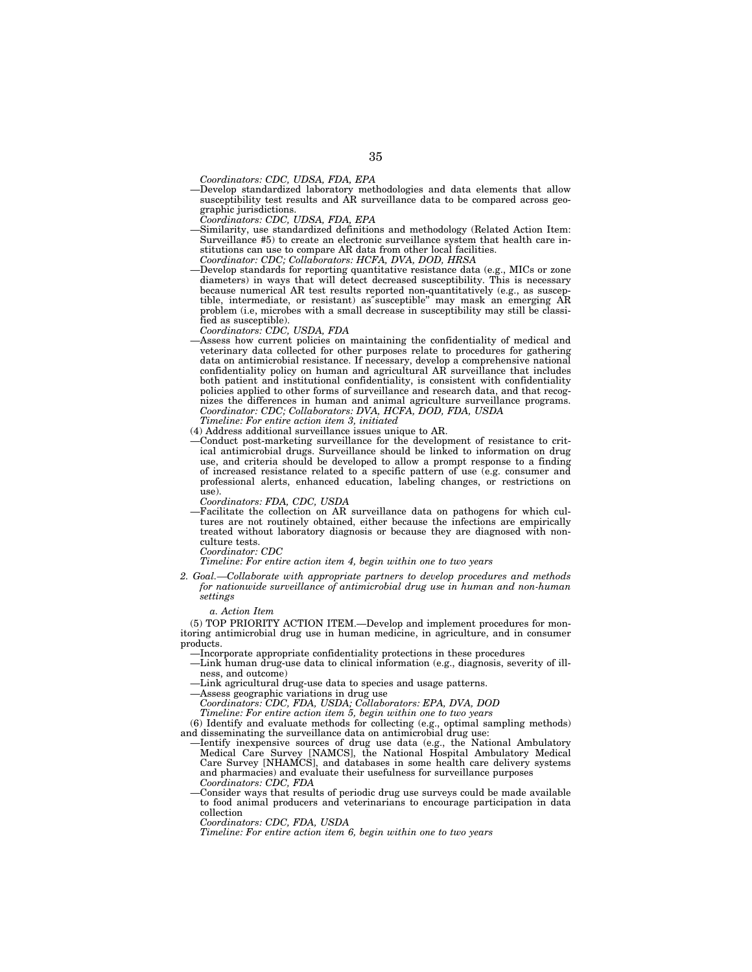*Coordinators: CDC, UDSA, FDA, EPA*

- —Develop standardized laboratory methodologies and data elements that allow susceptibility test results and AR surveillance data to be compared across geographic jurisdictions.
- *Coordinators: CDC, UDSA, FDA, EPA*
- —Similarity, use standardized definitions and methodology (Related Action Item: Surveillance #5) to create an electronic surveillance system that health care institutions can use to compare AR data from other local facilities. *Coordinator: CDC; Collaborators: HCFA, DVA, DOD, HRSA*
- —Develop standards for reporting quantitative resistance data (e.g., MICs or zone diameters) in ways that will detect decreased susceptibility. This is necessary because numerical AR test results reported non-quantitatively (e.g., as susceptible, intermediate, or resistant) as″susceptible'' may mask an emerging AR problem (i.e, microbes with a small decrease in susceptibility may still be classified as susceptible).

*Coordinators: CDC, USDA, FDA*

—Assess how current policies on maintaining the confidentiality of medical and veterinary data collected for other purposes relate to procedures for gathering data on antimicrobial resistance. If necessary, develop a comprehensive national confidentiality policy on human and agricultural  $AR$  surveillance that includes both patient and institutional confidentiality, is consistent with confidentiality policies applied to other forms of surveillance and research data, and that recognizes the differences in human and animal agriculture surveillance programs. *Coordinator: CDC; Collaborators: DVA, HCFA, DOD, FDA, USDA*

*Timeline: For entire action item 3, initiated*

- (4) Address additional surveillance issues unique to AR. —Conduct post-marketing surveillance for the development of resistance to crit-
- ical antimicrobial drugs. Surveillance should be linked to information on drug use, and criteria should be developed to allow a prompt response to a finding of increased resistance related to a specific pattern of use (e.g. consumer and professional alerts, enhanced education, labeling changes, or restrictions on use).

*Coordinators: FDA, CDC, USDA*

Facilitate the collection on AR surveillance data on pathogens for which cultures are not routinely obtained, either because the infections are empirically treated without laboratory diagnosis or because they are diagnosed with nonculture tests.

*Coordinator: CDC*

*Timeline: For entire action item 4, begin within one to two years*

*2. Goal.—Collaborate with appropriate partners to develop procedures and methods for nationwide surveillance of antimicrobial drug use in human and non-human settings*

*a. Action Item*

(5) TOP PRIORITY ACTION ITEM.—Develop and implement procedures for monitoring antimicrobial drug use in human medicine, in agriculture, and in consumer products.

- —Incorporate appropriate confidentiality protections in these procedures
- —Link human drug-use data to clinical information (e.g., diagnosis, severity of illness, and outcome)
- —Link agricultural drug-use data to species and usage patterns.
- —Assess geographic variations in drug use
- *Coordinators: CDC, FDA, USDA; Collaborators: EPA, DVA, DOD*
- *Timeline: For entire action item 5, begin within one to two years* (6) Identify and evaluate methods for collecting (e.g., optimal sampling methods)

and disseminating the surveillance data on antimicrobial drug use:

- —Ientify inexpensive sources of drug use data (e.g., the National Ambulatory Medical Care Survey [NAMCS], the National Hospital Ambulatory Medical Care Survey [NHAMCS], and databases in some health care delivery systems and pharmacies) and evaluate their usefulness for surveillance purposes *Coordinators: CDC, FDA*
- —Consider ways that results of periodic drug use surveys could be made available to food animal producers and veterinarians to encourage participation in data collection
- *Coordinators: CDC, FDA, USDA*

*Timeline: For entire action item 6, begin within one to two years*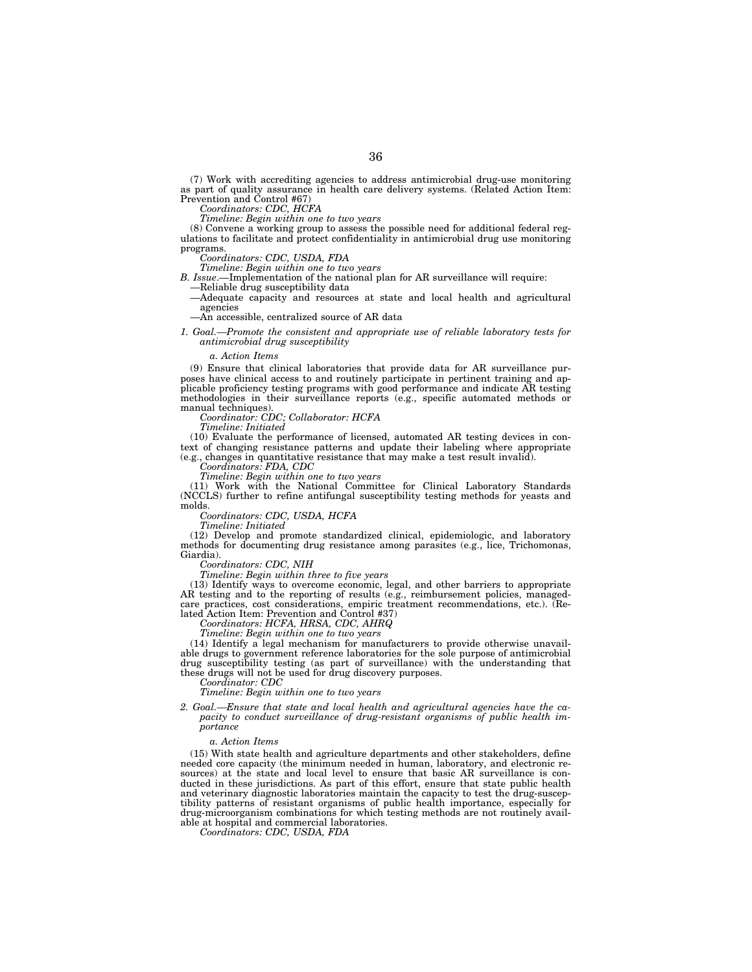(7) Work with accrediting agencies to address antimicrobial drug-use monitoring as part of quality assurance in health care delivery systems. (Related Action Item: Prevention and Control #67)

*Coordinators: CDC, HCFA*

*Timeline: Begin within one to two years*

(8) Convene a working group to assess the possible need for additional federal regulations to facilitate and protect confidentiality in antimicrobial drug use monitoring programs.

*Coordinators: CDC, USDA, FDA*

*Timeline: Begin within one to two years*

*B. Issue*.—Implementation of the national plan for AR surveillance will require:

—Reliable drug susceptibility data

—Adequate capacity and resources at state and local health and agricultural agencies

—An accessible, centralized source of AR data

*1. Goal.—Promote the consistent and appropriate use of reliable laboratory tests for antimicrobial drug susceptibility*

*a. Action Items*

(9) Ensure that clinical laboratories that provide data for AR surveillance purposes have clinical access to and routinely participate in pertinent training and applicable proficiency testing programs with good performance and indicate AR testing methodologies in their surveillance reports (e.g., specific automated methods or manual techniques).

*Coordinator: CDC; Collaborator: HCFA*

*Timeline: Initiated*

(10) Evaluate the performance of licensed, automated AR testing devices in context of changing resistance patterns and update their labeling where appropriate (e.g., changes in quantitative resistance that may make a test result invalid).

*Coordinators: FDA, CDC*

*Timeline: Begin within one to two years*

(11) Work with the National Committee for Clinical Laboratory Standards (NCCLS) further to refine antifungal susceptibility testing methods for yeasts and molds.

*Coordinators: CDC, USDA, HCFA*

*Timeline: Initiated*

(12) Develop and promote standardized clinical, epidemiologic, and laboratory methods for documenting drug resistance among parasites (e.g., lice, Trichomonas, Giardia).

*Coordinators: CDC, NIH*

*Timeline: Begin within three to five years*

(13) Identify ways to overcome economic, legal, and other barriers to appropriate AR testing and to the reporting of results (e.g., reimbursement policies, managedcare practices, cost considerations, empiric treatment recommendations, etc.). (Related Action Item: Prevention and Control #37)

*Coordinators: HCFA, HRSA, CDC, AHRQ*

*Timeline: Begin within one to two years*

(14) Identify a legal mechanism for manufacturers to provide otherwise unavailable drugs to government reference laboratories for the sole purpose of antimicrobial drug susceptibility testing (as part of surveillance) with the understanding that these drugs will not be used for drug discovery purposes.

*Coordinator: CDC*

*Timeline: Begin within one to two years*

*2. Goal.—Ensure that state and local health and agricultural agencies have the capacity to conduct surveillance of drug-resistant organisms of public health importance*

*a. Action Items*

(15) With state health and agriculture departments and other stakeholders, define needed core capacity (the minimum needed in human, laboratory, and electronic resources) at the state and local level to ensure that basic AR surveillance is conducted in these jurisdictions. As part of this effort, ensure that state public health and veterinary diagnostic laboratories maintain the capacity to test the drug-susceptibility patterns of resistant organisms of public health importance, especially for drug-microorganism combinations for which testing methods are not routinely available at hospital and commercial laboratories.

*Coordinators: CDC, USDA, FDA*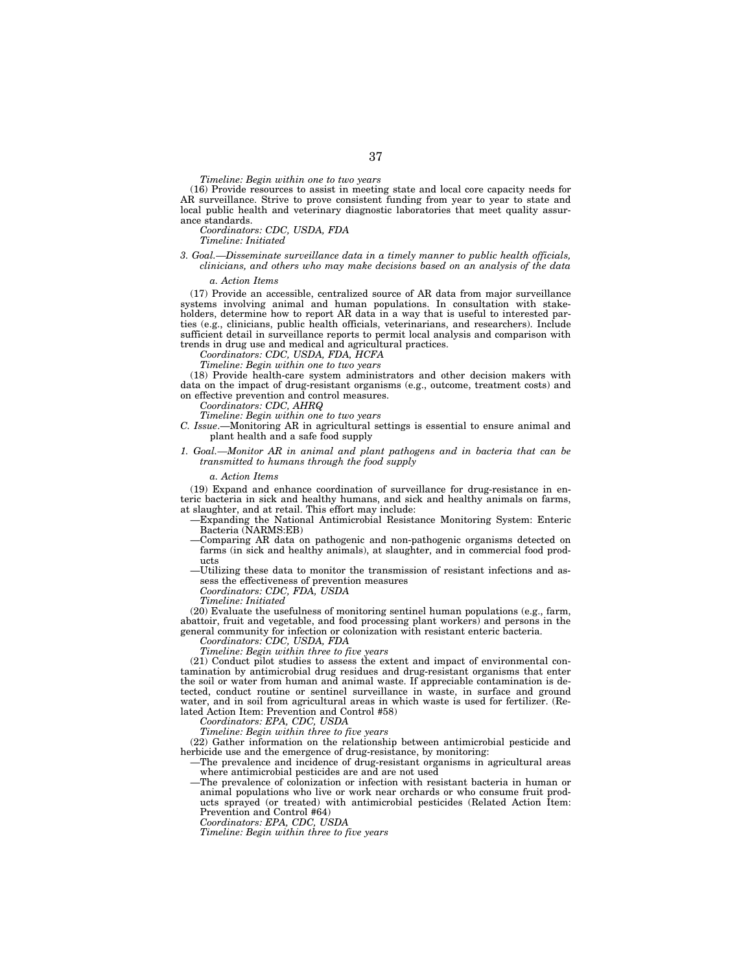*Timeline: Begin within one to two years*

(16) Provide resources to assist in meeting state and local core capacity needs for AR surveillance. Strive to prove consistent funding from year to year to state and local public health and veterinary diagnostic laboratories that meet quality assurance standards.

*Coordinators: CDC, USDA, FDA Timeline: Initiated*

# *3. Goal.—Disseminate surveillance data in a timely manner to public health officials, clinicians, and others who may make decisions based on an analysis of the data*

*a. Action Items*

(17) Provide an accessible, centralized source of AR data from major surveillance systems involving animal and human populations. In consultation with stakeholders, determine how to report AR data in a way that is useful to interested parties (e.g., clinicians, public health officials, veterinarians, and researchers). Include sufficient detail in surveillance reports to permit local analysis and comparison with trends in drug use and medical and agricultural practices.

*Coordinators: CDC, USDA, FDA, HCFA*

*Timeline: Begin within one to two years*

(18) Provide health-care system administrators and other decision makers with data on the impact of drug-resistant organisms (e.g., outcome, treatment costs) and on effective prevention and control measures.

*Coordinators: CDC, AHRQ*

*Timeline: Begin within one to two years*

*C. Issue*.—Monitoring AR in agricultural settings is essential to ensure animal and plant health and a safe food supply

## *1. Goal.—Monitor AR in animal and plant pathogens and in bacteria that can be transmitted to humans through the food supply*

#### *a. Action Items*

(19) Expand and enhance coordination of surveillance for drug-resistance in enteric bacteria in sick and healthy humans, and sick and healthy animals on farms, at slaughter, and at retail. This effort may include:

- —Expanding the National Antimicrobial Resistance Monitoring System: Enteric Bacteria (NARMS:EB)
- —Comparing AR data on pathogenic and non-pathogenic organisms detected on farms (in sick and healthy animals), at slaughter, and in commercial food products
- —Utilizing these data to monitor the transmission of resistant infections and assess the effectiveness of prevention measures

*Coordinators: CDC, FDA, USDA Timeline: Initiated*

(20) Evaluate the usefulness of monitoring sentinel human populations (e.g., farm, abattoir, fruit and vegetable, and food processing plant workers) and persons in the general community for infection or colonization with resistant enteric bacteria.

*Coordinators: CDC, USDA, FDA*

*Timeline: Begin within three to five years*

(21) Conduct pilot studies to assess the extent and impact of environmental contamination by antimicrobial drug residues and drug-resistant organisms that enter the soil or water from human and animal waste. If appreciable contamination is detected, conduct routine or sentinel surveillance in waste, in surface and ground water, and in soil from agricultural areas in which waste is used for fertilizer. (Related Action Item: Prevention and Control #58)

*Coordinators: EPA, CDC, USDA*

*Timeline: Begin within three to five years*

(22) Gather information on the relationship between antimicrobial pesticide and herbicide use and the emergence of drug-resistance, by monitoring:

—The prevalence and incidence of drug-resistant organisms in agricultural areas where antimicrobial pesticides are and are not used

—The prevalence of colonization or infection with resistant bacteria in human or animal populations who live or work near orchards or who consume fruit products sprayed (or treated) with antimicrobial pesticides (Related Action Item: Prevention and Control #64)

*Coordinators: EPA, CDC, USDA*

*Timeline: Begin within three to five years*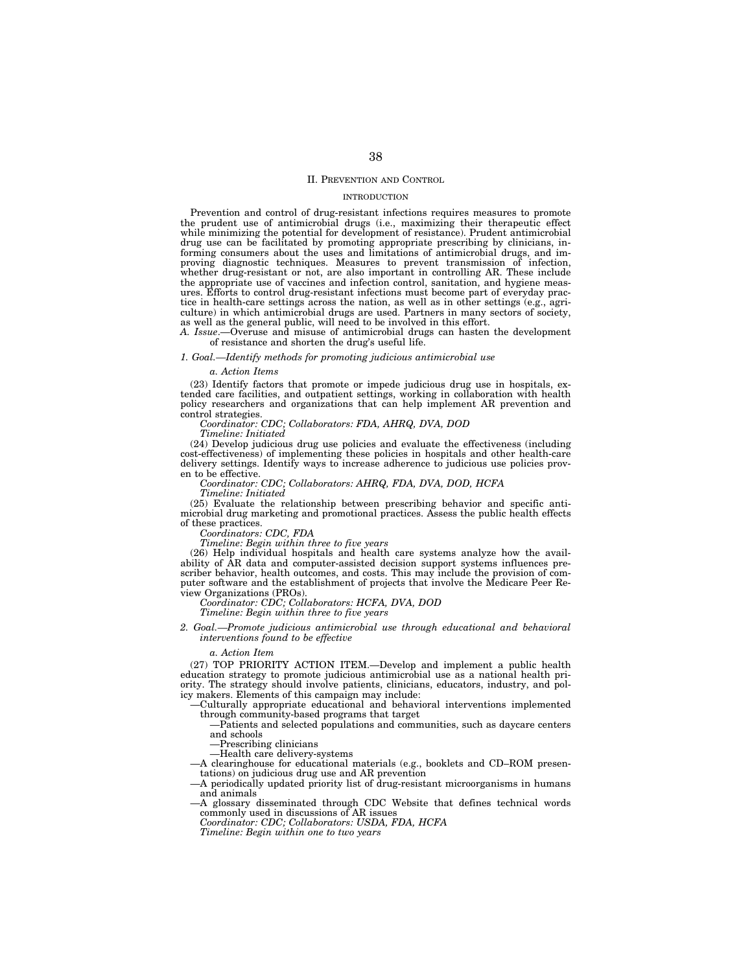# II. PREVENTION AND CONTROL

## INTRODUCTION

Prevention and control of drug-resistant infections requires measures to promote the prudent use of antimicrobial drugs (i.e., maximizing their therapeutic effect while minimizing the potential for development of resistance). Prudent antimicrobial drug use can be facilitated by promoting appropriate prescribing by clinicians, informing consumers about the uses and limitations of antimicrobial drugs, and improving diagnostic techniques. Measures to prevent transmission of infection, whether drug-resistant or not, are also important in controlling AR. These include the appropriate use of vaccines and infection control, sanitation, and hygiene measures. Efforts to control drug-resistant infections must become part of everyday practice in health-care settings across the nation, as well as in other settings (e.g., agriculture) in which antimicrobial drugs are used. Partners in many sectors of society, as well as the general public, will need to be involved in this effort.

*A. Issue*.—Overuse and misuse of antimicrobial drugs can hasten the development of resistance and shorten the drug's useful life.

## *1. Goal.—Identify methods for promoting judicious antimicrobial use*

#### *a. Action Items*

(23) Identify factors that promote or impede judicious drug use in hospitals, extended care facilities, and outpatient settings, working in collaboration with health policy researchers and organizations that can help implement AR prevention and control strategies.

*Coordinator: CDC; Collaborators: FDA, AHRQ, DVA, DOD*

*Timeline: Initiated*

(24) Develop judicious drug use policies and evaluate the effectiveness (including cost-effectiveness) of implementing these policies in hospitals and other health-care delivery settings. Identify ways to increase adherence to judicious use policies proven to be effective.

*Coordinator: CDC; Collaborators: AHRQ, FDA, DVA, DOD, HCFA*

*Timeline: Initiated*

(25) Evaluate the relationship between prescribing behavior and specific antimicrobial drug marketing and promotional practices. Assess the public health effects of these practices.

*Coordinators: CDC, FDA*

*Timeline: Begin within three to five years*

(26) Help individual hospitals and health care systems analyze how the availability of AR data and computer-assisted decision support systems influences prescriber behavior, health outcomes, and costs. This may include the provision of computer software and the establishment of projects that involve the Medicare Peer Review Organizations (PROs).

*Coordinator: CDC; Collaborators: HCFA, DVA, DOD*

*Timeline: Begin within three to five years*

*2. Goal.—Promote judicious antimicrobial use through educational and behavioral interventions found to be effective*

*a. Action Item*

(27) TOP PRIORITY ACTION ITEM.—Develop and implement a public health education strategy to promote judicious antimicrobial use as a national health priority. The strategy should involve patients, clinicians, educators, industry, and policy makers. Elements of this campaign may include:

—Culturally appropriate educational and behavioral interventions implemented through community-based programs that target

—Patients and selected populations and communities, such as daycare centers and schools

—Prescribing clinicians

—Health care delivery-systems

—A clearinghouse for educational materials (e.g., booklets and CD–ROM presentations) on judicious drug use and AR prevention

—A periodically updated priority list of drug-resistant microorganisms in humans and animals

—A glossary disseminated through CDC Website that defines technical words commonly used in discussions of AR issues *Coordinator: CDC; Collaborators: USDA, FDA, HCFA*

*Timeline: Begin within one to two years*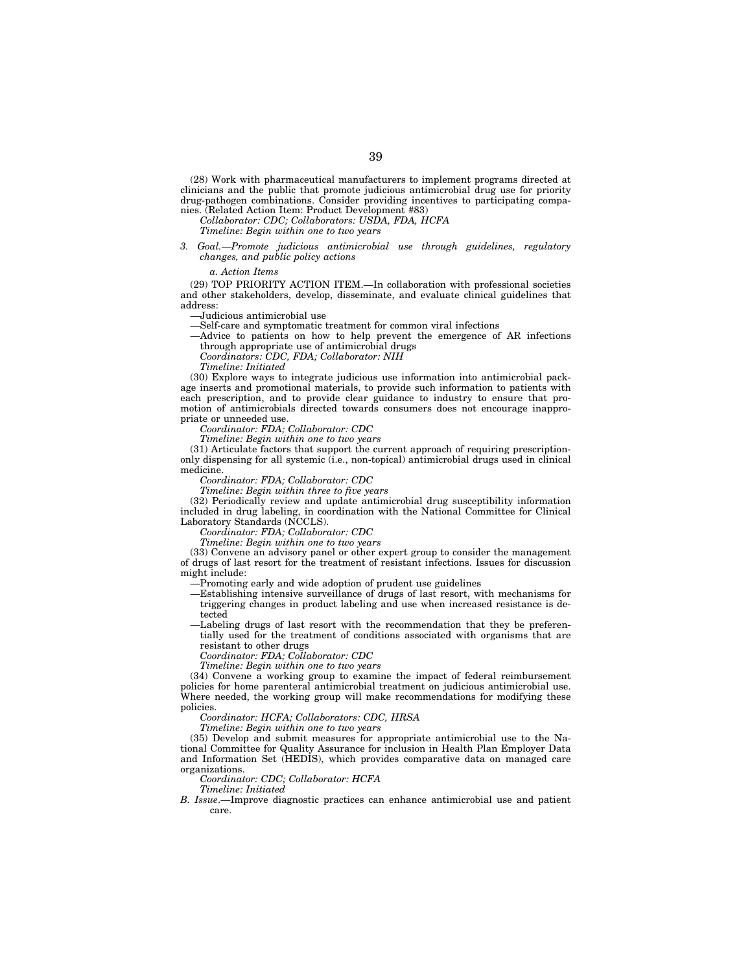(28) Work with pharmaceutical manufacturers to implement programs directed at clinicians and the public that promote judicious antimicrobial drug use for priority drug-pathogen combinations. Consider providing incentives to participating companies. (Related Action Item: Product Development #83)

*Collaborator: CDC; Collaborators: USDA, FDA, HCFA*

*Timeline: Begin within one to two years*

*3. Goal.—Promote judicious antimicrobial use through guidelines, regulatory changes, and public policy actions*

*a. Action Items*

(29) TOP PRIORITY ACTION ITEM.—In collaboration with professional societies and other stakeholders, develop, disseminate, and evaluate clinical guidelines that address:

—Judicious antimicrobial use

—Self-care and symptomatic treatment for common viral infections

—Advice to patients on how to help prevent the emergence of AR infections through appropriate use of antimicrobial drugs

*Coordinators: CDC, FDA; Collaborator: NIH*

*Timeline: Initiated*

(30) Explore ways to integrate judicious use information into antimicrobial package inserts and promotional materials, to provide such information to patients with each prescription, and to provide clear guidance to industry to ensure that promotion of antimicrobials directed towards consumers does not encourage inappropriate or unneeded use.

*Coordinator: FDA; Collaborator: CDC*

*Timeline: Begin within one to two years*

(31) Articulate factors that support the current approach of requiring prescriptiononly dispensing for all systemic (i.e., non-topical) antimicrobial drugs used in clinical medicine.

*Coordinator: FDA; Collaborator: CDC*

*Timeline: Begin within three to five years*

(32) Periodically review and update antimicrobial drug susceptibility information included in drug labeling, in coordination with the National Committee for Clinical Laboratory Standards (NCCLS).

*Coordinator: FDA; Collaborator: CDC*

*Timeline: Begin within one to two years*

(33) Convene an advisory panel or other expert group to consider the management of drugs of last resort for the treatment of resistant infections. Issues for discussion might include:

—Promoting early and wide adoption of prudent use guidelines

- —Establishing intensive surveillance of drugs of last resort, with mechanisms for triggering changes in product labeling and use when increased resistance is detected
- —Labeling drugs of last resort with the recommendation that they be preferentially used for the treatment of conditions associated with organisms that are resistant to other drugs

*Coordinator: FDA; Collaborator: CDC*

*Timeline: Begin within one to two years*

(34) Convene a working group to examine the impact of federal reimbursement policies for home parenteral antimicrobial treatment on judicious antimicrobial use. Where needed, the working group will make recommendations for modifying these policies.

*Coordinator: HCFA; Collaborators: CDC, HRSA*

*Timeline: Begin within one to two years*

(35) Develop and submit measures for appropriate antimicrobial use to the National Committee for Quality Assurance for inclusion in Health Plan Employer Data and Information Set (HEDIS), which provides comparative data on managed care organizations.

*Coordinator: CDC; Collaborator: HCFA*

*Timeline: Initiated*

*B. Issue*.—Improve diagnostic practices can enhance antimicrobial use and patient care.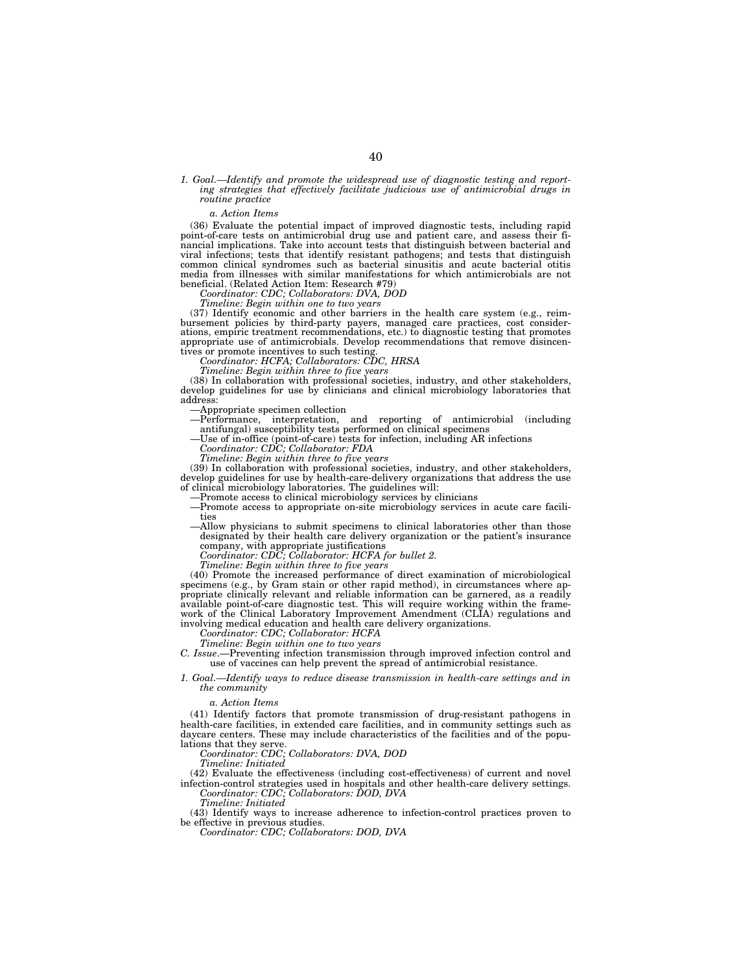#### *1. Goal.—Identify and promote the widespread use of diagnostic testing and reporting strategies that effectively facilitate judicious use of antimicrobial drugs in routine practice*

*a. Action Items*

(36) Evaluate the potential impact of improved diagnostic tests, including rapid point-of-care tests on antimicrobial drug use and patient care, and assess their financial implications. Take into account tests that distinguish between bacterial and viral infections; tests that identify resistant pathogens; and tests that distinguish common clinical syndromes such as bacterial sinusitis and acute bacterial otitis media from illnesses with similar manifestations for which antimicrobials are not beneficial. (Related Action Item: Research #79)

*Coordinator: CDC; Collaborators: DVA, DOD*

*Timeline: Begin within one to two years*

(37) Identify economic and other barriers in the health care system (e.g., reimbursement policies by third-party payers, managed care practices, cost considerations, empiric treatment recommendations, etc.) to diagnostic testing that promotes appropriate use of antimicrobials. Develop recommendations that remove disincen-

tives or promote incentives to such testing. *Coordinator: HCFA; Collaborators: CDC, HRSA*

*Timeline: Begin within three to five years*

(38) In collaboration with professional societies, industry, and other stakeholders, develop guidelines for use by clinicians and clinical microbiology laboratories that address:

—Appropriate specimen collection<br>—Performance, interpretation, and reporting of antimicrobial (including<br>—antifungal) susceptibility tests performed on clinical specimens antifungal) susceptibility tests performed on clinical specimens —Use of in-office (point-of-care) tests for infection, including AR infections *Coordinator: CDC; Collaborator: FDA*

*Timeline: Begin within three to five years*

(39) In collaboration with professional societies, industry, and other stakeholders, develop guidelines for use by health-care-delivery organizations that address the use<br>of clinical microbiology laboratories. The guidelines will:<br>—Promote access to clinical microbiology services by clinicians<br>—Promote acc

- Promote access to appropriate on-site microbiology services in acute care facilities<br>Allow physicians to submit specimens to clinical laboratories other than those
- designated by their health care delivery organization or the patient's insurance company, with appropriate justifications *Coordinator: CDC; Collaborator: HCFA for bullet 2.*

*Timeline: Begin within three to five years*

(40) Promote the increased performance of direct examination of microbiological specimens (e.g., by Gram stain or other rapid method), in circumstances where appropriate clinically relevant and reliable information can be garnered, as a readily available point-of-care diagnostic test. This will require working within the framework of the Clinical Laboratory Improvement Amendment (CLIA) regulations and involving medical education and health care delivery organizations.

*Coordinator: CDC; Collaborator: HCFA*

*Timeline: Begin within one to two years*

*C. Issue*.—Preventing infection transmission through improved infection control and use of vaccines can help prevent the spread of antimicrobial resistance.

*1. Goal.—Identify ways to reduce disease transmission in health-care settings and in the community*

*a. Action Items*

(41) Identify factors that promote transmission of drug-resistant pathogens in health-care facilities, in extended care facilities, and in community settings such as daycare centers. These may include characteristics of the facilities and of the populations that they serve.

*Coordinator: CDC; Collaborators: DVA, DOD*

*Timeline: Initiated*

(42) Evaluate the effectiveness (including cost-effectiveness) of current and novel infection-control strategies used in hospitals and other health-care delivery settings. *Coordinator: CDC; Collaborators: DOD, DVA*

*Timeline: Initiated*

(43) Identify ways to increase adherence to infection-control practices proven to be effective in previous studies.

*Coordinator: CDC; Collaborators: DOD, DVA*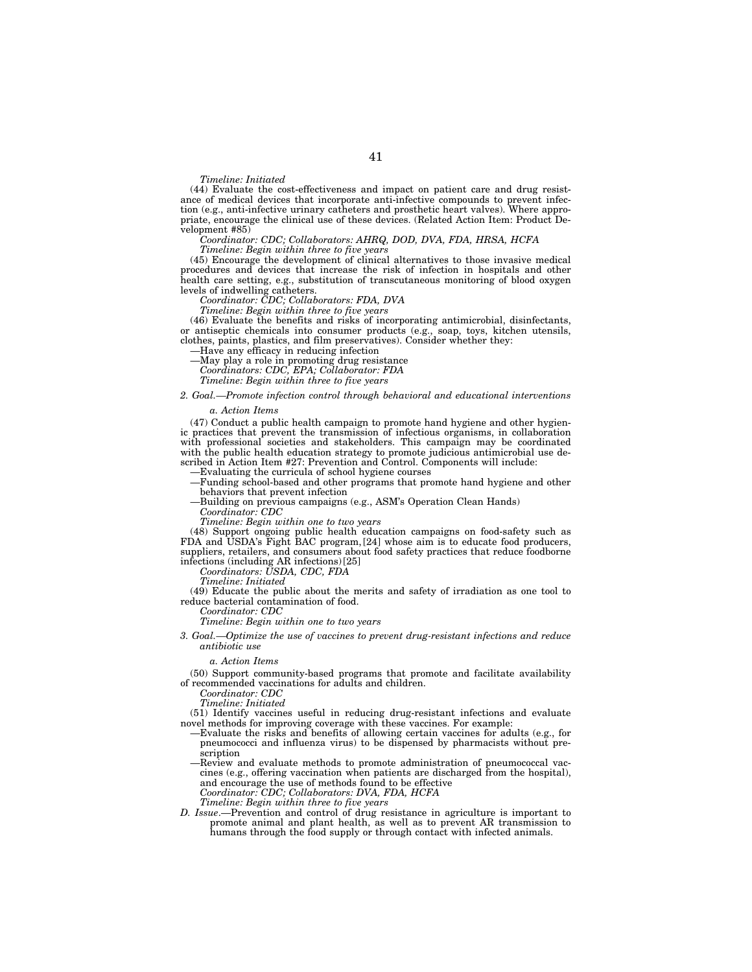## *Timeline: Initiated*

(44) Evaluate the cost-effectiveness and impact on patient care and drug resistance of medical devices that incorporate anti-infective compounds to prevent infection (e.g., anti-infective urinary catheters and prosthetic heart valves). Where appropriate, encourage the clinical use of these devices. (Related Action Item: Product Development #85)

*Coordinator: CDC; Collaborators: AHRQ, DOD, DVA, FDA, HRSA, HCFA*

*Timeline: Begin within three to five years*

 $(45)$  Encourage the development of clinical alternatives to those invasive medical procedures and devices that increase the risk of infection in hospitals and other health care setting, e.g., substitution of transcutaneous monitoring of blood oxygen levels of indwelling catheters.

*Coordinator: CDC; Collaborators: FDA, DVA Timeline: Begin within three to five years*

(46) Evaluate the benefits and risks of incorporating antimicrobial, disinfectants, or antiseptic chemicals into consumer products (e.g., soap, toys, kitchen utensils, clothes, paints, plastics, and film preservatives). Consider whether they:

—Have any efficacy in reducing infection

—May play a role in promoting drug resistance

*Coordinators: CDC, EPA; Collaborator: FDA*

*Timeline: Begin within three to five years*

# *2. Goal.—Promote infection control through behavioral and educational interventions*

*a. Action Items*

(47) Conduct a public health campaign to promote hand hygiene and other hygienic practices that prevent the transmission of infectious organisms, in collaboration with professional societies and stakeholders. This campaign may be coordinated with the public health education strategy to promote judicious antimicrobial use described in Action Item #27: Prevention and Control. Components will include:

—Evaluating the curricula of school hygiene courses

—Funding school-based and other programs that promote hand hygiene and other behaviors that prevent infection

—Building on previous campaigns (e.g., ASM's Operation Clean Hands)

*Coordinator: CDC*

*Timeline: Begin within one to two years*

(48) Support ongoing public health education campaigns on food-safety such as FDA and USDA's Fight BAC program, [24] whose aim is to educate food producers, suppliers, retailers, and consumers about food safety practices that reduce foodborne infections (including AR infections) [25]

*Coordinators: USDA, CDC, FDA*

*Timeline: Initiated*

(49) Educate the public about the merits and safety of irradiation as one tool to reduce bacterial contamination of food.

*Coordinator: CDC*

*Timeline: Begin within one to two years*

#### *3. Goal.—Optimize the use of vaccines to prevent drug-resistant infections and reduce antibiotic use*

*a. Action Items*

(50) Support community-based programs that promote and facilitate availability of recommended vaccinations for adults and children.

*Coordinator: CDC*

*Timeline: Initiated*

(51) Identify vaccines useful in reducing drug-resistant infections and evaluate novel methods for improving coverage with these vaccines. For example:

- —Evaluate the risks and benefits of allowing certain vaccines for adults (e.g., for pneumococci and influenza virus) to be dispensed by pharmacists without prescription
- —Review and evaluate methods to promote administration of pneumococcal vaccines (e.g., offering vaccination when patients are discharged from the hospital), and encourage the use of methods found to be effective

*Coordinator: CDC; Collaborators: DVA, FDA, HCFA*

*Timeline: Begin within three to five years*

*D. Issue*.—Prevention and control of drug resistance in agriculture is important to promote animal and plant health, as well as to prevent AR transmission to humans through the food supply or through contact with infected animals.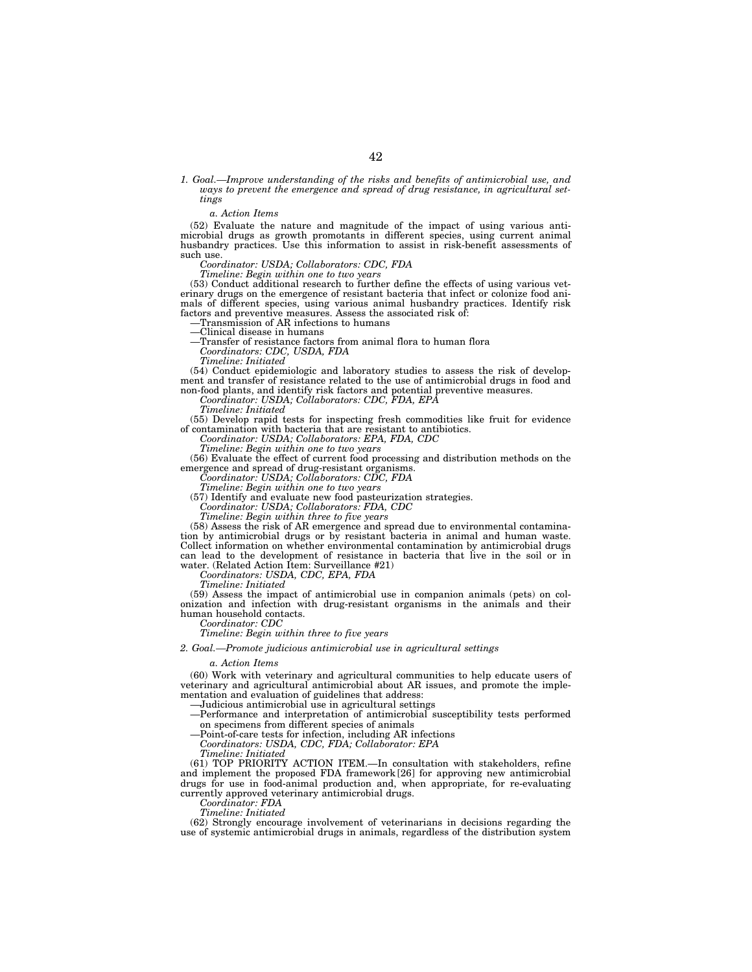#### *1. Goal.—Improve understanding of the risks and benefits of antimicrobial use, and ways to prevent the emergence and spread of drug resistance, in agricultural settings*

*a. Action Items*

(52) Evaluate the nature and magnitude of the impact of using various antimicrobial drugs as growth promotants in different species, using current animal husbandry practices. Use this information to assist in risk-benefit assessments of such use.

*Coordinator: USDA; Collaborators: CDC, FDA*

*Timeline: Begin within one to two years*

(53) Conduct additional research to further define the effects of using various veterinary drugs on the emergence of resistant bacteria that infect or colonize food animals of different species, using various animal husbandry practices. Identify risk

-Transmission of AR infections to humans<br>-Clinical disease in humans<br>-Transfer of resistance factors from animal flora to human flora *Coordinators: CDC, USDA, FDA*

*Timeline: Initiated*

(54) Conduct epidemiologic and laboratory studies to assess the risk of development and transfer of resistance related to the use of antimicrobial drugs in food and non-food plants, and identify risk factors and potential preventive measures. *Coordinator: USDA; Collaborators: CDC, FDA, EPA*

*Timeline: Initiated*

(55) Develop rapid tests for inspecting fresh commodities like fruit for evidence of contamination with bacteria that are resistant to antibiotics.

*Coordinator: USDA; Collaborators: EPA, FDA, CDC Timeline: Begin within one to two years*

(56) Evaluate the effect of current food processing and distribution methods on the emergence and spread of drug-resistant organisms.

*Coordinator: USDA; Collaborators: CDC, FDA Timeline: Begin within one to two years*

(57) Identify and evaluate new food pasteurization strategies.

*Coordinator: USDA; Collaborators: FDA, CDC*

*Timeline: Begin within three to five years*

(58) Assess the risk of AR emergence and spread due to environmental contamination by antimicrobial drugs or by resistant bacteria in animal and human waste. Collect information on whether environmental contamination by antimicrobial drugs can lead to the development of resistance in bacteria that live in the soil or in water. (Related Action Item: Surveillance #21)

*Coordinators: USDA, CDC, EPA, FDA*

*Timeline: Initiated*

(59) Assess the impact of antimicrobial use in companion animals (pets) on colonization and infection with drug-resistant organisms in the animals and their human household contacts.

*Coordinator: CDC*

*Timeline: Begin within three to five years*

## *2. Goal.—Promote judicious antimicrobial use in agricultural settings*

# *a. Action Items*

(60) Work with veterinary and agricultural communities to help educate users of veterinary and agricultural antimicrobial about AR issues, and promote the implementation and evaluation of guidelines that address:

—Judicious antimicrobial use in agricultural settings

—Performance and interpretation of antimicrobial susceptibility tests performed on specimens from different species of animals

—Point-of-care tests for infection, including AR infections

*Coordinators: USDA, CDC, FDA; Collaborator: EPA*

*Timeline: Initiated*

(61) TOP PRIORITY ACTION ITEM.—In consultation with stakeholders, refine and implement the proposed FDA framework [26] for approving new antimicrobial drugs for use in food-animal production and, when appropriate, for re-evaluating currently approved veterinary antimicrobial drugs.

*Coordinator: FDA*

*Timeline: Initiated*

(62) Strongly encourage involvement of veterinarians in decisions regarding the use of systemic antimicrobial drugs in animals, regardless of the distribution system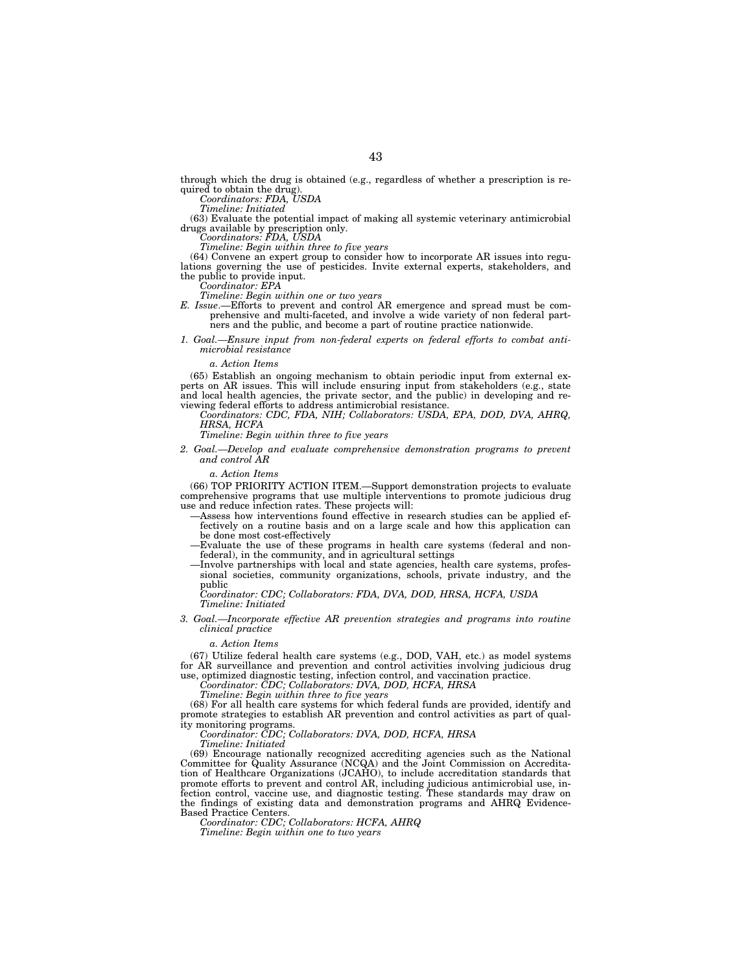through which the drug is obtained (e.g., regardless of whether a prescription is required to obtain the drug).

*Coordinators: FDA, USDA Timeline: Initiated*

(63) Evaluate the potential impact of making all systemic veterinary antimicrobial drugs available by prescription only. *Coordinators: FDA, USDA*

*Timeline: Begin within three to five years*

(64) Convene an expert group to consider how to incorporate AR issues into regulations governing the use of pesticides. Invite external experts, stakeholders, and the public to provide input.

*Coordinator: EPA*

*Timeline: Begin within one or two years*

- *E. Issue*.—Efforts to prevent and control AR emergence and spread must be comprehensive and multi-faceted, and involve a wide variety of non federal partners and the public, and become a part of routine practice nationwide.
- *1. Goal.—Ensure input from non-federal experts on federal efforts to combat antimicrobial resistance*

*a. Action Items*

(65) Establish an ongoing mechanism to obtain periodic input from external experts on AR issues. This will include ensuring input from stakeholders (e.g., state and local health agencies, the private sector, and the public) in developing and reviewing federal efforts to address antimicrobial resistance.

*Coordinators: CDC, FDA, NIH; Collaborators: USDA, EPA, DOD, DVA, AHRQ, HRSA, HCFA*

*Timeline: Begin within three to five years*

*2. Goal.—Develop and evaluate comprehensive demonstration programs to prevent and control AR*

*a. Action Items*

(66) TOP PRIORITY ACTION ITEM.—Support demonstration projects to evaluate comprehensive programs that use multiple interventions to promote judicious drug use and reduce infection rates. These projects will:

—Assess how interventions found effective in research studies can be applied effectively on a routine basis and on a large scale and how this application can be done most cost-effectively

—Evaluate the use of these programs in health care systems (federal and nonfederal), in the community, and in agricultural settings

—Involve partnerships with local and state agencies, health care systems, professional societies, community organizations, schools, private industry, and the public

*Coordinator: CDC; Collaborators: FDA, DVA, DOD, HRSA, HCFA, USDA Timeline: Initiated*

*3. Goal.—Incorporate effective AR prevention strategies and programs into routine clinical practice*

*a. Action Items*

(67) Utilize federal health care systems (e.g., DOD, VAH, etc.) as model systems for AR surveillance and prevention and control activities involving judicious drug use, optimized diagnostic testing, infection control, and vaccination practice.

*Coordinator: CDC; Collaborators: DVA, DOD, HCFA, HRSA*

*Timeline: Begin within three to five years*

(68) For all health care systems for which federal funds are provided, identify and promote strategies to establish AR prevention and control activities as part of quality monitoring programs.

*Coordinator: CDC; Collaborators: DVA, DOD, HCFA, HRSA*

*Timeline: Initiated*

(69) Encourage nationally recognized accrediting agencies such as the National Committee for Quality Assurance (NCQA) and the Joint Commission on Accreditation of Healthcare Organizations (JCAHO), to include accreditation standards that promote efforts to prevent and control AR, including judicious antimicrobial use, infection control, vaccine use, and diagnostic testing. These standards may draw on the findings of existing data and demonstration programs and AHRQ Evidence-

Based Practice Centers. *Coordinator: CDC; Collaborators: HCFA, AHRQ*

*Timeline: Begin within one to two years*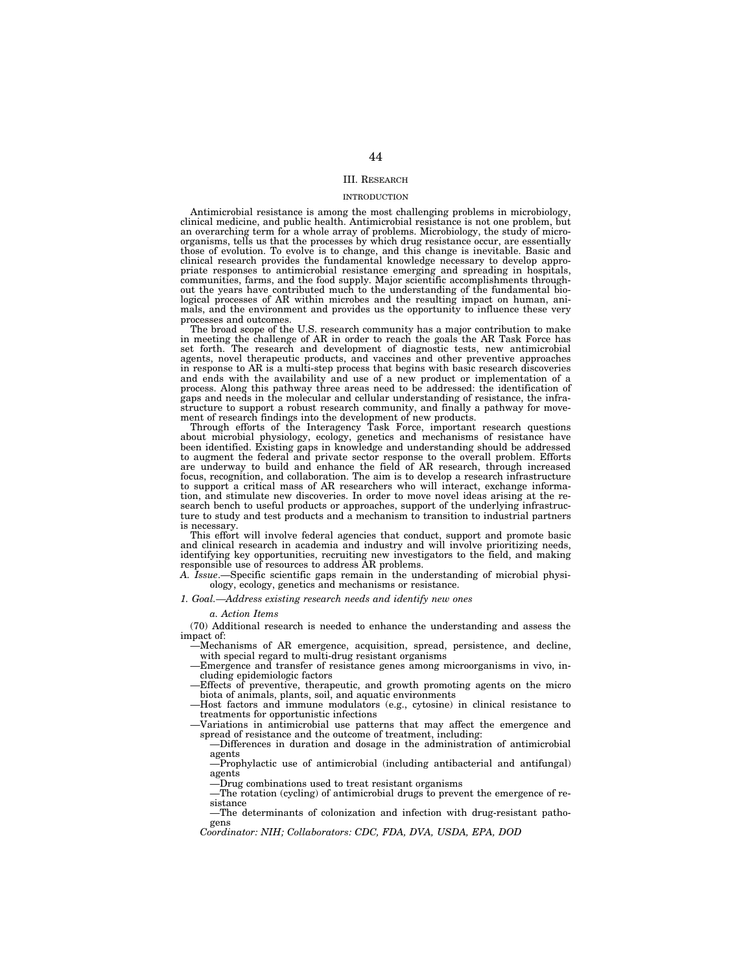# III. RESEARCH

### INTRODUCTION

Antimicrobial resistance is among the most challenging problems in microbiology, clinical medicine, and public health. Antimicrobial resistance is not one problem, but an overarching term for a whole array of problems. Microbiology, the study of microorganisms, tells us that the processes by which drug resistance occur, are essentially those of evolution. To evolve is to change, and this change is inevitable. Basic and clinical research provides the fundamental knowledge necessary to develop appropriate responses to antimicrobial resistance emerging and spreading in hospitals, communities, farms, and the food supply. Major scientific accomplishments throughout the years have contributed much to the understanding of the fundamental biological processes of AR within microbes and the resulting impact on human, animals, and the environment and provides us the opportunity to influence these very processes and outcomes.

The broad scope of the U.S. research community has a major contribution to make in meeting the challenge of AR in order to reach the goals the AR Task Force has set forth. The research and development of diagnostic tests, new antimicrobial agents, novel therapeutic products, and vaccines and other preventive approaches in response to AR is a multi-step process that begins with basic research discoveries and ends with the availability and use of a new product or implementation of a process. Along this pathway three areas need to be addressed: the identification of gaps and needs in the molecular and cellular understanding of resistance, the infrastructure to support a robust research community, and finally a pathway for movement of research findings into the development of new products.

Through efforts of the Interagency Task Force, important research questions about microbial physiology, ecology, genetics and mechanisms of resistance have been identified. Existing gaps in knowledge and understanding should be addressed to augment the federal and private sector response to the overall problem. Efforts are underway to build and enhance the field of AR research, through increased focus, recognition, and collaboration. The aim is to develop a research infrastructure to support a critical mass of AR researchers who will interact, exchange information, and stimulate new discoveries. In order to move novel ideas arising at the research bench to useful products or approaches, support of the underlying infrastructure to study and test products and a mechanism to transition to industrial partners is necessary.

This effort will involve federal agencies that conduct, support and promote basic and clinical research in academia and industry and will involve prioritizing needs, identifying key opportunities, recruiting new investigators to the field, and making responsible use of resources to address AR problems.

*A. Issue*.—Specific scientific gaps remain in the understanding of microbial physiology, ecology, genetics and mechanisms or resistance.

*1. Goal.—Address existing research needs and identify new ones*

*a. Action Items*

(70) Additional research is needed to enhance the understanding and assess the impact of:

—Mechanisms of AR emergence, acquisition, spread, persistence, and decline, with special regard to multi-drug resistant organisms

—Emergence and transfer of resistance genes among microorganisms in vivo, including epidemiologic factors

—Effects of preventive, therapeutic, and growth promoting agents on the micro biota of animals, plants, soil, and aquatic environments

—Host factors and immune modulators (e.g., cytosine) in clinical resistance to treatments for opportunistic infections

—Variations in antimicrobial use patterns that may affect the emergence and spread of resistance and the outcome of treatment, including:

—Differences in duration and dosage in the administration of antimicrobial agents

—Prophylactic use of antimicrobial (including antibacterial and antifungal) agents

—Drug combinations used to treat resistant organisms

—The rotation (cycling) of antimicrobial drugs to prevent the emergence of resistance

—The determinants of colonization and infection with drug-resistant pathogens

*Coordinator: NIH; Collaborators: CDC, FDA, DVA, USDA, EPA, DOD*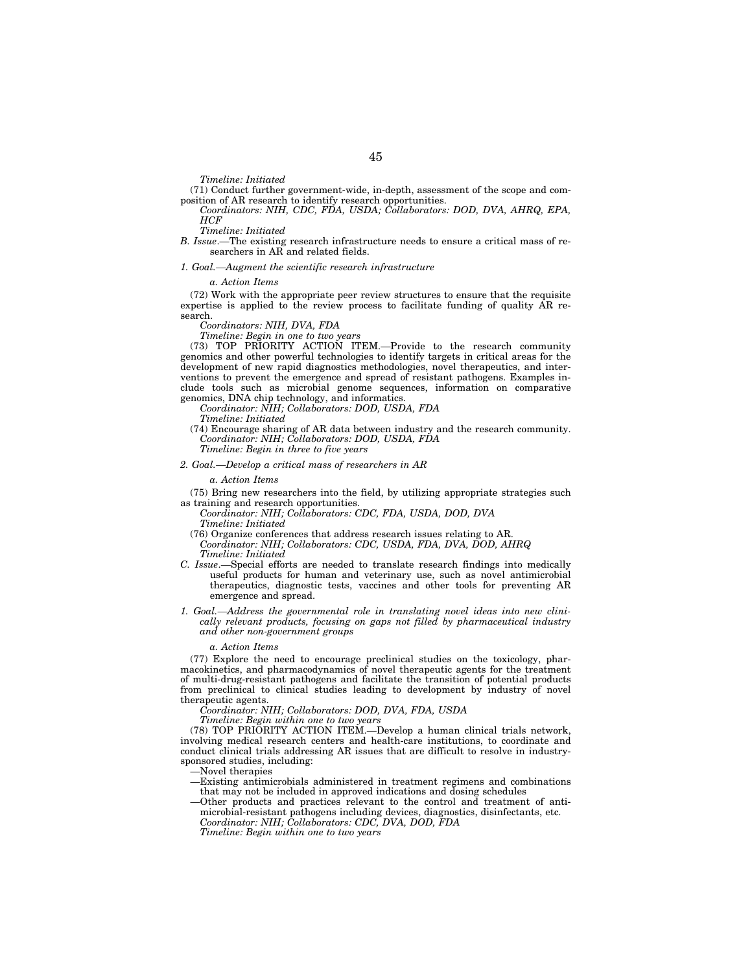*Timeline: Initiated*

(71) Conduct further government-wide, in-depth, assessment of the scope and composition of AR research to identify research opportunities.

*Coordinators: NIH, CDC, FDA, USDA; Collaborators: DOD, DVA, AHRQ, EPA, HCF*

*Timeline: Initiated*

*B. Issue*.—The existing research infrastructure needs to ensure a critical mass of researchers in AR and related fields.

*1. Goal.—Augment the scientific research infrastructure*

*a. Action Items*

(72) Work with the appropriate peer review structures to ensure that the requisite expertise is applied to the review process to facilitate funding of quality  $AR$  research.

*Coordinators: NIH, DVA, FDA*

*Timeline: Begin in one to two years*

(73) TOP PRIORITY ACTION ITEM.—Provide to the research community genomics and other powerful technologies to identify targets in critical areas for the development of new rapid diagnostics methodologies, novel therapeutics, and interventions to prevent the emergence and spread of resistant pathogens. Examples include tools such as microbial genome sequences, information on comparative genomics, DNA chip technology, and informatics.

*Coordinator: NIH; Collaborators: DOD, USDA, FDA*

*Timeline: Initiated*

(74) Encourage sharing of AR data between industry and the research community. *Coordinator: NIH; Collaborators: DOD, USDA, FDA*

*Timeline: Begin in three to five years*

*2. Goal.—Develop a critical mass of researchers in AR*

*a. Action Items*

(75) Bring new researchers into the field, by utilizing appropriate strategies such as training and research opportunities.

- *Coordinator: NIH; Collaborators: CDC, FDA, USDA, DOD, DVA Timeline: Initiated*
- (76) Organize conferences that address research issues relating to AR. *Coordinator: NIH; Collaborators: CDC, USDA, FDA, DVA, DOD, AHRQ Timeline: Initiated*
- *C. Issue*.—Special efforts are needed to translate research findings into medically useful products for human and veterinary use, such as novel antimicrobial therapeutics, diagnostic tests, vaccines and other tools for preventing AR emergence and spread.
- *1. Goal.—Address the governmental role in translating novel ideas into new clinically relevant products, focusing on gaps not filled by pharmaceutical industry and other non-government groups*

*a. Action Items*

(77) Explore the need to encourage preclinical studies on the toxicology, pharmacokinetics, and pharmacodynamics of novel therapeutic agents for the treatment of multi-drug-resistant pathogens and facilitate the transition of potential products from preclinical to clinical studies leading to development by industry of novel therapeutic agents.

*Coordinator: NIH; Collaborators: DOD, DVA, FDA, USDA*

*Timeline: Begin within one to two years*

(78) TOP PRIORITY ACTION ITEM.—Develop a human clinical trials network, involving medical research centers and health-care institutions, to coordinate and conduct clinical trials addressing AR issues that are difficult to resolve in industrysponsored studies, including:

—Novel therapies

- —Existing antimicrobials administered in treatment regimens and combinations that may not be included in approved indications and dosing schedules
- —Other products and practices relevant to the control and treatment of antimicrobial-resistant pathogens including devices, diagnostics, disinfectants, etc. *Coordinator: NIH; Collaborators: CDC, DVA, DOD, FDA Timeline: Begin within one to two years*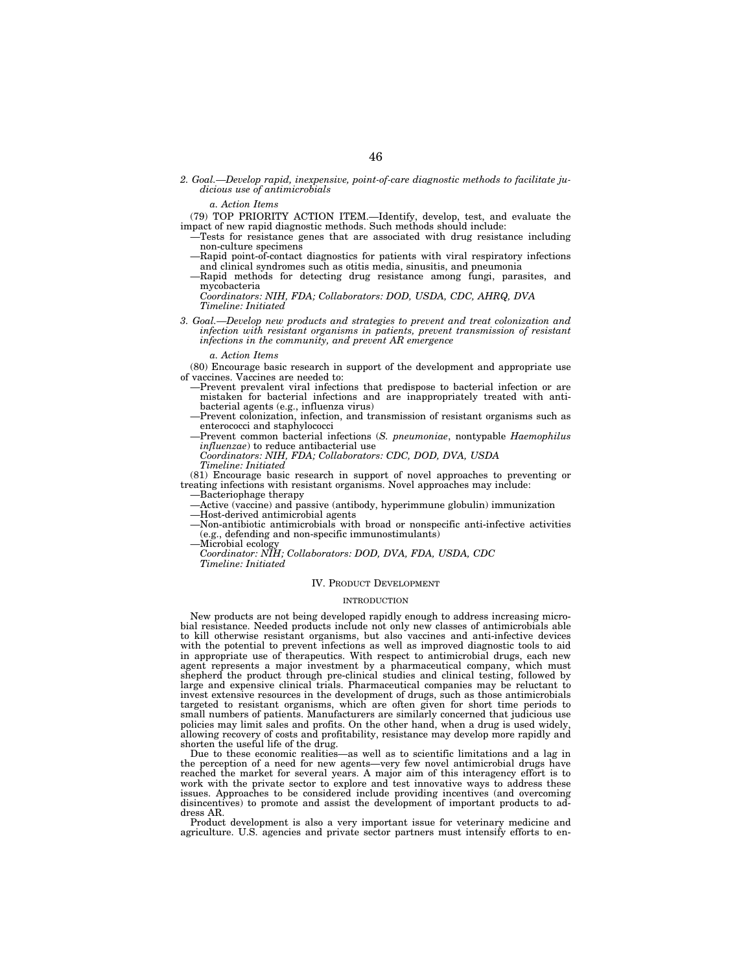*2. Goal.—Develop rapid, inexpensive, point-of-care diagnostic methods to facilitate judicious use of antimicrobials*

*a. Action Items*

(79) TOP PRIORITY ACTION ITEM.—Identify, develop, test, and evaluate the impact of new rapid diagnostic methods. Such methods should include:

- —Tests for resistance genes that are associated with drug resistance including non-culture specimens
- —Rapid point-of-contact diagnostics for patients with viral respiratory infections and clinical syndromes such as otitis media, sinusitis, and pneumonia
- —Rapid methods for detecting drug resistance among fungi, parasites, and mycobacteria

*Coordinators: NIH, FDA; Collaborators: DOD, USDA, CDC, AHRQ, DVA Timeline: Initiated*

*3. Goal.—Develop new products and strategies to prevent and treat colonization and infection with resistant organisms in patients, prevent transmission of resistant infections in the community, and prevent AR emergence*

*a. Action Items*

(80) Encourage basic research in support of the development and appropriate use of vaccines. Vaccines are needed to:

- —Prevent prevalent viral infections that predispose to bacterial infection or are mistaken for bacterial infections and are inappropriately treated with antibacterial agents (e.g., influenza virus)
- —Prevent colonization, infection, and transmission of resistant organisms such as enterococci and staphylococci
- —Prevent common bacterial infections (*S. pneumoniae*, nontypable *Haemophilus influenzae*) to reduce antibacterial use
- *Coordinators: NIH, FDA; Collaborators: CDC, DOD, DVA, USDA Timeline: Initiated*

(81) Encourage basic research in support of novel approaches to preventing or treating infections with resistant organisms. Novel approaches may include:

- —Bacteriophage therapy
- —Active (vaccine) and passive (antibody, hyperimmune globulin) immunization
- —Host-derived antimicrobial agents
- —Non-antibiotic antimicrobials with broad or nonspecific anti-infective activities (e.g., defending and non-specific immunostimulants)
- —Microbial ecology

*Coordinator: NIH; Collaborators: DOD, DVA, FDA, USDA, CDC Timeline: Initiated*

### IV. PRODUCT DEVELOPMENT

#### **INTRODUCTION**

New products are not being developed rapidly enough to address increasing microbial resistance. Needed products include not only new classes of antimicrobials able to kill otherwise resistant organisms, but also vaccines and anti-infective devices with the potential to prevent infections as well as improved diagnostic tools to aid in appropriate use of therapeutics. With respect to antimicrobial drugs, each new agent represents a major investment by a pharmaceutical company, which must shepherd the product through pre-clinical studies and clinical testing, followed by large and expensive clinical trials. Pharmaceutical companies may be reluctant to invest extensive resources in the development of drugs, such as those antimicrobials targeted to resistant organisms, which are often given for short time periods to small numbers of patients. Manufacturers are similarly concerned that judicious use policies may limit sales and profits. On the other hand, when a drug is used widely, allowing recovery of costs and profitability, resistance may develop more rapidly and shorten the useful life of the drug.

Due to these economic realities—as well as to scientific limitations and a lag in the perception of a need for new agents—very few novel antimicrobial drugs have reached the market for several years. A major aim of this interagency effort is to work with the private sector to explore and test innovative ways to address these issues. Approaches to be considered include providing incentives (and overcoming disincentives) to promote and assist the development of important products to address AR.

Product development is also a very important issue for veterinary medicine and agriculture. U.S. agencies and private sector partners must intensify efforts to en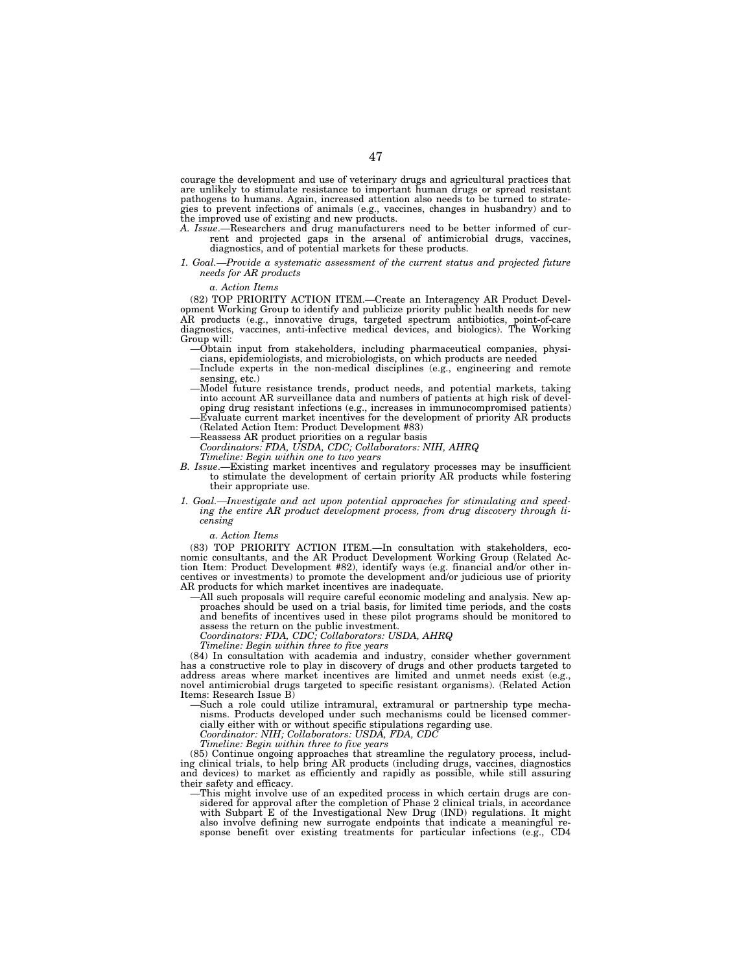courage the development and use of veterinary drugs and agricultural practices that are unlikely to stimulate resistance to important human drugs or spread resistant pathogens to humans. Again, increased attention also needs to be turned to strategies to prevent infections of animals (e.g., vaccines, changes in husbandry) and to the improved use of existing and new products.

*A. Issue*.—Researchers and drug manufacturers need to be better informed of current and projected gaps in the arsenal of antimicrobial drugs, vaccines, diagnostics, and of potential markets for these products.

## *1. Goal.—Provide a systematic assessment of the current status and projected future needs for AR products*

*a. Action Items*

(82) TOP PRIORITY ACTION ITEM.—Create an Interagency AR Product Development Working Group to identify and publicize priority public health needs for new AR products (e.g., innovative drugs, targeted spectrum antibiotics, point-of-care diagnostics, vaccines, anti-infective medical devices, and biologics). The Working Group will:

—Obtain input from stakeholders, including pharmaceutical companies, physicians, epidemiologists, and microbiologists, on which products are needed

—Include experts in the non-medical disciplines (e.g., engineering and remote sensing, etc.)

—Model future resistance trends, product needs, and potential markets, taking into account AR surveillance data and numbers of patients at high risk of developing drug resistant infections (e.g., increases in immunocompromised patients)

—Evaluate current market incentives for the development of priority AR products (Related Action Item: Product Development #83)

—Reassess AR product priorities on a regular basis

*Coordinators: FDA, USDA, CDC; Collaborators: NIH, AHRQ Timeline: Begin within one to two years*

*B. Issue*.—Existing market incentives and regulatory processes may be insufficient to stimulate the development of certain priority AR products while fostering their appropriate use.

#### *1. Goal.—Investigate and act upon potential approaches for stimulating and speeding the entire AR product development process, from drug discovery through licensing*

*a. Action Items*

(83) TOP PRIORITY ACTION ITEM.—In consultation with stakeholders, economic consultants, and the AR Product Development Working Group (Related Action Item: Product Development #82), identify ways (e.g. financial and/or other incentives or investments) to promote the development and/or judicious use of priority AR products for which market incentives are inadequate.

—All such proposals will require careful economic modeling and analysis. New approaches should be used on a trial basis, for limited time periods, and the costs and benefits of incentives used in these pilot programs should be monitored to assess the return on the public investment.

*Coordinators: FDA, CDC; Collaborators: USDA, AHRQ*

*Timeline: Begin within three to five years*

(84) In consultation with academia and industry, consider whether government has a constructive role to play in discovery of drugs and other products targeted to address areas where market incentives are limited and unmet needs exist (e.g., novel antimicrobial drugs targeted to specific resistant organisms). (Related Action Items: Research Issue B)

—Such a role could utilize intramural, extramural or partnership type mechanisms. Products developed under such mechanisms could be licensed commercially either with or without specific stipulations regarding use.

*Coordinator: NIH; Collaborators: USDA, FDA, CDC*

*Timeline: Begin within three to five years*

(85) Continue ongoing approaches that streamline the regulatory process, including clinical trials, to help bring AR products (including drugs, vaccines, diagnostics and devices) to market as efficiently and rapidly as possible, while still assuring their safety and efficacy.

—This might involve use of an expedited process in which certain drugs are considered for approval after the completion of Phase 2 clinical trials, in accordance with Subpart  $E$  of the Investigational New Drug (IND) regulations. It might also involve defining new surrogate endpoints that indicate a meaningful response benefit over existing treatments for particular infections (e.g., CD4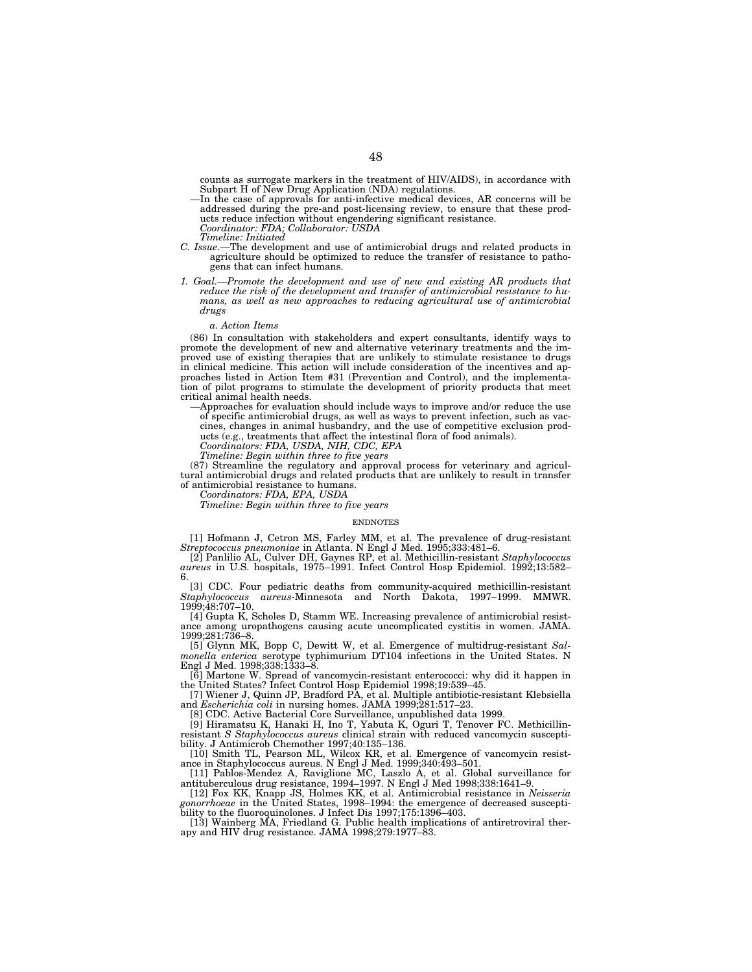counts as surrogate markers in the treatment of HIV/AIDS), in accordance with Subpart H of New Drug Application (NDA) regulations. —In the case of approvals for anti-infective medical devices, AR concerns will be

addressed during the pre-and post-licensing review, to ensure that these products reduce infection without engendering significant resistance. *Coordinator: FDA; Collaborator: USDA*

*Timeline: Initiated*

- *C. Issue*.—The development and use of antimicrobial drugs and related products in agriculture should be optimized to reduce the transfer of resistance to pathogens that can infect humans.
- *1. Goal.—Promote the development and use of new and existing AR products that reduce the risk of the development and transfer of antimicrobial resistance to humans, as well as new approaches to reducing agricultural use of antimicrobial drugs*

*a. Action Items*

(86) In consultation with stakeholders and expert consultants, identify ways to promote the development of new and alternative veterinary treatments and the improved use of existing therapies that are unlikely to stimulate resistance to drugs in clinical medicine. This action will include consideration of the incentives and approaches listed in Action Item #31 (Prevention and Control), and the implementation of pilot programs to stimulate the development of priority products that meet critical animal health needs.

—Approaches for evaluation should include ways to improve and/or reduce the use of specific antimicrobial drugs, as well as ways to prevent infection, such as vaccines, changes in animal husbandry, and the use of competitive exclusion products (e.g., treatments that affect the intestinal flora of food animals).

*Coordinators: FDA, USDA, NIH, CDC, EPA*

*Timeline: Begin within three to five years*

(87) Streamline the regulatory and approval process for veterinary and agricultural antimicrobial drugs and related products that are unlikely to result in transfer of antimicrobial resistance to humans.

*Coordinators: FDA, EPA, USDA*

*Timeline: Begin within three to five years*

#### ENDNOTES

[1] Hofmann J, Cetron MS, Farley MM, et al. The prevalence of drug-resistant *Streptococcus pneumoniae* in Atlanta. N Engl J Med. 1995;333:481–6.

[2] Panlilio AL, Culver DH, Gaynes RP, et al. Methicillin-resistant *Staphylococcus aureus* in U.S. hospitals, 1975–1991. Infect Control Hosp Epidemiol. 1992;13:582– 6.

[3] CDC. Four pediatric deaths from community-acquired methicillin-resistant *Staphylococcus aureus*-Minnesota and North Dakota, 1997–1999. MMWR. 1999;48:707–10.

[4] Gupta K, Scholes D, Stamm WE. Increasing prevalence of antimicrobial resistance among uropathogens causing acute uncomplicated cystitis in women. JAMA. 1999;281:736–8.

[5] Glynn MK, Bopp C, Dewitt W, et al. Emergence of multidrug-resistant *Salmonella enterica* serotype typhimurium DT104 infections in the United States. N Engl J Med. 1998;338:1333–8.

[6] Martone W. Spread of vancomycin-resistant enterococci: why did it happen in the United States? Infect Control Hosp Epidemiol 1998;19:539–45.

[7] Wiener J, Quinn JP, Bradford PA, et al. Multiple antibiotic-resistant Klebsiella and *Escherichia coli* in nursing homes. JAMA 1999;281:517–23.

[8] CDC. Active Bacterial Core Surveillance, unpublished data 1999.

[9] Hiramatsu K, Hanaki H, Ino T, Yabuta K, Oguri T, Tenover FC. Methicillinresistant *S Staphylococcus aureus* clinical strain with reduced vancomycin susceptibility. J Antimicrob Chemother 1997;40:135–136.

[10] Smith TL, Pearson ML, Wilcox KR, et al. Emergence of vancomycin resistance in Staphylococcus aureus. N Engl J Med. 1999;340:493–501.

[11] Pablos-Mendez A, Raviglione MC, Laszlo A, et al. Global surveillance for antituberculous drug resistance, 1994–1997. N Engl J Med 1998;338:1641–9.

[12] Fox KK, Knapp JS, Holmes KK, et al. Antimicrobial resistance in *Neisseria gonorrhoeae* in the United States, 1998–1994: the emergence of decreased susceptibility to the fluoroquinolones. J Infect Dis 1997;175:1396–403.

[13] Wainberg MA, Friedland G. Public health implications of antiretroviral therapy and HIV drug resistance. JAMA 1998;279:1977–83.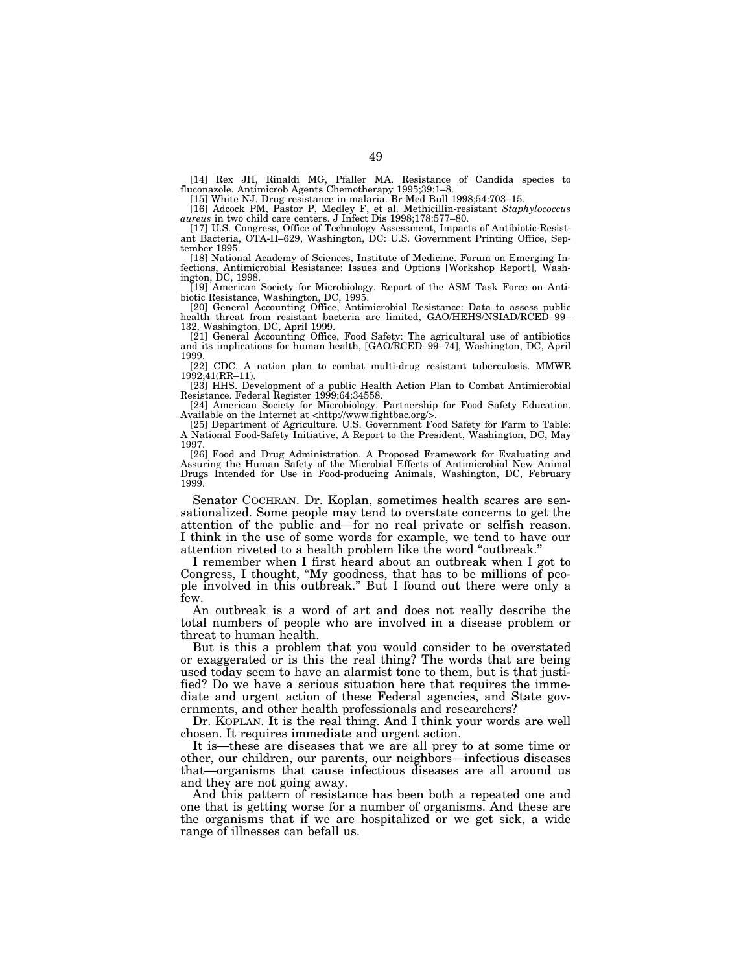[14] Rex JH, Rinaldi MG, Pfaller MA. Resistance of Candida species to fluconazole. Antimicrob Agents Chemotherapy 1995;39:1–8.

[15] White NJ. Drug resistance in malaria. Br Med Bull 1998;54:703–15. [16] Adcock PM, Pastor P, Medley F, et al. Methicillin-resistant *Staphylococcus aureus* in two child care centers. J Infect Dis 1998;178:577–80.

[17] U.S. Congress, Office of Technology Assessment, Impacts of Antibiotic-Resistant Bacteria, OTA-H–629, Washington, DC: U.S. Government Printing Office, September 1995.

[18] National Academy of Sciences, Institute of Medicine. Forum on Emerging Infections, Antimicrobial Resistance: Issues and Options [Workshop Report], Washington, DC, 1998.

[19] American Society for Microbiology. Report of the ASM Task Force on Antibiotic Resistance, Washington, DC, 1995.

[20] General Accounting Office, Antimicrobial Resistance: Data to assess public health threat from resistant bacteria are limited, GAO/HEHS/NSIAD/RCED-99-132, Washington, DC, April 1999.

[21] General Accounting Office, Food Safety: The agricultural use of antibiotics and its implications for human health, [GAO/RCED–99–74], Washington, DC, April 1999.

[22] CDC. A nation plan to combat multi-drug resistant tuberculosis. MMWR 1992;41(RR–11).

[23] HHS. Development of a public Health Action Plan to Combat Antimicrobial Resistance. Federal Register 1999;64:34558.

[24] American Society for Microbiology. Partnership for Food Safety Education. Available on the Internet at <http://www.fightbac.org/>.

[25] Department of Agriculture. U.S. Government Food Safety for Farm to Table: A National Food-Safety Initiative, A Report to the President, Washington, DC, May 1997.

[26] Food and Drug Administration. A Proposed Framework for Evaluating and Assuring the Human Safety of the Microbial Effects of Antimicrobial New Animal Drugs Intended for Use in Food-producing Animals, Washington, DC, February 1999.

Senator COCHRAN. Dr. Koplan, sometimes health scares are sensationalized. Some people may tend to overstate concerns to get the attention of the public and—for no real private or selfish reason. I think in the use of some words for example, we tend to have our attention riveted to a health problem like the word ''outbreak.''

I remember when I first heard about an outbreak when I got to Congress, I thought, ''My goodness, that has to be millions of people involved in this outbreak.'' But I found out there were only a few.

An outbreak is a word of art and does not really describe the total numbers of people who are involved in a disease problem or threat to human health.

But is this a problem that you would consider to be overstated or exaggerated or is this the real thing? The words that are being used today seem to have an alarmist tone to them, but is that justified? Do we have a serious situation here that requires the immediate and urgent action of these Federal agencies, and State governments, and other health professionals and researchers?

Dr. KOPLAN. It is the real thing. And I think your words are well chosen. It requires immediate and urgent action.

It is—these are diseases that we are all prey to at some time or other, our children, our parents, our neighbors—infectious diseases that—organisms that cause infectious diseases are all around us and they are not going away.

And this pattern of resistance has been both a repeated one and one that is getting worse for a number of organisms. And these are the organisms that if we are hospitalized or we get sick, a wide range of illnesses can befall us.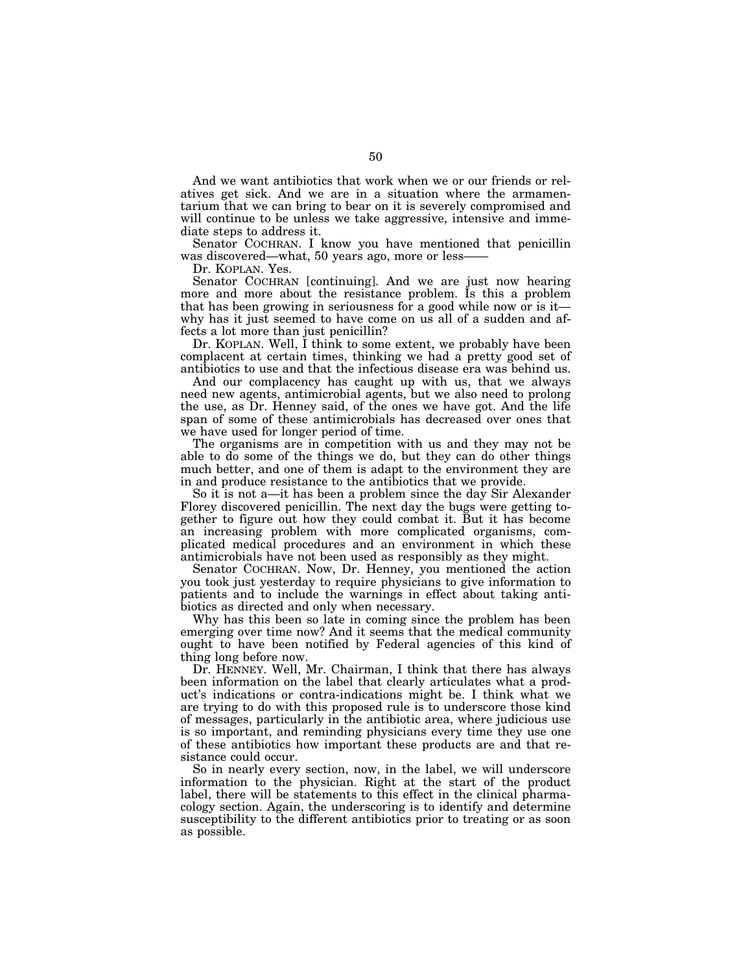And we want antibiotics that work when we or our friends or relatives get sick. And we are in a situation where the armamentarium that we can bring to bear on it is severely compromised and will continue to be unless we take aggressive, intensive and immediate steps to address it.

Senator COCHRAN. I know you have mentioned that penicillin was discovered—what, 50 years ago, more or less

Dr. KOPLAN. Yes.

Senator COCHRAN [continuing]. And we are just now hearing more and more about the resistance problem. Is this a problem that has been growing in seriousness for a good while now or is it why has it just seemed to have come on us all of a sudden and affects a lot more than just penicillin?

Dr. KOPLAN. Well, I think to some extent, we probably have been complacent at certain times, thinking we had a pretty good set of antibiotics to use and that the infectious disease era was behind us.

And our complacency has caught up with us, that we always need new agents, antimicrobial agents, but we also need to prolong the use, as Dr. Henney said, of the ones we have got. And the life span of some of these antimicrobials has decreased over ones that we have used for longer period of time.

The organisms are in competition with us and they may not be able to do some of the things we do, but they can do other things much better, and one of them is adapt to the environment they are in and produce resistance to the antibiotics that we provide.

So it is not a—it has been a problem since the day Sir Alexander Florey discovered penicillin. The next day the bugs were getting together to figure out how they could combat it. But it has become an increasing problem with more complicated organisms, complicated medical procedures and an environment in which these antimicrobials have not been used as responsibly as they might.

Senator COCHRAN. Now, Dr. Henney, you mentioned the action you took just yesterday to require physicians to give information to patients and to include the warnings in effect about taking antibiotics as directed and only when necessary.

Why has this been so late in coming since the problem has been emerging over time now? And it seems that the medical community ought to have been notified by Federal agencies of this kind of thing long before now.

Dr. HENNEY. Well, Mr. Chairman, I think that there has always been information on the label that clearly articulates what a product's indications or contra-indications might be. I think what we are trying to do with this proposed rule is to underscore those kind of messages, particularly in the antibiotic area, where judicious use is so important, and reminding physicians every time they use one of these antibiotics how important these products are and that resistance could occur.

So in nearly every section, now, in the label, we will underscore information to the physician. Right at the start of the product label, there will be statements to this effect in the clinical pharmacology section. Again, the underscoring is to identify and determine susceptibility to the different antibiotics prior to treating or as soon as possible.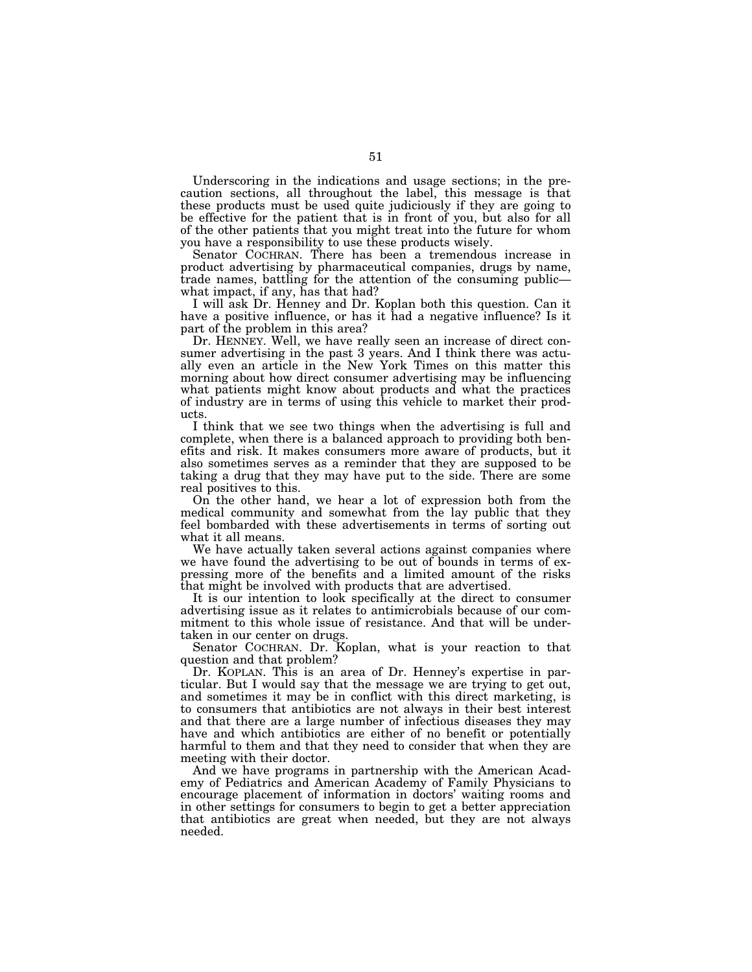Underscoring in the indications and usage sections; in the precaution sections, all throughout the label, this message is that these products must be used quite judiciously if they are going to be effective for the patient that is in front of you, but also for all of the other patients that you might treat into the future for whom you have a responsibility to use these products wisely.

Senator COCHRAN. There has been a tremendous increase in product advertising by pharmaceutical companies, drugs by name, trade names, battling for the attention of the consuming public— what impact, if any, has that had?

I will ask Dr. Henney and Dr. Koplan both this question. Can it have a positive influence, or has it had a negative influence? Is it part of the problem in this area?

Dr. HENNEY. Well, we have really seen an increase of direct consumer advertising in the past 3 years. And I think there was actually even an article in the New York Times on this matter this morning about how direct consumer advertising may be influencing what patients might know about products and what the practices of industry are in terms of using this vehicle to market their products.

I think that we see two things when the advertising is full and complete, when there is a balanced approach to providing both benefits and risk. It makes consumers more aware of products, but it also sometimes serves as a reminder that they are supposed to be taking a drug that they may have put to the side. There are some real positives to this.

On the other hand, we hear a lot of expression both from the medical community and somewhat from the lay public that they feel bombarded with these advertisements in terms of sorting out what it all means.

We have actually taken several actions against companies where we have found the advertising to be out of bounds in terms of expressing more of the benefits and a limited amount of the risks that might be involved with products that are advertised.

It is our intention to look specifically at the direct to consumer advertising issue as it relates to antimicrobials because of our commitment to this whole issue of resistance. And that will be undertaken in our center on drugs.

Senator COCHRAN. Dr. Koplan, what is your reaction to that question and that problem?

Dr. KOPLAN. This is an area of Dr. Henney's expertise in particular. But I would say that the message we are trying to get out, and sometimes it may be in conflict with this direct marketing, is to consumers that antibiotics are not always in their best interest and that there are a large number of infectious diseases they may have and which antibiotics are either of no benefit or potentially harmful to them and that they need to consider that when they are meeting with their doctor.

And we have programs in partnership with the American Academy of Pediatrics and American Academy of Family Physicians to encourage placement of information in doctors' waiting rooms and in other settings for consumers to begin to get a better appreciation that antibiotics are great when needed, but they are not always needed.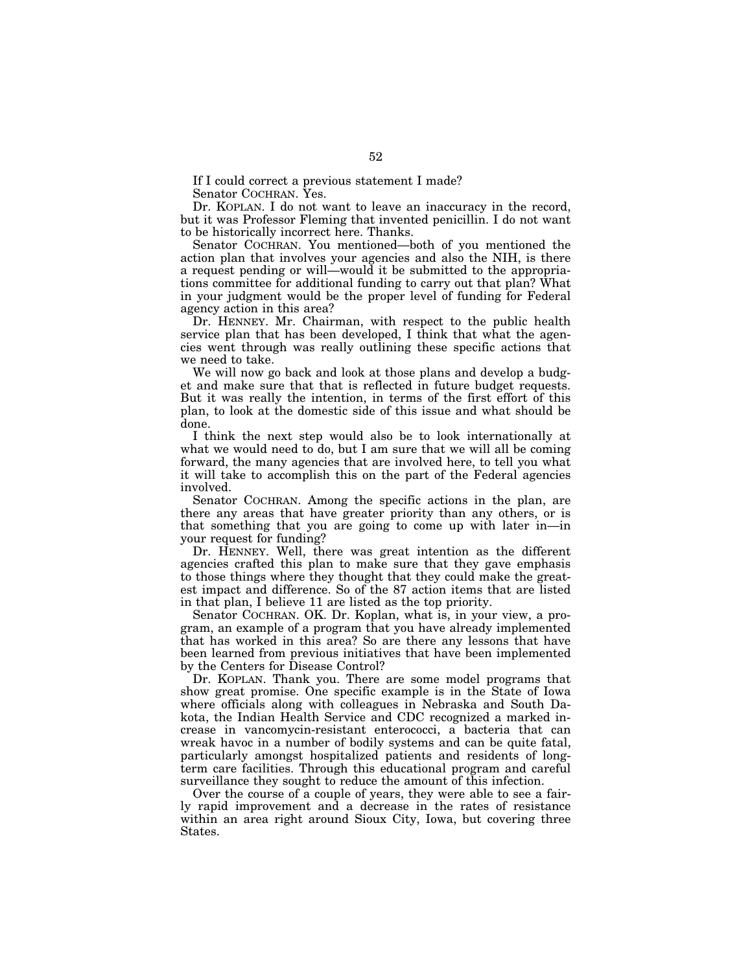If I could correct a previous statement I made?

Senator COCHRAN. Yes.

Dr. KOPLAN. I do not want to leave an inaccuracy in the record, but it was Professor Fleming that invented penicillin. I do not want to be historically incorrect here. Thanks.

Senator COCHRAN. You mentioned—both of you mentioned the action plan that involves your agencies and also the NIH, is there a request pending or will—would it be submitted to the appropriations committee for additional funding to carry out that plan? What in your judgment would be the proper level of funding for Federal agency action in this area?

Dr. HENNEY. Mr. Chairman, with respect to the public health service plan that has been developed, I think that what the agencies went through was really outlining these specific actions that we need to take.

We will now go back and look at those plans and develop a budget and make sure that that is reflected in future budget requests. But it was really the intention, in terms of the first effort of this plan, to look at the domestic side of this issue and what should be done.

I think the next step would also be to look internationally at what we would need to do, but I am sure that we will all be coming forward, the many agencies that are involved here, to tell you what it will take to accomplish this on the part of the Federal agencies involved.

Senator COCHRAN. Among the specific actions in the plan, are there any areas that have greater priority than any others, or is that something that you are going to come up with later in—in your request for funding?

Dr. HENNEY. Well, there was great intention as the different agencies crafted this plan to make sure that they gave emphasis to those things where they thought that they could make the greatest impact and difference. So of the 87 action items that are listed in that plan, I believe 11 are listed as the top priority.

Senator COCHRAN. OK. Dr. Koplan, what is, in your view, a program, an example of a program that you have already implemented that has worked in this area? So are there any lessons that have been learned from previous initiatives that have been implemented by the Centers for Disease Control?

Dr. KOPLAN. Thank you. There are some model programs that show great promise. One specific example is in the State of Iowa where officials along with colleagues in Nebraska and South Dakota, the Indian Health Service and CDC recognized a marked increase in vancomycin-resistant enterococci, a bacteria that can wreak havoc in a number of bodily systems and can be quite fatal, particularly amongst hospitalized patients and residents of longterm care facilities. Through this educational program and careful surveillance they sought to reduce the amount of this infection.

Over the course of a couple of years, they were able to see a fairly rapid improvement and a decrease in the rates of resistance within an area right around Sioux City, Iowa, but covering three States.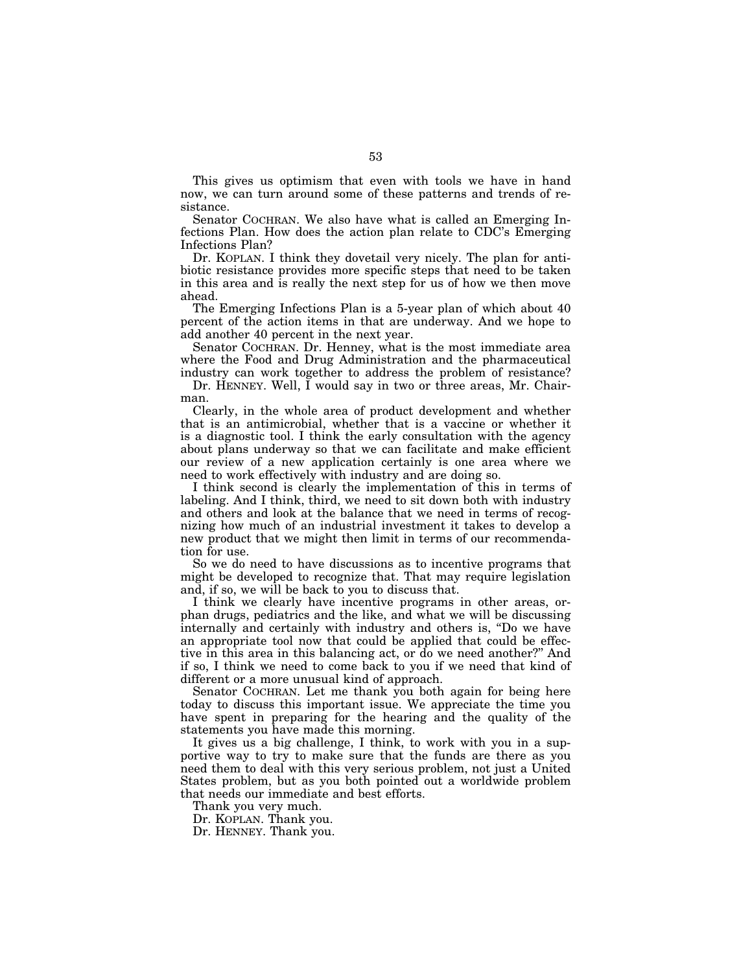This gives us optimism that even with tools we have in hand now, we can turn around some of these patterns and trends of resistance.

Senator COCHRAN. We also have what is called an Emerging Infections Plan. How does the action plan relate to CDC's Emerging Infections Plan?

Dr. KOPLAN. I think they dovetail very nicely. The plan for antibiotic resistance provides more specific steps that need to be taken in this area and is really the next step for us of how we then move ahead.

The Emerging Infections Plan is a 5-year plan of which about 40 percent of the action items in that are underway. And we hope to add another 40 percent in the next year.

Senator COCHRAN. Dr. Henney, what is the most immediate area where the Food and Drug Administration and the pharmaceutical industry can work together to address the problem of resistance?

Dr. HENNEY. Well, I would say in two or three areas, Mr. Chairman.

Clearly, in the whole area of product development and whether that is an antimicrobial, whether that is a vaccine or whether it is a diagnostic tool. I think the early consultation with the agency about plans underway so that we can facilitate and make efficient our review of a new application certainly is one area where we need to work effectively with industry and are doing so.

I think second is clearly the implementation of this in terms of labeling. And I think, third, we need to sit down both with industry and others and look at the balance that we need in terms of recognizing how much of an industrial investment it takes to develop a new product that we might then limit in terms of our recommendation for use.

So we do need to have discussions as to incentive programs that might be developed to recognize that. That may require legislation and, if so, we will be back to you to discuss that.

I think we clearly have incentive programs in other areas, orphan drugs, pediatrics and the like, and what we will be discussing internally and certainly with industry and others is, ''Do we have an appropriate tool now that could be applied that could be effective in this area in this balancing act, or do we need another?'' And if so, I think we need to come back to you if we need that kind of different or a more unusual kind of approach.

Senator COCHRAN. Let me thank you both again for being here today to discuss this important issue. We appreciate the time you have spent in preparing for the hearing and the quality of the statements you have made this morning.

It gives us a big challenge, I think, to work with you in a supportive way to try to make sure that the funds are there as you need them to deal with this very serious problem, not just a United States problem, but as you both pointed out a worldwide problem that needs our immediate and best efforts.

Thank you very much.

Dr. KOPLAN. Thank you.

Dr. HENNEY. Thank you.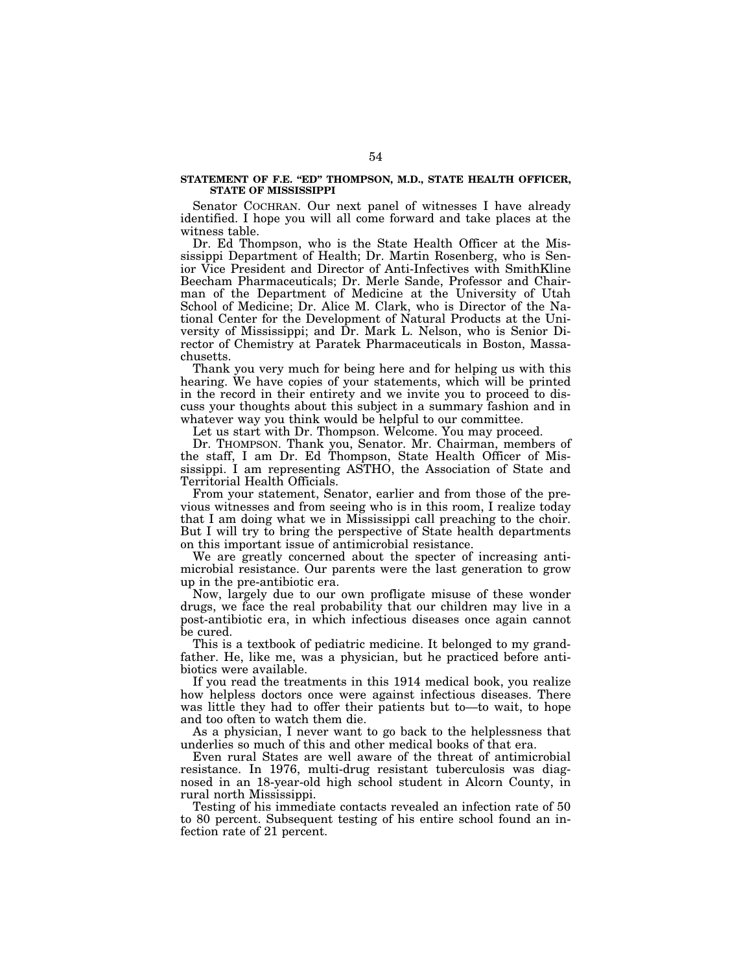# **STATEMENT OF F.E. ''ED'' THOMPSON, M.D., STATE HEALTH OFFICER, STATE OF MISSISSIPPI**

Senator COCHRAN. Our next panel of witnesses I have already identified. I hope you will all come forward and take places at the witness table.

Dr. Ed Thompson, who is the State Health Officer at the Mississippi Department of Health; Dr. Martin Rosenberg, who is Senior Vice President and Director of Anti-Infectives with SmithKline Beecham Pharmaceuticals; Dr. Merle Sande, Professor and Chairman of the Department of Medicine at the University of Utah School of Medicine; Dr. Alice M. Clark, who is Director of the National Center for the Development of Natural Products at the University of Mississippi; and Dr. Mark L. Nelson, who is Senior Director of Chemistry at Paratek Pharmaceuticals in Boston, Massachusetts.

Thank you very much for being here and for helping us with this hearing. We have copies of your statements, which will be printed in the record in their entirety and we invite you to proceed to discuss your thoughts about this subject in a summary fashion and in whatever way you think would be helpful to our committee.

Let us start with Dr. Thompson. Welcome. You may proceed.

Dr. THOMPSON. Thank you, Senator. Mr. Chairman, members of the staff, I am Dr. Ed Thompson, State Health Officer of Mississippi. I am representing ASTHO, the Association of State and Territorial Health Officials.

From your statement, Senator, earlier and from those of the previous witnesses and from seeing who is in this room, I realize today that I am doing what we in Mississippi call preaching to the choir. But I will try to bring the perspective of State health departments on this important issue of antimicrobial resistance.

We are greatly concerned about the specter of increasing antimicrobial resistance. Our parents were the last generation to grow up in the pre-antibiotic era.

Now, largely due to our own profligate misuse of these wonder drugs, we face the real probability that our children may live in a post-antibiotic era, in which infectious diseases once again cannot be cured.

This is a textbook of pediatric medicine. It belonged to my grandfather. He, like me, was a physician, but he practiced before antibiotics were available.

If you read the treatments in this 1914 medical book, you realize how helpless doctors once were against infectious diseases. There was little they had to offer their patients but to—to wait, to hope and too often to watch them die.

As a physician, I never want to go back to the helplessness that underlies so much of this and other medical books of that era.

Even rural States are well aware of the threat of antimicrobial resistance. In 1976, multi-drug resistant tuberculosis was diagnosed in an 18-year-old high school student in Alcorn County, in rural north Mississippi.

Testing of his immediate contacts revealed an infection rate of 50 to 80 percent. Subsequent testing of his entire school found an infection rate of 21 percent.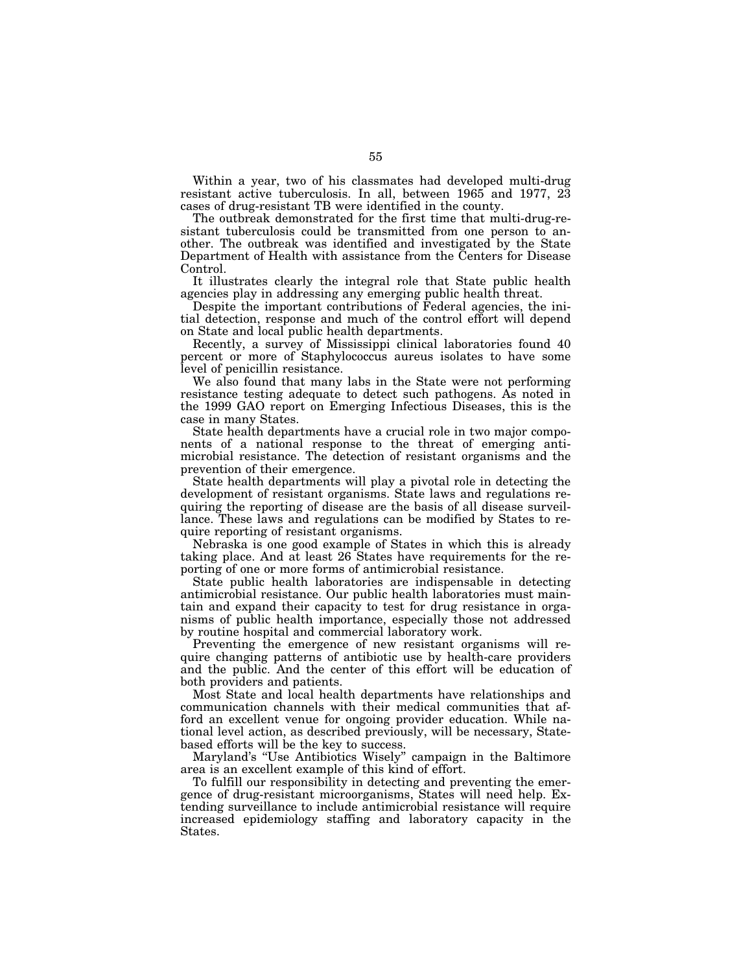Within a year, two of his classmates had developed multi-drug resistant active tuberculosis. In all, between 1965 and 1977, 23 cases of drug-resistant TB were identified in the county.

The outbreak demonstrated for the first time that multi-drug-resistant tuberculosis could be transmitted from one person to another. The outbreak was identified and investigated by the State Department of Health with assistance from the Centers for Disease Control.

It illustrates clearly the integral role that State public health agencies play in addressing any emerging public health threat.

Despite the important contributions of Federal agencies, the initial detection, response and much of the control effort will depend on State and local public health departments.

Recently, a survey of Mississippi clinical laboratories found 40 percent or more of Staphylococcus aureus isolates to have some level of penicillin resistance.

We also found that many labs in the State were not performing resistance testing adequate to detect such pathogens. As noted in the 1999 GAO report on Emerging Infectious Diseases, this is the case in many States.

State health departments have a crucial role in two major components of a national response to the threat of emerging antimicrobial resistance. The detection of resistant organisms and the prevention of their emergence.

State health departments will play a pivotal role in detecting the development of resistant organisms. State laws and regulations requiring the reporting of disease are the basis of all disease surveillance. These laws and regulations can be modified by States to require reporting of resistant organisms.

Nebraska is one good example of States in which this is already taking place. And at least 26 States have requirements for the reporting of one or more forms of antimicrobial resistance.

State public health laboratories are indispensable in detecting antimicrobial resistance. Our public health laboratories must maintain and expand their capacity to test for drug resistance in organisms of public health importance, especially those not addressed by routine hospital and commercial laboratory work.

Preventing the emergence of new resistant organisms will require changing patterns of antibiotic use by health-care providers and the public. And the center of this effort will be education of both providers and patients.

Most State and local health departments have relationships and communication channels with their medical communities that afford an excellent venue for ongoing provider education. While national level action, as described previously, will be necessary, Statebased efforts will be the key to success.

Maryland's ''Use Antibiotics Wisely'' campaign in the Baltimore area is an excellent example of this kind of effort.

To fulfill our responsibility in detecting and preventing the emergence of drug-resistant microorganisms, States will need help. Extending surveillance to include antimicrobial resistance will require increased epidemiology staffing and laboratory capacity in the States.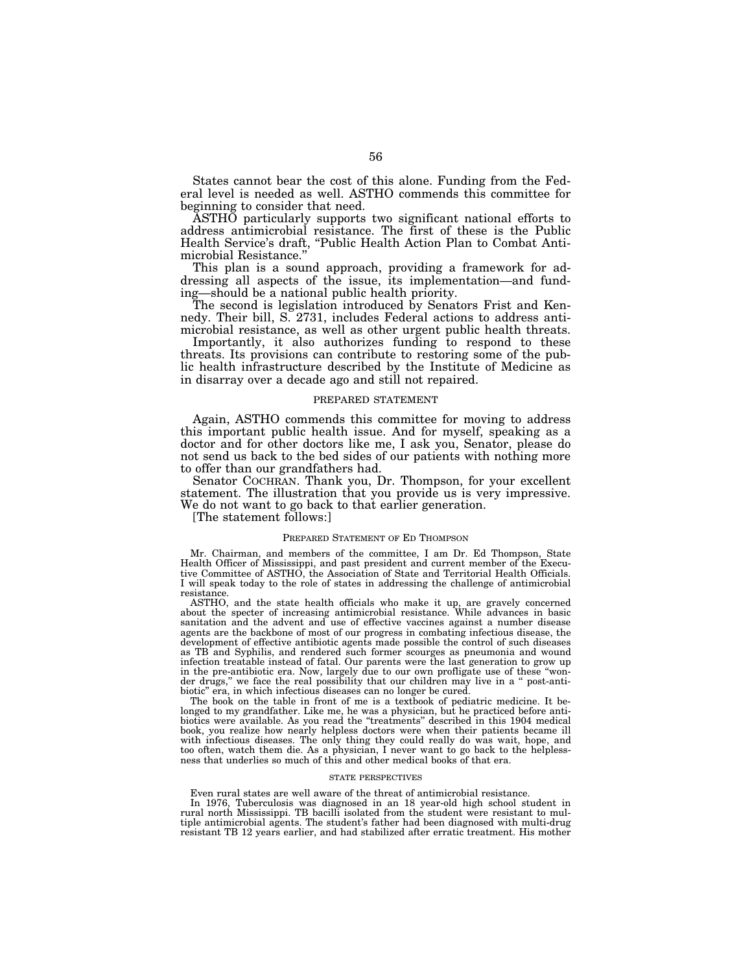States cannot bear the cost of this alone. Funding from the Federal level is needed as well. ASTHO commends this committee for beginning to consider that need.

ASTHO particularly supports two significant national efforts to address antimicrobial resistance. The first of these is the Public Health Service's draft, "Public Health Action Plan to Combat Antimicrobial Resistance.''

This plan is a sound approach, providing a framework for addressing all aspects of the issue, its implementation—and funding—should be a national public health priority.

The second is legislation introduced by Senators Frist and Kennedy. Their bill, S. 2731, includes Federal actions to address antimicrobial resistance, as well as other urgent public health threats.

Importantly, it also authorizes funding to respond to these threats. Its provisions can contribute to restoring some of the public health infrastructure described by the Institute of Medicine as in disarray over a decade ago and still not repaired.

# PREPARED STATEMENT

Again, ASTHO commends this committee for moving to address this important public health issue. And for myself, speaking as a doctor and for other doctors like me, I ask you, Senator, please do not send us back to the bed sides of our patients with nothing more to offer than our grandfathers had.

Senator COCHRAN. Thank you, Dr. Thompson, for your excellent statement. The illustration that you provide us is very impressive. We do not want to go back to that earlier generation.

[The statement follows:]

## PREPARED STATEMENT OF ED THOMPSON

Mr. Chairman, and members of the committee, I am Dr. Ed Thompson, State Health Officer of Mississippi, and past president and current member of the Executive Committee of ASTHO, the Association of State and Territorial Health Officials. I will speak today to the role of states in addressing the challenge of antimicrobial resistance.

ASTHO, and the state health officials who make it up, are gravely concerned about the specter of increasing antimicrobial resistance. While advances in basic sanitation and the advent and use of effective vaccines against a number disease agents are the backbone of most of our progress in combating infectious disease, the development of effective antibiotic agents made possible the control of such diseases as TB and Syphilis, and rendered such former scourges as pneumonia and wound infection treatable instead of fatal. Our parents were the last generation to grow up in the pre-antibiotic era. Now, largely due to our own profligate use of these ''wonder drugs,'' we face the real possibility that our children may live in a '' post-antibiotic'' era, in which infectious diseases can no longer be cured.

The book on the table in front of me is a textbook of pediatric medicine. It belonged to my grandfather. Like me, he was a physician, but he practiced before antibiotics were available. As you read the ''treatments'' described in this 1904 medical book, you realize how nearly helpless doctors were when their patients became ill with infectious diseases. The only thing they could really do was wait, hope, and too often, watch them die. As a physician, I never want to go back to the helplessness that underlies so much of this and other medical books of that era.

#### STATE PERSPECTIVES

Even rural states are well aware of the threat of antimicrobial resistance.

In 1976, Tuberculosis was diagnosed in an 18 year-old high school student in rural north Mississippi. TB bacilli isolated from the student were resistant to multiple antimicrobial agents. The student's father had been diagnosed with multi-drug resistant TB 12 years earlier, and had stabilized after erratic treatment. His mother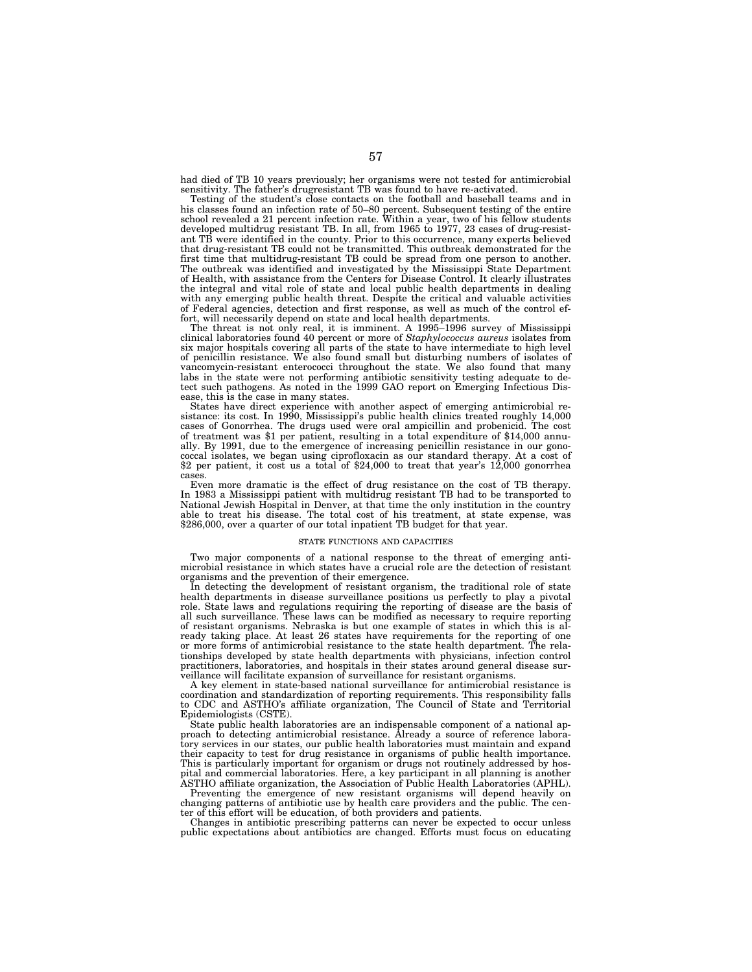had died of TB 10 years previously; her organisms were not tested for antimicrobial sensitivity. The father's drugresistant TB was found to have re-activated.

Testing of the student's close contacts on the football and baseball teams and in his classes found an infection rate of 50–80 percent. Subsequent testing of the entire school revealed a 21 percent infection rate. Within a year, two of his fellow students developed multidrug resistant TB. In all, from 1965 to 1977, 23 cases of drug-resistant TB were identified in the county. Prior to this occurrence, many experts believed that drug-resistant TB could not be transmitted. This outbreak demonstrated for the first time that multidrug-resistant TB could be spread from one person to another. The outbreak was identified and investigated by the Mississippi State Department of Health, with assistance from the Centers for Disease Control. It clearly illustrates the integral and vital role of state and local public health departments in dealing with any emerging public health threat. Despite the critical and valuable activities of Federal agencies, detection and first response, as well as much of the control effort, will necessarily depend on state and local health departments.

The threat is not only real, it is imminent. A 1995–1996 survey of Mississippi clinical laboratories found 40 percent or more of *Staphylococcus aureus* isolates from six major hospitals covering all parts of the state to have intermediate to high level of penicillin resistance. We also found small but disturbing numbers of isolates of vancomycin-resistant enterococci throughout the state. We also found that many labs in the state were not performing antibiotic sensitivity testing adequate to detect such pathogens. As noted in the 1999 GAO report on Emerging Infectious Disease, this is the case in many states.

States have direct experience with another aspect of emerging antimicrobial resistance: its cost. In 1990, Mississippi's public health clinics treated roughly 14,000 cases of Gonorrhea. The drugs used were oral ampicillin and probenicid. The cost of treatment was \$1 per patient, resulting in a total expenditure of \$14,000 annually. By 1991, due to the emergence of increasing penicillin resistance in our gonococcal isolates, we began using ciprofloxacin as our standard therapy. At a cost of \$2 per patient, it cost us a total of \$24,000 to treat that year's 12,000 gonorrhea cases.

Even more dramatic is the effect of drug resistance on the cost of TB therapy. In 1983 a Mississippi patient with multidrug resistant TB had to be transported to National Jewish Hospital in Denver, at that time the only institution in the country able to treat his disease. The total cost of his treatment, at state expense, was \$286,000, over a quarter of our total inpatient TB budget for that year.

## STATE FUNCTIONS AND CAPACITIES

Two major components of a national response to the threat of emerging antimicrobial resistance in which states have a crucial role are the detection of resistant organisms and the prevention of their emergence.

In detecting the development of resistant organism, the traditional role of state health departments in disease surveillance positions us perfectly to play a pivotal role. State laws and regulations requiring the reporting of disease are the basis of all such surveillance. These laws can be modified as necessary to require reporting of resistant organisms. Nebraska is but one example of states in which this is already taking place. At least 26 states have requirements for the reporting of one or more forms of antimicrobial resistance to the state health department. The relationships developed by state health departments with physicians, infection control practitioners, laboratories, and hospitals in their states around general disease surveillance will facilitate expansion of surveillance for resistant organisms.

A key element in state-based national surveillance for antimicrobial resistance is coordination and standardization of reporting requirements. This responsibility falls to CDC and ASTHO's affiliate organization, The Council of State and Territorial Epidemiologists (CSTE).

State public health laboratories are an indispensable component of a national approach to detecting antimicrobial resistance. Already a source of reference laboratory services in our states, our public health laboratories must maintain and expand their capacity to test for drug resistance in organisms of public health importance. This is particularly important for organism or drugs not routinely addressed by hospital and commercial laboratories. Here, a key participant in all planning is another ASTHO affiliate organization, the Association of Public Health Laboratories (APHL).

Preventing the emergence of new resistant organisms will depend heavily on changing patterns of antibiotic use by health care providers and the public. The center of this effort will be education, of both providers and patients.

Changes in antibiotic prescribing patterns can never be expected to occur unless public expectations about antibiotics are changed. Efforts must focus on educating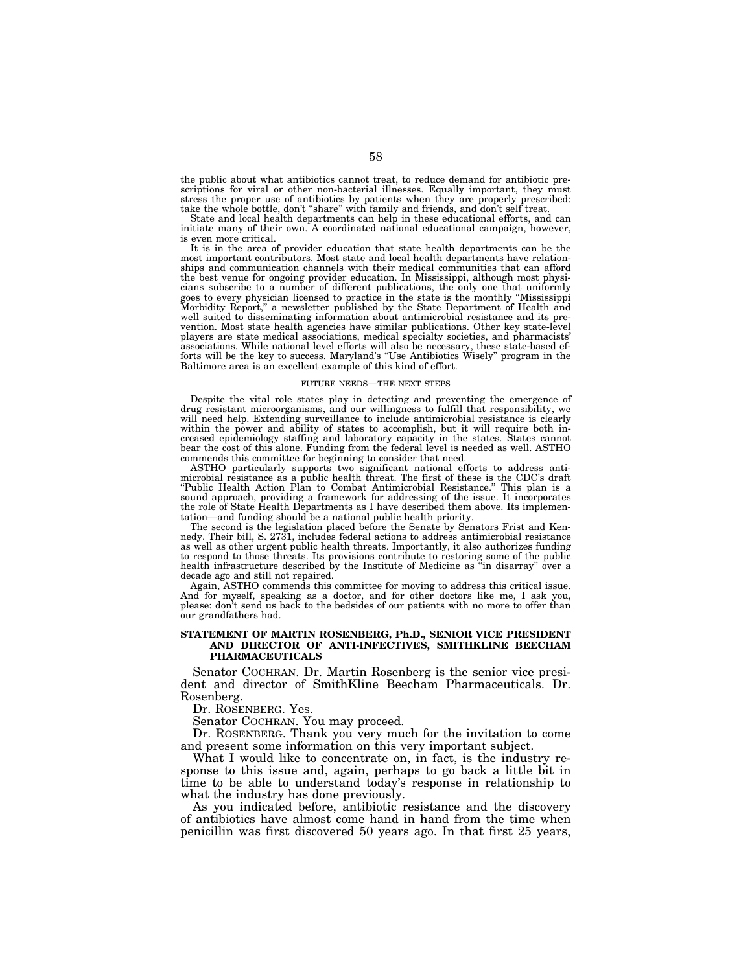the public about what antibiotics cannot treat, to reduce demand for antibiotic prescriptions for viral or other non-bacterial illnesses. Equally important, they must stress the proper use of antibiotics by patients when they are properly prescribed: take the whole bottle, don't "share" with family and friends, and don't self treat.

State and local health departments can help in these educational efforts, and can initiate many of their own. A coordinated national educational campaign, however, is even more critical.

It is in the area of provider education that state health departments can be the most important contributors. Most state and local health departments have relationships and communication channels with their medical communities that can afford the best venue for ongoing provider education. In Mississippi, although most physicians subscribe to a number of different publications, the only one that uniformly goes to every physician licensed to practice in the state is the monthly ''Mississippi Morbidity Report,'' a newsletter published by the State Department of Health and well suited to disseminating information about antimicrobial resistance and its prevention. Most state health agencies have similar publications. Other key state-level players are state medical associations, medical specialty societies, and pharmacists' associations. While national level efforts will also be necessary, these state-based efforts will be the key to success. Maryland's ''Use Antibiotics Wisely'' program in the Baltimore area is an excellent example of this kind of effort.

#### FUTURE NEEDS—THE NEXT STEPS

Despite the vital role states play in detecting and preventing the emergence of drug resistant microorganisms, and our willingness to fulfill that responsibility, we will need help. Extending surveillance to include antimicrobial resistance is clearly within the power and ability of states to accomplish, but it will require both increased epidemiology staffing and laboratory capacity in the states. States cannot bear the cost of this alone. Funding from the federal level is needed as well. ASTHO commends this committee for beginning to consider that need.

ASTHO particularly supports two significant national efforts to address antimicrobial resistance as a public health threat. The first of these is the CDC's draft ''Public Health Action Plan to Combat Antimicrobial Resistance.'' This plan is a sound approach, providing a framework for addressing of the issue. It incorporates the role of State Health Departments as I have described them above. Its implementation—and funding should be a national public health priority.

The second is the legislation placed before the Senate by Senators Frist and Kennedy. Their bill, S. 2731, includes federal actions to address antimicrobial resistance as well as other urgent public health threats. Importantly, it also authorizes funding to respond to those threats. Its provisions contribute to restoring some of the public health infrastructure described by the Institute of Medicine as ''in disarray'' over a decade ago and still not repaired.

Again, ASTHO commends this committee for moving to address this critical issue. And for myself, speaking as a doctor, and for other doctors like me, I ask you, please: don't send us back to the bedsides of our patients with no more to offer than our grandfathers had.

# **STATEMENT OF MARTIN ROSENBERG, Ph.D., SENIOR VICE PRESIDENT AND DIRECTOR OF ANTI-INFECTIVES, SMITHKLINE BEECHAM PHARMACEUTICALS**

Senator COCHRAN. Dr. Martin Rosenberg is the senior vice president and director of SmithKline Beecham Pharmaceuticals. Dr. Rosenberg.

Dr. ROSENBERG. Yes.

Senator COCHRAN. You may proceed.

Dr. ROSENBERG. Thank you very much for the invitation to come and present some information on this very important subject.

What I would like to concentrate on, in fact, is the industry response to this issue and, again, perhaps to go back a little bit in time to be able to understand today's response in relationship to what the industry has done previously.

As you indicated before, antibiotic resistance and the discovery of antibiotics have almost come hand in hand from the time when penicillin was first discovered 50 years ago. In that first 25 years,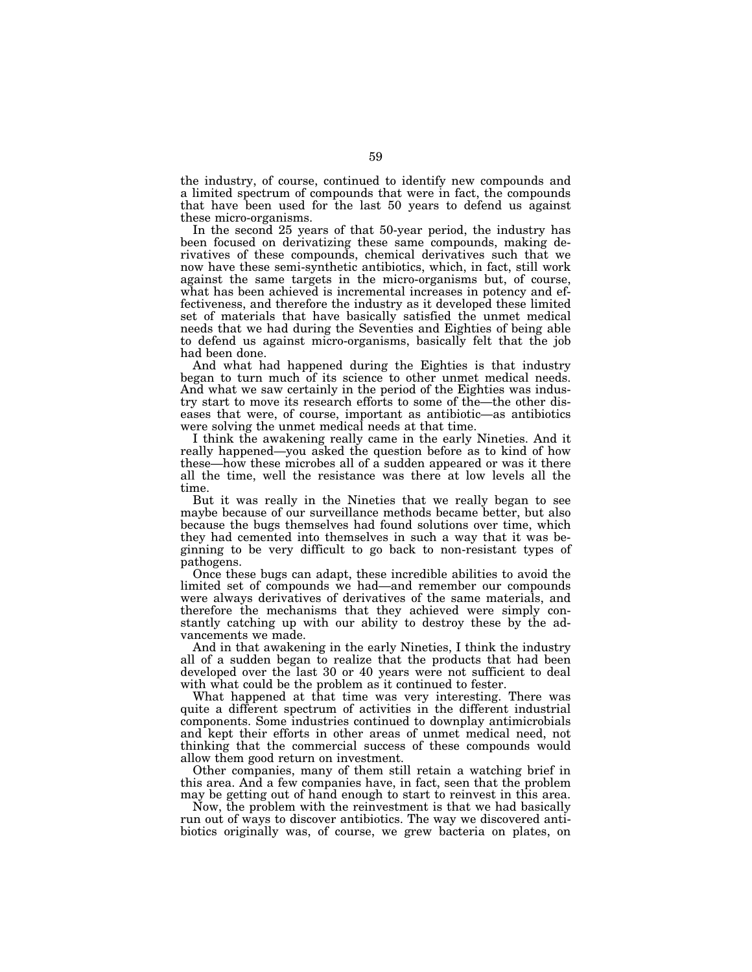the industry, of course, continued to identify new compounds and a limited spectrum of compounds that were in fact, the compounds that have been used for the last 50 years to defend us against these micro-organisms.

In the second 25 years of that 50-year period, the industry has been focused on derivatizing these same compounds, making derivatives of these compounds, chemical derivatives such that we now have these semi-synthetic antibiotics, which, in fact, still work against the same targets in the micro-organisms but, of course, what has been achieved is incremental increases in potency and effectiveness, and therefore the industry as it developed these limited set of materials that have basically satisfied the unmet medical needs that we had during the Seventies and Eighties of being able to defend us against micro-organisms, basically felt that the job had been done.

And what had happened during the Eighties is that industry began to turn much of its science to other unmet medical needs. And what we saw certainly in the period of the Eighties was industry start to move its research efforts to some of the—the other diseases that were, of course, important as antibiotic—as antibiotics were solving the unmet medical needs at that time.

I think the awakening really came in the early Nineties. And it really happened—you asked the question before as to kind of how these—how these microbes all of a sudden appeared or was it there all the time, well the resistance was there at low levels all the time.

But it was really in the Nineties that we really began to see maybe because of our surveillance methods became better, but also because the bugs themselves had found solutions over time, which they had cemented into themselves in such a way that it was beginning to be very difficult to go back to non-resistant types of pathogens.

Once these bugs can adapt, these incredible abilities to avoid the limited set of compounds we had—and remember our compounds were always derivatives of derivatives of the same materials, and therefore the mechanisms that they achieved were simply constantly catching up with our ability to destroy these by the advancements we made.

And in that awakening in the early Nineties, I think the industry all of a sudden began to realize that the products that had been developed over the last 30 or 40 years were not sufficient to deal with what could be the problem as it continued to fester.

What happened at that time was very interesting. There was quite a different spectrum of activities in the different industrial components. Some industries continued to downplay antimicrobials and kept their efforts in other areas of unmet medical need, not thinking that the commercial success of these compounds would allow them good return on investment.

Other companies, many of them still retain a watching brief in this area. And a few companies have, in fact, seen that the problem may be getting out of hand enough to start to reinvest in this area.

Now, the problem with the reinvestment is that we had basically run out of ways to discover antibiotics. The way we discovered antibiotics originally was, of course, we grew bacteria on plates, on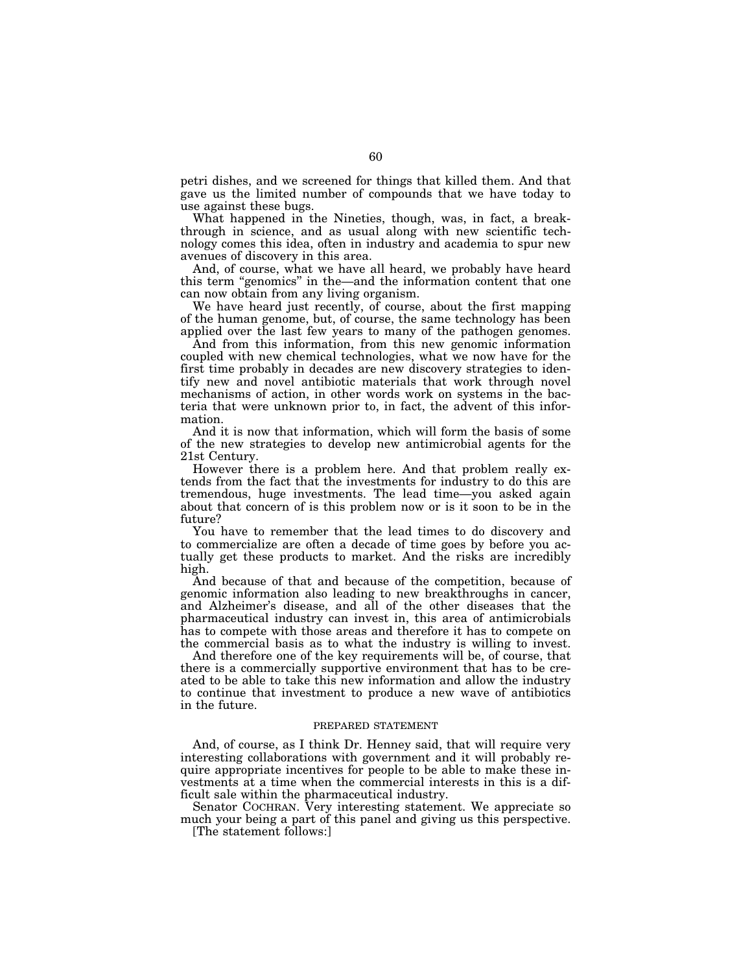petri dishes, and we screened for things that killed them. And that gave us the limited number of compounds that we have today to use against these bugs.

What happened in the Nineties, though, was, in fact, a breakthrough in science, and as usual along with new scientific technology comes this idea, often in industry and academia to spur new avenues of discovery in this area.

And, of course, what we have all heard, we probably have heard this term ''genomics'' in the—and the information content that one can now obtain from any living organism.

We have heard just recently, of course, about the first mapping of the human genome, but, of course, the same technology has been applied over the last few years to many of the pathogen genomes.

And from this information, from this new genomic information coupled with new chemical technologies, what we now have for the first time probably in decades are new discovery strategies to identify new and novel antibiotic materials that work through novel mechanisms of action, in other words work on systems in the bacteria that were unknown prior to, in fact, the advent of this information.

And it is now that information, which will form the basis of some of the new strategies to develop new antimicrobial agents for the 21st Century.

However there is a problem here. And that problem really extends from the fact that the investments for industry to do this are tremendous, huge investments. The lead time—you asked again about that concern of is this problem now or is it soon to be in the future?

You have to remember that the lead times to do discovery and to commercialize are often a decade of time goes by before you actually get these products to market. And the risks are incredibly high.

And because of that and because of the competition, because of genomic information also leading to new breakthroughs in cancer, and Alzheimer's disease, and all of the other diseases that the pharmaceutical industry can invest in, this area of antimicrobials has to compete with those areas and therefore it has to compete on the commercial basis as to what the industry is willing to invest.

And therefore one of the key requirements will be, of course, that there is a commercially supportive environment that has to be created to be able to take this new information and allow the industry to continue that investment to produce a new wave of antibiotics in the future.

### PREPARED STATEMENT

And, of course, as I think Dr. Henney said, that will require very interesting collaborations with government and it will probably require appropriate incentives for people to be able to make these investments at a time when the commercial interests in this is a difficult sale within the pharmaceutical industry.

Senator COCHRAN. Very interesting statement. We appreciate so much your being a part of this panel and giving us this perspective.

[The statement follows:]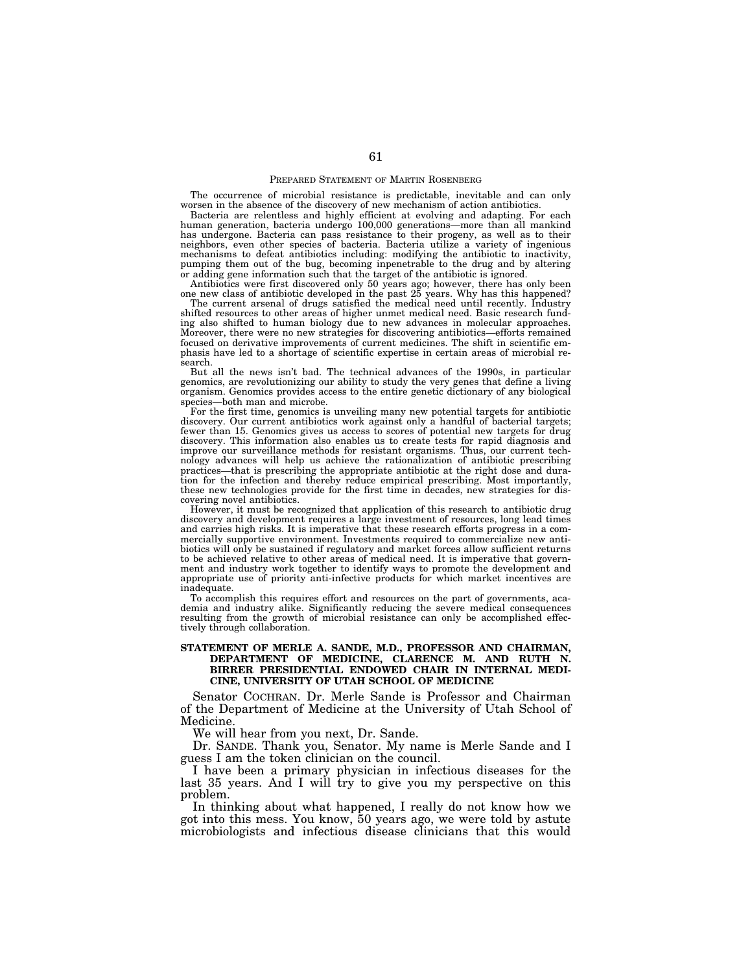## PREPARED STATEMENT OF MARTIN ROSENBERG

The occurrence of microbial resistance is predictable, inevitable and can only worsen in the absence of the discovery of new mechanism of action antibiotics.

Bacteria are relentless and highly efficient at evolving and adapting. For each human generation, bacteria undergo 100,000 generations—more than all mankind has undergone. Bacteria can pass resistance to their progeny, as well as to their neighbors, even other species of bacteria. Bacteria utilize a variety of ingenious mechanisms to defeat antibiotics including: modifying the antibiotic to inactivity, pumping them out of the bug, becoming inpenetrable to the drug and by altering or adding gene information such that the target of the antibiotic is ignored.

Antibiotics were first discovered only 50 years ago; however, there has only been one new class of antibiotic developed in the past 25 years. Why has this happened?

The current arsenal of drugs satisfied the medical need until recently. Industry shifted resources to other areas of higher unmet medical need. Basic research funding also shifted to human biology due to new advances in molecular approaches. Moreover, there were no new strategies for discovering antibiotics—efforts remained focused on derivative improvements of current medicines. The shift in scientific emphasis have led to a shortage of scientific expertise in certain areas of microbial research.

But all the news isn't bad. The technical advances of the 1990s, in particular genomics, are revolutionizing our ability to study the very genes that define a living organism. Genomics provides access to the entire genetic dictionary of any biological species—both man and microbe.

For the first time, genomics is unveiling many new potential targets for antibiotic discovery. Our current antibiotics work against only a handful of bacterial targets; fewer than 15. Genomics gives us access to scores of potential new targets for drug discovery. This information also enables us to create tests for rapid diagnosis and improve our surveillance methods for resistant organisms. Thus, our current technology advances will help us achieve the rationalization of antibiotic prescribing practices—that is prescribing the appropriate antibiotic at the right dose and duration for the infection and thereby reduce empirical prescribing. Most importantly, these new technologies provide for the first time in decades, new strategies for discovering novel antibiotics.

However, it must be recognized that application of this research to antibiotic drug discovery and development requires a large investment of resources, long lead times and carries high risks. It is imperative that these research efforts progress in a commercially supportive environment. Investments required to commercialize new antibiotics will only be sustained if regulatory and market forces allow sufficient returns to be achieved relative to other areas of medical need. It is imperative that government and industry work together to identify ways to promote the development and appropriate use of priority anti-infective products for which market incentives are inadequate.

To accomplish this requires effort and resources on the part of governments, academia and industry alike. Significantly reducing the severe medical consequences resulting from the growth of microbial resistance can only be accomplished effectively through collaboration.

# **STATEMENT OF MERLE A. SANDE, M.D., PROFESSOR AND CHAIRMAN, DEPARTMENT OF MEDICINE, CLARENCE M. AND RUTH N. BIRRER PRESIDENTIAL ENDOWED CHAIR IN INTERNAL MEDI-CINE, UNIVERSITY OF UTAH SCHOOL OF MEDICINE**

Senator COCHRAN. Dr. Merle Sande is Professor and Chairman of the Department of Medicine at the University of Utah School of Medicine.

We will hear from you next, Dr. Sande.

Dr. SANDE. Thank you, Senator. My name is Merle Sande and I guess I am the token clinician on the council.

I have been a primary physician in infectious diseases for the last 35 years. And I will try to give you my perspective on this problem.

In thinking about what happened, I really do not know how we got into this mess. You know, 50 years ago, we were told by astute microbiologists and infectious disease clinicians that this would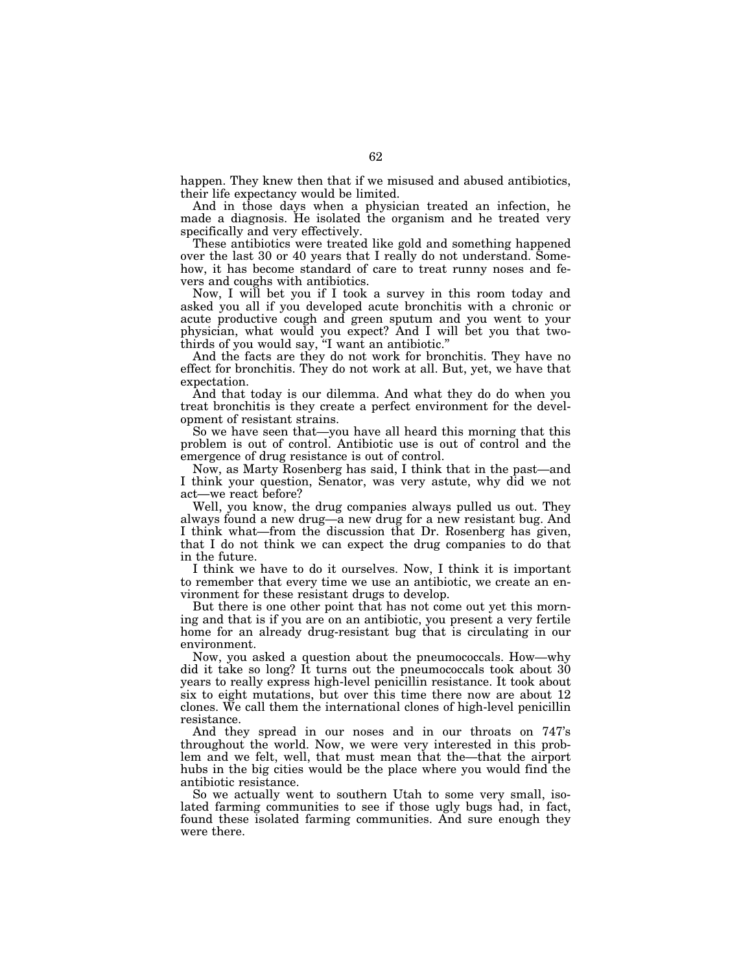happen. They knew then that if we misused and abused antibiotics, their life expectancy would be limited.

And in those days when a physician treated an infection, he made a diagnosis. He isolated the organism and he treated very specifically and very effectively.

These antibiotics were treated like gold and something happened over the last 30 or 40 years that I really do not understand. Somehow, it has become standard of care to treat runny noses and fevers and coughs with antibiotics.

Now, I will bet you if I took a survey in this room today and asked you all if you developed acute bronchitis with a chronic or acute productive cough and green sputum and you went to your physician, what would you expect? And I will bet you that twothirds of you would say, ''I want an antibiotic.''

And the facts are they do not work for bronchitis. They have no effect for bronchitis. They do not work at all. But, yet, we have that expectation.

And that today is our dilemma. And what they do do when you treat bronchitis is they create a perfect environment for the development of resistant strains.

So we have seen that—you have all heard this morning that this problem is out of control. Antibiotic use is out of control and the emergence of drug resistance is out of control.

Now, as Marty Rosenberg has said, I think that in the past—and I think your question, Senator, was very astute, why did we not act—we react before?

Well, you know, the drug companies always pulled us out. They always found a new drug—a new drug for a new resistant bug. And I think what—from the discussion that Dr. Rosenberg has given, that I do not think we can expect the drug companies to do that in the future.

I think we have to do it ourselves. Now, I think it is important to remember that every time we use an antibiotic, we create an environment for these resistant drugs to develop.

But there is one other point that has not come out yet this morning and that is if you are on an antibiotic, you present a very fertile home for an already drug-resistant bug that is circulating in our environment.

Now, you asked a question about the pneumococcals. How—why did it take so long? It turns out the pneumococcals took about 30 years to really express high-level penicillin resistance. It took about six to eight mutations, but over this time there now are about 12 clones. We call them the international clones of high-level penicillin resistance.

And they spread in our noses and in our throats on 747's throughout the world. Now, we were very interested in this problem and we felt, well, that must mean that the—that the airport hubs in the big cities would be the place where you would find the antibiotic resistance.

So we actually went to southern Utah to some very small, isolated farming communities to see if those ugly bugs had, in fact, found these isolated farming communities. And sure enough they were there.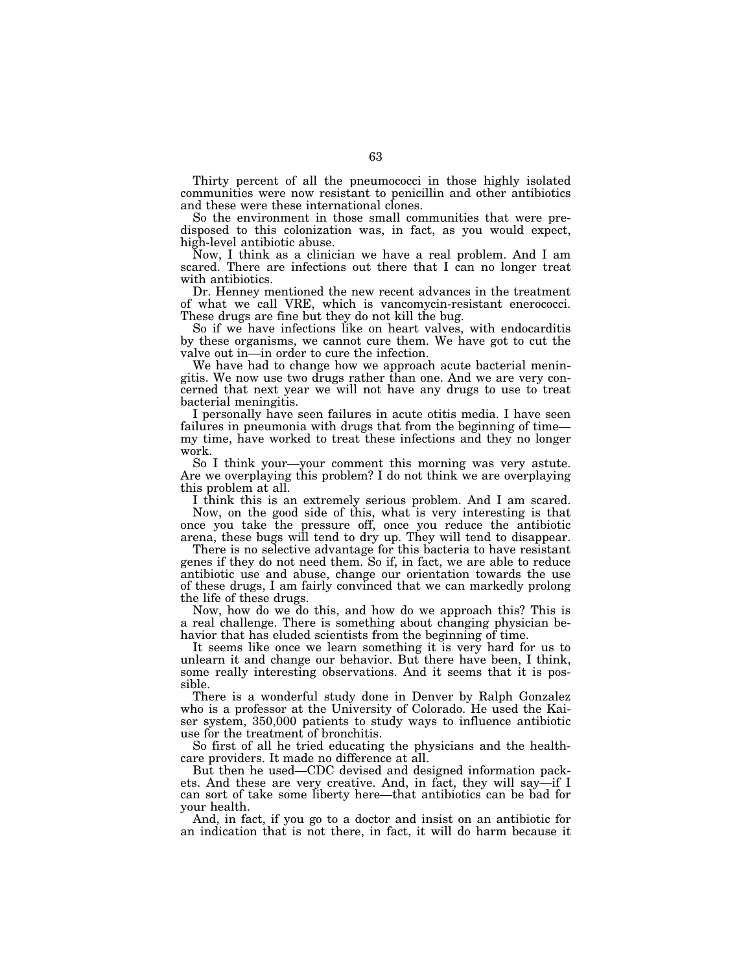Thirty percent of all the pneumococci in those highly isolated communities were now resistant to penicillin and other antibiotics and these were these international clones.

So the environment in those small communities that were predisposed to this colonization was, in fact, as you would expect, high-level antibiotic abuse.

Now, I think as a clinician we have a real problem. And I am scared. There are infections out there that I can no longer treat with antibiotics.

Dr. Henney mentioned the new recent advances in the treatment of what we call VRE, which is vancomycin-resistant enerococci. These drugs are fine but they do not kill the bug.

So if we have infections like on heart valves, with endocarditis by these organisms, we cannot cure them. We have got to cut the valve out in—in order to cure the infection.

We have had to change how we approach acute bacterial meningitis. We now use two drugs rather than one. And we are very concerned that next year we will not have any drugs to use to treat bacterial meningitis.

I personally have seen failures in acute otitis media. I have seen failures in pneumonia with drugs that from the beginning of time— my time, have worked to treat these infections and they no longer work.

So I think your—your comment this morning was very astute. Are we overplaying this problem? I do not think we are overplaying this problem at all.

I think this is an extremely serious problem. And I am scared. Now, on the good side of this, what is very interesting is that once you take the pressure off, once you reduce the antibiotic

arena, these bugs will tend to dry up. They will tend to disappear. There is no selective advantage for this bacteria to have resistant

genes if they do not need them. So if, in fact, we are able to reduce antibiotic use and abuse, change our orientation towards the use of these drugs, I am fairly convinced that we can markedly prolong the life of these drugs.

Now, how do we do this, and how do we approach this? This is a real challenge. There is something about changing physician behavior that has eluded scientists from the beginning of time.

It seems like once we learn something it is very hard for us to unlearn it and change our behavior. But there have been, I think, some really interesting observations. And it seems that it is possible.

There is a wonderful study done in Denver by Ralph Gonzalez who is a professor at the University of Colorado. He used the Kaiser system, 350,000 patients to study ways to influence antibiotic use for the treatment of bronchitis.

So first of all he tried educating the physicians and the healthcare providers. It made no difference at all.

But then he used—CDC devised and designed information packets. And these are very creative. And, in fact, they will say—if I can sort of take some liberty here—that antibiotics can be bad for your health.

And, in fact, if you go to a doctor and insist on an antibiotic for an indication that is not there, in fact, it will do harm because it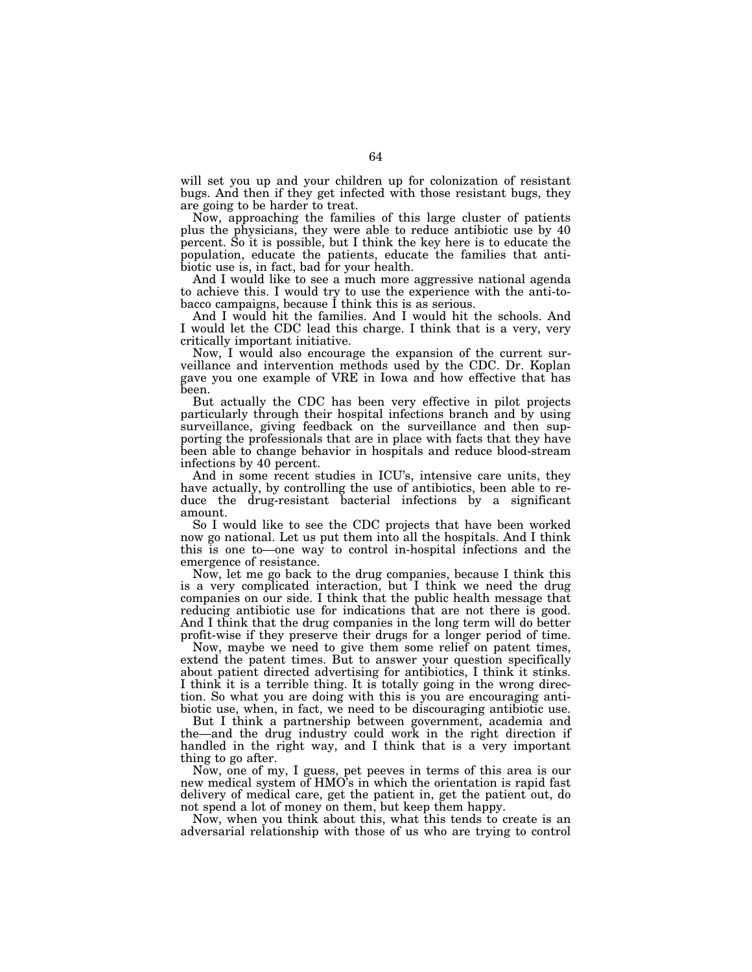will set you up and your children up for colonization of resistant bugs. And then if they get infected with those resistant bugs, they are going to be harder to treat.

Now, approaching the families of this large cluster of patients plus the physicians, they were able to reduce antibiotic use by 40 percent. So it is possible, but I think the key here is to educate the population, educate the patients, educate the families that antibiotic use is, in fact, bad for your health.

And I would like to see a much more aggressive national agenda to achieve this. I would try to use the experience with the anti-tobacco campaigns, because I think this is as serious.

And I would hit the families. And I would hit the schools. And I would let the CDC lead this charge. I think that is a very, very critically important initiative.

Now, I would also encourage the expansion of the current surveillance and intervention methods used by the CDC. Dr. Koplan gave you one example of VRE in Iowa and how effective that has been.

But actually the CDC has been very effective in pilot projects particularly through their hospital infections branch and by using surveillance, giving feedback on the surveillance and then supporting the professionals that are in place with facts that they have been able to change behavior in hospitals and reduce blood-stream infections by 40 percent.

And in some recent studies in ICU's, intensive care units, they have actually, by controlling the use of antibiotics, been able to reduce the drug-resistant bacterial infections by a significant amount.

So I would like to see the CDC projects that have been worked now go national. Let us put them into all the hospitals. And I think this is one to—one way to control in-hospital infections and the emergence of resistance.

Now, let me go back to the drug companies, because I think this is a very complicated interaction, but I think we need the drug companies on our side. I think that the public health message that reducing antibiotic use for indications that are not there is good. And I think that the drug companies in the long term will do better profit-wise if they preserve their drugs for a longer period of time.

Now, maybe we need to give them some relief on patent times, extend the patent times. But to answer your question specifically about patient directed advertising for antibiotics, I think it stinks. I think it is a terrible thing. It is totally going in the wrong direction. So what you are doing with this is you are encouraging antibiotic use, when, in fact, we need to be discouraging antibiotic use.

But I think a partnership between government, academia and the—and the drug industry could work in the right direction if handled in the right way, and I think that is a very important thing to go after.

Now, one of my, I guess, pet peeves in terms of this area is our new medical system of HMO's in which the orientation is rapid fast delivery of medical care, get the patient in, get the patient out, do not spend a lot of money on them, but keep them happy.

Now, when you think about this, what this tends to create is an adversarial relationship with those of us who are trying to control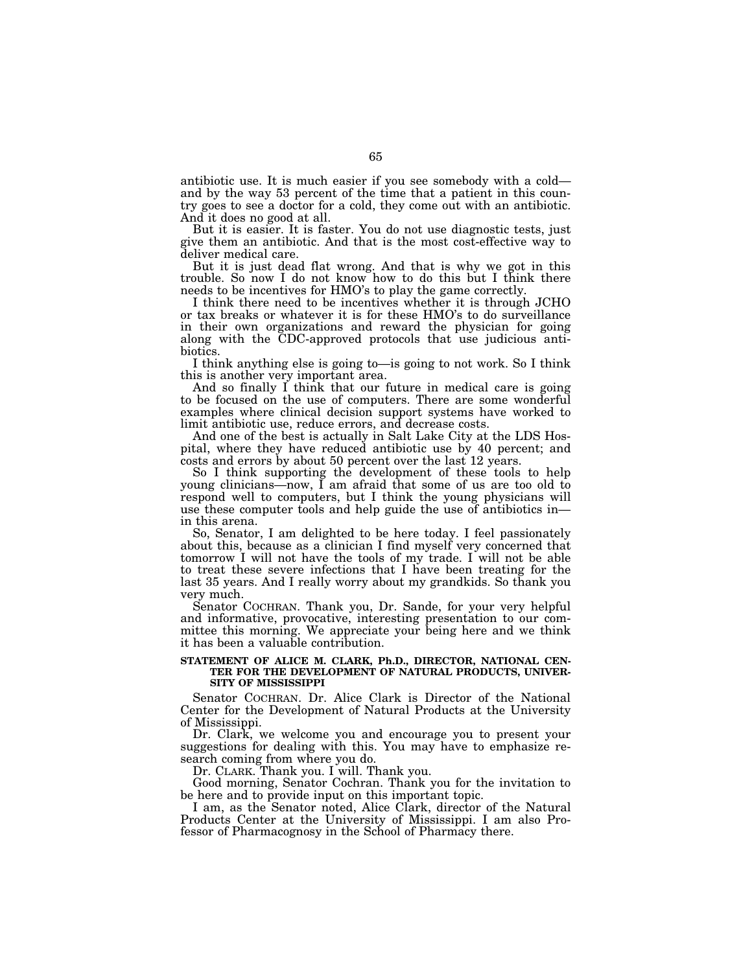antibiotic use. It is much easier if you see somebody with a cold— and by the way 53 percent of the time that a patient in this country goes to see a doctor for a cold, they come out with an antibiotic. And it does no good at all.

But it is easier. It is faster. You do not use diagnostic tests, just give them an antibiotic. And that is the most cost-effective way to deliver medical care.

But it is just dead flat wrong. And that is why we got in this trouble. So now I do not know how to do this but I think there needs to be incentives for HMO's to play the game correctly.

I think there need to be incentives whether it is through JCHO or tax breaks or whatever it is for these HMO's to do surveillance in their own organizations and reward the physician for going along with the CDC-approved protocols that use judicious antibiotics.

I think anything else is going to—is going to not work. So I think this is another very important area.

And so finally I think that our future in medical care is going to be focused on the use of computers. There are some wonderful examples where clinical decision support systems have worked to limit antibiotic use, reduce errors, and decrease costs.

And one of the best is actually in Salt Lake City at the LDS Hospital, where they have reduced antibiotic use by 40 percent; and costs and errors by about 50 percent over the last 12 years.

So I think supporting the development of these tools to help young clinicians—now, I am afraid that some of us are too old to respond well to computers, but I think the young physicians will use these computer tools and help guide the use of antibiotics in— in this arena.

So, Senator, I am delighted to be here today. I feel passionately about this, because as a clinician I find myself very concerned that tomorrow I will not have the tools of my trade. I will not be able to treat these severe infections that I have been treating for the last 35 years. And I really worry about my grandkids. So thank you very much.

Senator COCHRAN. Thank you, Dr. Sande, for your very helpful and informative, provocative, interesting presentation to our committee this morning. We appreciate your being here and we think it has been a valuable contribution.

# **STATEMENT OF ALICE M. CLARK, Ph.D., DIRECTOR, NATIONAL CEN-TER FOR THE DEVELOPMENT OF NATURAL PRODUCTS, UNIVER-SITY OF MISSISSIPPI**

Senator COCHRAN. Dr. Alice Clark is Director of the National Center for the Development of Natural Products at the University of Mississippi.

Dr. Clark, we welcome you and encourage you to present your suggestions for dealing with this. You may have to emphasize research coming from where you do.

Dr. CLARK. Thank you. I will. Thank you.

Good morning, Senator Cochran. Thank you for the invitation to be here and to provide input on this important topic.

I am, as the Senator noted, Alice Clark, director of the Natural Products Center at the University of Mississippi. I am also Professor of Pharmacognosy in the School of Pharmacy there.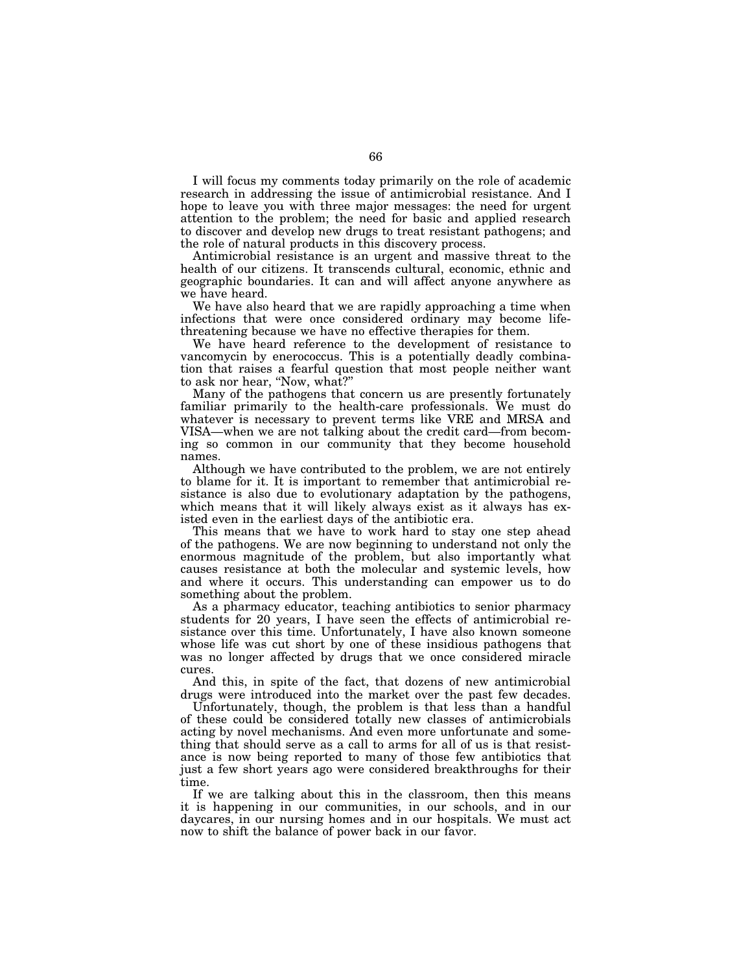I will focus my comments today primarily on the role of academic research in addressing the issue of antimicrobial resistance. And I hope to leave you with three major messages: the need for urgent attention to the problem; the need for basic and applied research to discover and develop new drugs to treat resistant pathogens; and the role of natural products in this discovery process.

Antimicrobial resistance is an urgent and massive threat to the health of our citizens. It transcends cultural, economic, ethnic and geographic boundaries. It can and will affect anyone anywhere as we have heard.

We have also heard that we are rapidly approaching a time when infections that were once considered ordinary may become lifethreatening because we have no effective therapies for them.

We have heard reference to the development of resistance to vancomycin by enerococcus. This is a potentially deadly combination that raises a fearful question that most people neither want to ask nor hear, "Now, what?"

Many of the pathogens that concern us are presently fortunately familiar primarily to the health-care professionals. We must do whatever is necessary to prevent terms like VRE and MRSA and VISA—when we are not talking about the credit card—from becoming so common in our community that they become household names.

Although we have contributed to the problem, we are not entirely to blame for it. It is important to remember that antimicrobial resistance is also due to evolutionary adaptation by the pathogens, which means that it will likely always exist as it always has existed even in the earliest days of the antibiotic era.

This means that we have to work hard to stay one step ahead of the pathogens. We are now beginning to understand not only the enormous magnitude of the problem, but also importantly what causes resistance at both the molecular and systemic levels, how and where it occurs. This understanding can empower us to do something about the problem.

As a pharmacy educator, teaching antibiotics to senior pharmacy students for 20 years, I have seen the effects of antimicrobial resistance over this time. Unfortunately, I have also known someone whose life was cut short by one of these insidious pathogens that was no longer affected by drugs that we once considered miracle cures.

And this, in spite of the fact, that dozens of new antimicrobial drugs were introduced into the market over the past few decades.

Unfortunately, though, the problem is that less than a handful of these could be considered totally new classes of antimicrobials acting by novel mechanisms. And even more unfortunate and something that should serve as a call to arms for all of us is that resistance is now being reported to many of those few antibiotics that just a few short years ago were considered breakthroughs for their time.

If we are talking about this in the classroom, then this means it is happening in our communities, in our schools, and in our daycares, in our nursing homes and in our hospitals. We must act now to shift the balance of power back in our favor.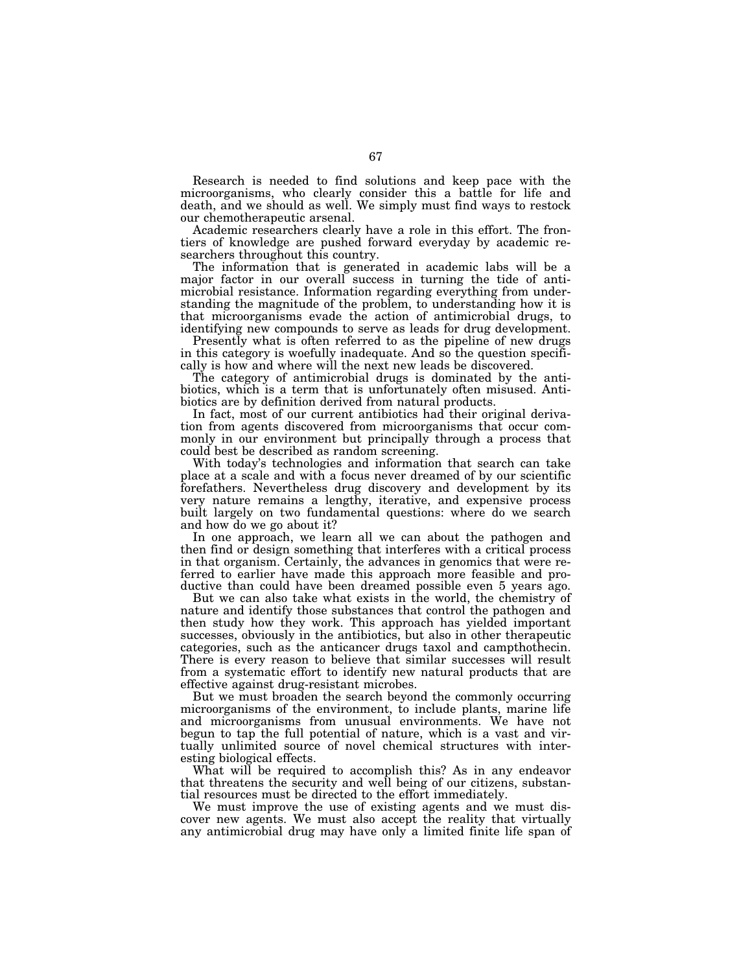Research is needed to find solutions and keep pace with the microorganisms, who clearly consider this a battle for life and death, and we should as well. We simply must find ways to restock our chemotherapeutic arsenal.

Academic researchers clearly have a role in this effort. The frontiers of knowledge are pushed forward everyday by academic researchers throughout this country.

The information that is generated in academic labs will be a major factor in our overall success in turning the tide of antimicrobial resistance. Information regarding everything from understanding the magnitude of the problem, to understanding how it is that microorganisms evade the action of antimicrobial drugs, to identifying new compounds to serve as leads for drug development.

Presently what is often referred to as the pipeline of new drugs in this category is woefully inadequate. And so the question specifically is how and where will the next new leads be discovered.

The category of antimicrobial drugs is dominated by the antibiotics, which is a term that is unfortunately often misused. Antibiotics are by definition derived from natural products.

In fact, most of our current antibiotics had their original derivation from agents discovered from microorganisms that occur commonly in our environment but principally through a process that could best be described as random screening.

With today's technologies and information that search can take place at a scale and with a focus never dreamed of by our scientific forefathers. Nevertheless drug discovery and development by its very nature remains a lengthy, iterative, and expensive process built largely on two fundamental questions: where do we search and how do we go about it?

In one approach, we learn all we can about the pathogen and then find or design something that interferes with a critical process in that organism. Certainly, the advances in genomics that were referred to earlier have made this approach more feasible and productive than could have been dreamed possible even 5 years ago.

But we can also take what exists in the world, the chemistry of nature and identify those substances that control the pathogen and then study how they work. This approach has yielded important successes, obviously in the antibiotics, but also in other therapeutic categories, such as the anticancer drugs taxol and campthothecin. There is every reason to believe that similar successes will result from a systematic effort to identify new natural products that are effective against drug-resistant microbes.

But we must broaden the search beyond the commonly occurring microorganisms of the environment, to include plants, marine life and microorganisms from unusual environments. We have not begun to tap the full potential of nature, which is a vast and virtually unlimited source of novel chemical structures with interesting biological effects.

What will be required to accomplish this? As in any endeavor that threatens the security and well being of our citizens, substantial resources must be directed to the effort immediately.

We must improve the use of existing agents and we must discover new agents. We must also accept the reality that virtually any antimicrobial drug may have only a limited finite life span of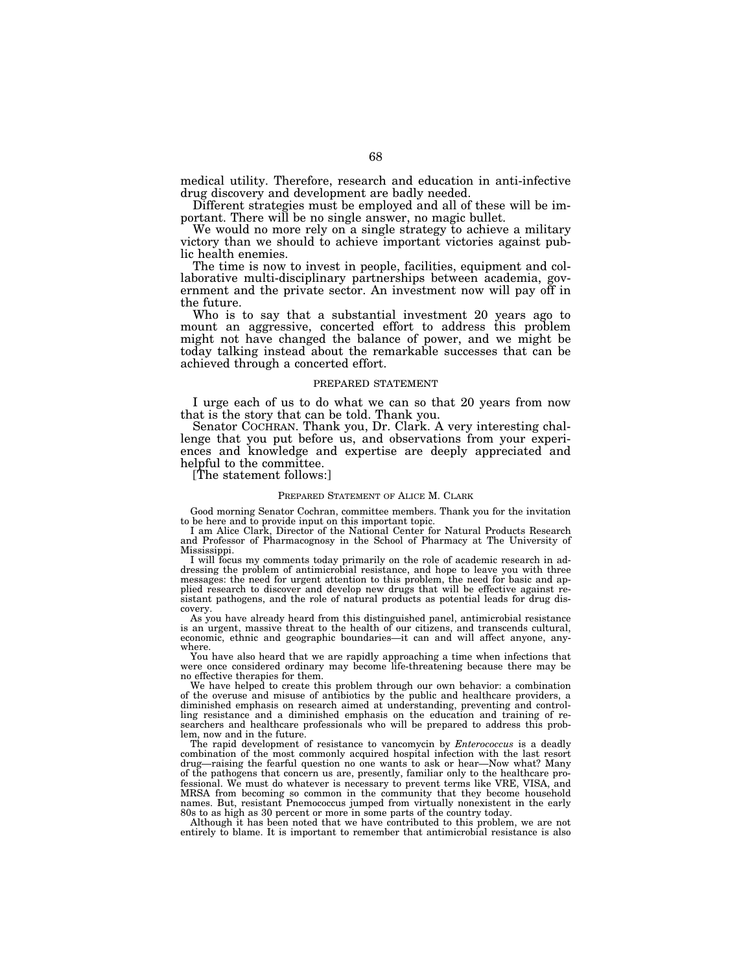medical utility. Therefore, research and education in anti-infective drug discovery and development are badly needed.

Different strategies must be employed and all of these will be important. There will be no single answer, no magic bullet.

We would no more rely on a single strategy to achieve a military victory than we should to achieve important victories against public health enemies.

The time is now to invest in people, facilities, equipment and collaborative multi-disciplinary partnerships between academia, government and the private sector. An investment now will pay off in the future.

Who is to say that a substantial investment 20 years ago to mount an aggressive, concerted effort to address this problem might not have changed the balance of power, and we might be today talking instead about the remarkable successes that can be achieved through a concerted effort.

# PREPARED STATEMENT

I urge each of us to do what we can so that 20 years from now that is the story that can be told. Thank you.

Senator COCHRAN. Thank you, Dr. Clark. A very interesting challenge that you put before us, and observations from your experiences and knowledge and expertise are deeply appreciated and helpful to the committee.

[The statement follows:]

#### PREPARED STATEMENT OF ALICE M. CLARK

Good morning Senator Cochran, committee members. Thank you for the invitation to be here and to provide input on this important topic.

I am Alice Clark, Director of the National Center for Natural Products Research and Professor of Pharmacognosy in the School of Pharmacy at The University of Mississippi.

I will focus my comments today primarily on the role of academic research in addressing the problem of antimicrobial resistance, and hope to leave you with three messages: the need for urgent attention to this problem, the need for basic and applied research to discover and develop new drugs that will be effective against resistant pathogens, and the role of natural products as potential leads for drug discovery.

As you have already heard from this distinguished panel, antimicrobial resistance is an urgent, massive threat to the health of our citizens, and transcends cultural, economic, ethnic and geographic boundaries—it can and will affect anyone, anywhere.

You have also heard that we are rapidly approaching a time when infections that were once considered ordinary may become life-threatening because there may be no effective therapies for them.

We have helped to create this problem through our own behavior: a combination of the overuse and misuse of antibiotics by the public and healthcare providers, a diminished emphasis on research aimed at understanding, preventing and controlling resistance and a diminished emphasis on the education and training of researchers and healthcare professionals who will be prepared to address this problem, now and in the future.

The rapid development of resistance to vancomycin by *Enterococcus* is a deadly combination of the most commonly acquired hospital infection with the last resort drug—raising the fearful question no one wants to ask or hear—Now what? Many of the pathogens that concern us are, presently, familiar only to the healthcare professional. We must do whatever is necessary to prevent terms like VRE, VISA, and MRSA from becoming so common in the community that they become household names. But, resistant Pnemococcus jumped from virtually nonexistent in the early 80s to as high as 30 percent or more in some parts of the country today.

Although it has been noted that we have contributed to this problem, we are not entirely to blame. It is important to remember that antimicrobial resistance is also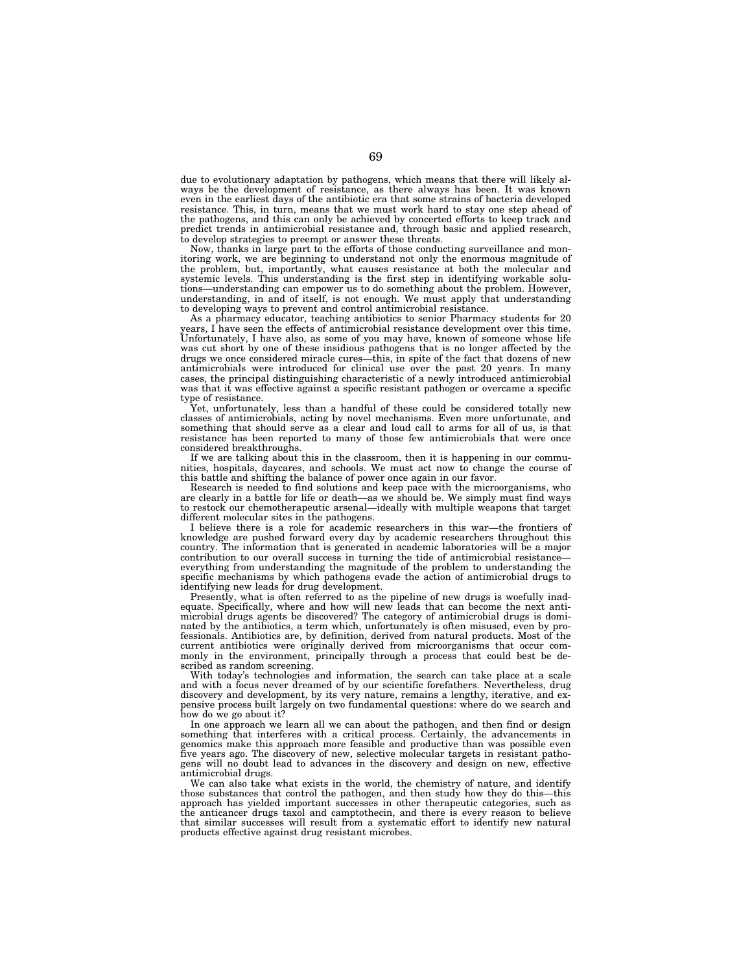due to evolutionary adaptation by pathogens, which means that there will likely always be the development of resistance, as there always has been. It was known even in the earliest days of the antibiotic era that some strains of bacteria developed resistance. This, in turn, means that we must work hard to stay one step ahead of the pathogens, and this can only be achieved by concerted efforts to keep track and predict trends in antimicrobial resistance and, through basic and applied research, to develop strategies to preempt or answer these threats.

Now, thanks in large part to the efforts of those conducting surveillance and monitoring work, we are beginning to understand not only the enormous magnitude of the problem, but, importantly, what causes resistance at both the molecular and systemic levels. This understanding is the first step in identifying workable solutions—understanding can empower us to do something about the problem. However, understanding, in and of itself, is not enough. We must apply that understanding to developing ways to prevent and control antimicrobial resistance.

As a pharmacy educator, teaching antibiotics to senior Pharmacy students for 20 years, I have seen the effects of antimicrobial resistance development over this time. years, I have seen the effects of antimitational resolutions of someone whose life<br>Unfortunately, I have also, as some of you may have, known of someone whose life was cut short by one of these insidious pathogens that is no longer affected by the drugs we once considered miracle cures—this, in spite of the fact that dozens of new antimicrobials were introduced for clinical use over the past 20 years. In many cases, the principal distinguishing characteristic of a newly introduced antimicrobial was that it was effective against a specific resistant pathogen or overcame a specific type of resistance.

Yet, unfortunately, less than a handful of these could be considered totally new classes of antimicrobials, acting by novel mechanisms. Even more unfortunate, and something that should serve as a clear and loud call to arms for all of us, is that resistance has been reported to many of those few antimicrobials that were once considered breakthroughs.

If we are talking about this in the classroom, then it is happening in our communities, hospitals, daycares, and schools. We must act now to change the course of this battle and shifting the balance of power once again in our favor.

Research is needed to find solutions and keep pace with the microorganisms, who are clearly in a battle for life or death—as we should be. We simply must find ways to restock our chemotherapeutic arsenal—ideally with multiple weapons that target different molecular sites in the pathogens.

I believe there is a role for academic researchers in this war—the frontiers of knowledge are pushed forward every day by academic researchers throughout this country. The information that is generated in academic laboratories will be a major contribution to our overall success in turning the tide of antimicrobial resistance everything from understanding the magnitude of the problem to understanding the specific mechanisms by which pathogens evade the action of antimicrobial drugs to identifying new leads for drug development.

Presently, what is often referred to as the pipeline of new drugs is woefully inadequate. Specifically, where and how will new leads that can become the next antimicrobial drugs agents be discovered? The category of antimicrobial drugs is dominated by the antibiotics, a term which, unfortunately is often misused, even by professionals. Antibiotics are, by definition, derived from natural products. Most of the current antibiotics were originally derived from microorganisms that occur commonly in the environment, principally through a process that could best be described as random screening.

With today's technologies and information, the search can take place at a scale and with a focus never dreamed of by our scientific forefathers. Nevertheless, drug discovery and development, by its very nature, remains a lengthy, iterative, and expensive process built largely on two fundamental questions: where do we search and how do we go about it?

In one approach we learn all we can about the pathogen, and then find or design something that interferes with a critical process. Certainly, the advancements in genomics make this approach more feasible and productive than was possible even five years ago. The discovery of new, selective molecular targets in resistant pathogens will no doubt lead to advances in the discovery and design on new, effective antimicrobial drugs.

We can also take what exists in the world, the chemistry of nature, and identify those substances that control the pathogen, and then study how they do this—this approach has yielded important successes in other therapeutic categories, such as the anticancer drugs taxol and camptothecin, and there is every reason to believe that similar successes will result from a systematic effort to identify new natural products effective against drug resistant microbes.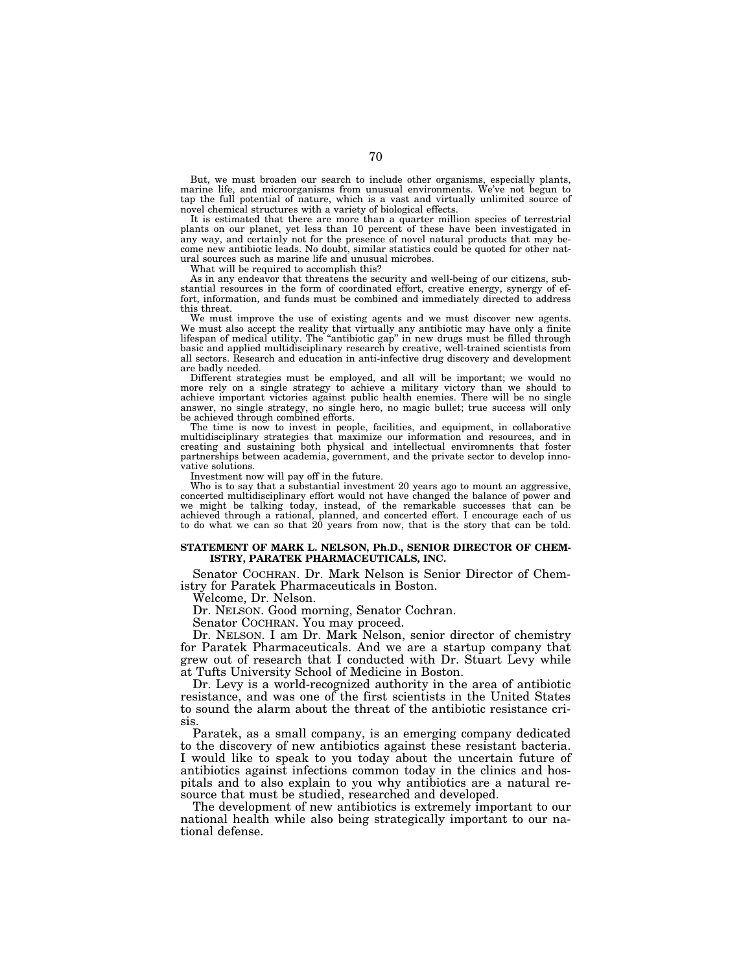But, we must broaden our search to include other organisms, especially plants, marine life, and microorganisms from unusual environments. We've not begun to tap the full potential of nature, which is a vast and virtually unlimited source of novel chemical structures with a variety of biological effects.

It is estimated that there are more than a quarter million species of terrestrial plants on our planet, yet less than 10 percent of these have been investigated in any way, and certainly not for the presence of novel natural products that may become new antibiotic leads. No doubt, similar statistics could be quoted for other natural sources such as marine life and unusual microbes.

What will be required to accomplish this?

As in any endeavor that threatens the security and well-being of our citizens, substantial resources in the form of coordinated effort, creative energy, synergy of effort, information, and funds must be combined and immediately directed to address this threat.

We must improve the use of existing agents and we must discover new agents. We must also accept the reality that virtually any antibiotic may have only a finite lifespan of medical utility. The ''antibiotic gap'' in new drugs must be filled through basic and applied multidisciplinary research by creative, well-trained scientists from all sectors. Research and education in anti-infective drug discovery and development are badly needed.

Different strategies must be employed, and all will be important; we would no more rely on a single strategy to achieve a military victory than we should to achieve important victories against public health enemies. There will be no single answer, no single strategy, no single hero, no magic bullet; true success will only be achieved through combined efforts.

The time is now to invest in people, facilities, and equipment, in collaborative multidisciplinary strategies that maximize our information and resources, and in creating and sustaining both physical and intellectual enviromnents that foster partnerships between academia, government, and the private sector to develop innovative solutions.

Investment now will pay off in the future.

Who is to say that a substantial investment 20 years ago to mount an aggressive, concerted multidisciplinary effort would not have changed the balance of power and we might be talking today, instead, of the remarkable successes that can be achieved through a rational, planned, and concerted effort. I encourage each of us to do what we can so that  $20$  years from now, that is the story that can be told.

## **STATEMENT OF MARK L. NELSON, Ph.D., SENIOR DIRECTOR OF CHEM-ISTRY, PARATEK PHARMACEUTICALS, INC.**

Senator COCHRAN. Dr. Mark Nelson is Senior Director of Chemistry for Paratek Pharmaceuticals in Boston.

Welcome, Dr. Nelson.

Dr. NELSON. Good morning, Senator Cochran.

Senator COCHRAN. You may proceed.

Dr. NELSON. I am Dr. Mark Nelson, senior director of chemistry for Paratek Pharmaceuticals. And we are a startup company that grew out of research that I conducted with Dr. Stuart Levy while at Tufts University School of Medicine in Boston.

Dr. Levy is a world-recognized authority in the area of antibiotic resistance, and was one of the first scientists in the United States to sound the alarm about the threat of the antibiotic resistance crisis.

Paratek, as a small company, is an emerging company dedicated to the discovery of new antibiotics against these resistant bacteria. I would like to speak to you today about the uncertain future of antibiotics against infections common today in the clinics and hospitals and to also explain to you why antibiotics are a natural resource that must be studied, researched and developed.

The development of new antibiotics is extremely important to our national health while also being strategically important to our national defense.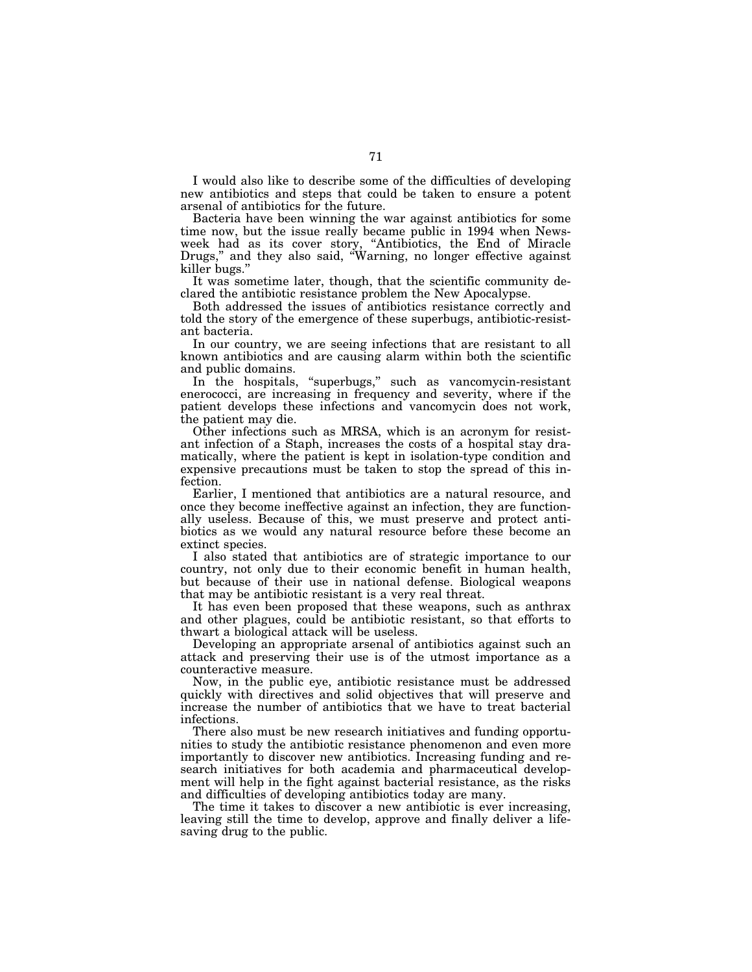I would also like to describe some of the difficulties of developing new antibiotics and steps that could be taken to ensure a potent arsenal of antibiotics for the future.

Bacteria have been winning the war against antibiotics for some time now, but the issue really became public in 1994 when Newsweek had as its cover story, "Antibiotics, the End of Miracle Drugs," and they also said, "Warning, no longer effective against killer bugs.''

It was sometime later, though, that the scientific community declared the antibiotic resistance problem the New Apocalypse.

Both addressed the issues of antibiotics resistance correctly and told the story of the emergence of these superbugs, antibiotic-resistant bacteria.

In our country, we are seeing infections that are resistant to all known antibiotics and are causing alarm within both the scientific and public domains.

In the hospitals, "superbugs," such as vancomycin-resistant enerococci, are increasing in frequency and severity, where if the patient develops these infections and vancomycin does not work, the patient may die.

Other infections such as MRSA, which is an acronym for resistant infection of a Staph, increases the costs of a hospital stay dramatically, where the patient is kept in isolation-type condition and expensive precautions must be taken to stop the spread of this infection.

Earlier, I mentioned that antibiotics are a natural resource, and once they become ineffective against an infection, they are functionally useless. Because of this, we must preserve and protect antibiotics as we would any natural resource before these become an extinct species.

I also stated that antibiotics are of strategic importance to our country, not only due to their economic benefit in human health, but because of their use in national defense. Biological weapons that may be antibiotic resistant is a very real threat.

It has even been proposed that these weapons, such as anthrax and other plagues, could be antibiotic resistant, so that efforts to thwart a biological attack will be useless.

Developing an appropriate arsenal of antibiotics against such an attack and preserving their use is of the utmost importance as a counteractive measure.

Now, in the public eye, antibiotic resistance must be addressed quickly with directives and solid objectives that will preserve and increase the number of antibiotics that we have to treat bacterial infections.

There also must be new research initiatives and funding opportunities to study the antibiotic resistance phenomenon and even more importantly to discover new antibiotics. Increasing funding and research initiatives for both academia and pharmaceutical development will help in the fight against bacterial resistance, as the risks and difficulties of developing antibiotics today are many.

The time it takes to discover a new antibiotic is ever increasing, leaving still the time to develop, approve and finally deliver a lifesaving drug to the public.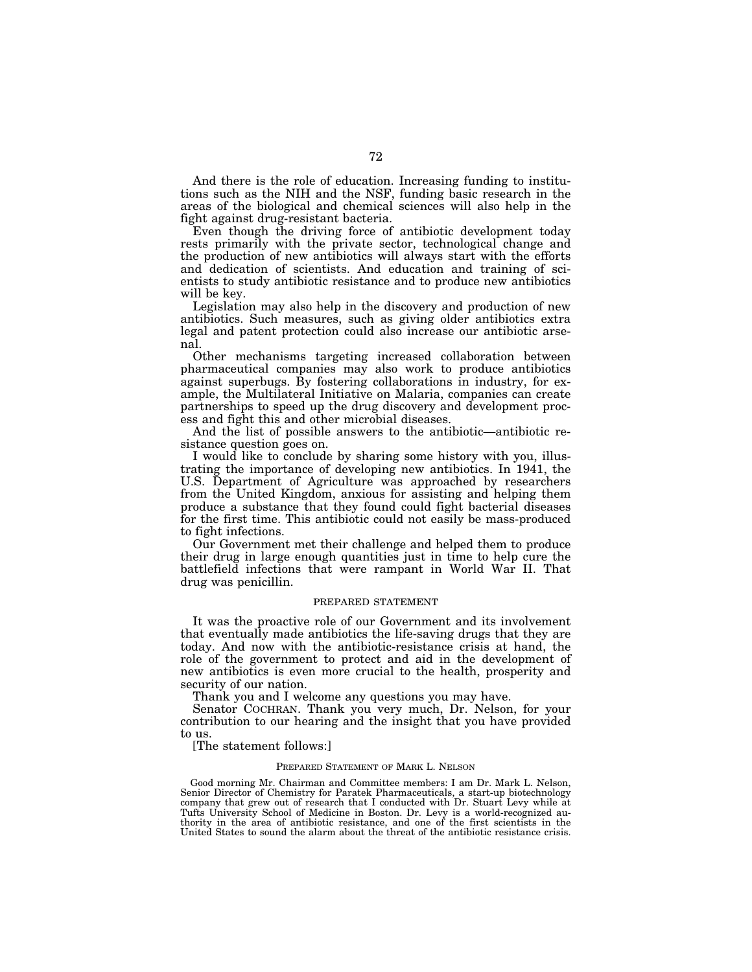And there is the role of education. Increasing funding to institutions such as the NIH and the NSF, funding basic research in the areas of the biological and chemical sciences will also help in the fight against drug-resistant bacteria.

Even though the driving force of antibiotic development today rests primarily with the private sector, technological change and the production of new antibiotics will always start with the efforts and dedication of scientists. And education and training of scientists to study antibiotic resistance and to produce new antibiotics will be key.

Legislation may also help in the discovery and production of new antibiotics. Such measures, such as giving older antibiotics extra legal and patent protection could also increase our antibiotic arsenal.

Other mechanisms targeting increased collaboration between pharmaceutical companies may also work to produce antibiotics against superbugs. By fostering collaborations in industry, for example, the Multilateral Initiative on Malaria, companies can create partnerships to speed up the drug discovery and development process and fight this and other microbial diseases.

And the list of possible answers to the antibiotic—antibiotic resistance question goes on.

I would like to conclude by sharing some history with you, illustrating the importance of developing new antibiotics. In 1941, the U.S. Department of Agriculture was approached by researchers from the United Kingdom, anxious for assisting and helping them produce a substance that they found could fight bacterial diseases for the first time. This antibiotic could not easily be mass-produced to fight infections.

Our Government met their challenge and helped them to produce their drug in large enough quantities just in time to help cure the battlefield infections that were rampant in World War II. That drug was penicillin.

## PREPARED STATEMENT

It was the proactive role of our Government and its involvement that eventually made antibiotics the life-saving drugs that they are today. And now with the antibiotic-resistance crisis at hand, the role of the government to protect and aid in the development of new antibiotics is even more crucial to the health, prosperity and security of our nation.

Thank you and I welcome any questions you may have.

Senator COCHRAN. Thank you very much, Dr. Nelson, for your contribution to our hearing and the insight that you have provided to us.

[The statement follows:]

## PREPARED STATEMENT OF MARK L. NELSON

Good morning Mr. Chairman and Committee members: I am Dr. Mark L. Nelson, Senior Director of Chemistry for Paratek Pharmaceuticals, a start-up biotechnology company that grew out of research that I conducted with Dr. Stuart Levy while at Tufts University School of Medicine in Boston. Dr. Levy is a world-recognized authority in the area of antibiotic resistance, and one of the first scientists in the United States to sound the alarm about the threat of the antibiotic resistance crisis.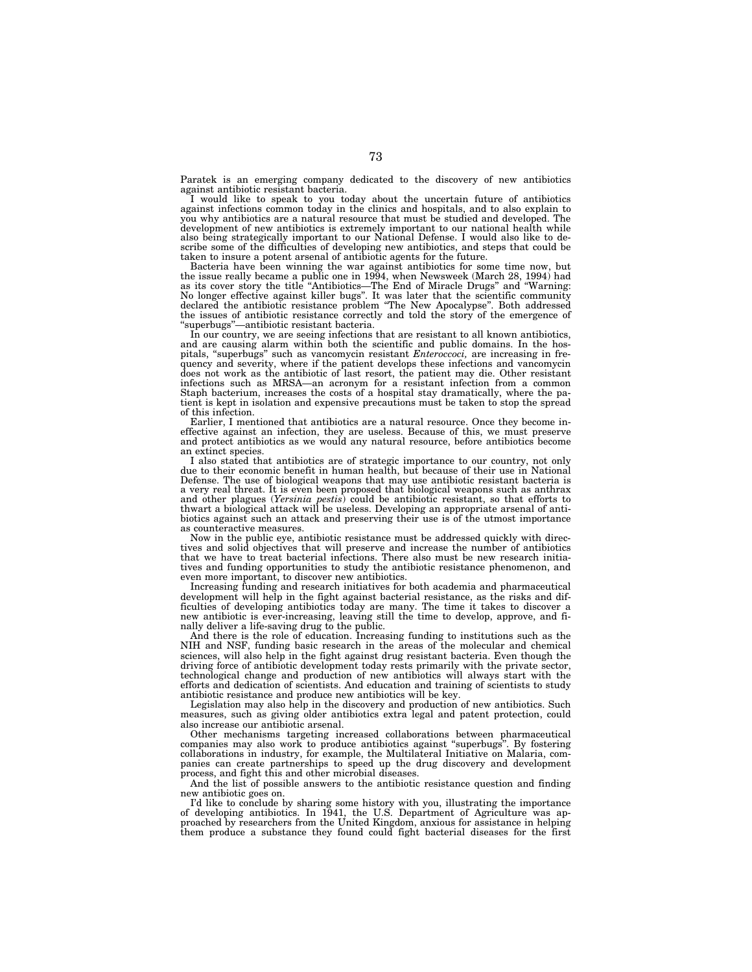Paratek is an emerging company dedicated to the discovery of new antibiotics against antibiotic resistant bacteria.

I would like to speak to you today about the uncertain future of antibiotics against infections common today in the clinics and hospitals, and to also explain to you why antibiotics are a natural resource that must be studied and developed. The development of new antibiotics is extremely important to our national health while also being strategically important to our National Defense. I would also like to describe some of the difficulties of developing new antibiotics, and steps that could be taken to insure a potent arsenal of antibiotic agents for the future.

Bacteria have been winning the war against antibiotics for some time now, but the issue really became a public one in 1994, when Newsweek (March 28, 1994) had as its cover story the title "Antibiotics—The End of Miracle Drugs" and "Warning:<br>No longer effective against killer bugs". It was later that the scientific community declared the antibiotic resistance problem ''The New Apocalypse''. Both addressed the issues of antibiotic resistance correctly and told the story of the emergence of ''superbugs''—antibiotic resistant bacteria.

In our country, we are seeing infections that are resistant to all known antibiotics, and are causing alarm within both the scientific and public domains. In the hos-pitals, ''superbugs'' such as vancomycin resistant *Enteroccoci,* are increasing in frequency and severity, where if the patient develops these infections and vancomycin does not work as the antibiotic of last resort, the patient may die. Other resistant infections such as MRSA—an acronym for a resistant infection from a common Staph bacterium, increases the costs of a hospital stay dramatically, where the patient is kept in isolation and expensive precautions must be taken to stop the spread of this infection.

Earlier, I mentioned that antibiotics are a natural resource. Once they become ineffective against an infection, they are useless. Because of this, we must preserve and protect antibiotics as we would any natural resource, before antibiotics become an extinct species.

I also stated that antibiotics are of strategic importance to our country, not only due to their economic benefit in human health, but because of their use in National Defense. The use of biological weapons that may use antibiotic resistant bacteria is a very real threat. It is even been proposed that biological weapons such as anthrax and other plagues (*Yersinia pestis*) could be antibiotic resistant, so that efforts to thwart a biological attack will be useless. Developing an appropriate arsenal of antibiotics against such an attack and preserving their use is of the utmost importance as counteractive measures.

Now in the public eye, antibiotic resistance must be addressed quickly with directives and solid objectives that will preserve and increase the number of antibiotics that we have to treat bacterial infections. There also must be new research initiatives and funding opportunities to study the antibiotic resistance phenomenon, and even more important, to discover new antibiotics.

Increasing funding and research initiatives for both academia and pharmaceutical development will help in the fight against bacterial resistance, as the risks and difficulties of developing antibiotics today are many. The time it takes to discover a new antibiotic is ever-increasing, leaving still the time to develop, approve, and finally deliver a life-saving drug to the public.

And there is the role of education. Increasing funding to institutions such as the NIH and NSF, funding basic research in the areas of the molecular and chemical sciences, will also help in the fight against drug resistant bacteria. Even though the driving force of antibiotic development today rests primarily with the private sector, technological change and production of new antibiotics will always start with the efforts and dedication of scientists. And education and training of scientists to study antibiotic resistance and produce new antibiotics will be key.

Legislation may also help in the discovery and production of new antibiotics. Such measures, such as giving older antibiotics extra legal and patent protection, could also increase our antibiotic arsenal.

Other mechanisms targeting increased collaborations between pharmaceutical companies may also work to produce antibiotics against ''superbugs''. By fostering collaborations in industry, for example, the Multilateral Initiative on Malaria, companies can create partnerships to speed up the drug discovery and development process, and fight this and other microbial diseases.

And the list of possible answers to the antibiotic resistance question and finding new antibiotic goes on.

I'd like to conclude by sharing some history with you, illustrating the importance of developing antibiotics. In 1941, the U.S. Department of Agriculture was ap-proached by researchers from the United Kingdom, anxious for assistance in helping them produce a substance they found could fight bacterial diseases for the first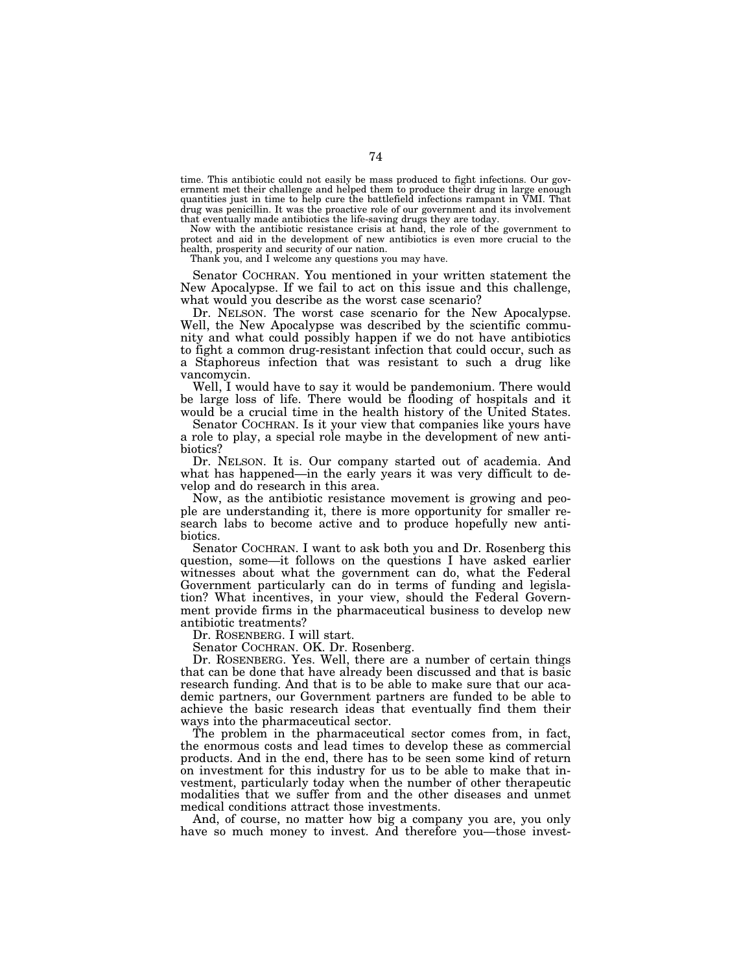time. This antibiotic could not easily be mass produced to fight infections. Our government met their challenge and helped them to produce their drug in large enough quantities just in time to help cure the battlefield infections rampant in VMI. That drug was penicillin. It was the proactive role of our government and its involvement that eventually made antibiotics the life-saving drugs they are today.

Now with the antibiotic resistance crisis at hand, the role of the government to protect and aid in the development of new antibiotics is even more crucial to the health, prosperity and security of our nation.

Thank you, and I welcome any questions you may have.

Senator COCHRAN. You mentioned in your written statement the New Apocalypse. If we fail to act on this issue and this challenge, what would you describe as the worst case scenario?

Dr. NELSON. The worst case scenario for the New Apocalypse. Well, the New Apocalypse was described by the scientific community and what could possibly happen if we do not have antibiotics to fight a common drug-resistant infection that could occur, such as a Staphoreus infection that was resistant to such a drug like vancomycin.

Well, I would have to say it would be pandemonium. There would be large loss of life. There would be flooding of hospitals and it would be a crucial time in the health history of the United States.

Senator COCHRAN. Is it your view that companies like yours have a role to play, a special role maybe in the development of new antibiotics?

Dr. NELSON. It is. Our company started out of academia. And what has happened—in the early years it was very difficult to develop and do research in this area.

Now, as the antibiotic resistance movement is growing and people are understanding it, there is more opportunity for smaller research labs to become active and to produce hopefully new antibiotics.

Senator COCHRAN. I want to ask both you and Dr. Rosenberg this question, some—it follows on the questions I have asked earlier witnesses about what the government can do, what the Federal Government particularly can do in terms of funding and legislation? What incentives, in your view, should the Federal Government provide firms in the pharmaceutical business to develop new antibiotic treatments?

Dr. ROSENBERG. I will start.

Senator COCHRAN. OK. Dr. Rosenberg.

Dr. ROSENBERG. Yes. Well, there are a number of certain things that can be done that have already been discussed and that is basic research funding. And that is to be able to make sure that our academic partners, our Government partners are funded to be able to achieve the basic research ideas that eventually find them their ways into the pharmaceutical sector.

The problem in the pharmaceutical sector comes from, in fact, the enormous costs and lead times to develop these as commercial products. And in the end, there has to be seen some kind of return on investment for this industry for us to be able to make that investment, particularly today when the number of other therapeutic modalities that we suffer from and the other diseases and unmet medical conditions attract those investments.

And, of course, no matter how big a company you are, you only have so much money to invest. And therefore you—those invest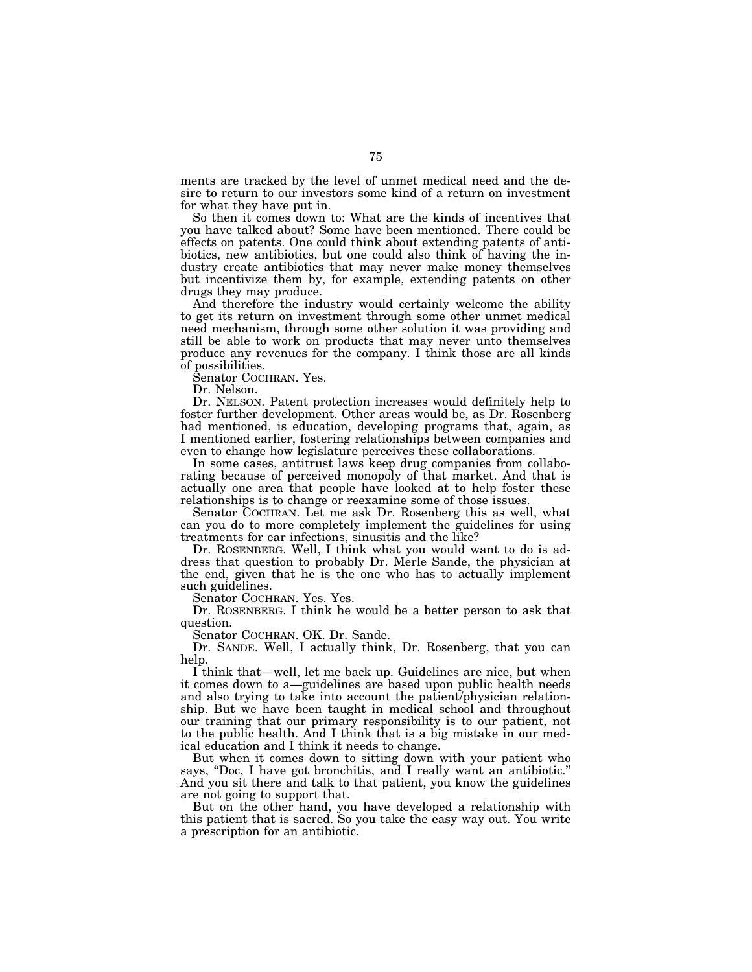ments are tracked by the level of unmet medical need and the desire to return to our investors some kind of a return on investment for what they have put in.

So then it comes down to: What are the kinds of incentives that you have talked about? Some have been mentioned. There could be effects on patents. One could think about extending patents of antibiotics, new antibiotics, but one could also think of having the industry create antibiotics that may never make money themselves but incentivize them by, for example, extending patents on other drugs they may produce.

And therefore the industry would certainly welcome the ability to get its return on investment through some other unmet medical need mechanism, through some other solution it was providing and still be able to work on products that may never unto themselves produce any revenues for the company. I think those are all kinds of possibilities.

Senator COCHRAN. Yes.

Dr. Nelson.

Dr. NELSON. Patent protection increases would definitely help to foster further development. Other areas would be, as Dr. Rosenberg had mentioned, is education, developing programs that, again, as I mentioned earlier, fostering relationships between companies and even to change how legislature perceives these collaborations.

In some cases, antitrust laws keep drug companies from collaborating because of perceived monopoly of that market. And that is actually one area that people have looked at to help foster these relationships is to change or reexamine some of those issues.

Senator COCHRAN. Let me ask Dr. Rosenberg this as well, what can you do to more completely implement the guidelines for using treatments for ear infections, sinusitis and the like?

Dr. ROSENBERG. Well, I think what you would want to do is address that question to probably Dr. Merle Sande, the physician at the end, given that he is the one who has to actually implement such guidelines.

Senator COCHRAN. Yes. Yes.

Dr. ROSENBERG. I think he would be a better person to ask that question.

Senator COCHRAN. OK. Dr. Sande.

Dr. SANDE. Well, I actually think, Dr. Rosenberg, that you can help.

I think that—well, let me back up. Guidelines are nice, but when it comes down to a—guidelines are based upon public health needs and also trying to take into account the patient/physician relationship. But we have been taught in medical school and throughout our training that our primary responsibility is to our patient, not to the public health. And I think that is a big mistake in our medical education and I think it needs to change.

But when it comes down to sitting down with your patient who says, ''Doc, I have got bronchitis, and I really want an antibiotic.'' And you sit there and talk to that patient, you know the guidelines are not going to support that.

But on the other hand, you have developed a relationship with this patient that is sacred. So you take the easy way out. You write a prescription for an antibiotic.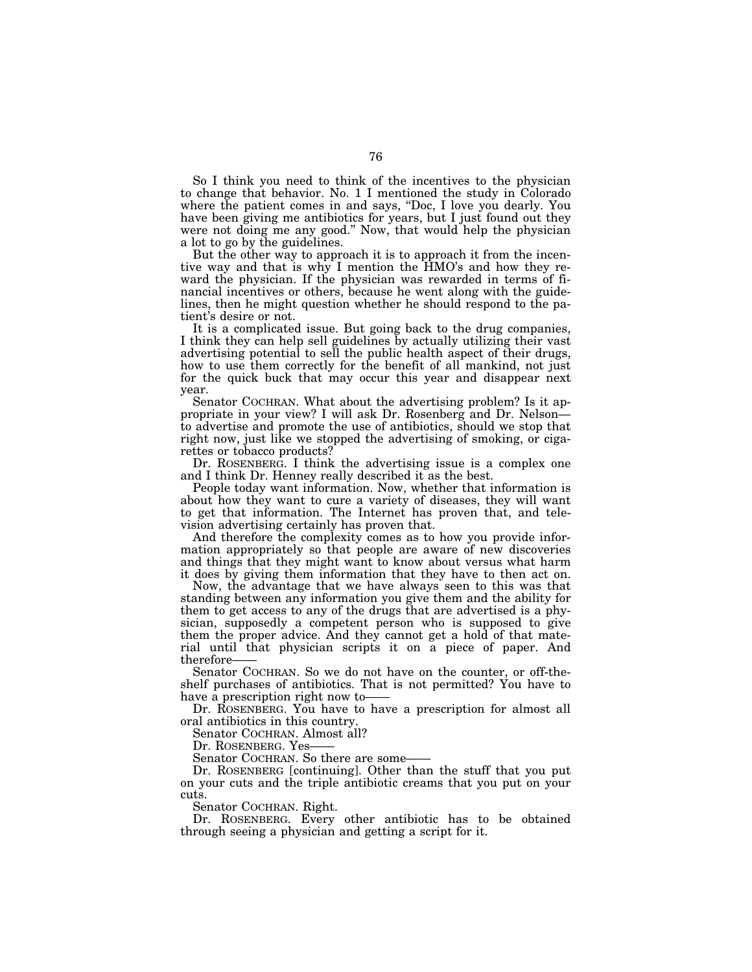So I think you need to think of the incentives to the physician to change that behavior. No. 1 I mentioned the study in Colorado where the patient comes in and says, "Doc, I love you dearly. You have been giving me antibiotics for years, but I just found out they were not doing me any good." Now, that would help the physician a lot to go by the guidelines.

But the other way to approach it is to approach it from the incentive way and that is why I mention the HMO's and how they reward the physician. If the physician was rewarded in terms of financial incentives or others, because he went along with the guidelines, then he might question whether he should respond to the patient's desire or not.

It is a complicated issue. But going back to the drug companies, I think they can help sell guidelines by actually utilizing their vast advertising potential to sell the public health aspect of their drugs, how to use them correctly for the benefit of all mankind, not just for the quick buck that may occur this year and disappear next year.

Senator COCHRAN. What about the advertising problem? Is it appropriate in your view? I will ask Dr. Rosenberg and Dr. Nelson to advertise and promote the use of antibiotics, should we stop that right now, just like we stopped the advertising of smoking, or cigarettes or tobacco products?

Dr. ROSENBERG. I think the advertising issue is a complex one and I think Dr. Henney really described it as the best.

People today want information. Now, whether that information is about how they want to cure a variety of diseases, they will want to get that information. The Internet has proven that, and television advertising certainly has proven that.

And therefore the complexity comes as to how you provide information appropriately so that people are aware of new discoveries and things that they might want to know about versus what harm it does by giving them information that they have to then act on.

Now, the advantage that we have always seen to this was that standing between any information you give them and the ability for them to get access to any of the drugs that are advertised is a physician, supposedly a competent person who is supposed to give them the proper advice. And they cannot get a hold of that material until that physician scripts it on a piece of paper. And therefore-

Senator COCHRAN. So we do not have on the counter, or off-theshelf purchases of antibiotics. That is not permitted? You have to have a prescription right now to-

Dr. ROSENBERG. You have to have a prescription for almost all oral antibiotics in this country.

Senator COCHRAN. Almost all?

Dr. ROSENBERG. Yes-

Senator COCHRAN. So there are some-

Dr. ROSENBERG [continuing]. Other than the stuff that you put on your cuts and the triple antibiotic creams that you put on your cuts.

Senator COCHRAN. Right.

Dr. ROSENBERG. Every other antibiotic has to be obtained through seeing a physician and getting a script for it.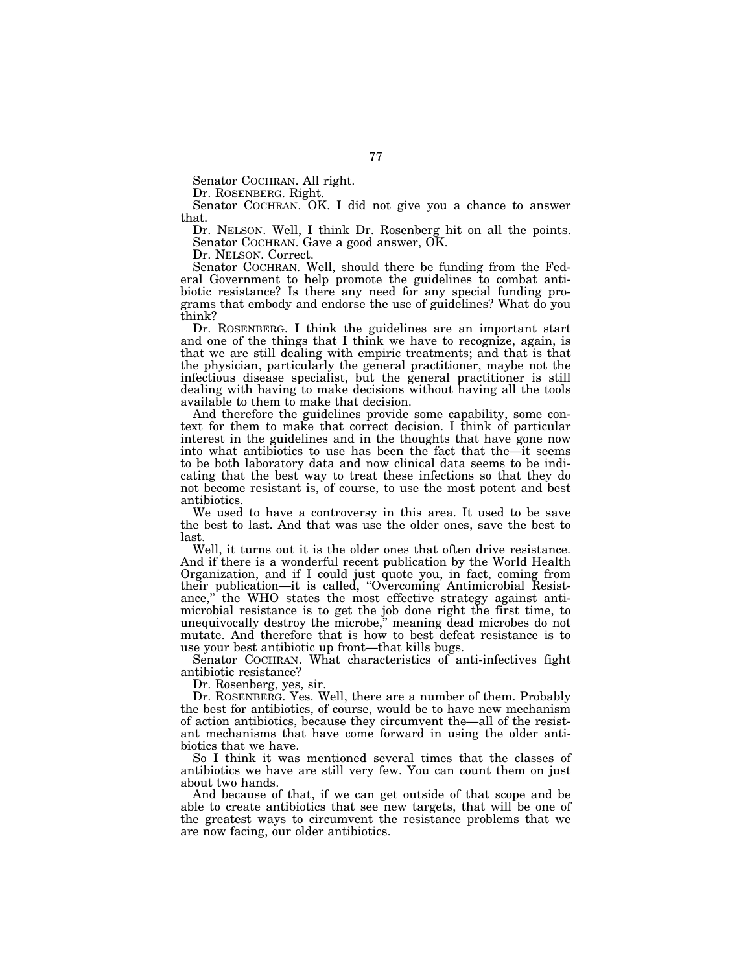Senator COCHRAN. All right.

Dr. ROSENBERG. Right.

Senator COCHRAN. OK. I did not give you a chance to answer that.

Dr. NELSON. Well, I think Dr. Rosenberg hit on all the points. Senator COCHRAN. Gave a good answer, OK.

Dr. NELSON. Correct.

Senator COCHRAN. Well, should there be funding from the Federal Government to help promote the guidelines to combat antibiotic resistance? Is there any need for any special funding programs that embody and endorse the use of guidelines? What do you think?

Dr. ROSENBERG. I think the guidelines are an important start and one of the things that I think we have to recognize, again, is that we are still dealing with empiric treatments; and that is that the physician, particularly the general practitioner, maybe not the infectious disease specialist, but the general practitioner is still dealing with having to make decisions without having all the tools available to them to make that decision.

And therefore the guidelines provide some capability, some context for them to make that correct decision. I think of particular interest in the guidelines and in the thoughts that have gone now into what antibiotics to use has been the fact that the—it seems to be both laboratory data and now clinical data seems to be indicating that the best way to treat these infections so that they do not become resistant is, of course, to use the most potent and best antibiotics.

We used to have a controversy in this area. It used to be save the best to last. And that was use the older ones, save the best to last.

Well, it turns out it is the older ones that often drive resistance. And if there is a wonderful recent publication by the World Health Organization, and if I could just quote you, in fact, coming from their publication—it is called, ''Overcoming Antimicrobial Resistance,'' the WHO states the most effective strategy against antimicrobial resistance is to get the job done right the first time, to unequivocally destroy the microbe,'' meaning dead microbes do not mutate. And therefore that is how to best defeat resistance is to use your best antibiotic up front—that kills bugs.

Senator COCHRAN. What characteristics of anti-infectives fight antibiotic resistance?

Dr. Rosenberg, yes, sir.

Dr. ROSENBERG. Yes. Well, there are a number of them. Probably the best for antibiotics, of course, would be to have new mechanism of action antibiotics, because they circumvent the—all of the resistant mechanisms that have come forward in using the older antibiotics that we have.

So I think it was mentioned several times that the classes of antibiotics we have are still very few. You can count them on just about two hands.

And because of that, if we can get outside of that scope and be able to create antibiotics that see new targets, that will be one of the greatest ways to circumvent the resistance problems that we are now facing, our older antibiotics.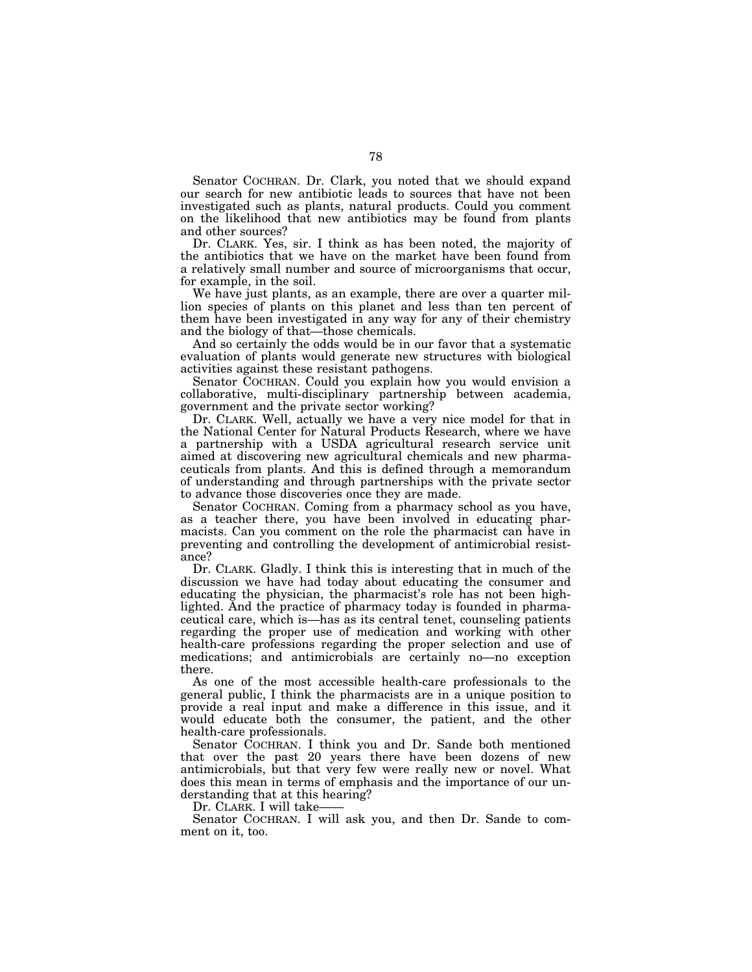Senator COCHRAN. Dr. Clark, you noted that we should expand our search for new antibiotic leads to sources that have not been investigated such as plants, natural products. Could you comment on the likelihood that new antibiotics may be found from plants and other sources?

Dr. CLARK. Yes, sir. I think as has been noted, the majority of the antibiotics that we have on the market have been found from a relatively small number and source of microorganisms that occur, for example, in the soil.

We have just plants, as an example, there are over a quarter million species of plants on this planet and less than ten percent of them have been investigated in any way for any of their chemistry and the biology of that—those chemicals.

And so certainly the odds would be in our favor that a systematic evaluation of plants would generate new structures with biological activities against these resistant pathogens.

Senator COCHRAN. Could you explain how you would envision a collaborative, multi-disciplinary partnership between academia, government and the private sector working?

Dr. CLARK. Well, actually we have a very nice model for that in the National Center for Natural Products Research, where we have a partnership with a USDA agricultural research service unit aimed at discovering new agricultural chemicals and new pharmaceuticals from plants. And this is defined through a memorandum of understanding and through partnerships with the private sector to advance those discoveries once they are made.

Senator COCHRAN. Coming from a pharmacy school as you have, as a teacher there, you have been involved in educating pharmacists. Can you comment on the role the pharmacist can have in preventing and controlling the development of antimicrobial resistance?

Dr. CLARK. Gladly. I think this is interesting that in much of the discussion we have had today about educating the consumer and educating the physician, the pharmacist's role has not been highlighted. And the practice of pharmacy today is founded in pharmaceutical care, which is—has as its central tenet, counseling patients regarding the proper use of medication and working with other health-care professions regarding the proper selection and use of medications; and antimicrobials are certainly no—no exception there.

As one of the most accessible health-care professionals to the general public, I think the pharmacists are in a unique position to provide a real input and make a difference in this issue, and it would educate both the consumer, the patient, and the other health-care professionals.

Senator COCHRAN. I think you and Dr. Sande both mentioned that over the past 20 years there have been dozens of new antimicrobials, but that very few were really new or novel. What does this mean in terms of emphasis and the importance of our understanding that at this hearing?

Dr. CLARK. I will take-

Senator COCHRAN. I will ask you, and then Dr. Sande to comment on it, too.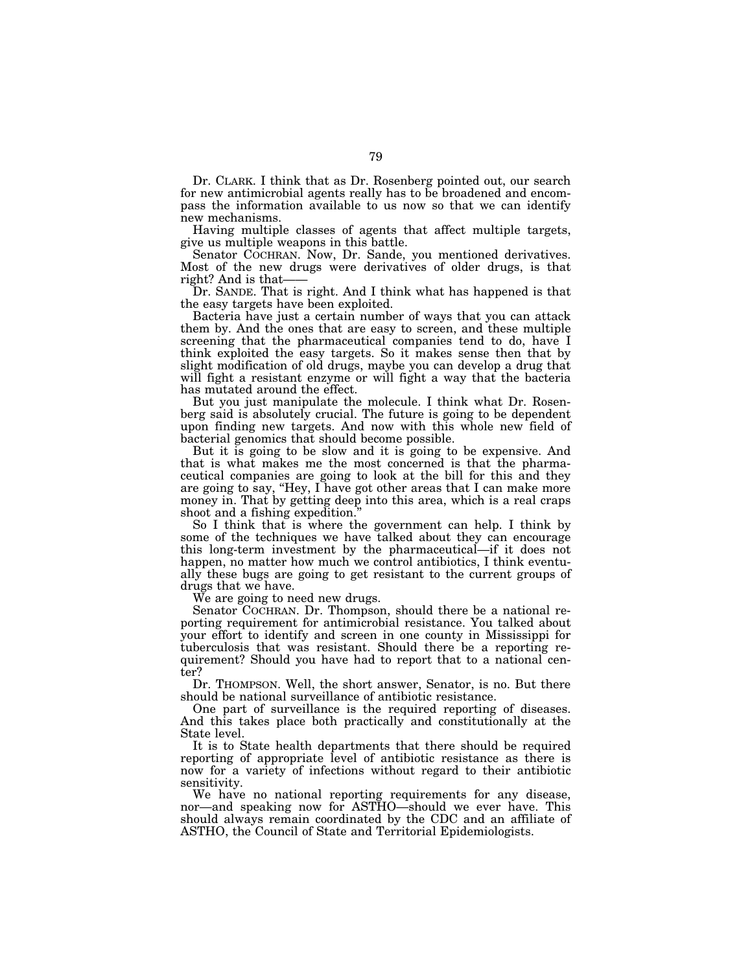Dr. CLARK. I think that as Dr. Rosenberg pointed out, our search for new antimicrobial agents really has to be broadened and encompass the information available to us now so that we can identify new mechanisms.

Having multiple classes of agents that affect multiple targets, give us multiple weapons in this battle.

Senator COCHRAN. Now, Dr. Sande, you mentioned derivatives. Most of the new drugs were derivatives of older drugs, is that right? And is that

 $\overline{D}$ r. SANDE. That is right. And I think what has happened is that the easy targets have been exploited.

Bacteria have just a certain number of ways that you can attack them by. And the ones that are easy to screen, and these multiple screening that the pharmaceutical companies tend to do, have I think exploited the easy targets. So it makes sense then that by slight modification of old drugs, maybe you can develop a drug that will fight a resistant enzyme or will fight a way that the bacteria has mutated around the effect.

But you just manipulate the molecule. I think what Dr. Rosenberg said is absolutely crucial. The future is going to be dependent upon finding new targets. And now with this whole new field of bacterial genomics that should become possible.

But it is going to be slow and it is going to be expensive. And that is what makes me the most concerned is that the pharmaceutical companies are going to look at the bill for this and they are going to say, "Hey, I have got other areas that I can make more money in. That by getting deep into this area, which is a real craps shoot and a fishing expedition."

So I think that is where the government can help. I think by some of the techniques we have talked about they can encourage this long-term investment by the pharmaceutical—if it does not happen, no matter how much we control antibiotics, I think eventually these bugs are going to get resistant to the current groups of drugs that we have.

We are going to need new drugs.

Senator COCHRAN. Dr. Thompson, should there be a national reporting requirement for antimicrobial resistance. You talked about your effort to identify and screen in one county in Mississippi for tuberculosis that was resistant. Should there be a reporting requirement? Should you have had to report that to a national center?

Dr. THOMPSON. Well, the short answer, Senator, is no. But there should be national surveillance of antibiotic resistance.

One part of surveillance is the required reporting of diseases. And this takes place both practically and constitutionally at the State level.

It is to State health departments that there should be required reporting of appropriate level of antibiotic resistance as there is now for a variety of infections without regard to their antibiotic sensitivity.

We have no national reporting requirements for any disease, nor—and speaking now for ASTHO—should we ever have. This should always remain coordinated by the CDC and an affiliate of ASTHO, the Council of State and Territorial Epidemiologists.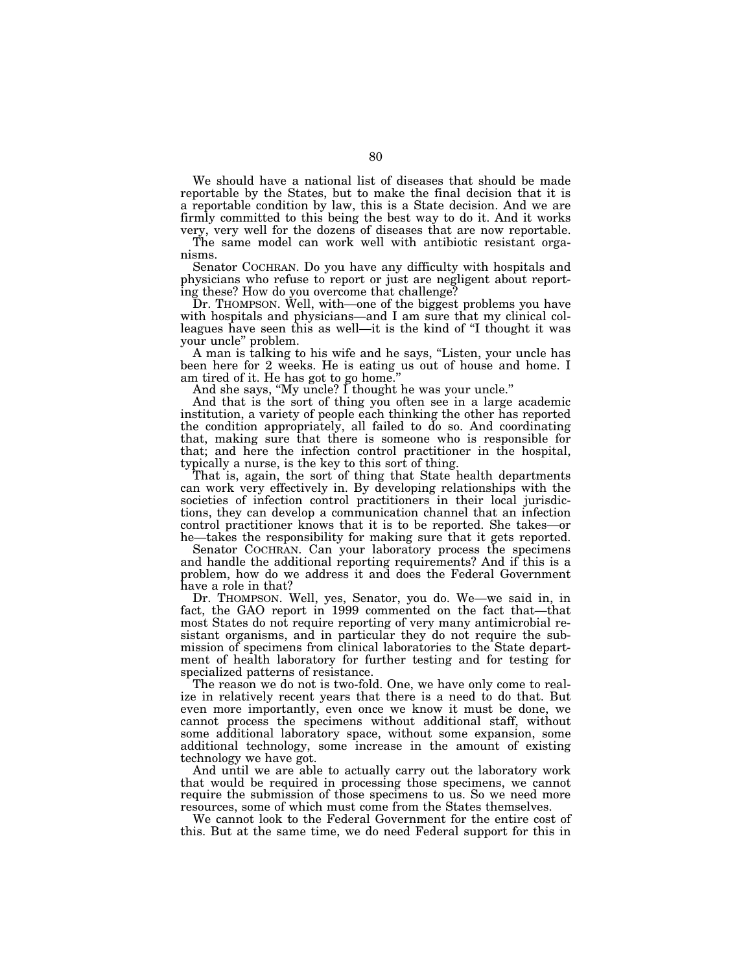We should have a national list of diseases that should be made reportable by the States, but to make the final decision that it is a reportable condition by law, this is a State decision. And we are firmly committed to this being the best way to do it. And it works very, very well for the dozens of diseases that are now reportable.

The same model can work well with antibiotic resistant organisms.

Senator COCHRAN. Do you have any difficulty with hospitals and physicians who refuse to report or just are negligent about reporting these? How do you overcome that challenge?

Dr. THOMPSON. Well, with—one of the biggest problems you have with hospitals and physicians—and I am sure that my clinical colleagues have seen this as well—it is the kind of ''I thought it was your uncle'' problem.

A man is talking to his wife and he says, "Listen, your uncle has been here for 2 weeks. He is eating us out of house and home. I am tired of it. He has got to go home."<br>And she says, "My uncle? I thought he was your uncle."<br>And that is the sort of thing you often see in a large academic

institution, a variety of people each thinking the other has reported the condition appropriately, all failed to do so. And coordinating that, making sure that there is someone who is responsible for that; and here the infection control practitioner in the hospital, typically a nurse, is the key to this sort of thing.

That is, again, the sort of thing that State health departments can work very effectively in. By developing relationships with the societies of infection control practitioners in their local jurisdictions, they can develop a communication channel that an infection control practitioner knows that it is to be reported. She takes—or he—takes the responsibility for making sure that it gets reported.

Senator COCHRAN. Can your laboratory process the specimens and handle the additional reporting requirements? And if this is a problem, how do we address it and does the Federal Government have a role in that?

Dr. THOMPSON. Well, yes, Senator, you do. We—we said in, in fact, the GAO report in 1999 commented on the fact that—that most States do not require reporting of very many antimicrobial resistant organisms, and in particular they do not require the submission of specimens from clinical laboratories to the State department of health laboratory for further testing and for testing for specialized patterns of resistance.

The reason we do not is two-fold. One, we have only come to realize in relatively recent years that there is a need to do that. But even more importantly, even once we know it must be done, we cannot process the specimens without additional staff, without some additional laboratory space, without some expansion, some additional technology, some increase in the amount of existing technology we have got.

And until we are able to actually carry out the laboratory work that would be required in processing those specimens, we cannot require the submission of those specimens to us. So we need more resources, some of which must come from the States themselves.

We cannot look to the Federal Government for the entire cost of this. But at the same time, we do need Federal support for this in